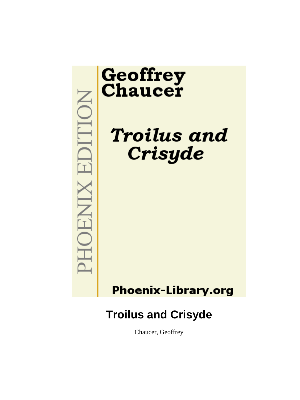# MOHOENIX EDITION

# **Geoffrey**<br>Chaucer

**Troilus and** Crisyde

# **Phoenix-Library.org**

# **Troilus and Crisyde**

Chaucer, Geoffrey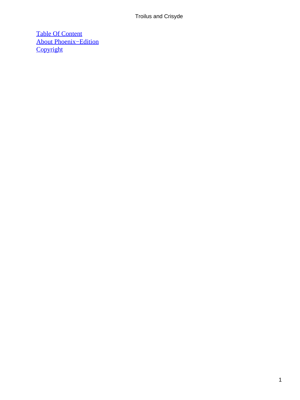[Table Of Content](#page-380-0) [About Phoenix−Edition](#page-381-0) **[Copyright](#page-382-0)**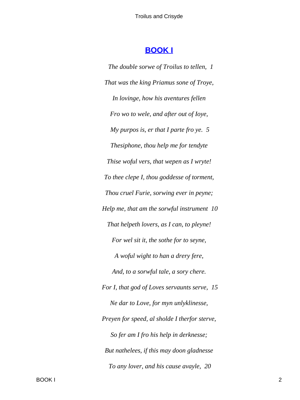### **[BOOK I](#page-380-0)**

*The double sorwe of Troilus to tellen, 1 That was the king Priamus sone of Troye, In lovinge, how his aventures fellen Fro wo to wele, and after out of Ioye, My purpos is, er that I parte fro ye. 5 Thesiphone, thou help me for tendyte Thise woful vers, that wepen as I wryte! To thee clepe I, thou goddesse of torment, Thou cruel Furie, sorwing ever in peyne; Help me, that am the sorwful instrument 10 That helpeth lovers, as I can, to pleyne! For wel sit it, the sothe for to seyne, A woful wight to han a drery fere, And, to a sorwful tale, a sory chere. For I, that god of Loves servaunts serve, 15 Ne dar to Love, for myn unlyklinesse, Preyen for speed, al sholde I therfor sterve, So fer am I fro his help in derknesse; But nathelees, if this may doon gladnesse To any lover, and his cause avayle, 20*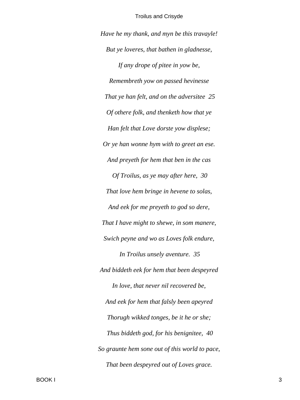*Have he my thank, and myn be this travayle! But ye loveres, that bathen in gladnesse, If any drope of pitee in yow be, Remembreth yow on passed hevinesse That ye han felt, and on the adversitee 25 Of othere folk, and thenketh how that ye Han felt that Love dorste yow displese; Or ye han wonne hym with to greet an ese. And preyeth for hem that ben in the cas Of Troilus, as ye may after here, 30 That love hem bringe in hevene to solas, And eek for me preyeth to god so dere, That I have might to shewe, in som manere, Swich peyne and wo as Loves folk endure, In Troilus unsely aventure. 35 And biddeth eek for hem that been despeyred In love, that never nil recovered be, And eek for hem that falsly been apeyred Thorugh wikked tonges, be it he or she; Thus biddeth god, for his benignitee, 40 So graunte hem sone out of this world to pace, That been despeyred out of Loves grace.*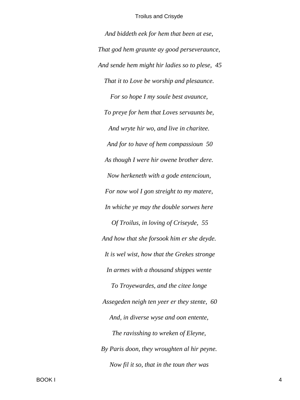*And biddeth eek for hem that been at ese, That god hem graunte ay good perseveraunce, And sende hem might hir ladies so to plese, 45 That it to Love be worship and plesaunce. For so hope I my soule best avaunce, To preye for hem that Loves servaunts be, And wryte hir wo, and live in charitee. And for to have of hem compassioun 50 As though I were hir owene brother dere. Now herkeneth with a gode entencioun, For now wol I gon streight to my matere, In whiche ye may the double sorwes here Of Troilus, in loving of Criseyde, 55 And how that she forsook him er she deyde. It is wel wist, how that the Grekes stronge In armes with a thousand shippes wente To Troyewardes, and the citee longe Assegeden neigh ten yeer er they stente, 60 And, in diverse wyse and oon entente, The ravisshing to wreken of Eleyne, By Paris doon, they wroughten al hir peyne. Now fil it so, that in the toun ther was*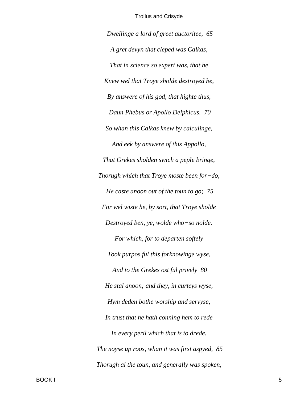Dwellinge a lord of greet auctoritee, 65 A gret devyn that cleped was Calkas, That in science so expert was, that he Knew wel that Troye sholde destroyed be, By answere of his god, that highte thus, Daun Phebus or Apollo Delphicus. 70 So whan this Calkas knew by calculinge, And eek by answere of this Appollo, That Grekes sholden swich a peple bringe, Thorugh which that Troye moste been for-do, He caste anoon out of the toun to go; 75 For wel wiste he, by sort, that Troye sholde Destroyed ben, ye, wolde who-so nolde. For which, for to departen softely Took purpos ful this forknowinge wyse, And to the Grekes ost ful prively 80 He stal anoon; and they, in curteys wyse, Hym deden bothe worship and servyse, In trust that he hath conning hem to rede In every peril which that is to drede. The noyse up roos, whan it was first aspyed, 85 Thorugh al the toun, and generally was spoken,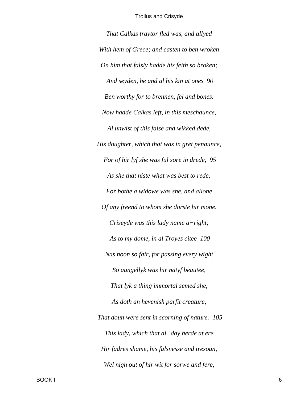*That Calkas traytor fled was, and allyed With hem of Grece; and casten to ben wroken On him that falsly hadde his feith so broken; And seyden, he and al his kin at ones 90 Ben worthy for to brennen, fel and bones. Now hadde Calkas left, in this meschaunce, Al unwist of this false and wikked dede, His doughter, which that was in gret penaunce, For of hir lyf she was ful sore in drede, 95 As she that niste what was best to rede; For bothe a widowe was she, and allone Of any freend to whom she dorste hir mone. Criseyde was this lady name a−right; As to my dome, in al Troyes citee 100 Nas noon so fair, for passing every wight So aungellyk was hir natyf beautee, That lyk a thing immortal semed she, As doth an hevenish parfit creature, That doun were sent in scorning of nature. 105 This lady, which that al−day herde at ere Hir fadres shame, his falsnesse and tresoun, Wel nigh out of hir wit for sorwe and fere,*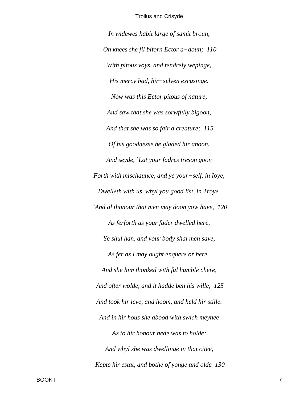In widewes habit large of samit broun, On knees she fil biforn Ector a-doun; 110 With pitous voys, and tendrely wepinge, His mercy bad, hir-selven excusinge. Now was this Ector pitous of nature, And saw that she was sorwfully bigoon, And that she was so fair a creature; 115 Of his goodnesse he gladed hir anoon, And seyde, `Lat your fadres treson goon Forth with mischaunce, and ye your-self, in Ioye, Dwelleth with us, whyl you good list, in Troye. `And al thonour that men may doon yow have, 120 As ferforth as your fader dwelled here, Ye shul han, and your body shal men save, As fer as I may ought enquere or here.' And she him thonked with ful humble chere, And ofter wolde, and it hadde ben his wille, 125 And took hir leve, and hoom, and held hir stille. And in hir hous she abood with swich meynee As to hir honour nede was to holde; And whyl she was dwellinge in that citee, Kepte hir estat, and bothe of yonge and olde 130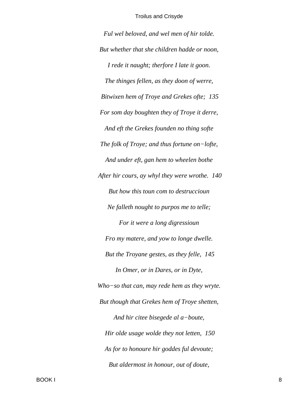*Ful wel beloved, and wel men of hir tolde. But whether that she children hadde or noon, I rede it naught; therfore I late it goon. The thinges fellen, as they doon of werre, Bitwixen hem of Troye and Grekes ofte; 135 For som day boughten they of Troye it derre, And eft the Grekes founden no thing softe The folk of Troye; and thus fortune on−lofte, And under eft, gan hem to wheelen bothe After hir cours, ay whyl they were wrothe. 140 But how this toun com to destruccioun Ne falleth nought to purpos me to telle; For it were a long digressioun Fro my matere, and yow to longe dwelle. But the Troyane gestes, as they felle, 145 In Omer, or in Dares, or in Dyte, Who−so that can, may rede hem as they wryte. But though that Grekes hem of Troye shetten, And hir citee bisegede al a−boute, Hir olde usage wolde they not letten, 150 As for to honoure hir goddes ful devoute; But aldermost in honour, out of doute,*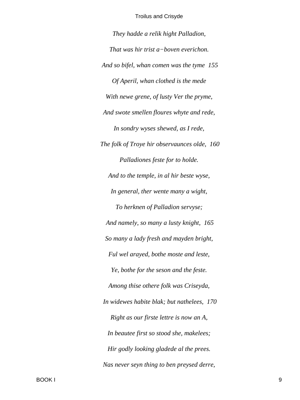They hadde a relik hight Palladion, That was hir trist a-boven everichon. And so bifel, whan comen was the tyme 155 Of Aperil, whan clothed is the mede With newe grene, of lusty Ver the pryme, And swote smellen floures whyte and rede, In sondry wyses shewed, as I rede, The folk of Troye hir observaunces olde, 160 Palladiones feste for to holde. And to the temple, in al hir beste wyse, In general, ther wente many a wight, To herknen of Palladion servyse; And namely, so many a lusty knight, 165 So many a lady fresh and mayden bright, Ful wel arayed, bothe moste and leste, Ye, bothe for the seson and the feste. Among thise othere folk was Criseyda, In widewes habite blak; but nathelees, 170 Right as our firste lettre is now an A, In beautee first so stood she, makelees; Hir godly looking gladede al the prees. Nas never seyn thing to ben preysed derre,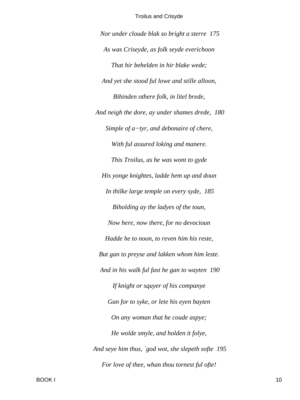*Nor under cloude blak so bright a sterre 175 As was Criseyde, as folk seyde everichoon That hir behelden in hir blake wede; And yet she stood ful lowe and stille alloon, Bihinden othere folk, in litel brede, And neigh the dore, ay under shames drede, 180 Simple of a−tyr, and debonaire of chere, With ful assured loking and manere. This Troilus, as he was wont to gyde His yonge knightes, ladde hem up and doun In thilke large temple on every syde, 185 Biholding ay the ladyes of the toun, Now here, now there, for no devocioun Hadde he to noon, to reven him his reste, But gan to preyse and lakken whom him leste. And in his walk ful fast he gan to wayten 190 If knight or squyer of his companye Gan for to syke, or lete his eyen bayten On any woman that he coude aspye; He wolde smyle, and holden it folye, And seye him thus, `god wot, she slepeth softe 195 For love of thee, whan thou tornest ful ofte!*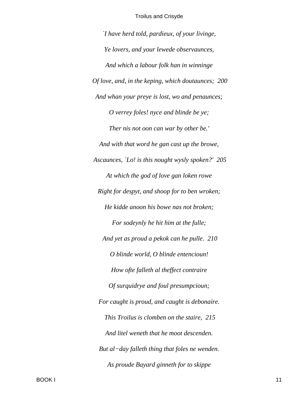I have herd told, pardieux, of your livinge, Ye lovers, and your lewede observaunces, And which a labour folk han in winninge Of love, and, in the keping, which doutaunces; 200 And whan your preye is lost, wo and penaunces; O verrey foles! nyce and blinde be ye; Ther nis not oon can war by other be.' And with that word he gan cast up the browe, Ascaunces, 'Lo! is this nought wysly spoken?' 205 At which the god of love gan loken rowe Right for despyt, and shoop for to ben wroken; He kidde anoon his bowe nas not broken; For sodeynly he hit him at the fulle; And yet as proud a pekok can he pulle. 210 O blinde world, O blinde entencioun! How ofte falleth al theffect contraire Of surquidrye and foul presumpcioun; For caught is proud, and caught is debonaire. This Troilus is clomben on the staire, 215 And litel weneth that he moot descenden. But al-day falleth thing that foles ne wenden. As proude Bayard ginneth for to skippe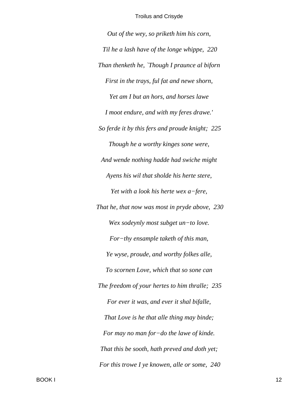*Out of the wey, so priketh him his corn, Til he a lash have of the longe whippe, 220 Than thenketh he, `Though I praunce al biforn First in the trays, ful fat and newe shorn, Yet am I but an hors, and horses lawe I moot endure, and with my feres drawe.' So ferde it by this fers and proude knight; 225 Though he a worthy kinges sone were, And wende nothing hadde had swiche might Ayens his wil that sholde his herte stere, Yet with a look his herte wex a−fere, That he, that now was most in pryde above, 230 Wex sodeynly most subget un−to love. For−thy ensample taketh of this man, Ye wyse, proude, and worthy folkes alle, To scornen Love, which that so sone can The freedom of your hertes to him thralle; 235 For ever it was, and ever it shal bifalle, That Love is he that alle thing may binde; For may no man for−do the lawe of kinde. That this be sooth, hath preved and doth yet; For this trowe I ye knowen, alle or some, 240*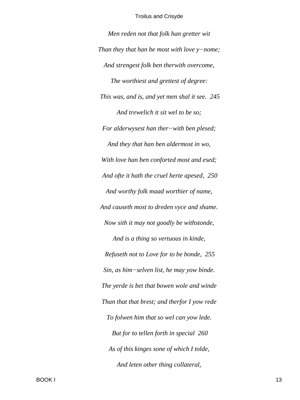*Men reden not that folk han gretter wit Than they that han be most with love y−nome; And strengest folk ben therwith overcome, The worthiest and grettest of degree: This was, and is, and yet men shal it see. 245 And trewelich it sit wel to be so; For alderwysest han ther−with ben plesed; And they that han ben aldermost in wo, With love han ben conforted most and esed; And ofte it hath the cruel herte apesed, 250 And worthy folk maad worthier of name, And causeth most to dreden vyce and shame. Now sith it may not goodly be withstonde, And is a thing so vertuous in kinde, Refuseth not to Love for to be bonde, 255 Sin, as him−selven list, he may yow binde. The yerde is bet that bowen wole and winde Than that that brest; and therfor I yow rede To folwen him that so wel can yow lede. But for to tellen forth in special 260 As of this kinges sone of which I tolde, And leten other thing collateral,*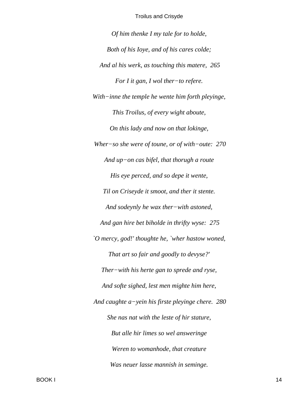*Of him thenke I my tale for to holde, Both of his Ioye, and of his cares colde; And al his werk, as touching this matere, 265 For I it gan, I wol ther−to refere. With−inne the temple he wente him forth pleyinge, This Troilus, of every wight aboute, On this lady and now on that lokinge, Wher−so she were of toune, or of with−oute: 270 And up−on cas bifel, that thorugh a route His eye perced, and so depe it wente, Til on Criseyde it smoot, and ther it stente. And sodeynly he wax ther−with astoned, And gan hire bet biholde in thrifty wyse: 275 `O mercy, god!' thoughte he, `wher hastow woned, That art so fair and goodly to devyse?' Ther−with his herte gan to sprede and ryse, And softe sighed, lest men mighte him here, And caughte a−yein his firste pleyinge chere. 280 She nas nat with the leste of hir stature, But alle hir limes so wel answeringe Weren to womanhode, that creature Was neuer lasse mannish in seminge.*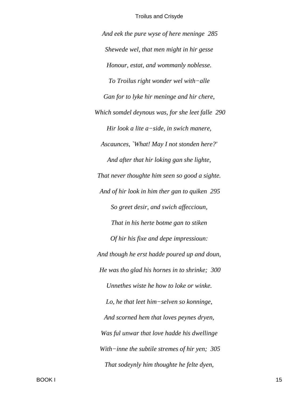And eek the pure wyse of here meninge 285 Shewede wel, that men might in hir gesse Honour, estat, and wommanly noblesse. To Troilus right wonder wel with-alle Gan for to lyke hir meninge and hir chere, Which somdel deynous was, for she leet falle 290 Hir look a lite a-side, in swich manere, Ascaunces, `What! May I not stonden here?' And after that hir loking gan she lighte, That never thoughte him seen so good a sighte. And of hir look in him ther gan to quiken 295 So greet desir, and swich affeccioun, That in his herte botme gan to stiken Of hir his fixe and depe impressioun: And though he erst hadde poured up and doun, He was tho glad his hornes in to shrinke; 300 Unnethes wiste he how to loke or winke. Lo, he that leet him-selven so konninge, And scorned hem that loves peynes dryen, Was ful unwar that love hadde his dwellinge With-inne the subtile stremes of hir yen;  $305$ That sodeynly him thoughte he felte dyen,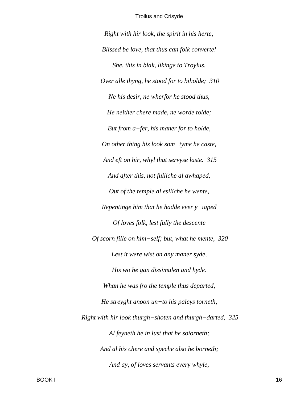*Right with hir look, the spirit in his herte; Blissed be love, that thus can folk converte! She, this in blak, likinge to Troylus, Over alle thyng, he stood for to biholde; 310 Ne his desir, ne wherfor he stood thus, He neither chere made, ne worde tolde; But from a−fer, his maner for to holde, On other thing his look som−tyme he caste, And eft on hir, whyl that servyse laste. 315 And after this, not fulliche al awhaped, Out of the temple al esiliche he wente, Repentinge him that he hadde ever y−iaped Of loves folk, lest fully the descente Of scorn fille on him−self; but, what he mente, 320 Lest it were wist on any maner syde, His wo he gan dissimulen and hyde. Whan he was fro the temple thus departed, He streyght anoon un−to his paleys torneth, Right with hir look thurgh−shoten and thurgh−darted, 325 Al feyneth he in lust that he soiorneth; And al his chere and speche also he borneth; And ay, of loves servants every whyle,*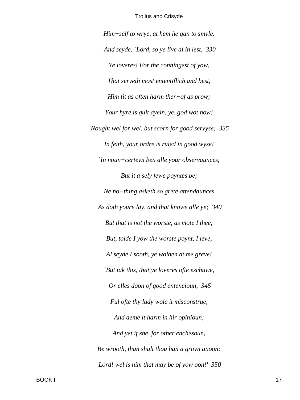*Him−self to wrye, at hem he gan to smyle. And seyde, `Lord, so ye live al in lest, 330 Ye loveres! For the conningest of yow, That serveth most ententiflich and best, Him tit as often harm ther−of as prow; Your hyre is quit ayein, ye, god wot how! Nought wel for wel, but scorn for good servyse; 335 In feith, your ordre is ruled in good wyse! `In noun−certeyn ben alle your observaunces, But it a sely fewe poyntes be; Ne no−thing asketh so grete attendaunces As doth youre lay, and that knowe alle ye; 340 But that is not the worste, as mote I thee; But, tolde I yow the worste poynt, I leve, Al seyde I sooth, ye wolden at me greve! `But tak this, that ye loveres ofte eschuwe, Or elles doon of good entencioun, 345 Ful ofte thy lady wole it misconstrue, And deme it harm in hir opinioun; And yet if she, for other enchesoun, Be wrooth, than shalt thou han a groyn anoon: Lord! wel is him that may be of yow oon!' 350*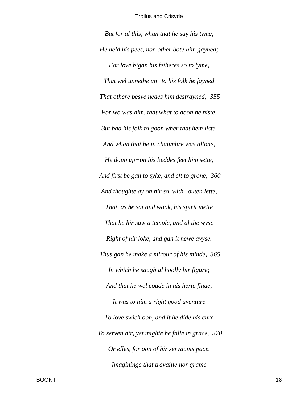But for al this, whan that he say his tyme, He held his pees, non other bote him gayned; For love bigan his fetheres so to lyme, That wel unnethe  $un$ -to his folk he fayned That othere besye nedes him destrayned; 355 For wo was him, that what to doon he niste, But bad his folk to goon wher that hem liste. And whan that he in chaumbre was allone, He doun  $up-on$  his beddes feet him sette, And first be gan to syke, and eft to grone, 360 And thoughte ay on hir so, with-outen lette, That, as he sat and wook, his spirit mette That he hir saw a temple, and al the wyse Right of hir loke, and gan it newe avyse. Thus gan he make a mirour of his minde, 365 In which he saugh al hoolly hir figure; And that he wel coude in his herte finde, It was to him a right good aventure To love swich oon, and if he dide his cure To serven hir, yet mighte he falle in grace, 370 Or elles, for oon of hir servaunts pace. Imagininge that travaille nor grame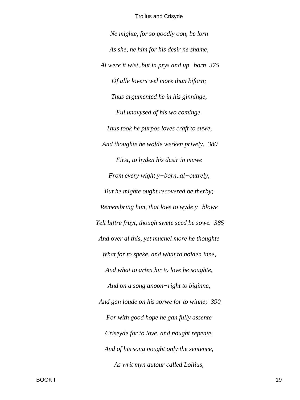*Ne mighte, for so goodly oon, be lorn As she, ne him for his desir ne shame, Al were it wist, but in prys and up−born 375 Of alle lovers wel more than biforn; Thus argumented he in his ginninge, Ful unavysed of his wo cominge. Thus took he purpos loves craft to suwe, And thoughte he wolde werken prively, 380 First, to hyden his desir in muwe From every wight y−born, al−outrely, But he mighte ought recovered be therby; Remembring him, that love to wyde y−blowe Yelt bittre fruyt, though swete seed be sowe. 385 And over al this, yet muchel more he thoughte What for to speke, and what to holden inne, And what to arten hir to love he soughte, And on a song anoon−right to biginne, And gan loude on his sorwe for to winne; 390 For with good hope he gan fully assente Criseyde for to love, and nought repente. And of his song nought only the sentence, As writ myn autour called Lollius,*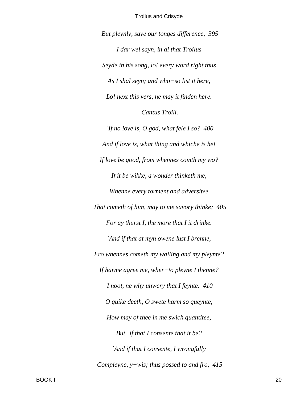But pleynly, save our tonges difference, 395 I dar wel sayn, in al that Troilus Seyde in his song, lo! every word right thus As I shal seyn; and who–so list it here, Lo! next this vers, he may it finden here. Cantus Troili. If no love is, O god, what fele I so?  $400$ And if love is, what thing and whiche is he! If love be good, from whennes comth my wo? If it be wikke, a wonder thinketh me, Whenne every torment and adversitee That cometh of him, may to me savory thinke; 405 For ay thurst I, the more that I it drinke. `And if that at myn owene lust I brenne, Fro whennes cometh my wailing and my pleynte? If harme agree me, wher-to pleyne I thenne? I noot, ne why unwery that I feynte.  $410$ O quike deeth, O swete harm so queynte, How may of thee in me swich quantitee, But-if that I consente that it be? `And if that I consente, I wrongfully Compleyne,  $y$ -wis; thus possed to and fro, 415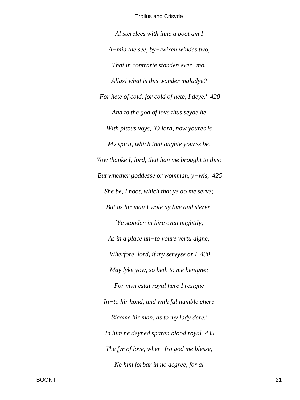Al sterelees with inne a boot am I  $A$ -mid the see, by-twixen windes two, That in contrarie stonden ever-mo. Allas! what is this wonder maladye? For hete of cold, for cold of hete, I deye.' 420 And to the god of love thus seyde he With pitous voys,  $\partial$  lord, now youres is My spirit, which that oughte youres be. Yow thanke I, lord, that han me brought to this; But whether goddesse or womman,  $y$ -wis, 425 She be, I noot, which that ye do me serve; But as hir man I wole ay live and sterve. Ye stonden in hire eyen mightily, As in a place un-to youre vertu digne; Wherfore, lord, if my servyse or  $I$  430 May lyke yow, so beth to me benigne; For myn estat royal here I resigne  $In-to$  hir hond, and with ful humble chere Bicome hir man, as to my lady dere.' In him ne deyned sparen blood royal 435 The fyr of love, wher-fro god me blesse, Ne him forbar in no degree, for al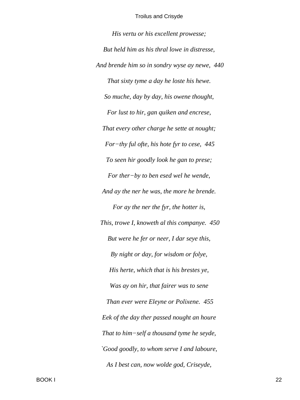*His vertu or his excellent prowesse; But held him as his thral lowe in distresse, And brende him so in sondry wyse ay newe, 440 That sixty tyme a day he loste his hewe. So muche, day by day, his owene thought, For lust to hir, gan quiken and encrese, That every other charge he sette at nought; For−thy ful ofte, his hote fyr to cese, 445 To seen hir goodly look he gan to prese; For ther−by to ben esed wel he wende, And ay the ner he was, the more he brende. For ay the ner the fyr, the hotter is, This, trowe I, knoweth al this companye. 450 But were he fer or neer, I dar seye this, By night or day, for wisdom or folye, His herte, which that is his brestes ye, Was ay on hir, that fairer was to sene Than ever were Eleyne or Polixene. 455 Eek of the day ther passed nought an houre That to him−self a thousand tyme he seyde, `Good goodly, to whom serve I and laboure, As I best can, now wolde god, Criseyde,*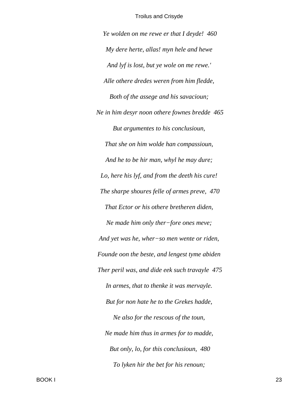*Ye wolden on me rewe er that I deyde! 460 My dere herte, allas! myn hele and hewe And lyf is lost, but ye wole on me rewe.' Alle othere dredes weren from him fledde, Both of the assege and his savacioun; Ne in him desyr noon othere fownes bredde 465 But argumentes to his conclusioun, That she on him wolde han compassioun, And he to be hir man, whyl he may dure; Lo, here his lyf, and from the deeth his cure! The sharpe shoures felle of armes preve, 470 That Ector or his othere bretheren diden, Ne made him only ther−fore ones meve; And yet was he, wher−so men wente or riden, Founde oon the beste, and lengest tyme abiden Ther peril was, and dide eek such travayle 475 In armes, that to thenke it was mervayle. But for non hate he to the Grekes hadde, Ne also for the rescous of the toun, Ne made him thus in armes for to madde, But only, lo, for this conclusioun, 480 To lyken hir the bet for his renoun;*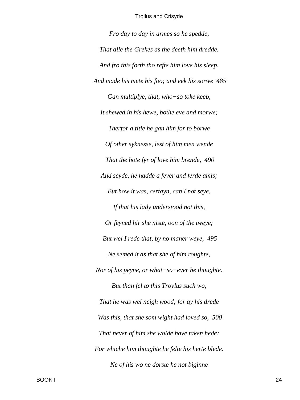*Fro day to day in armes so he spedde, That alle the Grekes as the deeth him dredde. And fro this forth tho refte him love his sleep, And made his mete his foo; and eek his sorwe 485 Gan multiplye, that, who−so toke keep, It shewed in his hewe, bothe eve and morwe; Therfor a title he gan him for to borwe Of other syknesse, lest of him men wende That the hote fyr of love him brende, 490 And seyde, he hadde a fever and ferde amis; But how it was, certayn, can I not seye, If that his lady understood not this, Or feyned hir she niste, oon of the tweye; But wel I rede that, by no maner weye, 495 Ne semed it as that she of him roughte, Nor of his peyne, or what−so−ever he thoughte. But than fel to this Troylus such wo, That he was wel neigh wood; for ay his drede Was this, that she som wight had loved so, 500 That never of him she wolde have taken hede; For whiche him thoughte he felte his herte blede. Ne of his wo ne dorste he not biginne*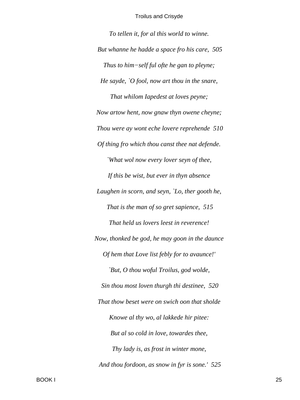*To tellen it, for al this world to winne. But whanne he hadde a space fro his care, 505 Thus to him−self ful ofte he gan to pleyne; He sayde, `O fool, now art thou in the snare, That whilom Iapedest at loves peyne; Now artow hent, now gnaw thyn owene cheyne; Thou were ay wont eche lovere reprehende 510 Of thing fro which thou canst thee nat defende. `What wol now every lover seyn of thee, If this be wist, but ever in thyn absence Laughen in scorn, and seyn, `Lo, ther gooth he, That is the man of so gret sapience, 515 That held us lovers leest in reverence! Now, thonked be god, he may goon in the daunce Of hem that Love list febly for to avaunce!' `But, O thou woful Troilus, god wolde, Sin thou most loven thurgh thi destinee, 520 That thow beset were on swich oon that sholde Knowe al thy wo, al lakkede hir pitee: But al so cold in love, towardes thee, Thy lady is, as frost in winter mone, And thou fordoon, as snow in fyr is sone.' 525*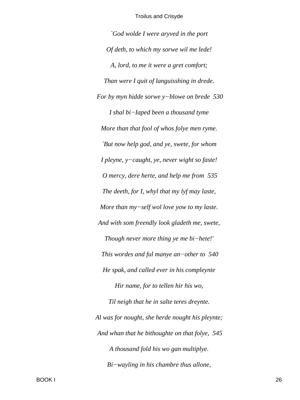*`God wolde I were aryved in the port Of deth, to which my sorwe wil me lede! A, lord, to me it were a gret comfort; Than were I quit of languisshing in drede. For by myn hidde sorwe y−blowe on brede 530 I shal bi−Iaped been a thousand tyme More than that fool of whos folye men ryme. `But now help god, and ye, swete, for whom I pleyne, y−caught, ye, never wight so faste! O mercy, dere herte, and help me from 535 The deeth, for I, whyl that my lyf may laste, More than my−self wol love yow to my laste. And with som freendly look gladeth me, swete, Though never more thing ye me bi−hete!' This wordes and ful manye an−other to 540 He spak, and called ever in his compleynte Hir name, for to tellen hir his wo, Til neigh that he in salte teres dreynte. Al was for nought, she herde nought his pleynte; And whan that he bithoughte on that folye, 545 A thousand fold his wo gan multiplye. Bi−wayling in his chambre thus allone,*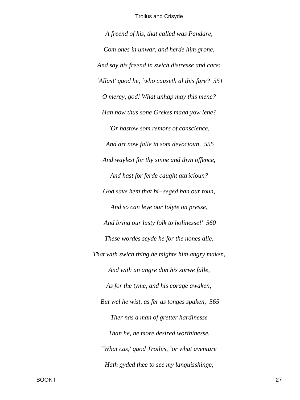A freend of his, that called was Pandare, Com ones in unwar, and herde him grone, And say his freend in swich distresse and care: `Allas!' quod he, `who causeth al this fare? 551 O mercy, god! What unhap may this mene? Han now thus sone Grekes maad yow lene? `Or hastow som remors of conscience, And art now falle in som devocioun, 555 And waylest for thy sinne and thyn offence, And hast for ferde caught attricioun? God save hem that  $bi$ -seged han our toun, And so can leye our Iolyte on presse, And bring our lusty folk to holinesse!' 560 These wordes seyde he for the nones alle, That with swich thing he mighte him angry maken, And with an angre don his sorwe falle, As for the tyme, and his corage awaken; But wel he wist, as fer as tonges spaken, 565 Ther nas a man of gretter hardinesse Than he, ne more desired worthinesse. 'What cas,' quod Troilus, `or what aventure Hath gyded thee to see my languisshinge,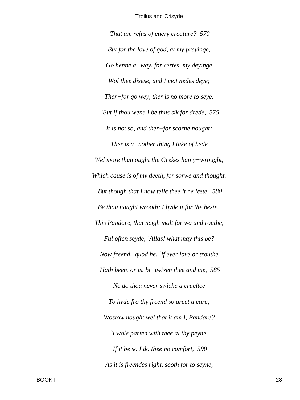*That am refus of euery creature? 570 But for the love of god, at my preyinge, Go henne a−way, for certes, my deyinge Wol thee disese, and I mot nedes deye; Ther−for go wey, ther is no more to seye. `But if thou wene I be thus sik for drede, 575 It is not so, and ther−for scorne nought; Ther is a−nother thing I take of hede Wel more than ought the Grekes han y−wrought, Which cause is of my deeth, for sorwe and thought. But though that I now telle thee it ne leste, 580 Be thou nought wrooth; I hyde it for the beste.' This Pandare, that neigh malt for wo and routhe, Ful often seyde, `Allas! what may this be? Now freend,' quod he, `if ever love or trouthe Hath been, or is, bi−twixen thee and me, 585 Ne do thou never swiche a crueltee To hyde fro thy freend so greet a care; Wostow nought wel that it am I, Pandare? `I wole parten with thee al thy peyne, If it be so I do thee no comfort, 590 As it is freendes right, sooth for to seyne,*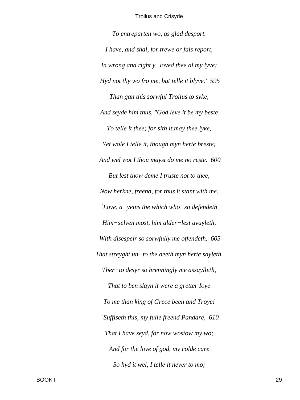To entreparten wo, as glad desport. I have, and shal, for trewe or fals report, In wrong and right  $y$ -loved thee al my lyve; Hyd not thy wo fro me, but telle it blyve.' 595 Than gan this sorwful Troilus to syke, And seyde him thus, "God leve it be my beste To telle it thee; for sith it may thee lyke, Yet wole I telle it, though myn herte breste; And wel wot I thou mayst do me no reste. 600 But lest thow deme I truste not to thee, Now herkne, freend, for thus it stant with me. `Love,  $a$ -yeins the which who-so defendeth Him-selven most, him alder-lest avayleth, With disespeir so sorwfully me offendeth, 605 That streyght un-to the deeth myn herte sayleth. Ther-to desyr so brenningly me assaylleth, That to ben slayn it were a gretter loye To me than king of Grece been and Troye! `Suffiseth this, my fulle freend Pandare, 610 That I have seyd, for now wostow my wo; And for the love of god, my colde care So hyd it wel, I telle it never to mo;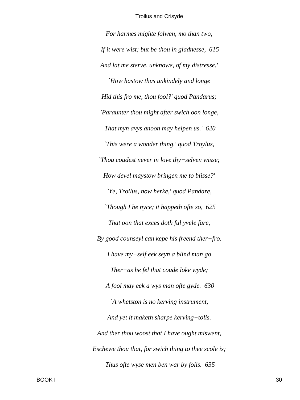*For harmes mighte folwen, mo than two, If it were wist; but be thou in gladnesse, 615 And lat me sterve, unknowe, of my distresse.' `How hastow thus unkindely and longe Hid this fro me, thou fool?' quod Pandarus; `Paraunter thou might after swich oon longe, That myn avys anoon may helpen us.' 620 `This were a wonder thing,' quod Troylus, `Thou coudest never in love thy−selven wisse; How devel maystow bringen me to blisse?' `Ye, Troilus, now herke,' quod Pandare, `Though I be nyce; it happeth ofte so, 625 That oon that exces doth ful yvele fare, By good counseyl can kepe his freend ther−fro. I have my−self eek seyn a blind man go Ther−as he fel that coude loke wyde; A fool may eek a wys man ofte gyde. 630 `A whetston is no kerving instrument, And yet it maketh sharpe kerving−tolis. And ther thou woost that I have ought miswent, Eschewe thou that, for swich thing to thee scole is; Thus ofte wyse men ben war by folis. 635*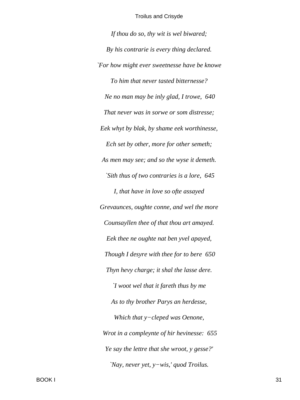*If thou do so, thy wit is wel biwared; By his contrarie is every thing declared. `For how might ever sweetnesse have be knowe To him that never tasted bitternesse? Ne no man may be inly glad, I trowe, 640 That never was in sorwe or som distresse; Eek whyt by blak, by shame eek worthinesse, Ech set by other, more for other semeth; As men may see; and so the wyse it demeth. `Sith thus of two contraries is a lore, 645 I, that have in love so ofte assayed Grevaunces, oughte conne, and wel the more Counsayllen thee of that thou art amayed. Eek thee ne oughte nat ben yvel apayed, Though I desyre with thee for to bere 650 Thyn hevy charge; it shal the lasse dere. `I woot wel that it fareth thus by me As to thy brother Parys an herdesse, Which that y−cleped was Oenone, Wrot in a compleynte of hir hevinesse: 655 Ye say the lettre that she wroot, y gesse?' `Nay, never yet, y−wis,' quod Troilus.*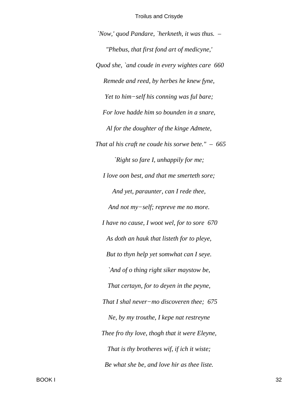'Now,' quod Pandare, 'herkneth, it was thus. -"Phebus, that first fond art of medicyne," Quod she, `and coude in every wightes care 660 Remede and reed, by herbes he knew fyne, Yet to him-self his conning was ful bare; For love hadde him so bounden in a snare, Al for the doughter of the kinge Admete, That al his craft ne coude his sorwe bete."  $-665$ `Right so fare I, unhappily for me; I love oon best, and that me smerteth sore; And yet, paraunter, can I rede thee, And not my-self; repreve me no more. I have no cause, I woot wel, for to sore 670 As doth an hauk that listeth for to pleye, But to thyn help yet somwhat can I seye. `And of o thing right siker maystow be, That certayn, for to deyen in the peyne, That I shal never-mo discoveren thee; 675 Ne, by my trouthe, I kepe nat restreyne Thee fro thy love, thogh that it were Eleyne, That is thy brotheres wif, if ich it wiste; Be what she be, and love hir as thee liste.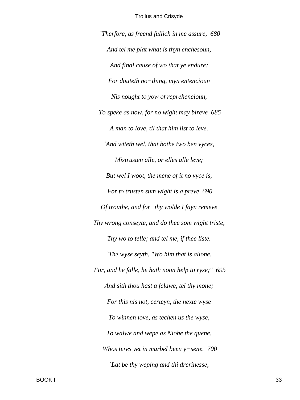`Therfore, as freend fullich in me assure, 680 And tel me plat what is thyn enchesoun, And final cause of wo that ye endure; For douteth no-thing, myn entencioun Nis nought to yow of reprehencioun, To speke as now, for no wight may bireve 685 A man to love, til that him list to leve. `And witeth wel, that bothe two ben vyces, Mistrusten alle, or elles alle leve; But wel I woot, the mene of it no vyce is, For to trusten sum wight is a preve 690 Of trouthe, and for-thy wolde I fayn remeve Thy wrong conseyte, and do thee som wight triste, Thy wo to telle; and tel me, if thee liste. The wyse seyth, "Wo him that is allone, For, and he falle, he hath noon help to ryse;" 695 And sith thou hast a felawe, tel thy mone; For this nis not, certeyn, the nexte wyse To winnen love, as techen us the wyse, To walwe and wepe as Niobe the quene, Whos teres yet in marbel been  $y$ -sene. 700 Lat be thy weping and thi drerinesse,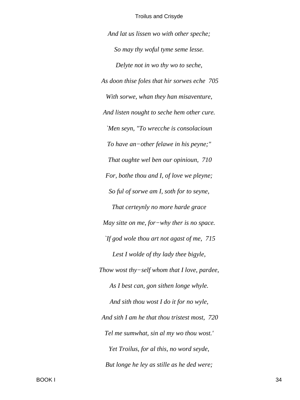And lat us lissen wo with other speche; So may thy woful tyme seme lesse. Delyte not in wo thy wo to seche, As doon thise foles that hir sorwes eche 705 With sorwe, whan they han misaventure, And listen nought to seche hem other cure. 'Men seyn, "To wrecche is consolacioun To have an-other felawe in his peyne;" That oughte wel ben our opinioun, 710 For, bothe thou and I, of love we pleyne; So ful of sorwe am I, soth for to seyne, That certeynly no more harde grace May sitte on me, for-why ther is no space. If god wole thou art not agast of me,  $715$ Lest I wolde of thy lady thee bigyle, Thow wost thy-self whom that I love, pardee, As I best can, gon sithen longe whyle. And sith thou wost I do it for no wyle, And sith I am he that thou tristest most, 720 Tel me sumwhat, sin al my wo thou wost.' Yet Troilus, for al this, no word seyde, But longe he ley as stille as he ded were;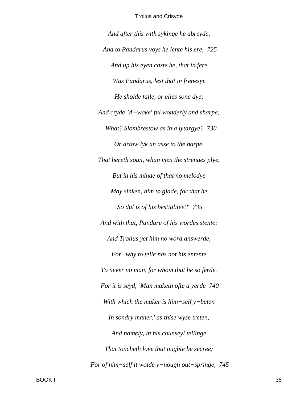And after this with sykinge he abreyde, And to Pandarus voys he lente his ere, 725 And up his eyen caste he, that in fere Was Pandarus, lest that in frenesye He sholde falle, or elles sone dye; And cryde `A-wake' ful wonderly and sharpe; `What? Slombrestow as in a lytargye? 730 Or artow lyk an asse to the harpe, That hereth soun, whan men the strenges plye, But in his minde of that no melodye May sinken, him to glade, for that he So dul is of his bestialitee?' 735 And with that, Pandare of his wordes stente; And Troilus yet him no word answerde, For-why to telle nas not his entente To never no man, for whom that he so ferde. For it is seyd, `Man maketh ofte a yerde 740 With which the maker is  $him–self$  y–beten In sondry maner,' as thise wyse treten, And namely, in his counseyl tellinge That toucheth love that oughte be secree; For of him-self it wolde  $y$ -nough out-springe, 745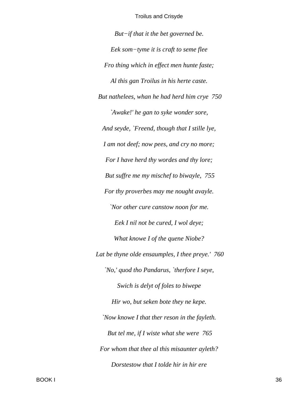$But$ -if that it the bet governed be. Eek som-tyme it is craft to seme flee Fro thing which in effect men hunte faste; Al this gan Troilus in his herte caste. But nathelees, whan he had herd him crye 750 `Awake!' he gan to syke wonder sore, And seyde, `Freend, though that I stille lye, I am not deef; now pees, and cry no more; For I have herd thy wordes and thy lore; But suffre me my mischef to biwayle, 755 For thy proverbes may me nought avayle. 'Nor other cure canstow noon for me. Eek I nil not be cured, I wol deye; What knowe I of the quene Niobe? Lat be thyne olde ensaumples, I thee preye.' 760 'No,' quod tho Pandarus, 'therfore I seye, Swich is delyt of foles to biwepe Hir wo, but seken bote they ne kepe. 'Now knowe I that ther reson in the fayleth. But tel me, if I wiste what she were 765 For whom that thee al this misaunter ayleth? Dorstestow that I tolde hir in hir ere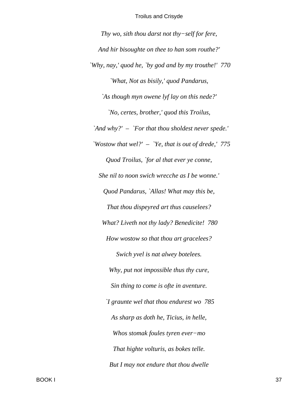*Thy wo, sith thou darst not thy−self for fere, And hir bisoughte on thee to han som routhe?' `Why, nay,' quod he, `by god and by my trouthe!' 770 `What, Not as bisily,' quod Pandarus, `As though myn owene lyf lay on this nede?' `No, certes, brother,' quod this Troilus, `And why?' – `For that thou sholdest never spede.' `Wostow that wel?' – `Ye, that is out of drede,' 775 Quod Troilus, `for al that ever ye conne, She nil to noon swich wrecche as I be wonne.' Quod Pandarus, `Allas! What may this be, That thou dispeyred art thus causelees? What? Liveth not thy lady? Benedicite! 780 How wostow so that thou art gracelees? Swich yvel is nat alwey botelees. Why, put not impossible thus thy cure, Sin thing to come is ofte in aventure. `I graunte wel that thou endurest wo 785 As sharp as doth he, Ticius, in helle, Whos stomak foules tyren ever−mo That highte volturis, as bokes telle. But I may not endure that thou dwelle*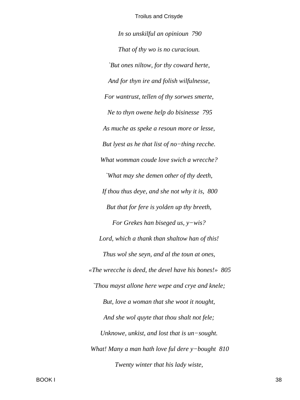*In so unskilful an opinioun 790 That of thy wo is no curacioun. `But ones niltow, for thy coward herte, And for thyn ire and folish wilfulnesse, For wantrust, tellen of thy sorwes smerte, Ne to thyn owene help do bisinesse 795 As muche as speke a resoun more or lesse, But lyest as he that list of no−thing recche. What womman coude love swich a wrecche? `What may she demen other of thy deeth, If thou thus deye, and she not why it is, 800 But that for fere is yolden up thy breeth, For Grekes han biseged us, y−wis? Lord, which a thank than shaltow han of this! Thus wol she seyn, and al the toun at ones, «The wrecche is deed, the devel have his bones!» 805 `Thou mayst allone here wepe and crye and knele; But, love a woman that she woot it nought, And she wol quyte that thou shalt not fele; Unknowe, unkist, and lost that is un−sought. What! Many a man hath love ful dere y−bought 810 Twenty winter that his lady wiste,*

BOOK I 38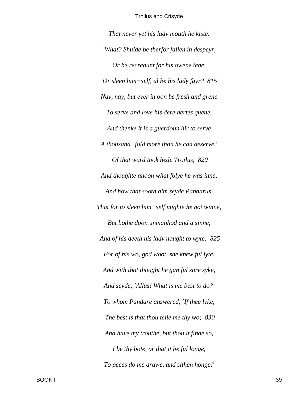*That never yet his lady mouth he kiste. `What? Shulde be therfor fallen in despeyr, Or be recreaunt for his owene tene, Or sleen him−self, al be his lady fayr? 815 Nay, nay, but ever in oon be fresh and grene To serve and love his dere hertes quene, And thenke it is a guerdoun hir to serve A thousand−fold more than he can deserve.' Of that word took hede Troilus, 820 And thoughte anoon what folye he was inne, And how that sooth him seyde Pandarus, That for to sleen him−self mighte he not winne, But bothe doon unmanhod and a sinne, And of his deeth his lady nought to wyte; 825 For of his wo, god woot, she knew ful lyte. And with that thought he gan ful sore syke, And seyde, `Allas! What is me best to do?' To whom Pandare answered, `If thee lyke, The best is that thou telle me thy wo; 830 And have my trouthe, but thou it finde so, I be thy bote, or that it be ful longe, To peces do me drawe, and sithen honge!'*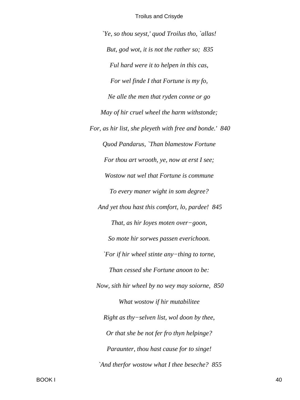'Ye, so thou seyst,' quod Troilus tho, 'allas!' But, god wot, it is not the rather so; 835 Ful hard were it to helpen in this cas, For wel finde I that Fortune is my fo, Ne alle the men that ryden conne or go May of hir cruel wheel the harm withstonde; For, as hir list, she pleyeth with free and bonde.' 840 Quod Pandarus, `Than blamestow Fortune For thou art wrooth, ye, now at erst I see; Wostow nat wel that Fortune is commune To every maner wight in som degree? And yet thou hast this comfort, lo, pardee! 845 That, as hir loyes moten over-goon, So mote hir sorwes passen everichoon. `For if hir wheel stinte any-thing to torne, Than cessed she Fortune anoon to be: Now, sith hir wheel by no wey may soiorne, 850 What wostow if hir mutabilitee Right as thy-selven list, wol doon by thee, Or that she be not fer fro thyn helpinge? Paraunter, thou hast cause for to singe! `And therfor wostow what I thee beseche? 855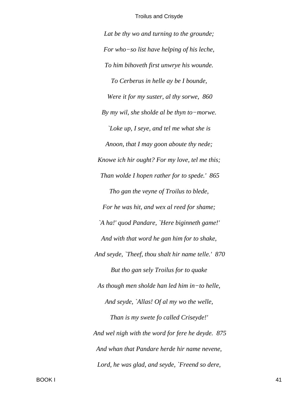*Lat be thy wo and turning to the grounde; For who−so list have helping of his leche, To him bihoveth first unwrye his wounde. To Cerberus in helle ay be I bounde, Were it for my suster, al thy sorwe, 860 By my wil, she sholde al be thyn to−morwe. `Loke up, I seye, and tel me what she is Anoon, that I may goon aboute thy nede; Knowe ich hir ought? For my love, tel me this; Than wolde I hopen rather for to spede.' 865 Tho gan the veyne of Troilus to blede, For he was hit, and wex al reed for shame; `A ha!' quod Pandare, `Here biginneth game!' And with that word he gan him for to shake, And seyde, `Theef, thou shalt hir name telle.' 870 But tho gan sely Troilus for to quake As though men sholde han led him in−to helle, And seyde, `Allas! Of al my wo the welle, Than is my swete fo called Criseyde!' And wel nigh with the word for fere he deyde. 875 And whan that Pandare herde hir name nevene, Lord, he was glad, and seyde, `Freend so dere,*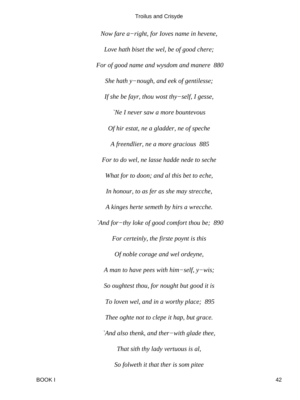*Now fare a−right, for Ioves name in hevene, Love hath biset the wel, be of good chere; For of good name and wysdom and manere 880 She hath y−nough, and eek of gentilesse; If she be fayr, thou wost thy−self, I gesse, `Ne I never saw a more bountevous Of hir estat, ne a gladder, ne of speche A freendlier, ne a more gracious 885 For to do wel, ne lasse hadde nede to seche What for to doon; and al this bet to eche, In honour, to as fer as she may strecche, A kinges herte semeth by hirs a wrecche. `And for−thy loke of good comfort thou be; 890 For certeinly, the firste poynt is this Of noble corage and wel ordeyne, A man to have pees with him−self, y−wis; So oughtest thou, for nought but good it is To loven wel, and in a worthy place; 895 Thee oghte not to clepe it hap, but grace. `And also thenk, and ther−with glade thee, That sith thy lady vertuous is al, So folweth it that ther is som pitee*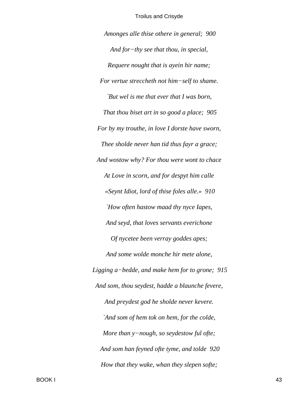*Amonges alle thise othere in general; 900 And for−thy see that thou, in special, Requere nought that is ayein hir name; For vertue streccheth not him−self to shame. `But wel is me that ever that I was born, That thou biset art in so good a place; 905 For by my trouthe, in love I dorste have sworn, Thee sholde never han tid thus fayr a grace; And wostow why? For thou were wont to chace At Love in scorn, and for despyt him calle «Seynt Idiot, lord of thise foles alle.» 910 `How often hastow maad thy nyce Iapes, And seyd, that loves servants everichone Of nycetee been verray goddes apes; And some wolde monche hir mete alone, Ligging a−bedde, and make hem for to grone; 915 And som, thou seydest, hadde a blaunche fevere, And preydest god he sholde never kevere. `And som of hem tok on hem, for the colde, More than y−nough, so seydestow ful ofte; And som han feyned ofte tyme, and tolde 920 How that they wake, whan they slepen softe;*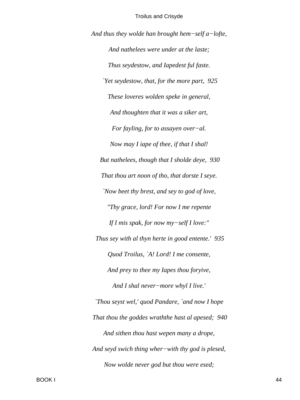*And thus they wolde han brought hem−self a−lofte, And nathelees were under at the laste; Thus seydestow, and Iapedest ful faste. `Yet seydestow, that, for the more part, 925 These loveres wolden speke in general, And thoughten that it was a siker art, For fayling, for to assayen over−al. Now may I iape of thee, if that I shal! But nathelees, though that I sholde deye, 930 That thou art noon of tho, that dorste I seye. `Now beet thy brest, and sey to god of love, "Thy grace, lord! For now I me repente If I mis spak, for now my−self I love:" Thus sey with al thyn herte in good entente.' 935 Quod Troilus, `A! Lord! I me consente, And prey to thee my Iapes thou foryive, And I shal never−more whyl I live.' `Thou seyst wel,' quod Pandare, `and now I hope That thou the goddes wraththe hast al apesed; 940 And sithen thou hast wepen many a drope, And seyd swich thing wher−with thy god is plesed, Now wolde never god but thou were esed;*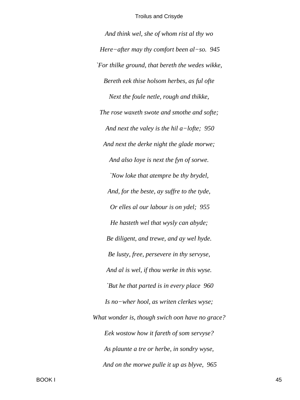*And think wel, she of whom rist al thy wo Here−after may thy comfort been al−so. 945 `For thilke ground, that bereth the wedes wikke, Bereth eek thise holsom herbes, as ful ofte Next the foule netle, rough and thikke, The rose waxeth swote and smothe and softe; And next the valey is the hil a−lofte; 950 And next the derke night the glade morwe; And also Ioye is next the fyn of sorwe. `Now loke that atempre be thy brydel, And, for the beste, ay suffre to the tyde, Or elles al our labour is on ydel; 955 He hasteth wel that wysly can abyde; Be diligent, and trewe, and ay wel hyde. Be lusty, free, persevere in thy servyse, And al is wel, if thou werke in this wyse. `But he that parted is in every place 960 Is no−wher hool, as writen clerkes wyse; What wonder is, though swich oon have no grace? Eek wostow how it fareth of som servyse? As plaunte a tre or herbe, in sondry wyse, And on the morwe pulle it up as blyve, 965*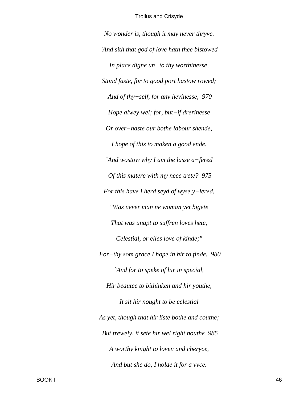No wonder is, though it may never thryve. `And sith that god of love hath thee bistowed In place digne  $un$ -to thy worthinesse, Stond faste, for to good port hastow rowed; And of thy-self, for any hevinesse, 970 Hope alwey wel; for, but-if drerinesse Or over-haste our bothe labour shende, I hope of this to maken a good ende. `And wostow why I am the lasse a-fered Of this matere with my nece trete? 975 For this have I herd seyd of wyse y-lered, "Was never man ne woman yet bigete That was unapt to suffren loves hete, Celestial, or elles love of kinde;" For-thy som grace I hope in hir to finde. 980 `And for to speke of hir in special, Hir beautee to bithinken and hir youthe, It sit hir nought to be celestial As yet, though that hir liste bothe and couthe; But trewely, it sete hir wel right nouthe 985 A worthy knight to loven and cheryce, And but she do, I holde it for a vyce.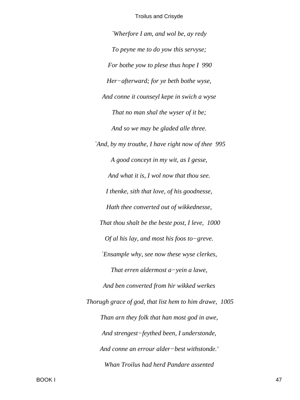*`Wherfore I am, and wol be, ay redy To peyne me to do yow this servyse; For bothe yow to plese thus hope I 990 Her−afterward; for ye beth bothe wyse, And conne it counseyl kepe in swich a wyse That no man shal the wyser of it be; And so we may be gladed alle three. `And, by my trouthe, I have right now of thee 995 A good conceyt in my wit, as I gesse, And what it is, I wol now that thou see. I thenke, sith that love, of his goodnesse, Hath thee converted out of wikkednesse, That thou shalt be the beste post, I leve, 1000 Of al his lay, and most his foos to−greve. `Ensample why, see now these wyse clerkes, That erren aldermost a−yein a lawe, And ben converted from hir wikked werkes Thorugh grace of god, that list hem to him drawe, 1005 Than arn they folk that han most god in awe, And strengest−feythed been, I understonde, And conne an errour alder−best withstonde.' Whan Troilus had herd Pandare assented*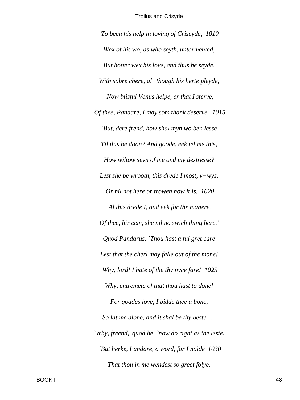*To been his help in loving of Criseyde, 1010 Wex of his wo, as who seyth, untormented, But hotter wex his love, and thus he seyde, With sobre chere, al−though his herte pleyde, `Now blisful Venus helpe, er that I sterve, Of thee, Pandare, I may som thank deserve. 1015 `But, dere frend, how shal myn wo ben lesse Til this be doon? And goode, eek tel me this, How wiltow seyn of me and my destresse? Lest she be wrooth, this drede I most, y−wys, Or nil not here or trowen how it is. 1020 Al this drede I, and eek for the manere Of thee, hir eem, she nil no swich thing here.' Quod Pandarus, `Thou hast a ful gret care Lest that the cherl may falle out of the mone! Why, lord! I hate of the thy nyce fare! 1025 Why, entremete of that thou hast to done! For goddes love, I bidde thee a bone, So lat me alone, and it shal be thy beste.' – `Why, freend,' quod he, `now do right as the leste. `But herke, Pandare, o word, for I nolde 1030 That thou in me wendest so greet folye,*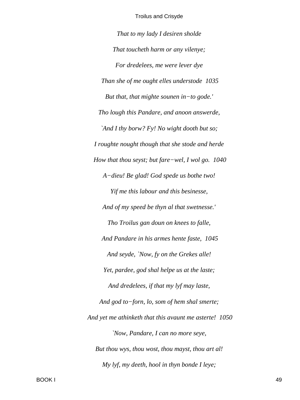That to my lady I desiren sholde That toucheth harm or any vilenye; For dredelees, me were lever dye Than she of me ought elles understode 1035 But that, that mighte sounen in-to gode.' Tho lough this Pandare, and anoon answerde, `And I thy borw? Fy! No wight dooth but so; I roughte nought though that she stode and herde How that thou seyst; but fare–wel, I wol go.  $1040$ A-dieu! Be glad! God spede us bothe two! Yif me this labour and this besinesse, And of my speed be thyn al that swetnesse.' Tho Troilus gan doun on knees to falle, And Pandare in his armes hente faste, 1045 And seyde, 'Now, fy on the Grekes alle! Yet, pardee, god shal helpe us at the laste; And dredelees, if that my lyf may laste, And god to-forn, lo, som of hem shal smerte; And yet me athinketh that this avaunt me asterte! 1050 'Now, Pandare, I can no more seye, But thou wys, thou wost, thou mayst, thou art al! My lyf, my deeth, hool in thyn bonde I leye;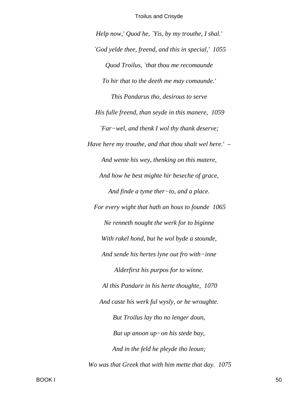Help now,' Quod he, `Yis, by my trouthe, I shal.' `God yelde thee, freend, and this in special,' 1055 Quod Troilus, `that thou me recomaunde To hir that to the deeth me may comaunde.' This Pandarus tho, desirous to serve His fulle freend, than seyde in this manere, 1059 `Far-wel, and thenk I wol thy thank deserve; Have here my trouthe, and that thou shalt well here.'  $-$ And wente his wey, thenking on this matere, And how he best mighte hir beseche of grace, And finde a tyme ther-to, and a place. For every wight that hath an hous to founde 1065 Ne renneth nought the werk for to biginne With rakel hond, but he wol byde a stounde, And sende his hertes lyne out fro with-inne Alderfirst his purpos for to winne. Al this Pandare in his herte thoughte, 1070 And caste his werk ful wysly, or he wroughte. But Troilus lay tho no lenger doun, But up anoon up-on his stede bay, And in the feld he pleyde tho leoun; Wo was that Greek that with him mette that day. 1075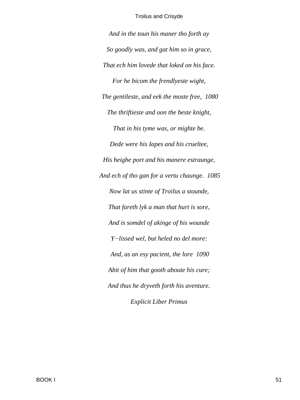*And in the toun his maner tho forth ay So goodly was, and gat him so in grace, That ech him lovede that loked on his face. For he bicom the frendlyeste wight, The gentileste, and eek the moste free, 1080 The thriftieste and oon the beste knight, That in his tyme was, or mighte be. Dede were his Iapes and his crueltee, His heighe port and his manere estraunge, And ech of tho gan for a vertu chaunge. 1085 Now lat us stinte of Troilus a stounde, That fareth lyk a man that hurt is sore, And is somdel of akinge of his wounde Y−lissed wel, but heled no del more: And, as an esy pacient, the lore 1090 Abit of him that gooth aboute his cure; And thus he dryveth forth his aventure. Explicit Liber Primus*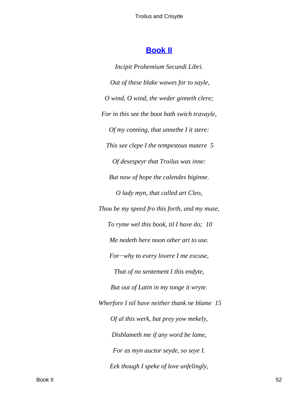# **Book II**

Incipit Prohemium Secundi Libri. Out of these blake wawes for to sayle, O wind, O wind, the weder ginneth clere; For in this see the boot hath swich travayle, Of my conning, that unnethe I it stere: This see clepe I the tempestous matere 5 Of desespeyr that Troilus was inne: But now of hope the calendes biginne. O lady myn, that called art Cleo, Thou be my speed fro this forth, and my muse, To ryme wel this book, til I have do; 10 Me nedeth here noon other art to use. For-why to every lovere I me excuse, That of no sentement I this endyte, But out of Latin in my tonge it wryte. Wherfore I nil have neither thank ne blame 15 Of al this werk, but prey yow mekely, Disblameth me if any word be lame, For as myn auctor seyde, so seye I. Eek though I speke of love unfelingly,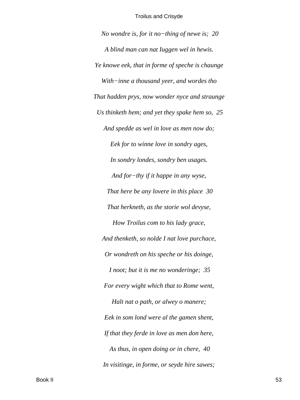*No wondre is, for it no−thing of newe is; 20 A blind man can nat Iuggen wel in hewis. Ye knowe eek, that in forme of speche is chaunge With−inne a thousand yeer, and wordes tho That hadden prys, now wonder nyce and straunge Us thinketh hem; and yet they spake hem so, 25 And spedde as wel in love as men now do; Eek for to winne love in sondry ages, In sondry londes, sondry ben usages. And for−thy if it happe in any wyse, That here be any lovere in this place 30 That herkneth, as the storie wol devyse, How Troilus com to his lady grace, And thenketh, so nolde I nat love purchace, Or wondreth on his speche or his doinge, I noot; but it is me no wonderinge; 35 For every wight which that to Rome went, Halt nat o path, or alwey o manere; Eek in som lond were al the gamen shent, If that they ferde in love as men don here, As thus, in open doing or in chere, 40 In visitinge, in forme, or seyde hire sawes;*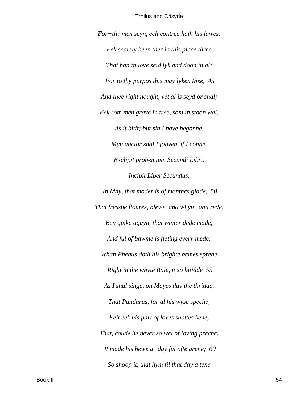*For−thy men seyn, ech contree hath his lawes. Eek scarsly been ther in this place three That han in love seid lyk and doon in al; For to thy purpos this may lyken thee, 45 And thee right nought, yet al is seyd or shal; Eek som men grave in tree, som in stoon wal, As it bitit; but sin I have begonne, Myn auctor shal I folwen, if I conne. Exclipit prohemium Secundi Libri. Incipit Liber Secundus.*

*In May, that moder is of monthes glade, 50 That fresshe floures, blewe, and whyte, and rede, Ben quike agayn, that winter dede made, And ful of bawme is fleting every mede; Whan Phebus doth his brighte bemes sprede Right in the whyte Bole, it so bitidde 55 As I shal singe, on Mayes day the thridde, That Pandarus, for al his wyse speche, Felt eek his part of loves shottes kene, That, coude he never so wel of loving preche, It made his hewe a−day ful ofte grene; 60 So shoop it, that hym fil that day a tene*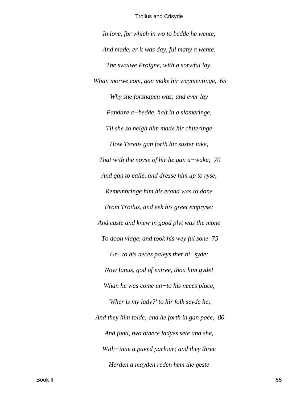In love, for which in wo to bedde he wente, And made, er it was day, ful many a wente. The swalwe Proigne, with a sorwful lay, Whan morwe com, gan make hir waymentinge, 65 Why she forshapen was; and ever lay Pandare a-bedde, half in a slomeringe, Til she so neigh him made hir chiteringe How Tereus gan forth hir suster take, That with the noyse of hir he gan  $a$ -wake; 70 And gan to calle, and dresse him up to ryse, Remembringe him his erand was to done From Troilus, and eek his greet empryse; And caste and knew in good plyt was the mone To doon viage, and took his wey ful sone 75 Un-to his neces paleys ther bi-syde; Now Ianus, god of entree, thou him gyde! Whan he was come  $un$ -to his neces place, 'Wher is my lady?' to hir folk seyde he; And they him tolde; and he forth in gan pace, 80 And fond, two othere ladyes sete and she, With-inne a paved parlour; and they three Herden a mayden reden hem the geste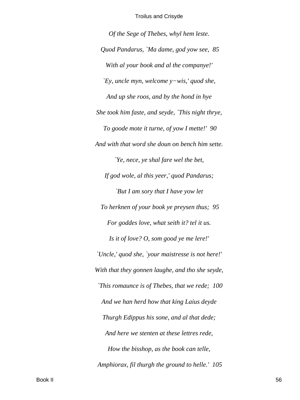*Of the Sege of Thebes, whyl hem leste. Quod Pandarus, `Ma dame, god yow see, 85 With al your book and al the companye!' `Ey, uncle myn, welcome y−wis,' quod she, And up she roos, and by the hond in hye She took him faste, and seyde, `This night thrye, To goode mote it turne, of yow I mette!' 90 And with that word she doun on bench him sette. `Ye, nece, ye shal fare wel the bet, If god wole, al this yeer,' quod Pandarus; `But I am sory that I have yow let To herknen of your book ye preysen thus; 95 For goddes love, what seith it? tel it us. Is it of love? O, som good ye me lere!' `Uncle,' quod she, `your maistresse is not here!' With that they gonnen laughe, and tho she seyde, `This romaunce is of Thebes, that we rede; 100 And we han herd how that king Laius deyde Thurgh Edippus his sone, and al that dede; And here we stenten at these lettres rede, How the bisshop, as the book can telle, Amphiorax, fil thurgh the ground to helle.' 105*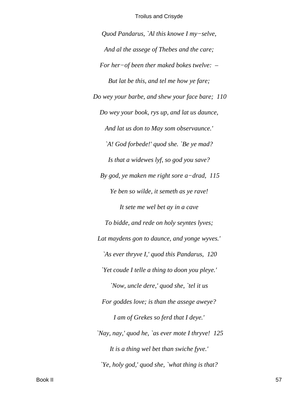*Quod Pandarus, `Al this knowe I my−selve, And al the assege of Thebes and the care; For her−of been ther maked bokes twelve: – But lat be this, and tel me how ye fare; Do wey your barbe, and shew your face bare; 110 Do wey your book, rys up, and lat us daunce, And lat us don to May som observaunce.' `A! God forbede!' quod she. `Be ye mad? Is that a widewes lyf, so god you save? By god, ye maken me right sore a−drad, 115 Ye ben so wilde, it semeth as ye rave! It sete me wel bet ay in a cave To bidde, and rede on holy seyntes lyves; Lat maydens gon to daunce, and yonge wyves.' `As ever thryve I,' quod this Pandarus, 120 `Yet coude I telle a thing to doon you pleye.' `Now, uncle dere,' quod she, `tel it us For goddes love; is than the assege aweye? I am of Grekes so ferd that I deye.' `Nay, nay,' quod he, `as ever mote I thryve! 125 It is a thing wel bet than swiche fyve.' `Ye, holy god,' quod she, `what thing is that?*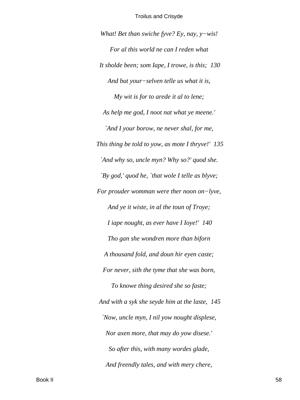*What! Bet than swiche fyve? Ey, nay, y−wis!*

*For al this world ne can I reden what It sholde been; som Iape, I trowe, is this; 130 And but your−selven telle us what it is, My wit is for to arede it al to lene; As help me god, I noot nat what ye meene.' `And I your borow, ne never shal, for me, This thing be told to yow, as mote I thryve!' 135 `And why so, uncle myn? Why so?' quod she. `By god,' quod he, `that wole I telle as blyve; For prouder womman were ther noon on−lyve, And ye it wiste, in al the toun of Troye; I iape nought, as ever have I Ioye!' 140 Tho gan she wondren more than biforn A thousand fold, and doun hir eyen caste; For never, sith the tyme that she was born, To knowe thing desired she so faste; And with a syk she seyde him at the laste, 145 `Now, uncle myn, I nil yow nought displese, Nor axen more, that may do yow disese.' So after this, with many wordes glade, And freendly tales, and with mery chere,*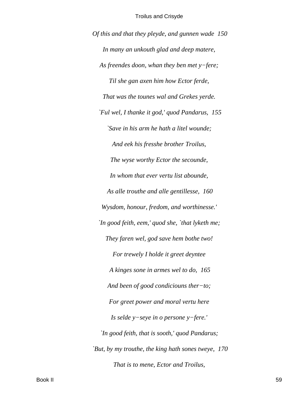*Of this and that they pleyde, and gunnen wade 150 In many an unkouth glad and deep matere, As freendes doon, whan they ben met y−fere; Til she gan axen him how Ector ferde, That was the tounes wal and Grekes yerde. `Ful wel, I thanke it god,' quod Pandarus, 155 `Save in his arm he hath a litel wounde; And eek his fresshe brother Troilus, The wyse worthy Ector the secounde, In whom that ever vertu list abounde, As alle trouthe and alle gentillesse, 160 Wysdom, honour, fredom, and worthinesse.' `In good feith, eem,' quod she, `that lyketh me; They faren wel, god save hem bothe two! For trewely I holde it greet deyntee A kinges sone in armes wel to do, 165 And been of good condiciouns ther−to; For greet power and moral vertu here Is selde y−seye in o persone y−fere.' `In good feith, that is sooth,' quod Pandarus; `But, by my trouthe, the king hath sones tweye, 170 That is to mene, Ector and Troilus,*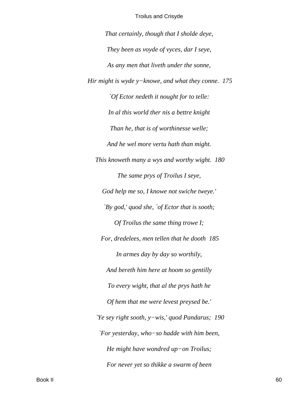*That certainly, though that I sholde deye, They been as voyde of vyces, dar I seye, As any men that liveth under the sonne, Hir might is wyde y−knowe, and what they conne. 175 `Of Ector nedeth it nought for to telle: In al this world ther nis a bettre knight Than he, that is of worthinesse welle; And he wel more vertu hath than might. This knoweth many a wys and worthy wight. 180 The same prys of Troilus I seye, God help me so, I knowe not swiche tweye.' `By god,' quod she, `of Ector that is sooth; Of Troilus the same thing trowe I; For, dredelees, men tellen that he dooth 185 In armes day by day so worthily, And bereth him here at hoom so gentilly To every wight, that al the prys hath he Of hem that me were levest preysed be.' `Ye sey right sooth, y−wis,' quod Pandarus; 190 `For yesterday, who−so hadde with him been, He might have wondred up−on Troilus; For never yet so thikke a swarm of been*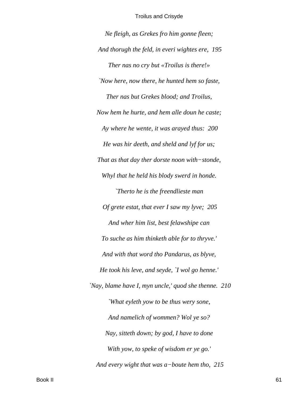*Ne fleigh, as Grekes fro him gonne fleen; And thorugh the feld, in everi wightes ere, 195 Ther nas no cry but «Troilus is there!» `Now here, now there, he hunted hem so faste, Ther nas but Grekes blood; and Troilus, Now hem he hurte, and hem alle doun he caste; Ay where he wente, it was arayed thus: 200 He was hir deeth, and sheld and lyf for us; That as that day ther dorste noon with−stonde, Whyl that he held his blody swerd in honde. `Therto he is the freendlieste man Of grete estat, that ever I saw my lyve; 205 And wher him list, best felawshipe can To suche as him thinketh able for to thryve.' And with that word tho Pandarus, as blyve, He took his leve, and seyde, `I wol go henne.' `Nay, blame have I, myn uncle,' quod she thenne. 210 `What eyleth yow to be thus wery sone, And namelich of wommen? Wol ye so? Nay, sitteth down; by god, I have to done With yow, to speke of wisdom er ye go.' And every wight that was a−boute hem tho, 215*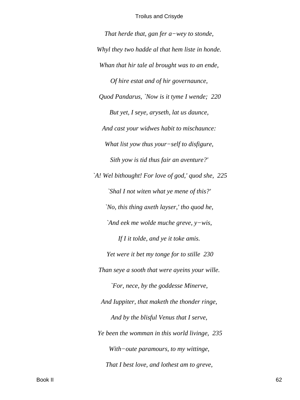That herde that, gan fer  $a$ -wey to stonde, Whyl they two hadde al that hem liste in honde. Whan that hir tale al brought was to an ende, Of hire estat and of hir governaunce, Quod Pandarus, 'Now is it tyme I wende; 220 But yet, I seye, aryseth, lat us daunce, And cast your widwes habit to mischaunce: What list yow thus your-self to disfigure, Sith yow is tid thus fair an aventure?' `A! Wel bithought! For love of god,' quod she, 225 'Shal I not witen what ye mene of this?' 'No, this thing axeth layser,' tho quod he, 'And eek me wolde muche greve,  $y$ -wis, If I it tolde, and ye it toke amis. Yet were it bet my tonge for to stille 230 Than seye a sooth that were ayeins your wille. `For, nece, by the goddesse Minerve, And Iuppiter, that maketh the thonder ringe, And by the blisful Venus that I serve, Ye been the womman in this world livinge, 235 With-oute paramours, to my wittinge, That I best love, and lothest am to greve,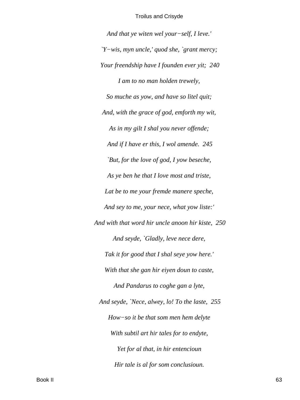*And that ye witen wel your−self, I leve.' `Y−wis, myn uncle,' quod she, `grant mercy; Your freendship have I founden ever yit; 240 I am to no man holden trewely, So muche as yow, and have so litel quit; And, with the grace of god, emforth my wit, As in my gilt I shal you never offende; And if I have er this, I wol amende. 245 `But, for the love of god, I yow beseche, As ye ben he that I love most and triste, Lat be to me your fremde manere speche, And sey to me, your nece, what yow liste:' And with that word hir uncle anoon hir kiste, 250 And seyde, `Gladly, leve nece dere, Tak it for good that I shal seye yow here.' With that she gan hir eiyen doun to caste, And Pandarus to coghe gan a lyte, And seyde, `Nece, alwey, lo! To the laste, 255 How−so it be that som men hem delyte With subtil art hir tales for to endyte, Yet for al that, in hir entencioun Hir tale is al for som conclusioun.*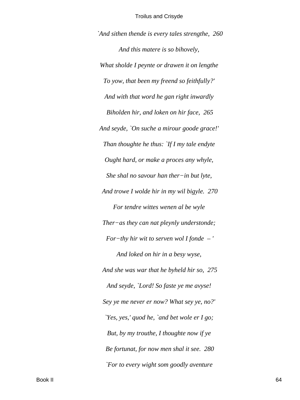*`And sithen thende is every tales strengthe, 260 And this matere is so bihovely, What sholde I peynte or drawen it on lengthe To yow, that been my freend so feithfully?' And with that word he gan right inwardly Biholden hir, and loken on hir face, 265 And seyde, `On suche a mirour goode grace!' Than thoughte he thus: `If I my tale endyte Ought hard, or make a proces any whyle, She shal no savour han ther−in but lyte, And trowe I wolde hir in my wil bigyle. 270 For tendre wittes wenen al be wyle Ther−as they can nat pleynly understonde; For−thy hir wit to serven wol I fonde – ' And loked on hir in a besy wyse, And she was war that he byheld hir so, 275 And seyde, `Lord! So faste ye me avyse! Sey ye me never er now? What sey ye, no?' `Yes, yes,' quod he, `and bet wole er I go; But, by my trouthe, I thoughte now if ye Be fortunat, for now men shal it see. 280 `For to every wight som goodly aventure*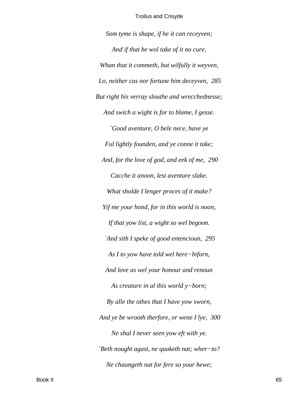Som tyme is shape, if he it can receyven; And if that he wol take of it no cure, Whan that it commeth, but wilfully it weyven, Lo, neither cas nor fortune him deceyven, 285 But right his verray slouthe and wrecchednesse; And swich a wight is for to blame, I gesse. `Good aventure, O bele nece, have ye Ful lightly founden, and ye conne it take; And, for the love of god, and eek of me, 290 Cacche it anoon, lest aventure slake. What sholde I lenger proces of it make? Yif me your hond, for in this world is noon, If that yow list, a wight so wel begoon. `And sith I speke of good entencioun, 295 As I to yow have told wel here-biforn, And love as wel your honour and renoun As creature in al this world  $y$ -born; By alle the othes that I have yow sworn, And ye be wrooth therfore, or wene I lye, 300 Ne shal I never seen yow eft with ye. 'Beth nought agast, ne quaketh nat; wher-to? Ne chaungeth nat for fere so your hewe;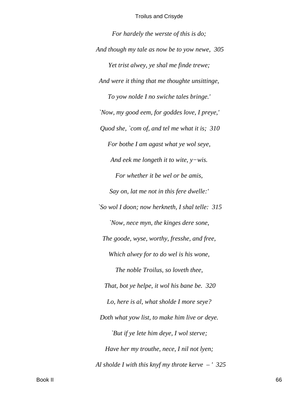*For hardely the werste of this is do; And though my tale as now be to yow newe, 305 Yet trist alwey, ye shal me finde trewe; And were it thing that me thoughte unsittinge, To yow nolde I no swiche tales bringe.' `Now, my good eem, for goddes love, I preye,' Quod she, `com of, and tel me what it is; 310 For bothe I am agast what ye wol seye, And eek me longeth it to wite, y−wis. For whether it be wel or be amis, Say on, lat me not in this fere dwelle:' `So wol I doon; now herkneth, I shal telle: 315 `Now, nece myn, the kinges dere sone, The goode, wyse, worthy, fresshe, and free, Which alwey for to do wel is his wone, The noble Troilus, so loveth thee, That, bot ye helpe, it wol his bane be. 320 Lo, here is al, what sholde I more seye? Doth what yow list, to make him live or deye. `But if ye lete him deye, I wol sterve; Have her my trouthe, nece, I nil not lyen; Al sholde I with this knyf my throte kerve – ' 325*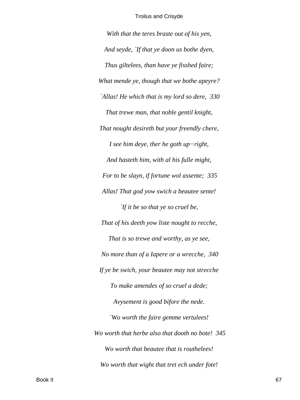With that the teres braste out of his yen, And seyde, `If that ye doon us bothe dyen, Thus giltelees, than have ye fisshed faire; What mende ye, though that we bothe apeyre? `Allas! He which that is my lord so dere, 330 That trewe man, that noble gentil knight, That nought desireth but your freendly chere, I see him deye, ther he goth  $up-right$ , And hasteth him, with al his fulle might, For to be slayn, if fortune wol assente; 335 Allas! That god yow swich a beautee sente! *If it be so that ye so cruel be,* That of his deeth yow liste nought to recche, That is so trewe and worthy, as ye see, No more than of a Iapere or a wrecche, 340 If ye be swich, your beautee may not strecche To make amendes of so cruel a dede; Avysement is good bifore the nede. 'Wo worth the faire gemme vertulees! Wo worth that herbe also that dooth no bote! 345 Wo worth that beautee that is routhelees! Wo worth that wight that tret ech under fote!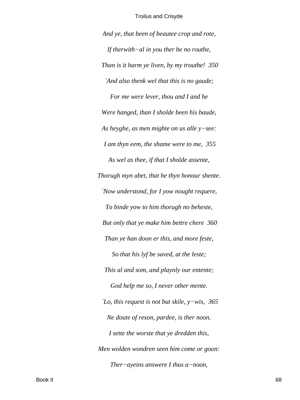*And ye, that been of beautee crop and rote, If therwith−al in you ther be no routhe, Than is it harm ye liven, by my trouthe! 350 `And also thenk wel that this is no gaude; For me were lever, thou and I and he Were hanged, than I sholde been his baude, As heyghe, as men mighte on us alle y−see: I am thyn eem, the shame were to me, 355 As wel as thee, if that I sholde assente, Thorugh myn abet, that he thyn honour shente. `Now understond, for I yow nought requere, To binde yow to him thorugh no beheste, But only that ye make him bettre chere 360 Than ye han doon er this, and more feste, So that his lyf be saved, at the leste; This al and som, and playnly our entente; God help me so, I never other mente. `Lo, this request is not but skile, y−wis, 365 Ne doute of reson, pardee, is ther noon. I sette the worste that ye dredden this, Men wolden wondren seen him come or goon: Ther−ayeins answere I thus a−noon,*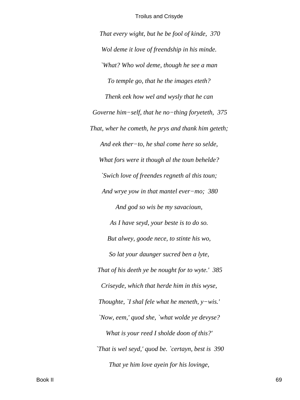*That every wight, but he be fool of kinde, 370 Wol deme it love of freendship in his minde. `What? Who wol deme, though he see a man To temple go, that he the images eteth? Thenk eek how wel and wysly that he can Governe him−self, that he no−thing foryeteth, 375 That, wher he cometh, he prys and thank him geteth; And eek ther−to, he shal come here so selde, What fors were it though al the toun behelde? `Swich love of freendes regneth al this toun; And wrye yow in that mantel ever−mo; 380 And god so wis be my savacioun, As I have seyd, your beste is to do so. But alwey, goode nece, to stinte his wo, So lat your daunger sucred ben a lyte, That of his deeth ye be nought for to wyte.' 385 Criseyde, which that herde him in this wyse, Thoughte, `I shal fele what he meneth, y−wis.' `Now, eem,' quod she, `what wolde ye devyse? What is your reed I sholde doon of this?' `That is wel seyd,' quod be. `certayn, best is 390 That ye him love ayein for his lovinge,*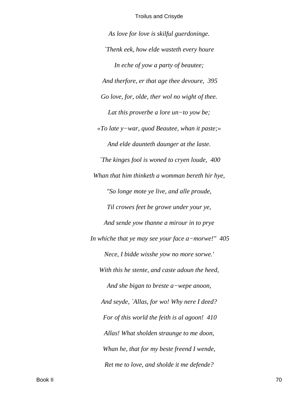As love for love is skilful guerdoninge. Thenk eek, how elde wasteth every houre In eche of yow a party of beautee; And therfore, er that age thee devoure, 395 Go love, for, olde, ther wol no wight of thee. Lat this proverbe a lore  $un-to$  yow be; «To late  $y$ -war, quod Beautee, whan it paste;» And elde daunteth daunger at the laste. The kinges fool is woned to cryen loude, 400 Whan that him thinketh a womman bereth hir hye, "So longe mote ye live, and alle proude, Til crowes feet be growe under your ye, And sende yow thanne a mirour in to prye In whiche that ye may see your face  $a$ -morwe!"  $405$ Nece, I bidde wisshe yow no more sorwe.' With this he stente, and caste adoun the heed, And she bigan to breste  $a$ -wepe anoon, And seyde, `Allas, for wo! Why nere I deed? For of this world the feith is al agoon! 410 Allas! What sholden straunge to me doon, Whan he, that for my beste freend I wende, Ret me to love, and sholde it me defende?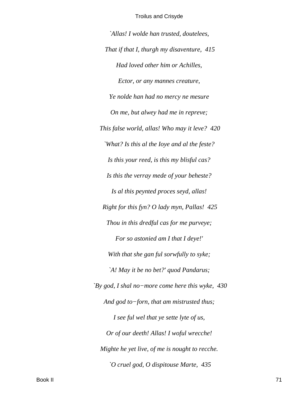`Allas! I wolde han trusted, doutelees, That if that I, thurgh my disaventure, 415 Had loved other him or Achilles, Ector, or any mannes creature, Ye nolde han had no mercy ne mesure On me, but alwey had me in repreve; This false world, allas! Who may it leve? 420 'What? Is this al the loye and al the feste? Is this your reed, is this my blisful cas? Is this the verray mede of your beheste? Is al this peynted proces seyd, allas! Right for this fyn? O lady myn, Pallas! 425 Thou in this dredful cas for me purveye; For so astonied am I that I deye!' With that she gan ful sorwfully to syke; `A! May it be no bet?' quod Pandarus; 'By god, I shal no-more come here this wyke,  $430$ And god to-forn, that am mistrusted thus; I see ful wel that ye sette lyte of us, Or of our deeth! Allas! I woful wrecche! Mighte he yet live, of me is nought to recche. O cruel god, O dispitouse Marte, 435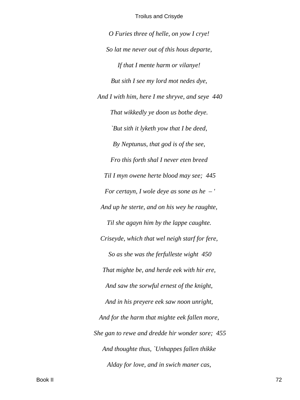*O Furies three of helle, on yow I crye! So lat me never out of this hous departe, If that I mente harm or vilanye! But sith I see my lord mot nedes dye, And I with him, here I me shryve, and seye 440 That wikkedly ye doon us bothe deye. `But sith it lyketh yow that I be deed, By Neptunus, that god is of the see, Fro this forth shal I never eten breed Til I myn owene herte blood may see; 445 For certayn, I wole deye as sone as he – ' And up he sterte, and on his wey he raughte, Til she agayn him by the lappe caughte. Criseyde, which that wel neigh starf for fere, So as she was the ferfulleste wight 450 That mighte be, and herde eek with hir ere, And saw the sorwful ernest of the knight, And in his preyere eek saw noon unright, And for the harm that mighte eek fallen more, She gan to rewe and dredde hir wonder sore; 455 And thoughte thus, `Unhappes fallen thikke Alday for love, and in swich maner cas,*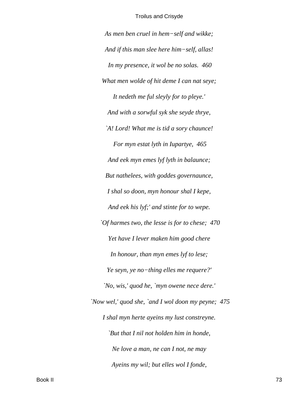*As men ben cruel in hem−self and wikke; And if this man slee here him−self, allas! In my presence, it wol be no solas. 460 What men wolde of hit deme I can nat seye; It nedeth me ful sleyly for to pleye.' And with a sorwful syk she seyde thrye, `A! Lord! What me is tid a sory chaunce! For myn estat lyth in Iupartye, 465 And eek myn emes lyf lyth in balaunce; But nathelees, with goddes governaunce, I shal so doon, myn honour shal I kepe, And eek his lyf;' and stinte for to wepe. `Of harmes two, the lesse is for to chese; 470 Yet have I lever maken him good chere In honour, than myn emes lyf to lese; Ye seyn, ye no−thing elles me requere?' `No, wis,' quod he, `myn owene nece dere.' `Now wel,' quod she, `and I wol doon my peyne; 475 I shal myn herte ayeins my lust constreyne. `But that I nil not holden him in honde, Ne love a man, ne can I not, ne may Ayeins my wil; but elles wol I fonde,*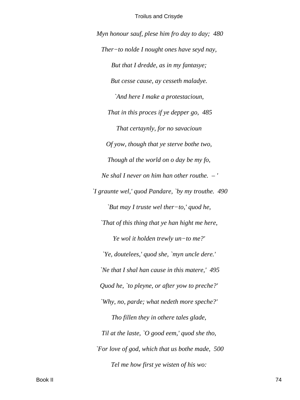*Myn honour sauf, plese him fro day to day; 480 Ther−to nolde I nought ones have seyd nay, But that I dredde, as in my fantasye; But cesse cause, ay cesseth maladye. `And here I make a protestacioun, That in this proces if ye depper go, 485 That certaynly, for no savacioun Of yow, though that ye sterve bothe two, Though al the world on o day be my fo, Ne shal I never on him han other routhe. – ' `I graunte wel,' quod Pandare, `by my trouthe. 490 `But may I truste wel ther−to,' quod he, `That of this thing that ye han hight me here, Ye wol it holden trewly un−to me?' `Ye, doutelees,' quod she, `myn uncle dere.' `Ne that I shal han cause in this matere,' 495 Quod he, `to pleyne, or after yow to preche?' `Why, no, parde; what nedeth more speche?' Tho fillen they in othere tales glade, Til at the laste, `O good eem,' quod she tho, `For love of god, which that us bothe made, 500 Tel me how first ye wisten of his wo:*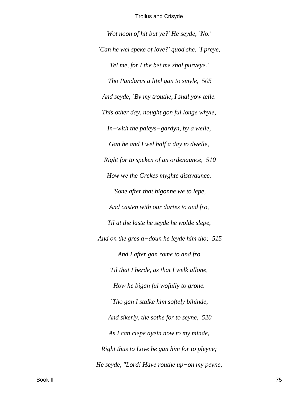Wot noon of hit but ye?' He seyde, `No.' `Can he wel speke of love?' quod she, `I preye, Tel me, for I the bet me shal purveye.' Tho Pandarus a litel gan to smyle, 505 And seyde, `By my trouthe, I shal yow telle. This other day, nought gon ful longe whyle,  $In$ -with the paleys-gardyn, by a welle, Gan he and I wel half a day to dwelle, Right for to speken of an ordenaunce, 510 How we the Grekes myghte disavaunce. `Sone after that bigonne we to lepe, And casten with our dartes to and fro, Til at the laste he seyde he wolde slepe, And on the gres  $a$ -doun he leyde him tho; 515 And I after gan rome to and fro Til that I herde, as that I welk allone, How he bigan ful wofully to grone. `Tho gan I stalke him softely bihinde, And sikerly, the sothe for to seyne, 520 As I can clepe ayein now to my minde, Right thus to Love he gan him for to pleyne; He seyde, "Lord! Have routhe up-on my peyne,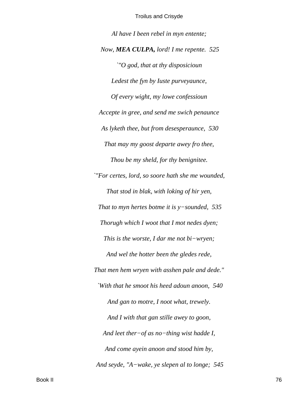Al have I been rebel in myn entente; Now, MEA CULPA, lord! I me repente. 525  $\degree$ "O god, that at thy disposicioun Ledest the fyn by Iuste purveyaunce, Of every wight, my lowe confessioun Accepte in gree, and send me swich penaunce As lyketh thee, but from desesperaunce, 530 That may my goost departe awey fro thee, Thou be my sheld, for thy benignitee. "For certes, lord, so soore hath she me wounded, That stod in blak, with loking of hir yen, That to myn hertes botme it is  $y$ -sounded, 535 Thorugh which I woot that I mot nedes dyen; This is the worste, I dar me not  $bi-wryen$ ; And wel the hotter been the gledes rede, That men hem wryen with asshen pale and dede." `With that he smoot his heed adoun anoon, 540 And gan to motre, I noot what, trewely. And I with that gan stille awey to goon, And leet ther $-$ of as no-thing wist hadde I, And come ayein anoon and stood him by, And seyde, "A-wake, ye slepen al to longe; 545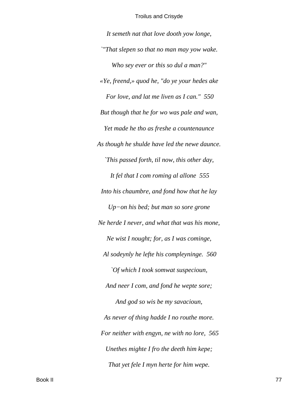It semeth nat that love dooth yow longe, "That slepen so that no man may yow wake. Who sey ever or this so dul a man?" «Ye, freend,» quod he, "do ye your hedes ake For love, and lat me liven as I can." 550 But though that he for wo was pale and wan, Yet made he tho as freshe a countenaunce As though he shulde have led the newe daunce. This passed forth, til now, this other day, It fel that I com roming al allone 555 Into his chaumbre, and fond how that he lay  $Up-on$  his bed; but man so sore grone Ne herde I never, and what that was his mone, Ne wist I nought; for, as I was cominge, Al sodeynly he lefte his compleyninge. 560 `Of which I took somwat suspecioun, And neer I com, and fond he wepte sore; And god so wis be my savacioun, As never of thing hadde I no routhe more. For neither with engyn, ne with no lore, 565 Unethes mighte I fro the deeth him kepe; That yet fele I myn herte for him wepe.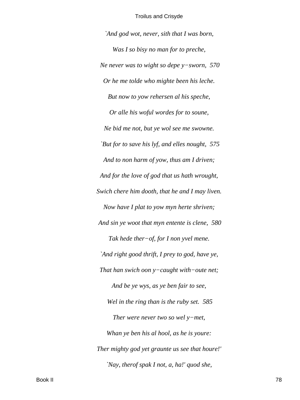*`And god wot, never, sith that I was born, Was I so bisy no man for to preche, Ne never was to wight so depe y−sworn, 570 Or he me tolde who mighte been his leche. But now to yow rehersen al his speche, Or alle his woful wordes for to soune, Ne bid me not, but ye wol see me swowne. `But for to save his lyf, and elles nought, 575 And to non harm of yow, thus am I driven; And for the love of god that us hath wrought, Swich chere him dooth, that he and I may liven. Now have I plat to yow myn herte shriven; And sin ye woot that myn entente is clene, 580 Tak hede ther−of, for I non yvel mene. `And right good thrift, I prey to god, have ye, That han swich oon y−caught with−oute net; And be ye wys, as ye ben fair to see, Wel in the ring than is the ruby set. 585 Ther were never two so wel y−met, Whan ye ben his al hool, as he is youre: Ther mighty god yet graunte us see that houre!' `Nay, therof spak I not, a, ha!' quod she,*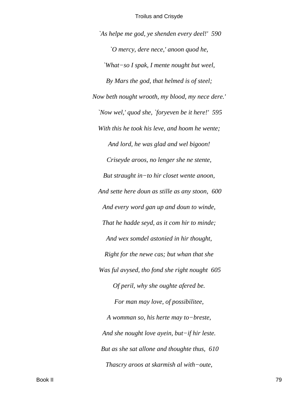`As helpe me god, ye shenden every deel!' 590 O mercy, dere nece,' anoon quod he, `What-so I spak, I mente nought but weel, By Mars the god, that helmed is of steel; Now beth nought wrooth, my blood, my nece dere.' 'Now wel,' quod she, 'foryeven be it here!' 595 With this he took his leve, and hoom he wente; And lord, he was glad and wel bigoon! Criseyde aroos, no lenger she ne stente, But straught in-to hir closet wente anoon, And sette here doun as stille as any stoon, 600 And every word gan up and doun to winde, That he hadde seyd, as it com hir to minde; And wex somdel astonied in hir thought, Right for the newe cas; but whan that she Was ful avysed, tho fond she right nought 605 Of peril, why she oughte afered be. For man may love, of possibilitee, A womman so, his herte may to-breste, And she nought love ayein, but-if hir leste. But as she sat allone and thoughte thus, 610 Thascry aroos at skarmish al with-oute,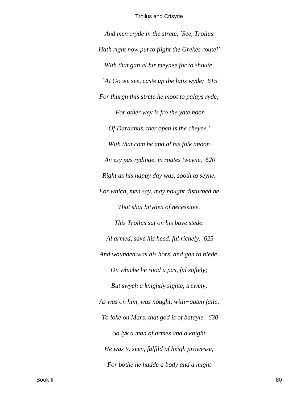*And men cryde in the strete, `See, Troilus Hath right now put to flight the Grekes route!' With that gan al hir meynee for to shoute, `A! Go we see, caste up the latis wyde; 615 For thurgh this strete he moot to palays ryde; `For other wey is fro the yate noon Of Dardanus, ther open is the cheyne.' With that com he and al his folk anoon An esy pas rydinge, in routes tweyne, 620 Right as his happy day was, sooth to seyne, For which, men say, may nought disturbed be That shal bityden of necessitee. This Troilus sat on his baye stede, Al armed, save his heed, ful richely, 625 And wounded was his hors, and gan to blede, On whiche he rood a pas, ful softely; But swych a knightly sighte, trewely, As was on him, was nought, with−outen faile, To loke on Mars, that god is of batayle. 630 So lyk a man of armes and a knight He was to seen, fulfild of heigh prowesse; For bothe he hadde a body and a might*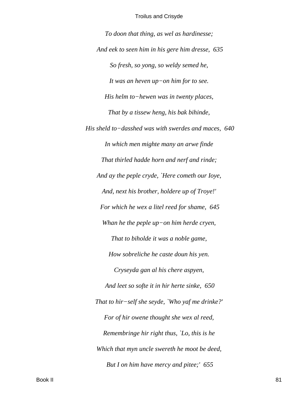*To doon that thing, as wel as hardinesse; And eek to seen him in his gere him dresse, 635 So fresh, so yong, so weldy semed he, It was an heven up−on him for to see. His helm to−hewen was in twenty places, That by a tissew heng, his bak bihinde, His sheld to−dasshed was with swerdes and maces, 640 In which men mighte many an arwe finde That thirled hadde horn and nerf and rinde; And ay the peple cryde, `Here cometh our Ioye, And, next his brother, holdere up of Troye!' For which he wex a litel reed for shame, 645 Whan he the peple up−on him herde cryen, That to biholde it was a noble game, How sobreliche he caste doun his yen. Cryseyda gan al his chere aspyen, And leet so softe it in hir herte sinke, 650 That to hir−self she seyde, `Who yaf me drinke?' For of hir owene thought she wex al reed, Remembringe hir right thus, `Lo, this is he Which that myn uncle swereth he moot be deed, But I on him have mercy and pitee;' 655*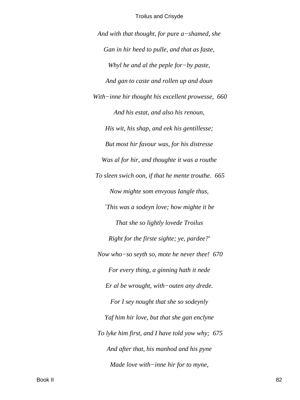*And with that thought, for pure a−shamed, she Gan in hir heed to pulle, and that as faste, Whyl he and al the peple for−by paste, And gan to caste and rollen up and doun With−inne hir thought his excellent prowesse, 660 And his estat, and also his renoun, His wit, his shap, and eek his gentillesse; But most hir favour was, for his distresse Was al for hir, and thoughte it was a routhe To sleen swich oon, if that he mente trouthe. 665 Now mighte som envyous Iangle thus, `This was a sodeyn love; how mighte it be That she so lightly lovede Troilus Right for the firste sighte; ye, pardee?' Now who−so seyth so, mote he never thee! 670 For every thing, a ginning hath it nede Er al be wrought, with−outen any drede. For I sey nought that she so sodeynly Yaf him hir love, but that she gan enclyne To lyke him first, and I have told yow why; 675 And after that, his manhod and his pyne Made love with−inne hir for to myne,*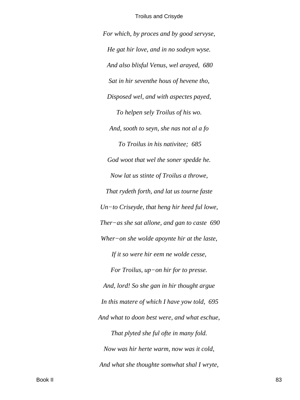For which, by proces and by good servyse, He gat hir love, and in no sodeyn wyse. And also blisful Venus, wel arayed, 680 Sat in hir seventhe hous of hevene tho, Disposed wel, and with aspectes payed, To helpen sely Troilus of his wo. And, sooth to seyn, she nas not al a fo To Troilus in his nativitee; 685 God woot that wel the soner spedde he. Now lat us stinte of Troilus a throwe, That rydeth forth, and lat us tourne faste  $Un-to.$  Criseyde, that heng hir heed ful lowe, Ther-as she sat allone, and gan to caste  $690$ Wher-on she wolde apoynte hir at the laste, If it so were hir eem ne wolde cesse, For Troilus,  $up-on$  hir for to presse. And, lord! So she gan in hir thought argue In this matere of which I have yow told, 695 And what to doon best were, and what eschue, That plyted she ful ofte in many fold. Now was hir herte warm, now was it cold, And what she thoughte somwhat shal I wryte,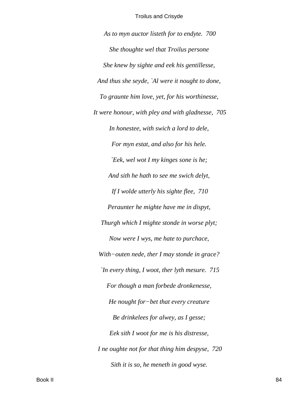*As to myn auctor listeth for to endyte. 700 She thoughte wel that Troilus persone She knew by sighte and eek his gentillesse, And thus she seyde, `Al were it nought to done, To graunte him love, yet, for his worthinesse, It were honour, with pley and with gladnesse, 705 In honestee, with swich a lord to dele, For myn estat, and also for his hele. `Eek, wel wot I my kinges sone is he; And sith he hath to see me swich delyt, If I wolde utterly his sighte flee, 710 Peraunter he mighte have me in dispyt, Thurgh which I mighte stonde in worse plyt; Now were I wys, me hate to purchace, With−outen nede, ther I may stonde in grace? `In every thing, I woot, ther lyth mesure. 715 For though a man forbede dronkenesse, He nought for−bet that every creature Be drinkelees for alwey, as I gesse; Eek sith I woot for me is his distresse, I ne oughte not for that thing him despyse, 720 Sith it is so, he meneth in good wyse.*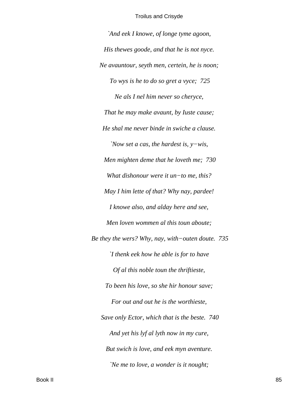*`And eek I knowe, of longe tyme agoon, His thewes goode, and that he is not nyce. Ne avauntour, seyth men, certein, he is noon; To wys is he to do so gret a vyce; 725 Ne als I nel him never so cheryce, That he may make avaunt, by Iuste cause; He shal me never binde in swiche a clause. `Now set a cas, the hardest is, y−wis, Men mighten deme that he loveth me; 730 What dishonour were it un−to me, this? May I him lette of that? Why nay, pardee! I knowe also, and alday here and see, Men loven wommen al this toun aboute; Be they the wers? Why, nay, with−outen doute. 735 `I thenk eek how he able is for to have Of al this noble toun the thriftieste, To been his love, so she hir honour save; For out and out he is the worthieste, Save only Ector, which that is the beste. 740 And yet his lyf al lyth now in my cure, But swich is love, and eek myn aventure. `Ne me to love, a wonder is it nought;*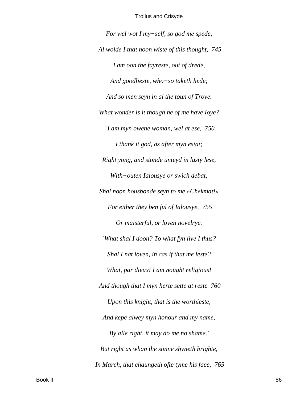*For wel wot I my−self, so god me spede, Al wolde I that noon wiste of this thought, 745 I am oon the fayreste, out of drede, And goodlieste, who−so taketh hede; And so men seyn in al the toun of Troye. What wonder is it though he of me have Ioye? `I am myn owene woman, wel at ese, 750 I thank it god, as after myn estat; Right yong, and stonde unteyd in lusty lese, With−outen Ialousye or swich debat; Shal noon housbonde seyn to me «Chekmat!» For either they ben ful of Ialousye, 755 Or maisterful, or loven novelrye. `What shal I doon? To what fyn live I thus? Shal I nat loven, in cas if that me leste? What, par dieux! I am nought religious! And though that I myn herte sette at reste 760 Upon this knight, that is the worthieste, And kepe alwey myn honour and my name, By alle right, it may do me no shame.' But right as whan the sonne shyneth brighte, In March, that chaungeth ofte tyme his face, 765*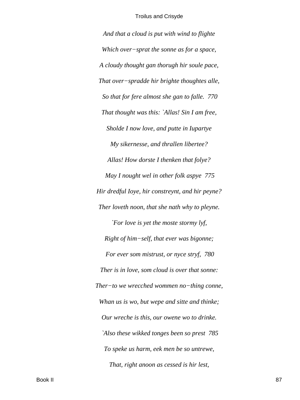*And that a cloud is put with wind to flighte Which over−sprat the sonne as for a space, A cloudy thought gan thorugh hir soule pace, That over−spradde hir brighte thoughtes alle, So that for fere almost she gan to falle. 770 That thought was this: `Allas! Sin I am free, Sholde I now love, and putte in Iupartye My sikernesse, and thrallen libertee? Allas! How dorste I thenken that folye? May I nought wel in other folk aspye 775 Hir dredful Ioye, hir constreynt, and hir peyne? Ther loveth noon, that she nath why to pleyne. `For love is yet the moste stormy lyf, Right of him−self, that ever was bigonne; For ever som mistrust, or nyce stryf, 780 Ther is in love, som cloud is over that sonne: Ther−to we wrecched wommen no−thing conne, Whan us is wo, but wepe and sitte and thinke; Our wreche is this, our owene wo to drinke. `Also these wikked tonges been so prest 785 To speke us harm, eek men be so untrewe, That, right anoon as cessed is hir lest,*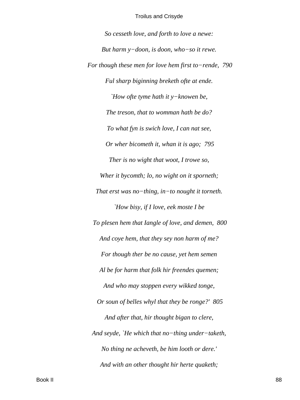So cesseth love, and forth to love a newe: But harm  $y$ -doon, is doon, who-so it rewe. For though these men for love hem first to-rende,  $790$ Ful sharp biginning breketh ofte at ende. 'How ofte tyme hath it  $y$ -knowen be, The treson, that to womman hath be do? To what fyn is swich love, I can nat see, Or wher bicometh it, whan it is ago; 795 Ther is no wight that woot, I trowe so, Wher it bycomth; lo, no wight on it sporneth; That erst was no-thing, in-to nought it torneth. `How bisy, if I love, eek moste I be To plesen hem that Iangle of love, and demen, 800 And coye hem, that they sey non harm of me? For though ther be no cause, yet hem semen Al be for harm that folk hir freendes quemen; And who may stoppen every wikked tonge, Or soun of belles whyl that they be ronge?' 805 And after that, hir thought bigan to clere, And seyde, `He which that no-thing under-taketh, No thing ne acheveth, be him looth or dere.' And with an other thought hir herte quaketh;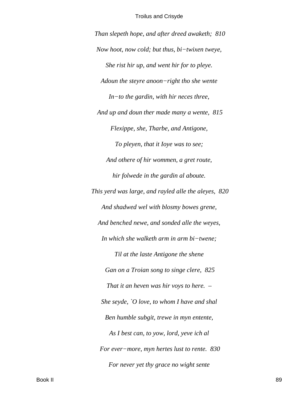*Than slepeth hope, and after dreed awaketh; 810 Now hoot, now cold; but thus, bi−twixen tweye, She rist hir up, and went hir for to pleye. Adoun the steyre anoon−right tho she wente In−to the gardin, with hir neces three, And up and doun ther made many a wente, 815 Flexippe, she, Tharbe, and Antigone, To pleyen, that it Ioye was to see; And othere of hir wommen, a gret route, hir folwede in the gardin al aboute. This yerd was large, and rayled alle the aleyes, 820 And shadwed wel with blosmy bowes grene, And benched newe, and sonded alle the weyes, In which she walketh arm in arm bi−twene; Til at the laste Antigone the shene Gan on a Troian song to singe clere, 825 That it an heven was hir voys to here. – She seyde, `O love, to whom I have and shal Ben humble subgit, trewe in myn entente, As I best can, to yow, lord, yeve ich al For ever−more, myn hertes lust to rente. 830 For never yet thy grace no wight sente*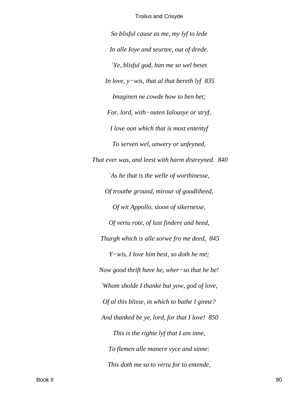*So blisful cause as me, my lyf to lede In alle Ioye and seurtee, out of drede. `Ye, blisful god, han me so wel beset In love, y−wis, that al that bereth lyf 835 Imaginen ne cowde how to ben bet; For, lord, with−outen Ialousye or stryf, I love oon which that is most ententyf To serven wel, unwery or unfeyned, That ever was, and leest with harm distreyned. 840 `As he that is the welle of worthinesse, Of trouthe ground, mirour of goodliheed, Of wit Appollo, stoon of sikernesse, Of vertu rote, of lust findere and heed, Thurgh which is alle sorwe fro me deed, 845 Y−wis, I love him best, so doth he me; Now good thrift have he, wher−so that he be! `Whom sholde I thanke but yow, god of love, Of al this blisse, in which to bathe I ginne? And thanked be ye, lord, for that I love! 850 This is the righte lyf that I am inne, To flemen alle manere vyce and sinne: This doth me so to vertu for to entende,*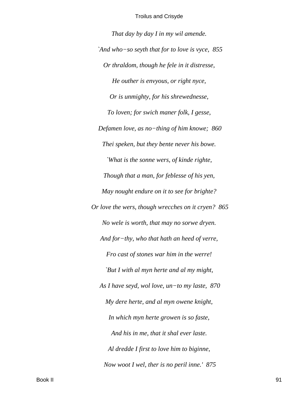*That day by day I in my wil amende. `And who−so seyth that for to love is vyce, 855 Or thraldom, though he fele in it distresse, He outher is envyous, or right nyce, Or is unmighty, for his shrewednesse, To loven; for swich maner folk, I gesse, Defamen love, as no−thing of him knowe; 860 Thei speken, but they bente never his bowe. `What is the sonne wers, of kinde righte, Though that a man, for feblesse of his yen, May nought endure on it to see for brighte? Or love the wers, though wrecches on it cryen? 865 No wele is worth, that may no sorwe dryen. And for−thy, who that hath an heed of verre, Fro cast of stones war him in the werre! `But I with al myn herte and al my might, As I have seyd, wol love, un−to my laste, 870 My dere herte, and al myn owene knight, In which myn herte growen is so faste, And his in me, that it shal ever laste. Al dredde I first to love him to biginne, Now woot I wel, ther is no peril inne.' 875*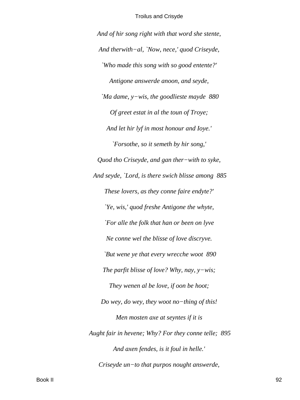And of hir song right with that word she stente, And therwith-al, `Now, nece,' quod Criseyde, 'Who made this song with so good entente?' Antigone answerde anoon, and seyde, 'Ma dame,  $y$ -wis, the goodlieste mayde 880 Of greet estat in al the toun of Troye; And let hir lyf in most honour and Ioye.' 'Forsothe, so it semeth by hir song,' Quod tho Criseyde, and gan ther-with to syke, And seyde, `Lord, is there swich blisse among 885 These lovers, as they conne faire endyte?' 'Ye, wis,' quod freshe Antigone the whyte, `For alle the folk that han or been on lyve Ne conne wel the blisse of love discryve. `But wene ye that every wrecche woot 890 The parfit blisse of love? Why, nay,  $y$ -wis; They wenen al be love, if oon be hoot; Do wey, do wey, they woot no-thing of this! Men mosten axe at seyntes if it is Aught fair in hevene; Why? For they conne telle; 895 And axen fendes, is it foul in helle.' Criseyde un-to that purpos nought answerde,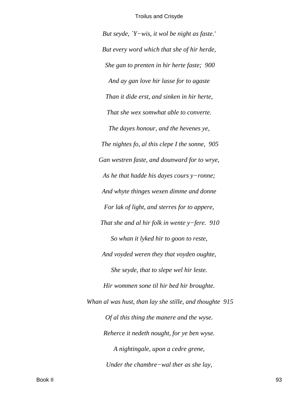*But seyde, `Y−wis, it wol be night as faste.' But every word which that she of hir herde, She gan to prenten in hir herte faste; 900 And ay gan love hir lasse for to agaste Than it dide erst, and sinken in hir herte, That she wex somwhat able to converte. The dayes honour, and the hevenes ye, The nightes fo, al this clepe I the sonne, 905 Gan westren faste, and dounward for to wrye, As he that hadde his dayes cours y−ronne; And whyte thinges wexen dimme and donne For lak of light, and sterres for to appere, That she and al hir folk in wente y−fere. 910 So whan it lyked hir to goon to reste, And voyded weren they that voyden oughte, She seyde, that to slepe wel hir leste. Hir wommen sone til hir bed hir broughte. Whan al was hust, than lay she stille, and thoughte 915 Of al this thing the manere and the wyse. Reherce it nedeth nought, for ye ben wyse. A nightingale, upon a cedre grene, Under the chambre−wal ther as she lay,*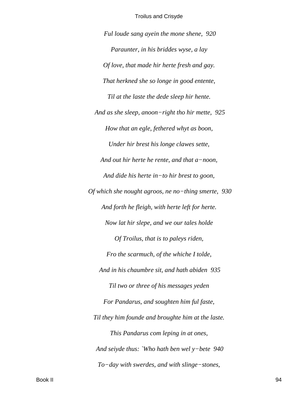Ful loude sang ayein the mone shene, 920 Paraunter, in his briddes wyse, a lay Of love, that made hir herte fresh and gay. That herkned she so longe in good entente, Til at the laste the dede sleep hir hente. And as she sleep, anoon-right tho hir mette, 925 How that an egle, fethered whyt as boon, Under hir brest his longe clawes sette, And out hir herte he rente, and that  $a$ -noon, And dide his herte in-to hir brest to goon, Of which she nought agroos, ne no-thing smerte,  $930$ And forth he fleigh, with herte left for herte. Now lat hir slepe, and we our tales holde Of Troilus, that is to paleys riden, Fro the scarmuch, of the whiche I tolde, And in his chaumbre sit, and hath abiden 935 Til two or three of his messages yeden For Pandarus, and soughten him ful faste, Til they him founde and broughte him at the laste. This Pandarus com leping in at ones, And seiyde thus: `Who hath ben wel y-bete  $940$ To-day with swerdes, and with slinge-stones,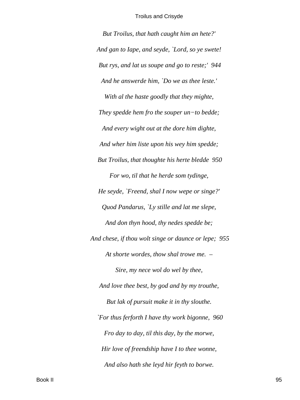*But Troilus, that hath caught him an hete?' And gan to Iape, and seyde, `Lord, so ye swete! But rys, and lat us soupe and go to reste;' 944 And he answerde him, `Do we as thee leste.' With al the haste goodly that they mighte, They spedde hem fro the souper un−to bedde; And every wight out at the dore him dighte, And wher him liste upon his wey him spedde; But Troilus, that thoughte his herte bledde 950 For wo, til that he herde som tydinge, He seyde, `Freend, shal I now wepe or singe?' Quod Pandarus, `Ly stille and lat me slepe, And don thyn hood, thy nedes spedde be; And chese, if thou wolt singe or daunce or lepe; 955 At shorte wordes, thow shal trowe me. – Sire, my nece wol do wel by thee, And love thee best, by god and by my trouthe, But lak of pursuit make it in thy slouthe. `For thus ferforth I have thy work bigonne, 960 Fro day to day, til this day, by the morwe, Hir love of freendship have I to thee wonne, And also hath she leyd hir feyth to borwe.*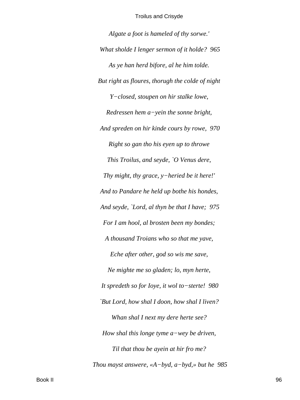*Algate a foot is hameled of thy sorwe.' What sholde I lenger sermon of it holde? 965 As ye han herd bifore, al he him tolde. But right as floures, thorugh the colde of night Y−closed, stoupen on hir stalke lowe, Redressen hem a−yein the sonne bright, And spreden on hir kinde cours by rowe, 970 Right so gan tho his eyen up to throwe This Troilus, and seyde, `O Venus dere, Thy might, thy grace, y−heried be it here!' And to Pandare he held up bothe his hondes, And seyde, `Lord, al thyn be that I have; 975 For I am hool, al brosten been my bondes; A thousand Troians who so that me yave, Eche after other, god so wis me save, Ne mighte me so gladen; lo, myn herte, It spredeth so for Ioye, it wol to−sterte! 980 `But Lord, how shal I doon, how shal I liven? Whan shal I next my dere herte see? How shal this longe tyme a−wey be driven, Til that thou be ayein at hir fro me? Thou mayst answere, «A−byd, a−byd,» but he 985*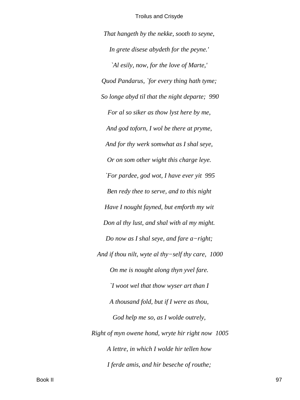*That hangeth by the nekke, sooth to seyne, In grete disese abydeth for the peyne.' `Al esily, now, for the love of Marte,' Quod Pandarus, `for every thing hath tyme; So longe abyd til that the night departe; 990 For al so siker as thow lyst here by me, And god toforn, I wol be there at pryme, And for thy werk somwhat as I shal seye, Or on som other wight this charge leye. `For pardee, god wot, I have ever yit 995 Ben redy thee to serve, and to this night Have I nought fayned, but emforth my wit Don al thy lust, and shal with al my might. Do now as I shal seye, and fare a−right; And if thou nilt, wyte al thy−self thy care, 1000 On me is nought along thyn yvel fare. `I woot wel that thow wyser art than I A thousand fold, but if I were as thou, God help me so, as I wolde outrely, Right of myn owene hond, wryte hir right now 1005 A lettre, in which I wolde hir tellen how I ferde amis, and hir beseche of routhe;*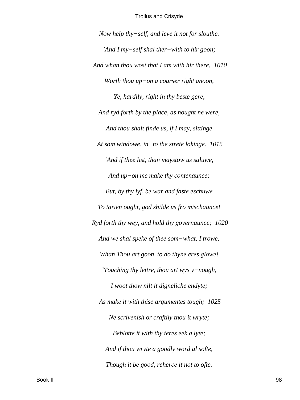*Now help thy−self, and leve it not for slouthe. `And I my−self shal ther−with to hir goon; And whan thou wost that I am with hir there, 1010 Worth thou up−on a courser right anoon, Ye, hardily, right in thy beste gere, And ryd forth by the place, as nought ne were, And thou shalt finde us, if I may, sittinge At som windowe, in−to the strete lokinge. 1015 `And if thee list, than maystow us saluwe, And up−on me make thy contenaunce; But, by thy lyf, be war and faste eschuwe To tarien ought, god shilde us fro mischaunce! Ryd forth thy wey, and hold thy governaunce; 1020 And we shal speke of thee som−what, I trowe, Whan Thou art goon, to do thyne eres glowe! `Touching thy lettre, thou art wys y−nough, I woot thow nilt it digneliche endyte; As make it with thise argumentes tough; 1025 Ne scrivenish or craftily thou it wryte; Beblotte it with thy teres eek a lyte; And if thou wryte a goodly word al softe, Though it be good, reherce it not to ofte.*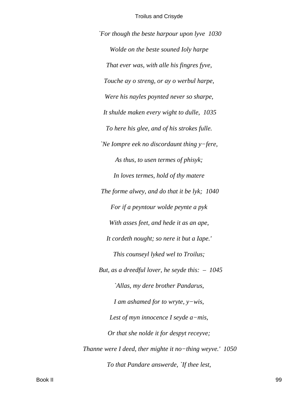`For though the beste harpour upon lyve 1030 Wolde on the beste souned Ioly harpe That ever was, with alle his fingres fyve, Touche ay o streng, or ay o werbul harpe, Were his nayles poynted never so sharpe, It shulde maken every wight to dulle, 1035 To here his glee, and of his strokes fulle. 'Ne Iompre eek no discordaunt thing  $y$ -fere, As thus, to usen termes of phisyk; In loves termes, hold of thy matere The forme alwey, and do that it be lyk; 1040 For if a peyntour wolde peynte a pyk With asses feet, and hede it as an ape, It cordeth nought; so nere it but a lape.' This counseyl lyked wel to Troilus; But, as a dreedful lover, he seyde this:  $-1045$ `Allas, my dere brother Pandarus, I am ashamed for to wryte,  $y$ -wis, Lest of myn innocence I seyde  $a$ -mis, Or that she nolde it for despyt receyve; Thanne were I deed, ther mighte it no-thing weyve.'  $1050$ To that Pandare answerde, `If thee lest,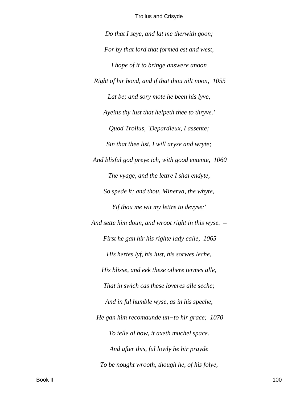*Do that I seye, and lat me therwith goon; For by that lord that formed est and west, I hope of it to bringe answere anoon Right of hir hond, and if that thou nilt noon, 1055 Lat be; and sory mote he been his lyve, Ayeins thy lust that helpeth thee to thryve.' Quod Troilus, `Depardieux, I assente; Sin that thee list, I will aryse and wryte; And blisful god preye ich, with good entente, 1060 The vyage, and the lettre I shal endyte, So spede it; and thou, Minerva, the whyte, Yif thou me wit my lettre to devyse:' And sette him doun, and wroot right in this wyse. – First he gan hir his righte lady calle, 1065 His hertes lyf, his lust, his sorwes leche, His blisse, and eek these othere termes alle, That in swich cas these loveres alle seche; And in ful humble wyse, as in his speche, He gan him recomaunde un−to hir grace; 1070 To telle al how, it axeth muchel space. And after this, ful lowly he hir prayde To be nought wrooth, though he, of his folye,*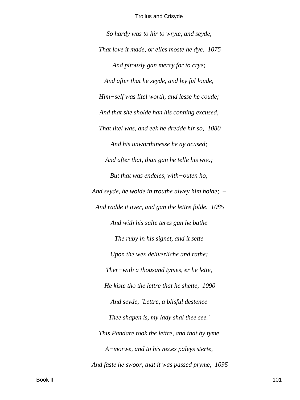*So hardy was to hir to wryte, and seyde, That love it made, or elles moste he dye, 1075 And pitously gan mercy for to crye; And after that he seyde, and ley ful loude, Him−self was litel worth, and lesse he coude; And that she sholde han his conning excused, That litel was, and eek he dredde hir so, 1080 And his unworthinesse he ay acused; And after that, than gan he telle his woo; But that was endeles, with−outen ho; And seyde, he wolde in trouthe alwey him holde; – And radde it over, and gan the lettre folde. 1085 And with his salte teres gan he bathe The ruby in his signet, and it sette Upon the wex deliverliche and rathe; Ther−with a thousand tymes, er he lette, He kiste tho the lettre that he shette, 1090 And seyde, `Lettre, a blisful destenee Thee shapen is, my lady shal thee see.' This Pandare took the lettre, and that by tyme A−morwe, and to his neces paleys sterte, And faste he swoor, that it was passed pryme, 1095*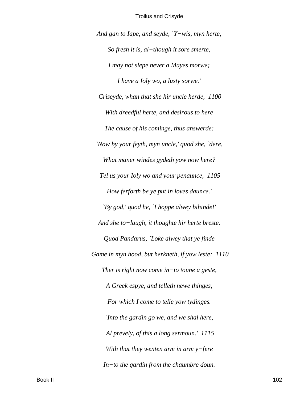*And gan to Iape, and seyde, `Y−wis, myn herte, So fresh it is, al−though it sore smerte, I may not slepe never a Mayes morwe; I have a Ioly wo, a lusty sorwe.' Criseyde, whan that she hir uncle herde, 1100 With dreedful herte, and desirous to here The cause of his cominge, thus answerde: `Now by your feyth, myn uncle,' quod she, `dere, What maner windes gydeth yow now here? Tel us your Ioly wo and your penaunce, 1105 How ferforth be ye put in loves daunce.' `By god,' quod he, `I hoppe alwey bihinde!' And she to−laugh, it thoughte hir herte breste. Quod Pandarus, `Loke alwey that ye finde Game in myn hood, but herkneth, if yow leste; 1110 Ther is right now come in−to toune a geste, A Greek espye, and telleth newe thinges, For which I come to telle yow tydinges. `Into the gardin go we, and we shal here, Al prevely, of this a long sermoun.' 1115 With that they wenten arm in arm y−fere In−to the gardin from the chaumbre doun.*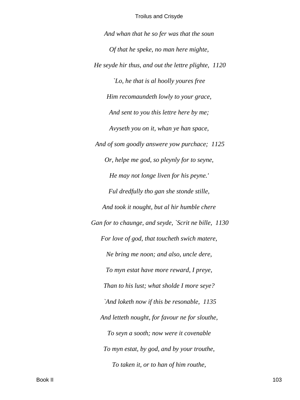*And whan that he so fer was that the soun Of that he speke, no man here mighte, He seyde hir thus, and out the lettre plighte, 1120 `Lo, he that is al hoolly youres free Him recomaundeth lowly to your grace, And sent to you this lettre here by me; Avyseth you on it, whan ye han space, And of som goodly answere yow purchace; 1125 Or, helpe me god, so pleynly for to seyne, He may not longe liven for his peyne.' Ful dredfully tho gan she stonde stille, And took it nought, but al hir humble chere Gan for to chaunge, and seyde, `Scrit ne bille, 1130 For love of god, that toucheth swich matere, Ne bring me noon; and also, uncle dere, To myn estat have more reward, I preye, Than to his lust; what sholde I more seye? `And loketh now if this be resonable, 1135 And letteth nought, for favour ne for slouthe, To seyn a sooth; now were it covenable To myn estat, by god, and by your trouthe, To taken it, or to han of him routhe,*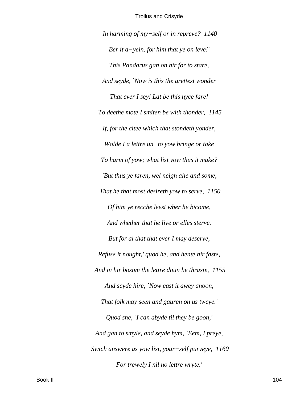In harming of  $my$ -self or in repreve? 1140 Ber it a-yein, for him that ye on leve!' This Pandarus gan on hir for to stare, And seyde, 'Now is this the grettest wonder That ever I sey! Lat be this nyce fare! To deethe mote I smiten be with thonder, 1145 If, for the citee which that stondeth yonder, Wolde I a lettre un-to yow bringe or take To harm of yow; what list yow thus it make? `But thus ye faren, wel neigh alle and some, That he that most desireth yow to serve, 1150 Of him ye recche leest wher he bicome, And whether that he live or elles sterve. But for al that that ever I may deserve, Refuse it nought,' quod he, and hente hir faste, And in hir bosom the lettre doun he thraste, 1155 And seyde hire, `Now cast it awey anoon, That folk may seen and gauren on us tweye.' Quod she, `I can abyde til they be goon,' And gan to smyle, and seyde hym, `Eem, I preye, Swich answere as yow list, your-self purveye, 1160 For trewely I nil no lettre wryte.'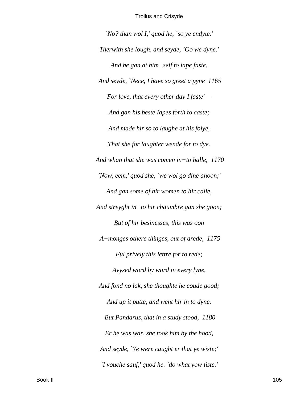*`No? than wol I,' quod he, `so ye endyte.' Therwith she lough, and seyde, `Go we dyne.' And he gan at him−self to iape faste, And seyde, `Nece, I have so greet a pyne 1165 For love, that every other day I faste' – And gan his beste Iapes forth to caste; And made hir so to laughe at his folye, That she for laughter wende for to dye. And whan that she was comen in−to halle, 1170 `Now, eem,' quod she, `we wol go dine anoon;' And gan some of hir women to hir calle, And streyght in−to hir chaumbre gan she goon; But of hir besinesses, this was oon A−monges othere thinges, out of drede, 1175 Ful prively this lettre for to rede; Avysed word by word in every lyne, And fond no lak, she thoughte he coude good; And up it putte, and went hir in to dyne. But Pandarus, that in a study stood, 1180 Er he was war, she took him by the hood, And seyde, `Ye were caught er that ye wiste;' `I vouche sauf,' quod he. `do what yow liste.'*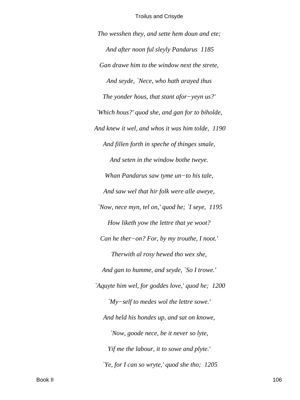Tho wesshen they, and sette hem doun and ete; And after noon ful sleyly Pandarus 1185 Gan drawe him to the window next the strete, And seyde, `Nece, who hath arayed thus The yonder hous, that stant afor-yeyn  $us?$ ' `Which hous?' quod she, and gan for to biholde, And knew it wel, and whos it was him tolde, 1190 And fillen forth in speche of thinges smale, And seten in the window bothe tweye. Whan Pandarus saw tyme un-to his tale, And saw wel that hir folk were alle aweye, 'Now, nece myn, tel on,' quod he; 'I seye, 1195 How liketh yow the lettre that ye woot? Can he ther-on? For, by my trouthe, I noot.' Therwith al rosy hewed tho wex she, And gan to humme, and seyde, `So I trowe.' `Aquyte him wel, for goddes love,' quod he; 1200 'My-self to medes wol the lettre sowe.' And held his hondes up, and sat on knowe, 'Now, goode nece, be it never so lyte, Yif me the labour, it to sowe and plyte.' 'Ye, for I can so wryte,' quod she tho;  $1205$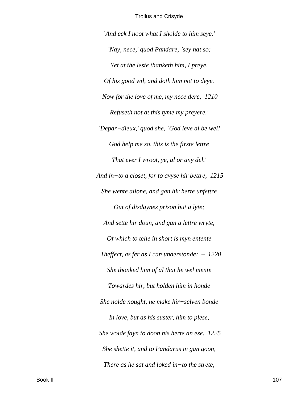`And eek I noot what I sholde to him seye.' 'Nay, nece,' quod Pandare, 'sey nat so; Yet at the leste thanketh him, I preye, Of his good wil, and doth him not to deye. Now for the love of me, my nece dere, 1210 Refuseth not at this tyme my preyere.' 'Depar-dieux,' quod she, 'God leve al be wel! God help me so, this is the firste lettre That ever I wroot, ye, al or any del.' And in-to a closet, for to avyse hir bettre,  $1215$ She wente allone, and gan hir herte unfettre Out of disdaynes prison but a lyte; And sette hir doun, and gan a lettre wryte, Of which to telle in short is myn entente Theffect, as fer as I can understonde:  $-1220$ She thonked him of al that he wel mente Towardes hir, but holden him in honde She nolde nought, ne make hir-selven bonde In love, but as his suster, him to plese, She wolde fayn to doon his herte an ese. 1225 She shette it, and to Pandarus in gan goon, There as he sat and loked in-to the strete,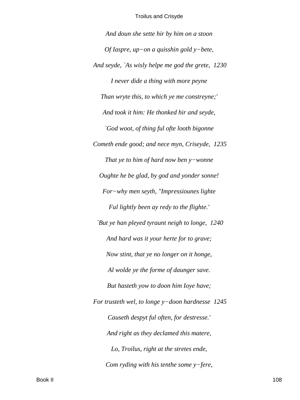And doun she sette hir by him on a stoon Of Iaspre, up-on a quisshin gold  $y$ -bete, And seyde, `As wisly helpe me god the grete, 1230 I never dide a thing with more peyne Than wryte this, to which ye me constreyne;' And took it him: He thonked hir and seyde, `God woot, of thing ful ofte looth bigonne Cometh ende good; and nece myn, Criseyde, 1235 That ye to him of hard now ben  $y$ -wonne Oughte he be glad, by god and yonder sonne! For-why men seyth, "Impressiounes lighte" Ful lightly been ay redy to the flighte.' `But ye han pleyed tyraunt neigh to longe, 1240 And hard was it your herte for to grave; Now stint, that ye no longer on it honge, Al wolde ye the forme of daunger save. But hasteth yow to doon him Ioye have; For trusteth wel, to longe y-doon hardnesse 1245 Causeth despyt ful often, for destresse.' And right as they declamed this matere, Lo, Troilus, right at the stretes ende, Com ryding with his tenthe some  $y$ -fere,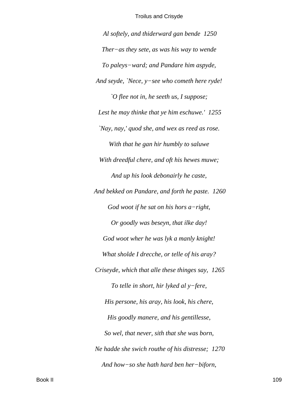Al softely, and thiderward gan bende 1250 Ther-as they sete, as was his way to wende To paleys-ward; and Pandare him aspyde, And seyde, 'Nece,  $y$ -see who cometh here ryde! `O flee not in, he seeth us, I suppose; Lest he may thinke that ye him eschuwe.' 1255 'Nay, nay,' quod she, and wex as reed as rose. With that he gan hir humbly to saluwe With dreedful chere, and oft his hewes muwe; And up his look debonairly he caste, And bekked on Pandare, and forth he paste. 1260 God woot if he sat on his hors  $a$ -right, Or goodly was beseyn, that ilke day! God woot wher he was lyk a manly knight! What sholde I drecche, or telle of his aray? Criseyde, which that alle these thinges say, 1265 To telle in short, hir lyked al  $y$ -fere, His persone, his aray, his look, his chere, His goodly manere, and his gentillesse, So wel, that never, sith that she was born, Ne hadde she swich routhe of his distresse; 1270 And how-so she hath hard ben her-biforn,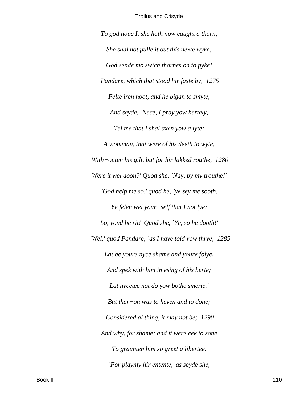*To god hope I, she hath now caught a thorn, She shal not pulle it out this nexte wyke; God sende mo swich thornes on to pyke! Pandare, which that stood hir faste by, 1275 Felte iren hoot, and he bigan to smyte, And seyde, `Nece, I pray yow hertely, Tel me that I shal axen yow a lyte: A womman, that were of his deeth to wyte, With−outen his gilt, but for hir lakked routhe, 1280 Were it wel doon?' Quod she, `Nay, by my trouthe!' `God help me so,' quod he, `ye sey me sooth. Ye felen wel your−self that I not lye; Lo, yond he rit!' Quod she, `Ye, so he dooth!' `Wel,' quod Pandare, `as I have told yow thrye, 1285 Lat be youre nyce shame and youre folye, And spek with him in esing of his herte; Lat nycetee not do yow bothe smerte.' But ther−on was to heven and to done; Considered al thing, it may not be; 1290 And why, for shame; and it were eek to sone To graunten him so greet a libertee. `For playnly hir entente,' as seyde she,*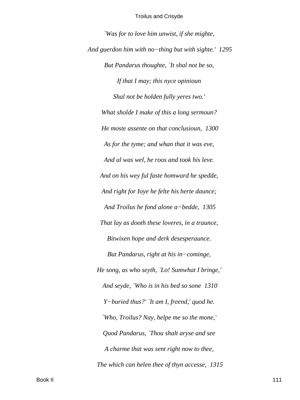'Was for to love him unwist, if she mighte, And guerdon him with no-thing but with sighte.'  $1295$ But Pandarus thoughte, `It shal not be so, If that I may; this nyce opinioun Shal not be holden fully yeres two.' What sholde I make of this a long sermoun? He moste assente on that conclusioun, 1300 As for the tyme; and whan that it was eve, And al was wel, he roos and took his leve. And on his wey ful faste homward he spedde, And right for loye he felte his herte daunce; And Troilus he fond alone a-bedde, 1305 That lay as dooth these loveres, in a traunce, Bitwixen hope and derk desesperaunce. But Pandarus, right at his in-cominge, He song, as who seyth, `Lo! Sumwhat I bringe,' And seyde, `Who is in his bed so sone 1310 Y-buried thus?' `It am I, freend,' quod he. 'Who, Troilus? Nay, helpe me so the mone,' Quod Pandarus, `Thou shalt aryse and see A charme that was sent right now to thee, The which can helen thee of thyn accesse, 1315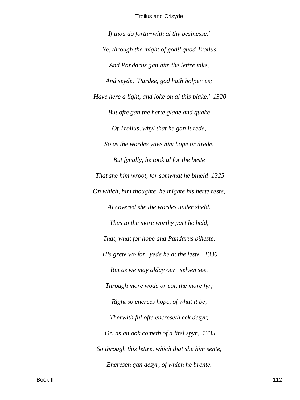*If thou do forth−with al thy besinesse.' `Ye, through the might of god!' quod Troilus. And Pandarus gan him the lettre take, And seyde, `Pardee, god hath holpen us; Have here a light, and loke on al this blake.' 1320 But ofte gan the herte glade and quake Of Troilus, whyl that he gan it rede, So as the wordes yave him hope or drede. But fynally, he took al for the beste That she him wroot, for somwhat he biheld 1325 On which, him thoughte, he mighte his herte reste, Al covered she the wordes under sheld. Thus to the more worthy part he held, That, what for hope and Pandarus biheste, His grete wo for−yede he at the leste. 1330 But as we may alday our−selven see, Through more wode or col, the more fyr; Right so encrees hope, of what it be, Therwith ful ofte encreseth eek desyr; Or, as an ook cometh of a litel spyr, 1335 So through this lettre, which that she him sente, Encresen gan desyr, of which he brente.*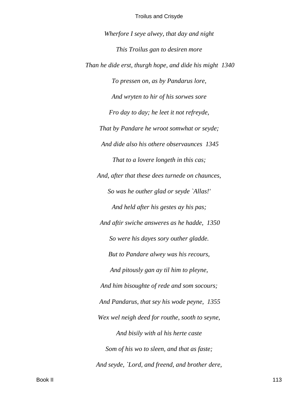*Wherfore I seye alwey, that day and night This Troilus gan to desiren more Than he dide erst, thurgh hope, and dide his might 1340 To pressen on, as by Pandarus lore, And wryten to hir of his sorwes sore Fro day to day; he leet it not refreyde, That by Pandare he wroot somwhat or seyde; And dide also his othere observaunces 1345 That to a lovere longeth in this cas; And, after that these dees turnede on chaunces, So was he outher glad or seyde `Allas!' And held after his gestes ay his pas; And aftir swiche answeres as he hadde, 1350 So were his dayes sory outher gladde. But to Pandare alwey was his recours, And pitously gan ay til him to pleyne, And him bisoughte of rede and som socours; And Pandarus, that sey his wode peyne, 1355 Wex wel neigh deed for routhe, sooth to seyne, And bisily with al his herte caste Som of his wo to sleen, and that as faste; And seyde, `Lord, and freend, and brother dere,*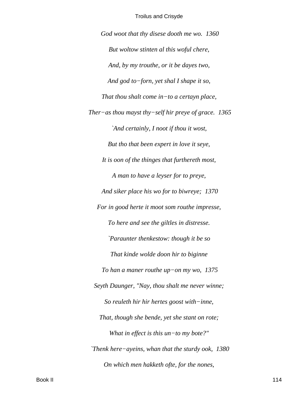God woot that thy disese dooth me wo. 1360 But woltow stinten al this woful chere, And, by my trouthe, or it be dayes two, And god to-forn, yet shal I shape it so, That thou shalt come in-to a certayn place, Ther-as thou mayst thy-self hir preye of grace.  $1365$ `And certainly, I noot if thou it wost, But tho that been expert in love it seye, It is oon of the thinges that furthereth most, A man to have a leyser for to preye, And siker place his wo for to biwreye; 1370 For in good herte it moot som routhe impresse, To here and see the giltles in distresse. 'Paraunter thenkestow: though it be so That kinde wolde doon hir to biginne To han a maner routhe up-on my wo,  $1375$ Seyth Daunger, "Nay, thou shalt me never winne; So reuleth hir hir hertes goost with-inne, That, though she bende, yet she stant on rote; What in effect is this  $un$ -to my bote?" Thenk here–ayeins, whan that the sturdy ook,  $1380$ On which men hakketh ofte, for the nones,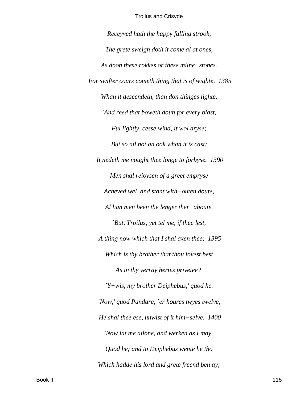Receyved hath the happy falling strook, The grete sweigh doth it come al at ones, As doon these rokkes or these milne-stones. For swifter cours cometh thing that is of wighte, 1385 Whan it descendeth, than don thinges lighte. `And reed that boweth doun for every blast, Ful lightly, cesse wind, it wol aryse; But so nil not an ook whan it is cast; It nedeth me nought thee longe to forbyse. 1390 Men shal reioysen of a greet empryse Acheved wel, and stant with-outen doute, Al han men been the lenger ther-aboute. `But, Troilus, yet tel me, if thee lest, A thing now which that I shal axen thee; 1395 Which is thy brother that thou lovest best As in thy verray hertes privetee?'  $Y-wis$ , my brother Deiphebus,' quod he. 'Now,' quod Pandare, 'er houres twyes twelve, He shal thee ese, unwist of it him-selve.  $1400$ 'Now lat me allone, and werken as I may,' Quod he; and to Deiphebus wente he tho Which hadde his lord and grete freend ben ay;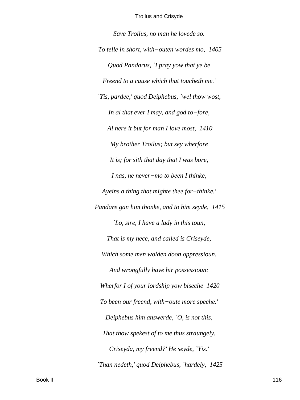*Save Troilus, no man he lovede so. To telle in short, with−outen wordes mo, 1405 Quod Pandarus, `I pray yow that ye be Freend to a cause which that toucheth me.' `Yis, pardee,' quod Deiphebus, `wel thow wost, In al that ever I may, and god to−fore, Al nere it but for man I love most, 1410 My brother Troilus; but sey wherfore It is; for sith that day that I was bore, I nas, ne never−mo to been I thinke, Ayeins a thing that mighte thee for−thinke.' Pandare gan him thonke, and to him seyde, 1415 `Lo, sire, I have a lady in this toun, That is my nece, and called is Criseyde, Which some men wolden doon oppressioun, And wrongfully have hir possessioun: Wherfor I of your lordship yow biseche 1420 To been our freend, with−oute more speche.' Deiphebus him answerde, `O, is not this, That thow spekest of to me thus straungely, Criseyda, my freend?' He seyde, `Yis.' `Than nedeth,' quod Deiphebus, `hardely, 1425*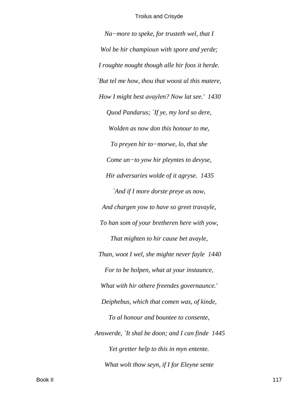*Na−more to speke, for trusteth wel, that I Wol be hir champioun with spore and yerde; I roughte nought though alle hir foos it herde. `But tel me how, thou that woost al this matere, How I might best avaylen? Now lat see.' 1430 Quod Pandarus; `If ye, my lord so dere, Wolden as now don this honour to me, To preyen hir to−morwe, lo, that she Come un−to yow hir pleyntes to devyse, Hir adversaries wolde of it agryse. 1435 `And if I more dorste preye as now, And chargen yow to have so greet travayle, To han som of your bretheren here with yow, That mighten to hir cause bet avayle, Than, woot I wel, she mighte never fayle 1440 For to be holpen, what at your instaunce, What with hir othere freendes governaunce.' Deiphebus, which that comen was, of kinde, To al honour and bountee to consente, Answerde, `It shal be doon; and I can finde 1445 Yet gretter help to this in myn entente. What wolt thow seyn, if I for Eleyne sente*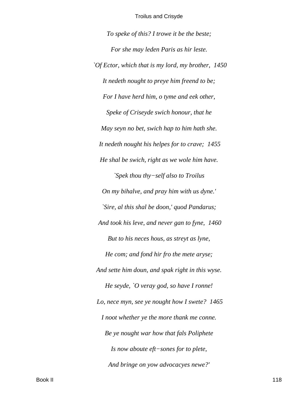*To speke of this? I trowe it be the beste; For she may leden Paris as hir leste. `Of Ector, which that is my lord, my brother, 1450 It nedeth nought to preye him freend to be; For I have herd him, o tyme and eek other, Speke of Criseyde swich honour, that he May seyn no bet, swich hap to him hath she. It nedeth nought his helpes for to crave; 1455 He shal be swich, right as we wole him have. `Spek thou thy−self also to Troilus On my bihalve, and pray him with us dyne.' `Sire, al this shal be doon,' quod Pandarus; And took his leve, and never gan to fyne, 1460 But to his neces hous, as streyt as lyne, He com; and fond hir fro the mete aryse; And sette him doun, and spak right in this wyse. He seyde, `O veray god, so have I ronne! Lo, nece myn, see ye nought how I swete? 1465 I noot whether ye the more thank me conne. Be ye nought war how that fals Poliphete Is now aboute eft−sones for to plete, And bringe on yow advocacyes newe?'*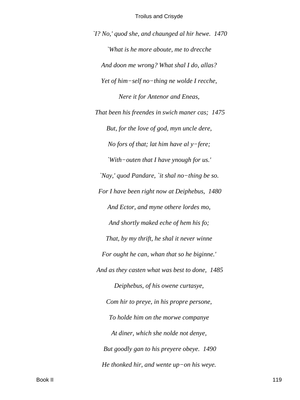$Y$ ? No,' quod she, and chaunged al hir hewe. 1470 `What is he more aboute, me to drecche And doon me wrong? What shal I do, allas? Yet of him-self no-thing ne wolde I recche, Nere it for Antenor and Eneas, That been his freendes in swich maner cas; 1475 But, for the love of god, myn uncle dere, No fors of that; lat him have al  $y$ -fere; 'With-outen that I have ynough for us.' 'Nay,' quod Pandare, 'it shal no-thing be so. For I have been right now at Deiphebus, 1480 And Ector, and myne othere lordes mo, And shortly maked eche of hem his fo; That, by my thrift, he shal it never winne For ought he can, whan that so he biginne.' And as they casten what was best to done, 1485 Deiphebus, of his owene curtasye, Com hir to preye, in his propre persone, To holde him on the morwe companye At diner, which she nolde not denye, But goodly gan to his preyere obeye. 1490 He thonked hir, and wente  $up-on$  his weye.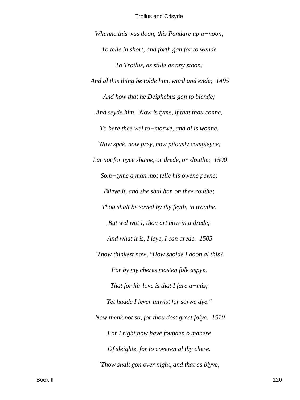*Whanne this was doon, this Pandare up a−noon, To telle in short, and forth gan for to wende To Troilus, as stille as any stoon; And al this thing he tolde him, word and ende; 1495 And how that he Deiphebus gan to blende; And seyde him, `Now is tyme, if that thou conne, To bere thee wel to−morwe, and al is wonne. `Now spek, now prey, now pitously compleyne; Lat not for nyce shame, or drede, or slouthe; 1500 Som−tyme a man mot telle his owene peyne; Bileve it, and she shal han on thee routhe; Thou shalt be saved by thy feyth, in trouthe. But wel wot I, thou art now in a drede; And what it is, I leye, I can arede. 1505 `Thow thinkest now, "How sholde I doon al this? For by my cheres mosten folk aspye, That for hir love is that I fare a−mis; Yet hadde I lever unwist for sorwe dye." Now thenk not so, for thou dost greet folye. 1510 For I right now have founden o manere Of sleighte, for to coveren al thy chere. `Thow shalt gon over night, and that as blyve,*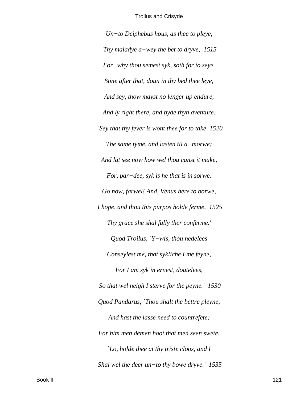*Un−to Deiphebus hous, as thee to pleye, Thy maladye a−wey the bet to dryve, 1515 For−why thou semest syk, soth for to seye. Sone after that, doun in thy bed thee leye, And sey, thow mayst no lenger up endure, And ly right there, and byde thyn aventure. `Sey that thy fever is wont thee for to take 1520 The same tyme, and lasten til a−morwe; And lat see now how wel thou canst it make, For, par−dee, syk is he that is in sorwe. Go now, farwel! And, Venus here to borwe, I hope, and thou this purpos holde ferme, 1525 Thy grace she shal fully ther conferme.' Quod Troilus, `Y−wis, thou nedelees Conseylest me, that sykliche I me feyne, For I am syk in ernest, doutelees, So that wel neigh I sterve for the peyne.' 1530 Quod Pandarus, `Thou shalt the bettre pleyne, And hast the lasse need to countrefete; For him men demen hoot that men seen swete. `Lo, holde thee at thy triste cloos, and I Shal wel the deer un−to thy bowe dryve.' 1535*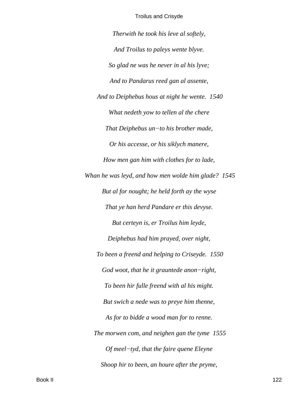*Therwith he took his leve al softely,*

*And Troilus to paleys wente blyve. So glad ne was he never in al his lyve; And to Pandarus reed gan al assente, And to Deiphebus hous at night he wente. 1540 What nedeth yow to tellen al the chere That Deiphebus un−to his brother made, Or his accesse, or his siklych manere, How men gan him with clothes for to lade, Whan he was leyd, and how men wolde him glade? 1545 But al for nought; he held forth ay the wyse That ye han herd Pandare er this devyse. But certeyn is, er Troilus him leyde, Deiphebus had him prayed, over night, To been a freend and helping to Criseyde. 1550 God woot, that he it grauntede anon−right, To been hir fulle freend with al his might. But swich a nede was to preye him thenne, As for to bidde a wood man for to renne. The morwen com, and neighen gan the tyme 1555 Of meel−tyd, that the faire quene Eleyne Shoop hir to been, an houre after the pryme,*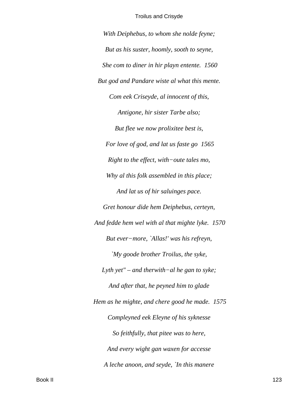*With Deiphebus, to whom she nolde feyne; But as his suster, hoomly, sooth to seyne, She com to diner in hir playn entente. 1560 But god and Pandare wiste al what this mente. Com eek Criseyde, al innocent of this, Antigone, hir sister Tarbe also; But flee we now prolixitee best is, For love of god, and lat us faste go 1565 Right to the effect, with−oute tales mo, Why al this folk assembled in this place; And lat us of hir saluinges pace. Gret honour dide hem Deiphebus, certeyn, And fedde hem wel with al that mighte lyke. 1570 But ever−more, `Allas!' was his refreyn, `My goode brother Troilus, the syke, Lyth yet" – and therwith−al he gan to syke; And after that, he peyned him to glade Hem as he mighte, and chere good he made. 1575 Compleyned eek Eleyne of his syknesse So feithfully, that pitee was to here, And every wight gan waxen for accesse A leche anoon, and seyde, `In this manere*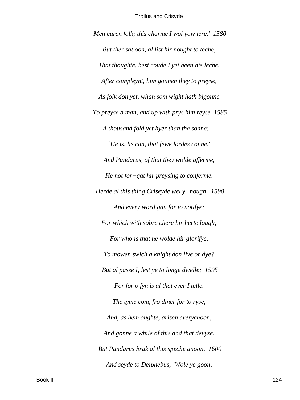*Men curen folk; this charme I wol yow lere.' 1580 But ther sat oon, al list hir nought to teche, That thoughte, best coude I yet been his leche. After compleynt, him gonnen they to preyse, As folk don yet, whan som wight hath bigonne To preyse a man, and up with prys him reyse 1585 A thousand fold yet hyer than the sonne: – `He is, he can, that fewe lordes conne.' And Pandarus, of that they wolde afferme, He not for−gat hir preysing to conferme. Herde al this thing Criseyde wel y−nough, 1590 And every word gan for to notifye; For which with sobre chere hir herte lough; For who is that ne wolde hir glorifye, To mowen swich a knight don live or dye? But al passe I, lest ye to longe dwelle; 1595 For for o fyn is al that ever I telle. The tyme com, fro diner for to ryse, And, as hem oughte, arisen everychoon, And gonne a while of this and that devyse. But Pandarus brak al this speche anoon, 1600 And seyde to Deiphebus, `Wole ye goon,*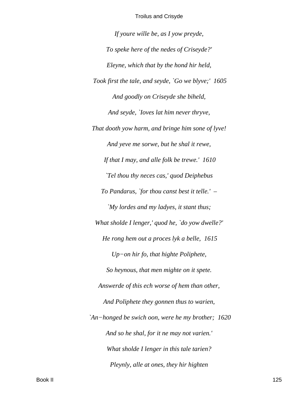*If youre wille be, as I yow preyde, To speke here of the nedes of Criseyde?' Eleyne, which that by the hond hir held, Took first the tale, and seyde, `Go we blyve;' 1605 And goodly on Criseyde she biheld, And seyde, `Ioves lat him never thryve, That dooth yow harm, and bringe him sone of lyve! And yeve me sorwe, but he shal it rewe, If that I may, and alle folk be trewe.' 1610 `Tel thou thy neces cas,' quod Deiphebus To Pandarus, `for thou canst best it telle.' – `My lordes and my ladyes, it stant thus; What sholde I lenger,' quod he, `do yow dwelle?' He rong hem out a proces lyk a belle, 1615 Up−on hir fo, that highte Poliphete, So heynous, that men mighte on it spete. Answerde of this ech worse of hem than other, And Poliphete they gonnen thus to warien, `An−honged be swich oon, were he my brother; 1620 And so he shal, for it ne may not varien.' What sholde I lenger in this tale tarien? Pleynly, alle at ones, they hir highten*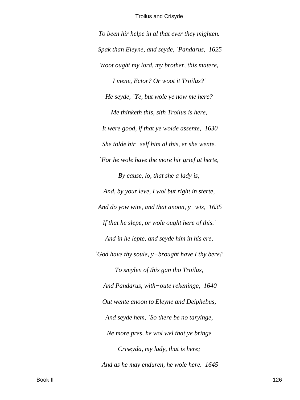*To been hir helpe in al that ever they mighten. Spak than Eleyne, and seyde, `Pandarus, 1625 Woot ought my lord, my brother, this matere, I mene, Ector? Or woot it Troilus?' He seyde, `Ye, but wole ye now me here? Me thinketh this, sith Troilus is here, It were good, if that ye wolde assente, 1630 She tolde hir−self him al this, er she wente. `For he wole have the more hir grief at herte, By cause, lo, that she a lady is; And, by your leve, I wol but right in sterte, And do yow wite, and that anoon, y−wis, 1635 If that he slepe, or wole ought here of this.' And in he lepte, and seyde him in his ere, `God have thy soule, y−brought have I thy bere!' To smylen of this gan tho Troilus, And Pandarus, with−oute rekeninge, 1640 Out wente anoon to Eleyne and Deiphebus, And seyde hem, `So there be no taryinge, Ne more pres, he wol wel that ye bringe Criseyda, my lady, that is here; And as he may enduren, he wole here. 1645*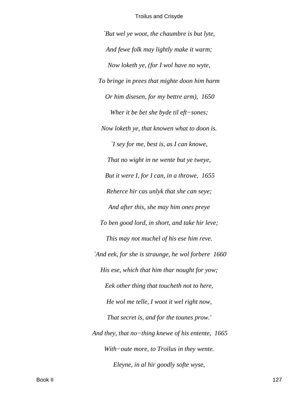*`But wel ye woot, the chaumbre is but lyte, And fewe folk may lightly make it warm; Now loketh ye, (for I wol have no wyte, To bringe in prees that mighte doon him harm Or him disesen, for my bettre arm), 1650 Wher it be bet she byde til eft−sones; Now loketh ye, that knowen what to doon is. `I sey for me, best is, as I can knowe, That no wight in ne wente but ye tweye, But it were I, for I can, in a throwe, 1655 Reherce hir cas unlyk that she can seye; And after this, she may him ones preye To ben good lord, in short, and take hir leve; This may not muchel of his ese him reve. `And eek, for she is straunge, he wol forbere 1660 His ese, which that him thar nought for yow; Eek other thing that toucheth not to here, He wol me telle, I woot it wel right now, That secret is, and for the tounes prow.' And they, that no−thing knewe of his entente, 1665 With−oute more, to Troilus in they wente. Eleyne, in al hir goodly softe wyse,*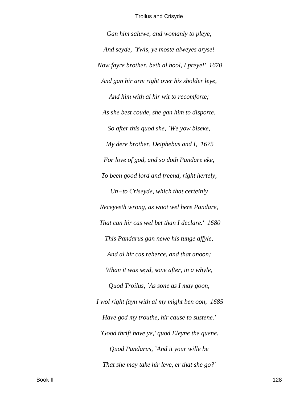*Gan him saluwe, and womanly to pleye, And seyde, `Ywis, ye moste alweyes aryse! Now fayre brother, beth al hool, I preye!' 1670 And gan hir arm right over his sholder leye, And him with al hir wit to recomforte; As she best coude, she gan him to disporte. So after this quod she, `We yow biseke, My dere brother, Deiphebus and I, 1675 For love of god, and so doth Pandare eke, To been good lord and freend, right hertely, Un−to Criseyde, which that certeinly Receyveth wrong, as woot wel here Pandare, That can hir cas wel bet than I declare.' 1680 This Pandarus gan newe his tunge affyle, And al hir cas reherce, and that anoon; Whan it was seyd, sone after, in a whyle, Quod Troilus, `As sone as I may goon, I wol right fayn with al my might ben oon, 1685 Have god my trouthe, hir cause to sustene.' `Good thrift have ye,' quod Eleyne the quene. Quod Pandarus, `And it your wille be That she may take hir leve, er that she go?'*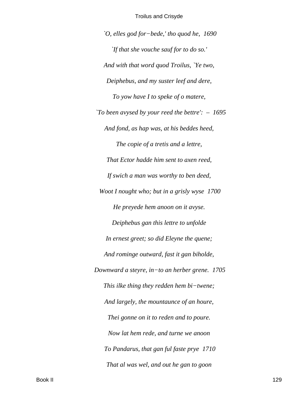*`O, elles god for−bede,' tho quod he, 1690 `If that she vouche sauf for to do so.' And with that word quod Troilus, `Ye two, Deiphebus, and my suster leef and dere, To yow have I to speke of o matere, `To been avysed by your reed the bettre': – 1695 And fond, as hap was, at his beddes heed, The copie of a tretis and a lettre, That Ector hadde him sent to axen reed, If swich a man was worthy to ben deed, Woot I nought who; but in a grisly wyse 1700 He preyede hem anoon on it avyse. Deiphebus gan this lettre to unfolde In ernest greet; so did Eleyne the quene; And rominge outward, fast it gan biholde, Downward a steyre, in−to an herber grene. 1705 This ilke thing they redden hem bi−twene; And largely, the mountaunce of an houre, Thei gonne on it to reden and to poure. Now lat hem rede, and turne we anoon To Pandarus, that gan ful faste prye 1710 That al was wel, and out he gan to goon*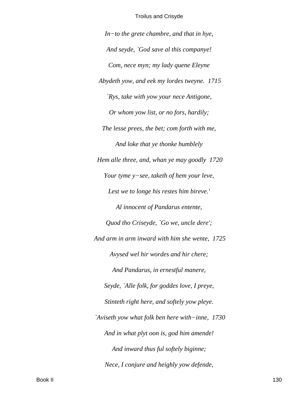$In-to$  the grete chambre, and that in hye, And seyde, `God save al this companye! Com, nece myn; my lady quene Eleyne Abydeth yow, and eek my lordes tweyne. 1715 `Rys, take with yow your nece Antigone, Or whom yow list, or no fors, hardily; The lesse prees, the bet; com forth with me, And loke that ye thonke humblely Hem alle three, and, whan ye may goodly 1720 Your tyme y-see, taketh of hem your leve, Lest we to longe his restes him bireve.' Al innocent of Pandarus entente, Quod tho Criseyde, `Go we, uncle dere'; And arm in arm inward with him she wente, 1725 Avysed wel hir wordes and hir chere; And Pandarus, in ernestful manere, Seyde, `Alle folk, for goddes love, I preye, Stinteth right here, and softely yow pleye. `Aviseth yow what folk ben here with-inne, 1730 And in what plyt oon is, god him amende! And inward thus ful softely biginne; Nece, I conjure and heighly yow defende,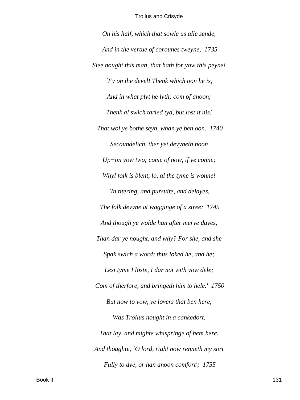*On his half, which that sowle us alle sende, And in the vertue of corounes tweyne, 1735 Slee nought this man, that hath for yow this peyne! `Fy on the devel! Thenk which oon he is, And in what plyt he lyth; com of anoon; Thenk al swich taried tyd, but lost it nis! That wol ye bothe seyn, whan ye ben oon. 1740 Secoundelich, ther yet devyneth noon Up−on yow two; come of now, if ye conne; Whyl folk is blent, lo, al the tyme is wonne! `In titering, and pursuite, and delayes, The folk devyne at wagginge of a stree; 1745 And though ye wolde han after merye dayes, Than dar ye nought, and why? For she, and she Spak swich a word; thus loked he, and he; Lest tyme I loste, I dar not with yow dele; Com of therfore, and bringeth him to hele.' 1750 But now to yow, ye lovers that ben here, Was Troilus nought in a cankedort, That lay, and mighte whispringe of hem here, And thoughte, `O lord, right now renneth my sort Fully to dye, or han anoon comfort'; 1755*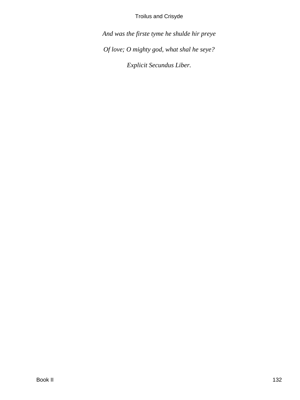*And was the firste tyme he shulde hir preye Of love; O mighty god, what shal he seye? Explicit Secundus Liber.*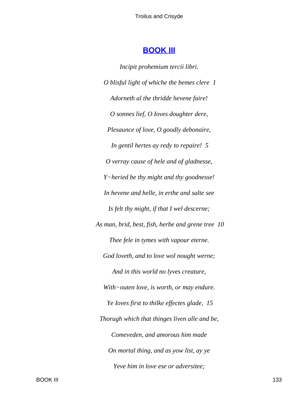# **[BOOK III](#page-380-0)**

*Incipit prohemium tercii libri. O blisful light of whiche the bemes clere 1 Adorneth al the thridde hevene faire! O sonnes lief, O Ioves doughter dere, Plesaunce of love, O goodly debonaire, In gentil hertes ay redy to repaire! 5 O verray cause of hele and of gladnesse, Y−heried be thy might and thy goodnesse! In hevene and helle, in erthe and salte see Is felt thy might, if that I wel descerne; As man, brid, best, fish, herbe and grene tree 10 Thee fele in tymes with vapour eterne. God loveth, and to love wol nought werne; And in this world no lyves creature, With−outen love, is worth, or may endure. Ye Ioves first to thilke effectes glade, 15 Thorugh which that thinges liven alle and be, Comeveden, and amorous him made On mortal thing, and as yow list, ay ye Yeve him in love ese or adversitee;*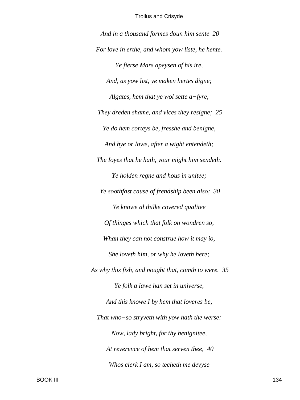*And in a thousand formes doun him sente 20 For love in erthe, and whom yow liste, he hente. Ye fierse Mars apeysen of his ire, And, as yow list, ye maken hertes digne; Algates, hem that ye wol sette a−fyre, They dreden shame, and vices they resigne; 25 Ye do hem corteys be, fresshe and benigne, And hye or lowe, after a wight entendeth; The Ioyes that he hath, your might him sendeth. Ye holden regne and hous in unitee; Ye soothfast cause of frendship been also; 30 Ye knowe al thilke covered qualitee Of thinges which that folk on wondren so, Whan they can not construe how it may io, She loveth him, or why he loveth here; As why this fish, and nought that, comth to were. 35 Ye folk a lawe han set in universe, And this knowe I by hem that loveres be, That who−so stryveth with yow hath the werse: Now, lady bright, for thy benignitee, At reverence of hem that serven thee, 40 Whos clerk I am, so techeth me devyse*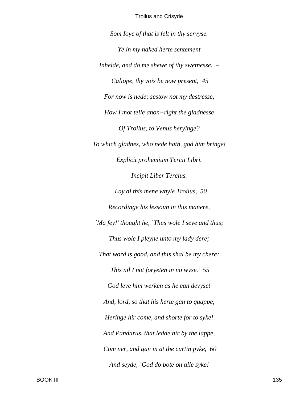Som loye of that is felt in thy servyse. Ye in my naked herte sentement Inhelde, and do me shewe of thy swetnesse.  $-$ Caliope, thy vois be now present, 45 For now is nede; sestow not my destresse, How I mot telle anon-right the gladnesse Of Troilus, to Venus heryinge? To which gladnes, who nede hath, god him bringe! Explicit prohemium Tercii Libri. **Incipit Liber Tercius.** Lay al this mene whyle Troilus, 50 Recordinge his lessoun in this manere, 'Ma fey!' thought he, 'Thus wole I seye and thus; Thus wole I pleyne unto my lady dere; That word is good, and this shal be my chere; This nil I not foryeten in no wyse.' 55 God leve him werken as he can devyse! And, lord, so that his herte gan to quappe, Heringe hir come, and shorte for to syke! And Pandarus, that ledde hir by the lappe, Com ner, and gan in at the curtin pyke, 60 And seyde, `God do bote on alle syke!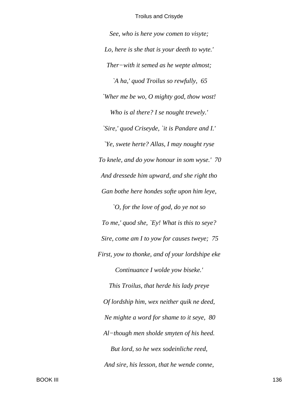*See, who is here yow comen to visyte; Lo, here is she that is your deeth to wyte.' Ther−with it semed as he wepte almost; `A ha,' quod Troilus so rewfully, 65 `Wher me be wo, O mighty god, thow wost! Who is al there? I se nought trewely.' `Sire,' quod Criseyde, `it is Pandare and I.' `Ye, swete herte? Allas, I may nought ryse To knele, and do yow honour in som wyse.' 70 And dressede him upward, and she right tho Gan bothe here hondes softe upon him leye, `O, for the love of god, do ye not so To me,' quod she, `Ey! What is this to seye? Sire, come am I to yow for causes tweye; 75 First, yow to thonke, and of your lordshipe eke Continuance I wolde yow biseke.'*

*This Troilus, that herde his lady preye Of lordship him, wex neither quik ne deed, Ne mighte a word for shame to it seye, 80 Al−though men sholde smyten of his heed. But lord, so he wex sodeinliche reed, And sire, his lesson, that he wende conne,*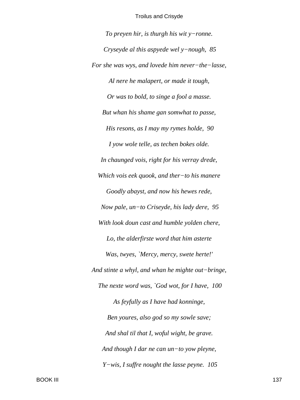To preyen hir, is thurgh his wit  $y$ -ronne. Cryseyde al this aspyede wel y-nough,  $85$ For she was wys, and lovede him never-the-lasse, Al nere he malapert, or made it tough, Or was to bold, to singe a fool a masse. But whan his shame gan somwhat to passe, His resons, as I may my rymes holde, 90 I yow wole telle, as techen bokes olde. In chaunged vois, right for his verray drede, Which vois eek quook, and ther-to his manere Goodly abayst, and now his hewes rede, Now pale, un-to Criseyde, his lady dere, 95 With look doun cast and humble yolden chere, Lo, the alderfirste word that him asterte Was, twyes, 'Mercy, mercy, swete herte!' And stinte a whyl, and whan he mighte out-bringe, The nexte word was, `God wot, for I have, 100 As feyfully as I have had konninge, Ben youres, also god so my sowle save; And shal til that I, woful wight, be grave. And though I dar ne can  $un$ -to yow pleyne,  $Y$ –wis, I suffice nought the lasse peyne. 105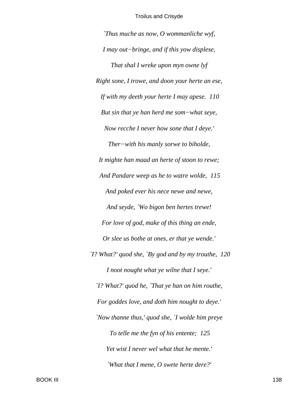Thus muche as now,  $O$  wommanliche wyf, I may out-bringe, and if this yow displese, That shal I wreke upon myn owne lyf Right sone, I trowe, and doon your herte an ese, If with my deeth your herte I may apese. 110 But sin that ye han herd me som-what seye, Now recche I never how sone that I deye.' Ther-with his manly sorwe to biholde, It mighte han maad an herte of stoon to rewe; And Pandare weep as he to watre wolde, 115 And poked ever his nece newe and newe, And seyde, `Wo bigon ben hertes trewe! For love of god, make of this thing an ende, Or slee us bothe at ones, er that ye wende.' 'I? What?' quod she, 'By god and by my trouthe,  $120$ I noot nought what ye wilne that I seye.' 'I? What?' quod he, 'That ye han on him routhe, For goddes love, and doth him nought to deye.'

'Now thanne thus,' quod she, 'I wolde him preye To telle me the fyn of his entente; 125 Yet wist I never wel what that he mente.' 'What that I mene, O swete herte dere?'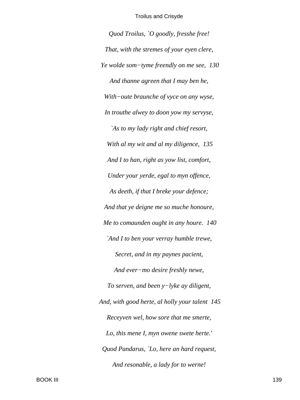*Quod Troilus, `O goodly, fresshe free! That, with the stremes of your eyen clere, Ye wolde som−tyme freendly on me see, 130 And thanne agreen that I may ben he, With−oute braunche of vyce on any wyse, In trouthe alwey to doon yow my servyse, `As to my lady right and chief resort, With al my wit and al my diligence, 135 And I to han, right as yow list, comfort, Under your yerde, egal to myn offence, As deeth, if that I breke your defence; And that ye deigne me so muche honoure, Me to comaunden ought in any houre. 140 `And I to ben your verray humble trewe, Secret, and in my paynes pacient, And ever−mo desire freshly newe, To serven, and been y−lyke ay diligent, And, with good herte, al holly your talent 145 Receyven wel, how sore that me smerte, Lo, this mene I, myn owene swete herte.' Quod Pandarus, `Lo, here an hard request, And resonable, a lady for to werne!*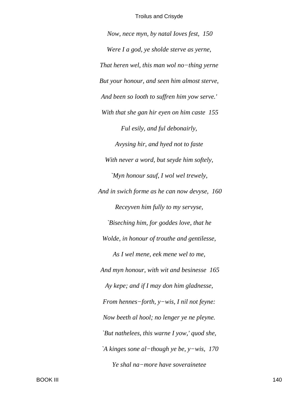Now, nece myn, by natal loves fest, 150 Were I a god, ye sholde sterve as yerne, That heren wel, this man wol no-thing yerne But your honour, and seen him almost sterve, And been so looth to suffren him yow serve.' With that she gan hir eyen on him caste 155 Ful esily, and ful debonairly, Avysing hir, and hyed not to faste With never a word, but seyde him softely, `Myn honour sauf, I wol wel trewely, And in swich forme as he can now devyse, 160 Receyven him fully to my servyse, Biseching him, for goddes love, that he Wolde, in honour of trouthe and gentilesse, As I wel mene, eek mene wel to me, And myn honour, with wit and besinesse 165 Ay kepe; and if I may don him gladnesse, From hennes-forth,  $y$ -wis, I nil not feyne:Now beeth al hool; no lenger ye ne pleyne. `But nathelees, this warne I yow,' quod she, `A kinges sone al-though ye be,  $y$ -wis, 170 Ye shal na-more have soverainetee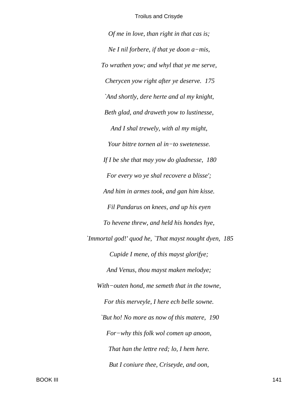Of me in love, than right in that cas is; Ne I nil forbere, if that ye doon  $a$ -mis, To wrathen yow; and whyl that ye me serve, Cherycen yow right after ye deserve. 175 `And shortly, dere herte and al my knight, Beth glad, and draweth yow to lustinesse, And I shal trewely, with al my might, Your bittre tornen al in-to swetenesse. If I be she that may yow do gladnesse,  $180$ For every wo ye shal recovere a blisse'; And him in armes took, and gan him kisse. Fil Pandarus on knees, and up his eyen To hevene threw, and held his hondes hye, 'Immortal god!' quod he, 'That mayst nought dyen, 185 Cupide I mene, of this mayst glorifye; And Venus, thou mayst maken melodye; With-outen hond, me semeth that in the towne, For this merveyle, I here ech belle sowne. `But ho! No more as now of this matere, 190 For-why this folk wol comen up anoon, That han the lettre red; lo, I hem here. But I coniure thee, Criseyde, and oon,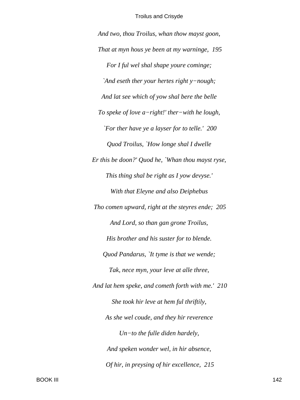*And two, thou Troilus, whan thow mayst goon, That at myn hous ye been at my warninge, 195 For I ful wel shal shape youre cominge; `And eseth ther your hertes right y−nough; And lat see which of yow shal bere the belle To speke of love a−right!' ther−with he lough, `For ther have ye a layser for to telle.' 200 Quod Troilus, `How longe shal I dwelle Er this be doon?' Quod he, `Whan thou mayst ryse, This thing shal be right as I yow devyse.' With that Eleyne and also Deiphebus Tho comen upward, right at the steyres ende; 205 And Lord, so than gan grone Troilus, His brother and his suster for to blende. Quod Pandarus, `It tyme is that we wende; Tak, nece myn, your leve at alle three, And lat hem speke, and cometh forth with me.' 210 She took hir leve at hem ful thriftily, As she wel coude, and they hir reverence Un−to the fulle diden hardely, And speken wonder wel, in hir absence, Of hir, in preysing of hir excellence, 215*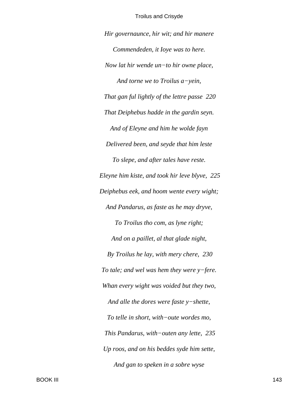Hir governaunce, hir wit; and hir manere Commendeden, it loye was to here. Now lat hir wende  $un$ -to hir owne place, And torne we to Troilus  $a$ -yein, That gan ful lightly of the lettre passe 220 That Deiphebus hadde in the gardin seyn. And of Eleyne and him he wolde fayn Delivered been, and seyde that him leste To slepe, and after tales have reste. Eleyne him kiste, and took hir leve blyve, 225 Deiphebus eek, and hoom wente every wight; And Pandarus, as faste as he may dryve, To Troilus tho com, as lyne right; And on a paillet, al that glade night, By Troilus he lay, with mery chere, 230 To tale; and wel was hem they were  $y$ -fere. Whan every wight was voided but they two, And alle the dores were faste  $y$ -shette, To telle in short, with-oute wordes mo, This Pandarus, with-outen any lette, 235 Up roos, and on his beddes syde him sette, And gan to speken in a sobre wyse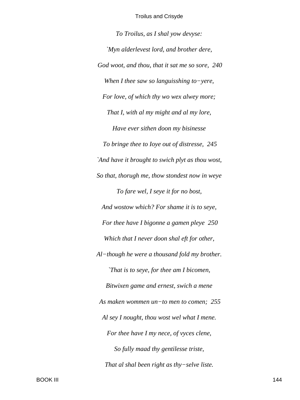*To Troilus, as I shal yow devyse: `Myn alderlevest lord, and brother dere, God woot, and thou, that it sat me so sore, 240 When I thee saw so languisshing to−yere, For love, of which thy wo wex alwey more; That I, with al my might and al my lore, Have ever sithen doon my bisinesse To bringe thee to Ioye out of distresse, 245 `And have it brought to swich plyt as thou wost, So that, thorugh me, thow stondest now in weye To fare wel, I seye it for no bost, And wostow which? For shame it is to seye, For thee have I bigonne a gamen pleye 250 Which that I never doon shal eft for other, Al−though he were a thousand fold my brother. `That is to seye, for thee am I bicomen, Bitwixen game and ernest, swich a mene As maken wommen un−to men to comen; 255 Al sey I nought, thou wost wel what I mene. For thee have I my nece, of vyces clene, So fully maad thy gentilesse triste, That al shal been right as thy−selve liste.*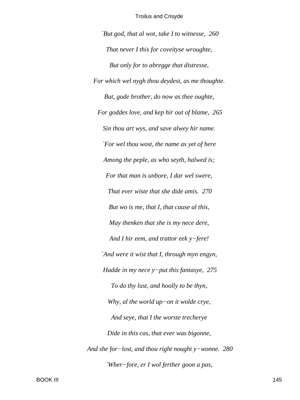*`But god, that al wot, take I to witnesse, 260 That never I this for coveityse wroughte, But only for to abregge that distresse, For which wel nygh thou deydest, as me thoughte. But, gode brother, do now as thee oughte, For goddes love, and kep hir out of blame, 265 Sin thou art wys, and save alwey hir name. `For wel thou wost, the name as yet of here Among the peple, as who seyth, halwed is; For that man is unbore, I dar wel swere, That ever wiste that she dide amis. 270 But wo is me, that I, that cause al this, May thenken that she is my nece dere, And I hir eem, and trattor eek y−fere! `And were it wist that I, through myn engyn, Hadde in my nece y−put this fantasye, 275 To do thy lust, and hoolly to be thyn, Why, al the world up−on it wolde crye, And seye, that I the worste trecherye Dide in this cas, that ever was bigonne, And she for−lost, and thou right nought y−wonne. 280 `Wher−fore, er I wol ferther goon a pas,*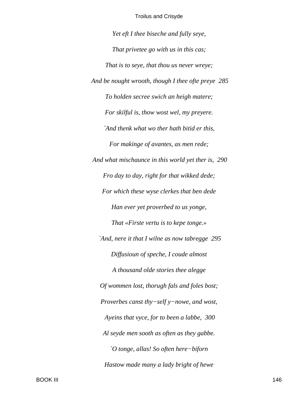Yet eft I thee biseche and fully seye, That privetee go with us in this cas; That is to seye, that thou us never wreye; And be nought wrooth, though I thee ofte preye 285 To holden secree swich an heigh matere; For skilful is, thow wost wel, my preyere. `And thenk what wo ther hath bitid er this, For makinge of avantes, as men rede; And what mischaunce in this world yet ther is, 290 Fro day to day, right for that wikked dede; For which these wyse clerkes that ben dede Han ever yet proverbed to us yonge, That «Firste vertu is to kepe tonge.» `And, nere it that I wilne as now tabregge 295 Diffusioun of speche, I coude almost A thousand olde stories thee alegge Of wommen lost, thorugh fals and foles bost; Proverbes canst thy-self y-nowe, and wost, Ayeins that vyce, for to been a labbe, 300 Al seyde men sooth as often as they gabbe. `O tonge, allas! So often here-biforn Hastow made many a lady bright of hewe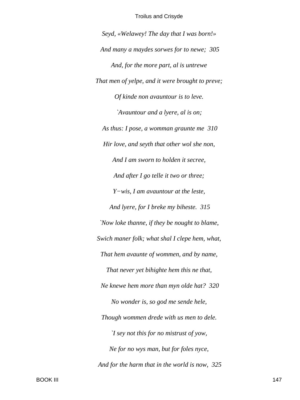*Seyd, «Welawey! The day that I was born!» And many a maydes sorwes for to newe; 305 And, for the more part, al is untrewe That men of yelpe, and it were brought to preve; Of kinde non avauntour is to leve. `Avauntour and a lyere, al is on; As thus: I pose, a womman graunte me 310 Hir love, and seyth that other wol she non, And I am sworn to holden it secree, And after I go telle it two or three; Y−wis, I am avauntour at the leste, And lyere, for I breke my biheste. 315 `Now loke thanne, if they be nought to blame, Swich maner folk; what shal I clepe hem, what, That hem avaunte of wommen, and by name, That never yet bihighte hem this ne that, Ne knewe hem more than myn olde hat? 320 No wonder is, so god me sende hele, Though wommen drede with us men to dele. `I sey not this for no mistrust of yow, Ne for no wys man, but for foles nyce, And for the harm that in the world is now, 325*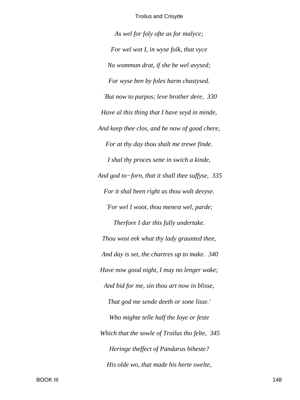*As wel for foly ofte as for malyce; For wel wot I, in wyse folk, that vyce No womman drat, if she be wel avysed; For wyse ben by foles harm chastysed. `But now to purpos; leve brother dere, 330 Have al this thing that I have seyd in minde, And keep thee clos, and be now of good chere, For at thy day thou shalt me trewe finde. I shal thy proces sette in swich a kinde, And god to−forn, that it shall thee suffyse, 335 For it shal been right as thou wolt devyse. `For wel I woot, thou menest wel, parde; Therfore I dar this fully undertake. Thou wost eek what thy lady graunted thee, And day is set, the chartres up to make. 340 Have now good night, I may no lenger wake; And bid for me, sin thou art now in blisse, That god me sende deeth or sone lisse.' Who mighte telle half the Ioye or feste Which that the sowle of Troilus tho felte, 345 Heringe theffect of Pandarus biheste? His olde wo, that made his herte swelte,*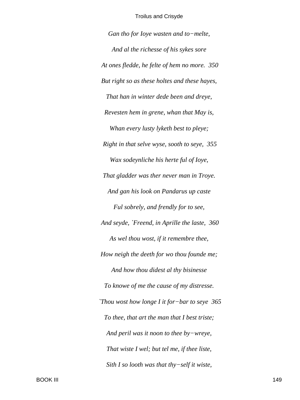Gan tho for Ioye wasten and to-melte, And al the richesse of his sykes sore At ones fledde, he felte of hem no more. 350 But right so as these holtes and these hayes, That han in winter dede been and dreye, Revesten hem in grene, whan that May is, Whan every lusty lyketh best to pleye; Right in that selve wyse, sooth to seye, 355 Wax sodeynliche his herte ful of Ioye, That gladder was ther never man in Troye. And gan his look on Pandarus up caste Ful sobrely, and frendly for to see, And seyde, `Freend, in Aprille the laste, 360 As wel thou wost, if it remembre thee, How neigh the deeth for wo thou founde me; And how thou didest al thy bisinesse To knowe of me the cause of my distresse. 'Thou wost how longe I it for-bar to seye 365 To thee, that art the man that I best triste; And peril was it noon to thee  $by$ -wreye, That wiste I wel; but tel me, if thee liste, Sith I so looth was that thy-self it wiste,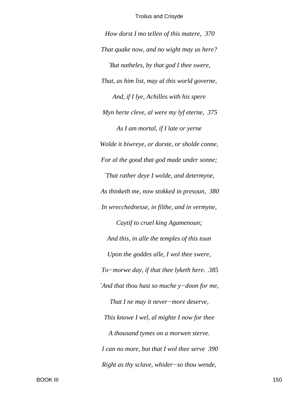*How dorst I mo tellen of this matere, 370 That quake now, and no wight may us here? `But natheles, by that god I thee swere, That, as him list, may al this world governe, And, if I lye, Achilles with his spere Myn herte cleve, al were my lyf eterne, 375 As I am mortal, if I late or yerne Wolde it biwreye, or dorste, or sholde conne, For al the good that god made under sonne; `That rather deye I wolde, and determyne, As thinketh me, now stokked in presoun, 380 In wrecchednesse, in filthe, and in vermyne, Caytif to cruel king Agamenoun; And this, in alle the temples of this toun Upon the goddes alle, I wol thee swere, To−morwe day, if that thee lyketh here. 385 `And that thou hast so muche y−doon for me, That I ne may it never−more deserve, This knowe I wel, al mighte I now for thee A thousand tymes on a morwen sterve. I can no more, but that I wol thee serve 390 Right as thy sclave, whider−so thou wende,*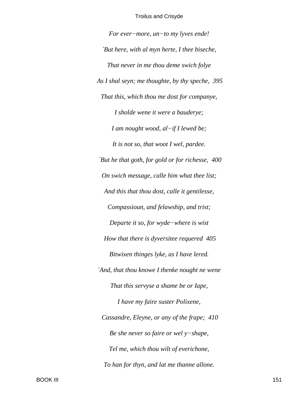*For ever−more, un−to my lyves ende! `But here, with al myn herte, I thee biseche, That never in me thou deme swich folye As I shal seyn; me thoughte, by thy speche, 395 That this, which thou me dost for companye, I sholde wene it were a bauderye; I am nought wood, al−if I lewed be; It is not so, that woot I wel, pardee. `But he that goth, for gold or for richesse, 400 On swich message, calle him what thee list; And this that thou dost, calle it gentilesse, Compassioun, and felawship, and trist; Departe it so, for wyde−where is wist How that there is dyversitee requered 405 Bitwixen thinges lyke, as I have lered. `And, that thou knowe I thenke nought ne wene That this servyse a shame be or Iape, I have my faire suster Polixene, Cassandre, Eleyne, or any of the frape; 410 Be she never so faire or wel y−shape, Tel me, which thou wilt of everichone, To han for thyn, and lat me thanne allone.*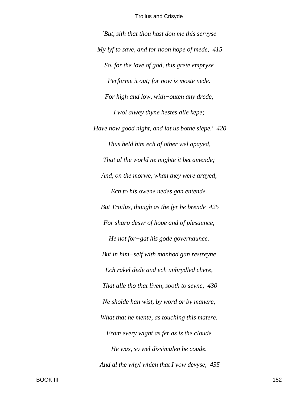*`But, sith that thou hast don me this servyse My lyf to save, and for noon hope of mede, 415 So, for the love of god, this grete empryse Performe it out; for now is moste nede. For high and low, with−outen any drede, I wol alwey thyne hestes alle kepe; Have now good night, and lat us bothe slepe.' 420 Thus held him ech of other wel apayed, That al the world ne mighte it bet amende; And, on the morwe, whan they were arayed, Ech to his owene nedes gan entende. But Troilus, though as the fyr he brende 425 For sharp desyr of hope and of plesaunce, He not for−gat his gode governaunce. But in him−self with manhod gan restreyne Ech rakel dede and ech unbrydled chere, That alle tho that liven, sooth to seyne, 430 Ne sholde han wist, by word or by manere, What that he mente, as touching this matere. From every wight as fer as is the cloude He was, so wel dissimulen he coude. And al the whyl which that I yow devyse, 435*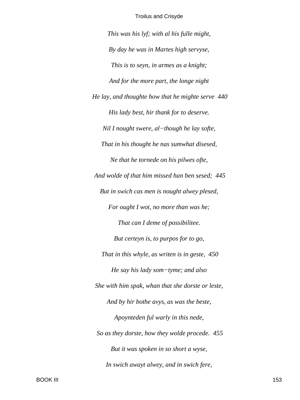*This was his lyf; with al his fulle might,*

*By day he was in Martes high servyse, This is to seyn, in armes as a knight; And for the more part, the longe night He lay, and thoughte how that he mighte serve 440 His lady best, hir thank for to deserve. Nil I nought swere, al−though he lay softe, That in his thought he nas sumwhat disesed, Ne that he tornede on his pilwes ofte, And wolde of that him missed han ben sesed; 445 But in swich cas men is nought alwey plesed, For ought I wot, no more than was he; That can I deme of possibilitee. But certeyn is, to purpos for to go, That in this whyle, as writen is in geste, 450 He say his lady som−tyme; and also She with him spak, whan that she dorste or leste, And by hir bothe avys, as was the beste, Apoynteden ful warly in this nede, So as they dorste, how they wolde procede. 455 But it was spoken in so short a wyse, In swich awayt alwey, and in swich fere,*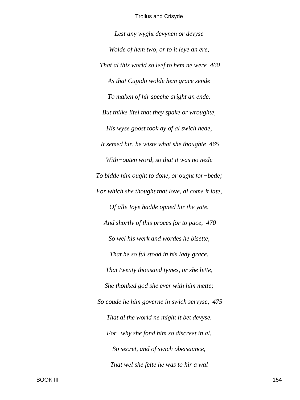*Lest any wyght devynen or devyse Wolde of hem two, or to it leye an ere, That al this world so leef to hem ne were 460 As that Cupido wolde hem grace sende To maken of hir speche aright an ende. But thilke litel that they spake or wroughte, His wyse goost took ay of al swich hede, It semed hir, he wiste what she thoughte 465 With−outen word, so that it was no nede To bidde him ought to done, or ought for−bede; For which she thought that love, al come it late, Of alle Ioye hadde opned hir the yate. And shortly of this proces for to pace, 470 So wel his werk and wordes he bisette, That he so ful stood in his lady grace, That twenty thousand tymes, or she lette, She thonked god she ever with him mette; So coude he him governe in swich servyse, 475 That al the world ne might it bet devyse. For−why she fond him so discreet in al, So secret, and of swich obeisaunce, That wel she felte he was to hir a wal*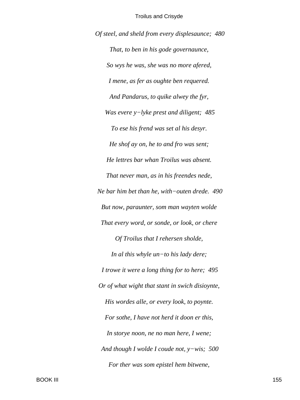*Of steel, and sheld from every displesaunce; 480 That, to ben in his gode governaunce, So wys he was, she was no more afered, I mene, as fer as oughte ben requered. And Pandarus, to quike alwey the fyr, Was evere y−lyke prest and diligent; 485 To ese his frend was set al his desyr. He shof ay on, he to and fro was sent; He lettres bar whan Troilus was absent. That never man, as in his freendes nede, Ne bar him bet than he, with−outen drede. 490 But now, paraunter, som man wayten wolde That every word, or sonde, or look, or chere Of Troilus that I rehersen sholde, In al this whyle un−to his lady dere; I trowe it were a long thing for to here; 495 Or of what wight that stant in swich disioynte, His wordes alle, or every look, to poynte. For sothe, I have not herd it doon er this, In storye noon, ne no man here, I wene; And though I wolde I coude not, y−wis; 500 For ther was som epistel hem bitwene,*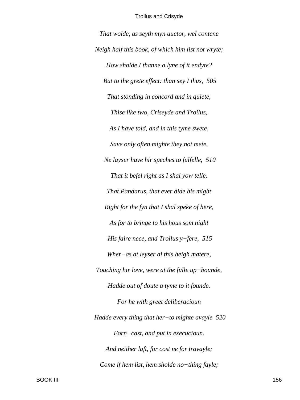That wolde, as seyth myn auctor, wel contene Neigh half this book, of which him list not wryte; How sholde I thanne a lyne of it endyte? But to the grete effect: than sey I thus, 505 That stonding in concord and in quiete, Thise ilke two, Criseyde and Troilus, As I have told, and in this tyme swete, Save only often mighte they not mete, Ne layser have hir speches to fulfelle, 510 That it befel right as I shal yow telle. That Pandarus, that ever dide his might Right for the fyn that I shal speke of here, As for to bringe to his hous som night His faire nece, and Troilus  $y$ -fere, 515 Wher-as at leyser al this heigh matere, Touching hir love, were at the fulle up-bounde, Hadde out of doute a tyme to it founde. For he with greet deliberacioun Hadde every thing that her-to mighte avayle  $520$ Forn-cast, and put in execucioun. And neither laft, for cost ne for travayle; Come if hem list, hem sholde no-thing fayle;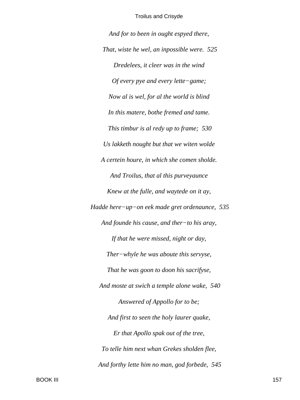*And for to been in ought espyed there, That, wiste he wel, an inpossible were. 525 Dredelees, it cleer was in the wind Of every pye and every lette−game; Now al is wel, for al the world is blind In this matere, bothe fremed and tame. This timbur is al redy up to frame; 530 Us lakketh nought but that we witen wolde A certein houre, in which she comen sholde. And Troilus, that al this purveyaunce Knew at the fulle, and waytede on it ay, Hadde here−up−on eek made gret ordenaunce, 535 And founde his cause, and ther−to his aray, If that he were missed, night or day, Ther−whyle he was aboute this servyse, That he was goon to doon his sacrifyse, And moste at swich a temple alone wake, 540 Answered of Appollo for to be; And first to seen the holy laurer quake, Er that Apollo spak out of the tree, To telle him next whan Grekes sholden flee, And forthy lette him no man, god forbede, 545*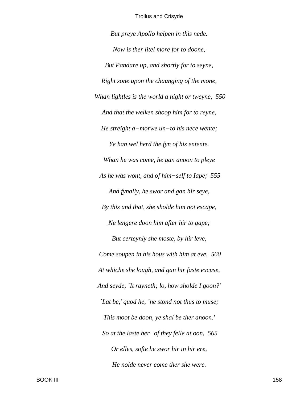*But preye Apollo helpen in this nede. Now is ther litel more for to doone, But Pandare up, and shortly for to seyne, Right sone upon the chaunging of the mone, Whan lightles is the world a night or tweyne, 550 And that the welken shoop him for to reyne, He streight a−morwe un−to his nece wente; Ye han wel herd the fyn of his entente. Whan he was come, he gan anoon to pleye As he was wont, and of him−self to Iape; 555 And fynally, he swor and gan hir seye, By this and that, she sholde him not escape, Ne lengere doon him after hir to gape; But certeynly she moste, by hir leve, Come soupen in his hous with him at eve. 560 At whiche she lough, and gan hir faste excuse, And seyde, `It rayneth; lo, how sholde I goon?' `Lat be,' quod he, `ne stond not thus to muse; This moot be doon, ye shal be ther anoon.' So at the laste her−of they felle at oon, 565 Or elles, softe he swor hir in hir ere, He nolde never come ther she were.*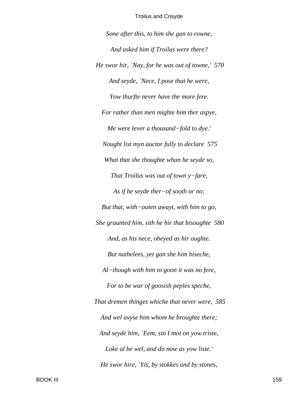Sone after this, to him she gan to rowne, And asked him if Troilus were there? He swor hir, `Nay, for he was out of towne,' 570 And seyde, 'Nece, I pose that he were, Yow thurfte never have the more fere. For rather than men mighte him ther aspye, Me were lever a thousand-fold to dye.' Nought list myn auctor fully to declare 575 What that she thoughte whan he seyde so, That Troilus was out of town  $y$ -fare, As if he seyde ther $-of$  sooth or no; But that, with-outen awayt, with him to go, She graunted him, sith he hir that bisoughte 580 And, as his nece, obeyed as hir oughte. But nathelees, yet gan she him biseche, Al-though with him to goon it was no fere, For to be war of goosish peples speche, That dremen thinges whiche that never were, 585 And wel avyse him whom he broughte there; And seyde him, `Eem, sin I mot on yow triste, Loke al be wel, and do now as yow liste.' He swor hire, `Yis, by stokkes and by stones,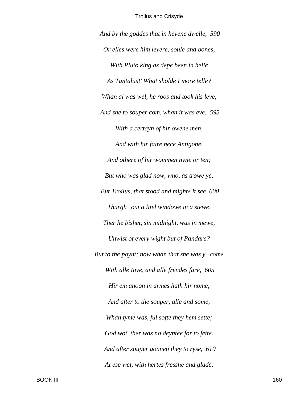*And by the goddes that in hevene dwelle, 590 Or elles were him levere, soule and bones, With Pluto king as depe been in helle As Tantalus!' What sholde I more telle? Whan al was wel, he roos and took his leve, And she to souper com, whan it was eve, 595 With a certayn of hir owene men, And with hir faire nece Antigone, And othere of hir wommen nyne or ten; But who was glad now, who, as trowe ye, But Troilus, that stood and mighte it see 600 Thurgh−out a litel windowe in a stewe, Ther he bishet, sin midnight, was in mewe, Unwist of every wight but of Pandare? But to the poynt; now whan that she was y−come With alle Ioye, and alle frendes fare, 605 Hir em anoon in armes hath hir nome, And after to the souper, alle and some, Whan tyme was, ful softe they hem sette; God wot, ther was no deyntee for to fette. And after souper gonnen they to ryse, 610 At ese wel, with hertes fresshe and glade,*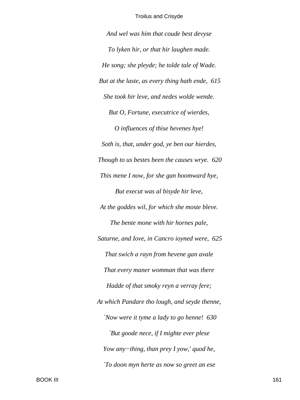And wel was him that coude best devyse To lyken hir, or that hir laughen made. He song; she pleyde; he tolde tale of Wade. But at the laste, as every thing hath ende, 615 She took hir leve, and nedes wolde wende. But O, Fortune, executrice of wierdes, O influences of thise hevenes hye! Soth is, that, under god, ye ben our hierdes, Though to us bestes been the causes wrye. 620 This mene I now, for she gan hoomward hye, But execut was al bisyde hir leve, At the goddes wil, for which she moste bleve. The bente mone with hir hornes pale, Saturne, and Iove, in Cancro ioyned were, 625 That swich a rayn from hevene gan avale That every maner womman that was there Hadde of that smoky reyn a verray fere; At which Pandare tho lough, and seyde thenne, 'Now were it tyme a lady to go henne! 630 `But goode nece, if I mighte ever plese Yow any-thing, than prey I yow,' quod he, `To doon myn herte as now so greet an ese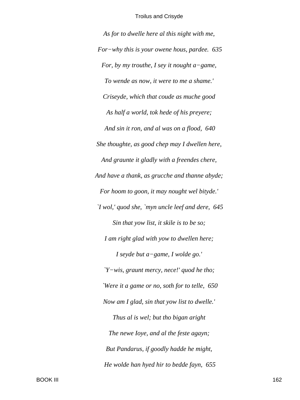*As for to dwelle here al this night with me, For−why this is your owene hous, pardee. 635 For, by my trouthe, I sey it nought a−game, To wende as now, it were to me a shame.' Criseyde, which that coude as muche good As half a world, tok hede of his preyere; And sin it ron, and al was on a flood, 640 She thoughte, as good chep may I dwellen here, And graunte it gladly with a freendes chere, And have a thank, as grucche and thanne abyde; For hoom to goon, it may nought wel bityde.' `I wol,' quod she, `myn uncle leef and dere, 645 Sin that yow list, it skile is to be so; I am right glad with yow to dwellen here; I seyde but a−game, I wolde go.' `Y−wis, graunt mercy, nece!' quod he tho; `Were it a game or no, soth for to telle, 650 Now am I glad, sin that yow list to dwelle.' Thus al is wel; but tho bigan aright The newe Ioye, and al the feste agayn; But Pandarus, if goodly hadde he might, He wolde han hyed hir to bedde fayn, 655*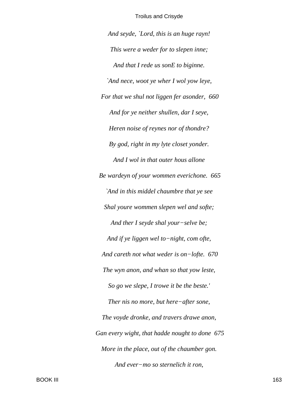*And seyde, `Lord, this is an huge rayn! This were a weder for to slepen inne; And that I rede us sonE to biginne. `And nece, woot ye wher I wol yow leye, For that we shul not liggen fer asonder, 660 And for ye neither shullen, dar I seye, Heren noise of reynes nor of thondre? By god, right in my lyte closet yonder. And I wol in that outer hous allone Be wardeyn of your wommen everichone. 665 `And in this middel chaumbre that ye see Shal youre wommen slepen wel and softe; And ther I seyde shal your−selve be; And if ye liggen wel to−night, com ofte, And careth not what weder is on−lofte. 670 The wyn anon, and whan so that yow leste, So go we slepe, I trowe it be the beste.' Ther nis no more, but here−after sone, The voyde dronke, and travers drawe anon, Gan every wight, that hadde nought to done 675 More in the place, out of the chaumber gon. And ever−mo so sternelich it ron,*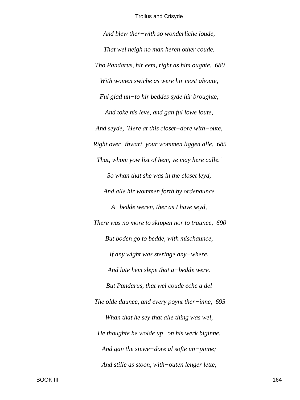*And blew ther−with so wonderliche loude, That wel neigh no man heren other coude. Tho Pandarus, hir eem, right as him oughte, 680 With women swiche as were hir most aboute, Ful glad un−to hir beddes syde hir broughte, And toke his leve, and gan ful lowe loute, And seyde, `Here at this closet−dore with−oute, Right over−thwart, your wommen liggen alle, 685 That, whom yow list of hem, ye may here calle.' So whan that she was in the closet leyd, And alle hir wommen forth by ordenaunce A−bedde weren, ther as I have seyd, There was no more to skippen nor to traunce, 690 But boden go to bedde, with mischaunce, If any wight was steringe any−where, And late hem slepe that a−bedde were. But Pandarus, that wel coude eche a del The olde daunce, and every poynt ther−inne, 695 Whan that he sey that alle thing was wel, He thoughte he wolde up−on his werk biginne, And gan the stewe−dore al softe un−pinne; And stille as stoon, with−outen lenger lette,*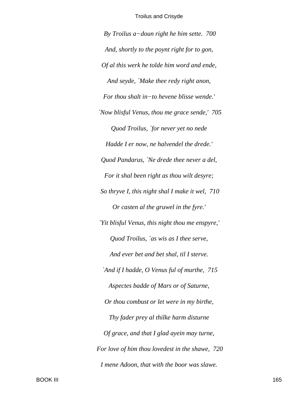*By Troilus a−doun right he him sette. 700 And, shortly to the poynt right for to gon, Of al this werk he tolde him word and ende, And seyde, `Make thee redy right anon, For thou shalt in−to hevene blisse wende.' `Now blisful Venus, thou me grace sende,' 705 Quod Troilus, `for never yet no nede Hadde I er now, ne halvendel the drede.' Quod Pandarus, `Ne drede thee never a del, For it shal been right as thou wilt desyre; So thryve I, this night shal I make it wel, 710 Or casten al the gruwel in the fyre.' `Yit blisful Venus, this night thou me enspyre,' Quod Troilus, `as wis as I thee serve, And ever bet and bet shal, til I sterve. `And if I hadde, O Venus ful of murthe, 715 Aspectes badde of Mars or of Saturne, Or thou combust or let were in my birthe, Thy fader prey al thilke harm disturne Of grace, and that I glad ayein may turne, For love of him thou lovedest in the shawe, 720 I mene Adoon, that with the boor was slawe.*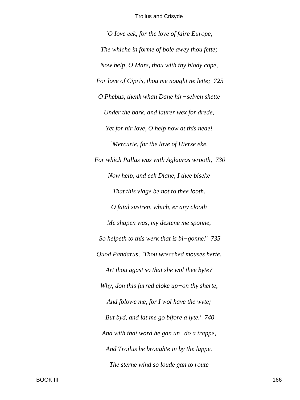*`O Iove eek, for the love of faire Europe, The whiche in forme of bole awey thou fette; Now help, O Mars, thou with thy blody cope, For love of Cipris, thou me nought ne lette; 725 O Phebus, thenk whan Dane hir−selven shette Under the bark, and laurer wex for drede, Yet for hir love, O help now at this nede! `Mercurie, for the love of Hierse eke, For which Pallas was with Aglauros wrooth, 730 Now help, and eek Diane, I thee biseke That this viage be not to thee looth. O fatal sustren, which, er any clooth Me shapen was, my destene me sponne, So helpeth to this werk that is bi−gonne!' 735 Quod Pandarus, `Thou wrecched mouses herte, Art thou agast so that she wol thee byte? Why, don this furred cloke up−on thy sherte, And folowe me, for I wol have the wyte; But byd, and lat me go bifore a lyte.' 740 And with that word he gan un−do a trappe, And Troilus he broughte in by the lappe. The sterne wind so loude gan to route*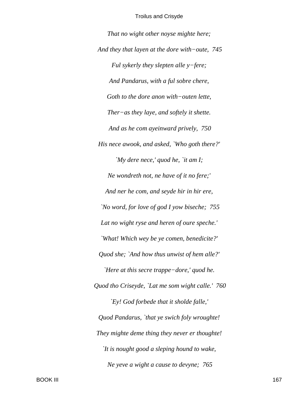*That no wight other noyse mighte here; And they that layen at the dore with−oute, 745 Ful sykerly they slepten alle y−fere; And Pandarus, with a ful sobre chere, Goth to the dore anon with−outen lette, Ther−as they laye, and softely it shette. And as he com ayeinward prively, 750 His nece awook, and asked, `Who goth there?' `My dere nece,' quod he, `it am I; Ne wondreth not, ne have of it no fere;' And ner he com, and seyde hir in hir ere, `No word, for love of god I yow biseche; 755 Lat no wight ryse and heren of oure speche.' `What! Which wey be ye comen, benedicite?' Quod she; `And how thus unwist of hem alle?' `Here at this secre trappe−dore,' quod he. Quod tho Criseyde, `Lat me som wight calle.' 760 `Ey! God forbede that it sholde falle,' Quod Pandarus, `that ye swich foly wroughte! They mighte deme thing they never er thoughte! `It is nought good a sleping hound to wake, Ne yeve a wight a cause to devyne; 765*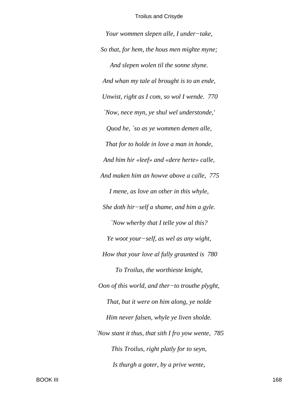*Your wommen slepen alle, I under−take, So that, for hem, the hous men mighte myne; And slepen wolen til the sonne shyne. And whan my tale al brought is to an ende, Unwist, right as I com, so wol I wende. 770 `Now, nece myn, ye shul wel understonde,' Quod he, `so as ye wommen demen alle, That for to holde in love a man in honde, And him hir «leef» and «dere herte» calle, And maken him an howve above a calle, 775 I mene, as love an other in this whyle, She doth hir−self a shame, and him a gyle. `Now wherby that I telle yow al this? Ye woot your−self, as wel as any wight, How that your love al fully graunted is 780 To Troilus, the worthieste knight, Oon of this world, and ther−to trouthe plyght, That, but it were on him along, ye nolde Him never falsen, whyle ye liven sholde. `Now stant it thus, that sith I fro yow wente, 785 This Troilus, right platly for to seyn, Is thurgh a goter, by a prive wente,*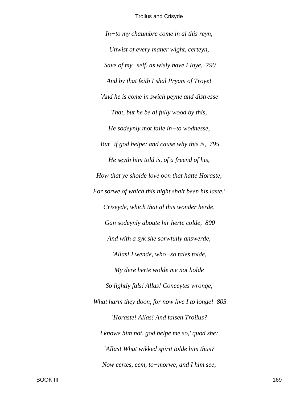$In$ -to my chaumbre come in al this reyn, Unwist of every maner wight, certeyn, Save of my-self, as wisly have I Ioye, 790 And by that feith I shal Pryam of Troye! `And he is come in swich peyne and distresse That, but he be al fully wood by this, He sodeynly mot falle in-to wodnesse, But-if god helpe; and cause why this is,  $795$ He seyth him told is, of a freend of his, How that ye sholde love oon that hatte Horaste, For sorwe of which this night shalt been his laste.' Criseyde, which that al this wonder herde, Gan sodeynly aboute hir herte colde, 800 And with a syk she sorwfully answerde, `Allas! I wende, who-so tales tolde, My dere herte wolde me not holde So lightly fals! Allas! Conceytes wronge, What harm they doon, for now live I to longe!  $805$ 'Horaste! Allas! And falsen Troilus? I knowe him not, god helpe me so,' quod she; `Allas! What wikked spirit tolde him thus? Now certes, eem, to-morwe, and I him see,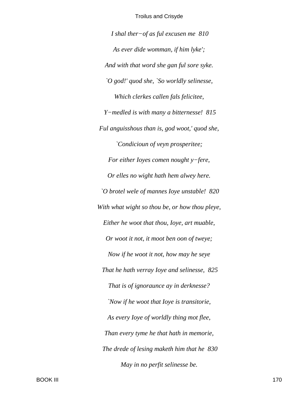*I shal ther−of as ful excusen me 810 As ever dide womman, if him lyke'; And with that word she gan ful sore syke. `O god!' quod she, `So worldly selinesse, Which clerkes callen fals felicitee, Y−medled is with many a bitternesse! 815 Ful anguisshous than is, god woot,' quod she, `Condicioun of veyn prosperitee; For either Ioyes comen nought y−fere, Or elles no wight hath hem alwey here. `O brotel wele of mannes Ioye unstable! 820 With what wight so thou be, or how thou pleye, Either he woot that thou, Ioye, art muable, Or woot it not, it moot ben oon of tweye; Now if he woot it not, how may he seye That he hath verray Ioye and selinesse, 825 That is of ignoraunce ay in derknesse? `Now if he woot that Ioye is transitorie, As every Ioye of worldly thing mot flee, Than every tyme he that hath in memorie, The drede of lesing maketh him that he 830 May in no perfit selinesse be.*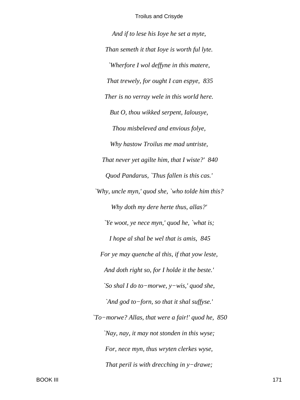*And if to lese his Ioye he set a myte, Than semeth it that Ioye is worth ful lyte. `Wherfore I wol deffyne in this matere, That trewely, for ought I can espye, 835 Ther is no verray wele in this world here. But O, thou wikked serpent, Ialousye, Thou misbeleved and envious folye, Why hastow Troilus me mad untriste, That never yet agilte him, that I wiste?' 840 Quod Pandarus, `Thus fallen is this cas.' `Why, uncle myn,' quod she, `who tolde him this? Why doth my dere herte thus, allas?' `Ye woot, ye nece myn,' quod he, `what is; I hope al shal be wel that is amis, 845 For ye may quenche al this, if that yow leste, And doth right so, for I holde it the beste.' `So shal I do to−morwe, y−wis,' quod she, `And god to−forn, so that it shal suffyse.' `To−morwe? Allas, that were a fair!' quod he, 850 `Nay, nay, it may not stonden in this wyse; For, nece myn, thus wryten clerkes wyse, That peril is with drecching in y−drawe;*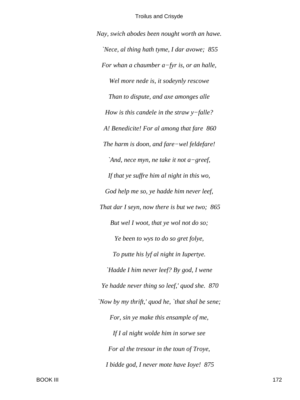*Nay, swich abodes been nought worth an hawe. `Nece, al thing hath tyme, I dar avowe; 855 For whan a chaumber a−fyr is, or an halle, Wel more nede is, it sodeynly rescowe Than to dispute, and axe amonges alle How is this candele in the straw y−falle? A! Benedicite! For al among that fare 860 The harm is doon, and fare−wel feldefare! `And, nece myn, ne take it not a−greef, If that ye suffre him al night in this wo, God help me so, ye hadde him never leef, That dar I seyn, now there is but we two; 865 But wel I woot, that ye wol not do so; Ye been to wys to do so gret folye, To putte his lyf al night in Iupertye. `Hadde I him never leef? By god, I wene Ye hadde never thing so leef,' quod she. 870 `Now by my thrift,' quod he, `that shal be sene; For, sin ye make this ensample of me, If I al night wolde him in sorwe see For al the tresour in the toun of Troye, I bidde god, I never mote have Ioye! 875*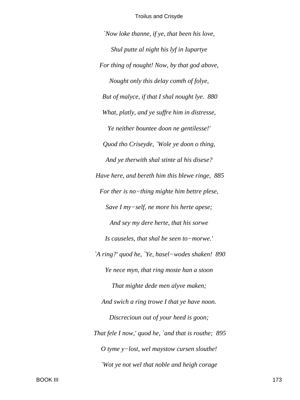'Now loke thanne, if ye, that been his love, Shul putte al night his lyf in Iupartye For thing of nought! Now, by that god above, Nought only this delay comth of folye, But of malyce, if that I shal nought lye. 880 What, platly, and ye suffre him in distresse, Ye neither bountee doon ne gentilesse!' Quod tho Criseyde, `Wole ye doon o thing, And ye therwith shal stinte al his disese? Have here, and bereth him this blewe ringe, 885 For ther is no-thing mighte him bettre plese, Save I my-self, ne more his herte apese; And sey my dere herte, that his sorwe Is causeles, that shal be seen to-morwe.' `A ring?' quod he, `Ye, hasel-wodes shaken! 890 Ye nece myn, that ring moste han a stoon That mighte dede men alyve maken; And swich a ring trowe I that ye have noon. Discrecioun out of your heed is goon; That fele I now,' quod he, `and that is routhe; 895 O tyme  $y$ -lost, wel maystow cursen slouthe! `Wot ye not wel that noble and heigh corage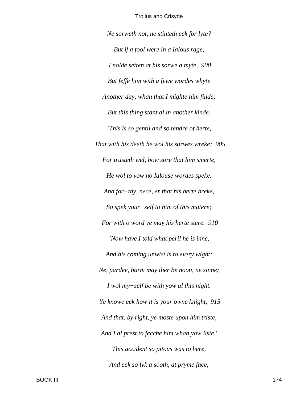*Ne sorweth not, ne stinteth eek for lyte? But if a fool were in a Ialous rage, I nolde setten at his sorwe a myte, 900 But feffe him with a fewe wordes whyte Another day, whan that I mighte him finde; But this thing stant al in another kinde. `This is so gentil and so tendre of herte, That with his deeth he wol his sorwes wreke; 905 For trusteth wel, how sore that him smerte, He wol to yow no Ialouse wordes speke. And for−thy, nece, er that his herte breke, So spek your−self to him of this matere; For with o word ye may his herte stere. 910 `Now have I told what peril he is inne, And his coming unwist is to every wight; Ne, pardee, harm may ther be noon, ne sinne; I wol my−self be with yow al this night. Ye knowe eek how it is your owne knight, 915 And that, by right, ye moste upon him triste, And I al prest to fecche him whan yow liste.' This accident so pitous was to here, And eek so lyk a sooth, at pryme face,*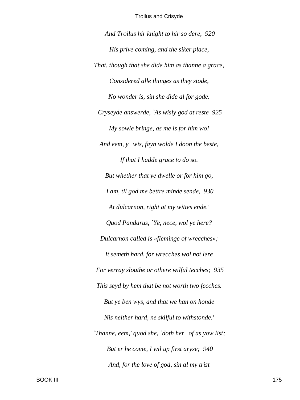*And Troilus hir knight to hir so dere, 920 His prive coming, and the siker place, That, though that she dide him as thanne a grace, Considered alle thinges as they stode, No wonder is, sin she dide al for gode. Cryseyde answerde, `As wisly god at reste 925 My sowle bringe, as me is for him wo! And eem, y−wis, fayn wolde I doon the beste, If that I hadde grace to do so. But whether that ye dwelle or for him go, I am, til god me bettre minde sende, 930 At dulcarnon, right at my wittes ende.' Quod Pandarus, `Ye, nece, wol ye here? Dulcarnon called is «fleminge of wrecches»; It semeth hard, for wrecches wol not lere For verray slouthe or othere wilful tecches; 935 This seyd by hem that be not worth two fecches. But ye ben wys, and that we han on honde Nis neither hard, ne skilful to withstonde.' `Thanne, eem,' quod she, `doth her−of as yow list; But er he come, I wil up first aryse; 940 And, for the love of god, sin al my trist*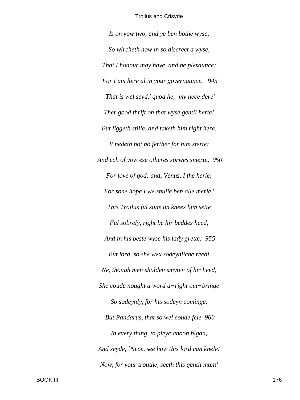*Is on yow two, and ye ben bothe wyse, So wircheth now in so discreet a wyse, That I honour may have, and he plesaunce; For I am here al in your governaunce.' 945 `That is wel seyd,' quod he, `my nece dere' Ther good thrift on that wyse gentil herte! But liggeth stille, and taketh him right here, It nedeth not no ferther for him sterte; And ech of yow ese otheres sorwes smerte, 950 For love of god; and, Venus, I the herie; For sone hope I we shulle ben alle merie.' This Troilus ful sone on knees him sette Ful sobrely, right be hir beddes heed, And in his beste wyse his lady grette; 955 But lord, so she wex sodeynliche reed! Ne, though men sholden smyten of hir heed, She coude nought a word a−right out−bringe So sodeynly, for his sodeyn cominge. But Pandarus, that so wel coude fele 960 In every thing, to pleye anoon bigan, And seyde, `Nece, see how this lord can knele! Now, for your trouthe, seeth this gentil man!'*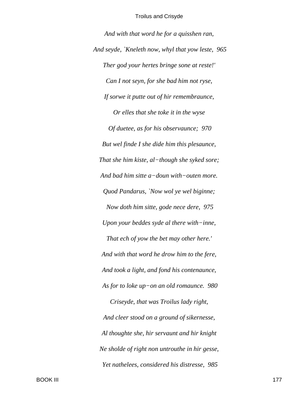*And with that word he for a quisshen ran, And seyde, `Kneleth now, whyl that yow leste, 965 Ther god your hertes bringe sone at reste!' Can I not seyn, for she bad him not ryse, If sorwe it putte out of hir remembraunce, Or elles that she toke it in the wyse Of duetee, as for his observaunce; 970 But wel finde I she dide him this plesaunce, That she him kiste, al−though she syked sore; And bad him sitte a−doun with−outen more. Quod Pandarus, `Now wol ye wel biginne; Now doth him sitte, gode nece dere, 975 Upon your beddes syde al there with−inne, That ech of yow the bet may other here.' And with that word he drow him to the fere, And took a light, and fond his contenaunce, As for to loke up−on an old romaunce. 980 Criseyde, that was Troilus lady right, And cleer stood on a ground of sikernesse, Al thoughte she, hir servaunt and hir knight Ne sholde of right non untrouthe in hir gesse, Yet nathelees, considered his distresse, 985*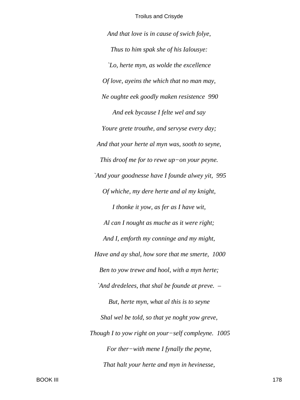And that love is in cause of swich folye, Thus to him spak she of his Ialousye: `Lo, herte myn, as wolde the excellence Of love, aveins the which that no man may, Ne oughte eek goodly maken resistence 990 And eek bycause I felte wel and say Youre grete trouthe, and servyse every day; And that your herte al myn was, sooth to seyne, This droof me for to rewe up-on your peyne. `And your goodnesse have I founde alwey yit, 995 Of whiche, my dere herte and al my knight, I thonke it yow, as fer as I have wit, Al can I nought as muche as it were right; And I, emforth my conninge and my might, Have and ay shal, how sore that me smerte, 1000 Ben to yow trewe and hool, with a myn herte; `And dredelees, that shal be founde at preve.  $-$ But, herte myn, what al this is to seyne Shal wel be told, so that ye noght yow greve, Though I to yow right on your-self compleyne. 1005 For ther-with mene I fynally the peyne, That halt your herte and myn in hevinesse,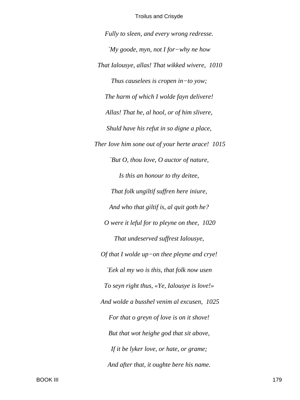Fully to sleen, and every wrong redresse. 'My goode, myn, not I for-why ne how That Ialousye, allas! That wikked wivere, 1010 Thus causelees is cropen in-to yow; The harm of which I wolde fayn delivere! Allas! That he, al hool, or of him slivere, Shuld have his refut in so digne a place, Ther Iove him sone out of your herte arace! 1015 `But O, thou Iove, O auctor of nature, Is this an honour to thy deitee, That folk ungiltif suffren here iniure, And who that giltif is, al quit goth he? O were it leful for to pleyne on thee, 1020 That undeserved suffrest Ialousye, Of that I wolde up-on thee pleyne and crye! Eek al my wo is this, that folk now usen To seyn right thus, «Ye, Ialousye is love!» And wolde a busshel venim al excusen, 1025 For that o greyn of love is on it shove! But that wot heighe god that sit above, If it be lyker love, or hate, or grame; And after that, it oughte bere his name.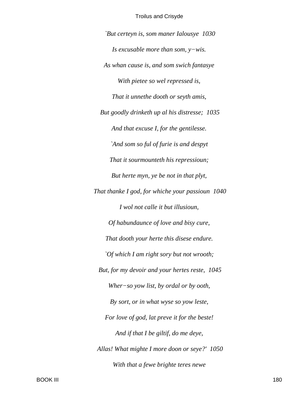`But certeyn is, som maner Ialousye 1030 Is excusable more than som,  $y$ -wis. As whan cause is, and som swich fantasye With pietee so wel repressed is, That it unnethe dooth or seyth amis, But goodly drinketh up al his distresse; 1035 And that excuse I, for the gentilesse. `And som so ful of furie is and despyt That it sourmounteth his repressioun; But herte myn, ye be not in that plyt, That thanke I god, for whiche your passioun 1040 I wol not calle it but illusioun, Of habundaunce of love and bisy cure, That dooth your herte this disese endure. `Of which I am right sory but not wrooth; But, for my devoir and your hertes reste, 1045 Wher-so yow list, by ordal or by ooth, By sort, or in what wyse so yow leste, For love of god, lat preve it for the beste! And if that I be giltif, do me deye, Allas! What mighte I more doon or seye?' 1050 With that a fewe brighte teres newe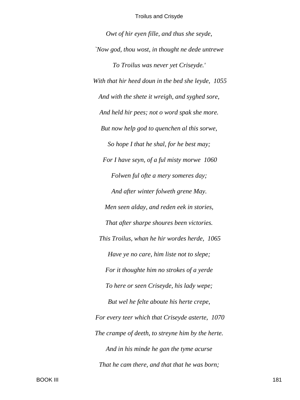*Owt of hir eyen fille, and thus she seyde, `Now god, thou wost, in thought ne dede untrewe To Troilus was never yet Criseyde.' With that hir heed doun in the bed she leyde, 1055 And with the shete it wreigh, and syghed sore, And held hir pees; not o word spak she more. But now help god to quenchen al this sorwe, So hope I that he shal, for he best may; For I have seyn, of a ful misty morwe 1060 Folwen ful ofte a mery someres day; And after winter folweth grene May. Men seen alday, and reden eek in stories, That after sharpe shoures been victories. This Troilus, whan he hir wordes herde, 1065 Have ye no care, him liste not to slepe; For it thoughte him no strokes of a yerde To here or seen Criseyde, his lady wepe; But wel he felte aboute his herte crepe, For every teer which that Criseyde asterte, 1070 The crampe of deeth, to streyne him by the herte. And in his minde he gan the tyme acurse That he cam there, and that that he was born;*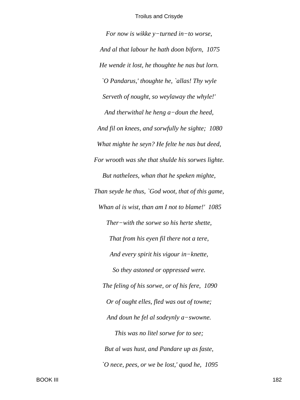*For now is wikke y−turned in−to worse, And al that labour he hath doon biforn, 1075 He wende it lost, he thoughte he nas but lorn. `O Pandarus,' thoughte he, `allas! Thy wyle Serveth of nought, so weylaway the whyle!' And therwithal he heng a−doun the heed, And fil on knees, and sorwfully he sighte; 1080 What mighte he seyn? He felte he nas but deed, For wrooth was she that shulde his sorwes lighte. But nathelees, whan that he speken mighte, Than seyde he thus, `God woot, that of this game, Whan al is wist, than am I not to blame!' 1085 Ther−with the sorwe so his herte shette, That from his eyen fil there not a tere, And every spirit his vigour in−knette, So they astoned or oppressed were. The feling of his sorwe, or of his fere, 1090 Or of ought elles, fled was out of towne; And doun he fel al sodeynly a−swowne. This was no litel sorwe for to see; But al was hust, and Pandare up as faste, `O nece, pees, or we be lost,' quod he, 1095*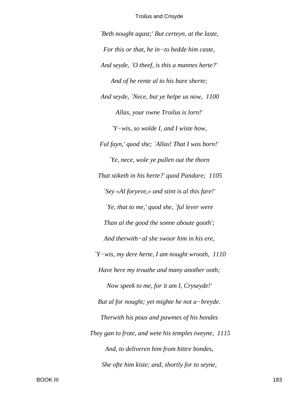*`Beth nought agast;' But certeyn, at the laste, For this or that, he in−to bedde him caste, And seyde, `O theef, is this a mannes herte?' And of he rente al to his bare sherte; And seyde, `Nece, but ye helpe us now, 1100 Allas, your owne Troilus is lorn!' `Y−wis, so wolde I, and I wiste how, Ful fayn,' quod she; `Allas! That I was born!' `Ye, nece, wole ye pullen out the thorn That stiketh in his herte?' quod Pandare; 1105 `Sey «Al foryeve,» and stint is al this fare!' `Ye, that to me,' quod she, `ful lever were Than al the good the sonne aboute gooth'; And therwith−al she swoor him in his ere, `Y−wis, my dere herte, I am nought wrooth, 1110 Have here my trouthe and many another ooth; Now speek to me, for it am I, Cryseyde!' But al for nought; yet mighte he not a−breyde. Therwith his pous and pawmes of his hondes They gan to frote, and wete his temples tweyne, 1115 And, to deliveren him from bittre bondes, She ofte him kiste; and, shortly for to seyne,*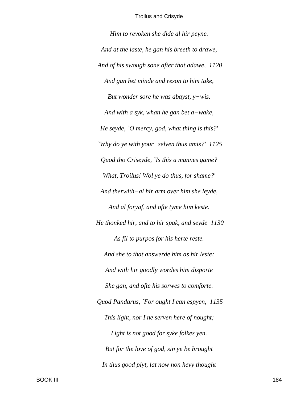*Him to revoken she dide al hir peyne. And at the laste, he gan his breeth to drawe, And of his swough sone after that adawe, 1120 And gan bet minde and reson to him take, But wonder sore he was abayst, y−wis. And with a syk, whan he gan bet a−wake, He seyde, `O mercy, god, what thing is this?' `Why do ye with your−selven thus amis?' 1125 Quod tho Criseyde, `Is this a mannes game? What, Troilus! Wol ye do thus, for shame?' And therwith−al hir arm over him she leyde, And al foryaf, and ofte tyme him keste. He thonked hir, and to hir spak, and seyde 1130 As fil to purpos for his herte reste. And she to that answerde him as hir leste; And with hir goodly wordes him disporte She gan, and ofte his sorwes to comforte. Quod Pandarus, `For ought I can espyen, 1135 This light, nor I ne serven here of nought; Light is not good for syke folkes yen. But for the love of god, sin ye be brought In thus good plyt, lat now non hevy thought*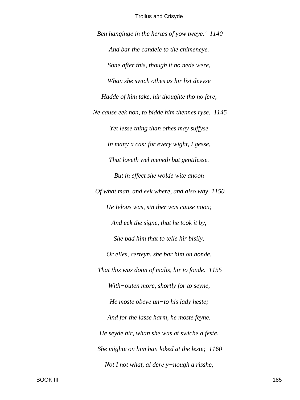Ben hanginge in the hertes of yow tweye:' 1140 And bar the candele to the chimeneye. Sone after this, though it no nede were, Whan she swich othes as hir list devyse Hadde of him take, hir thoughte tho no fere, Ne cause eek non, to bidde him thennes ryse. 1145 Yet lesse thing than othes may suffyse In many a cas; for every wight, I gesse, That loveth wel meneth but gentilesse. But in effect she wolde wite anoon Of what man, and eek where, and also why 1150 He Ielous was, sin ther was cause noon; And eek the signe, that he took it by, She bad him that to telle hir bisily, Or elles, certeyn, she bar him on honde, That this was doon of malis, hir to fonde. 1155 With-outen more, shortly for to seyne, He moste obeye  $un-to$  his lady heste; And for the lasse harm, he moste feyne. He seyde hir, whan she was at swiche a feste, She mighte on him han loked at the leste; 1160 Not I not what, al dere  $y$ -nough a risshe,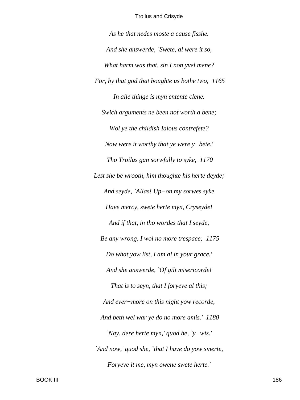As he that nedes moste a cause fisshe. And she answerde, `Swete, al were it so, What harm was that, sin I non yvel mene? For, by that god that boughte us bothe two, 1165 In alle thinge is myn entente clene. Swich arguments ne been not worth a bene; Wol ye the childish Ialous contrefete? Now were it worthy that ye were  $y$ -bete.' Tho Troilus gan sorwfully to syke, 1170 Lest she be wrooth, him thoughte his herte deyde; And seyde, `Allas! Up-on my sorwes syke Have mercy, swete herte myn, Cryseyde! And if that, in tho wordes that I seyde, Be any wrong, I wol no more trespace; 1175 Do what yow list, I am al in your grace.' And she answerde, `Of gilt misericorde! That is to seyn, that I foryeve al this; And ever-more on this night yow recorde, And beth wel war ye do no more amis.' 1180 'Nay, dere herte myn,' quod he, 'y-wis.' `And now,' quod she, `that I have do yow smerte, Foryeve it me, myn owene swete herte.'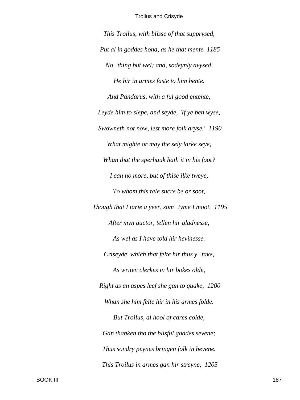This Troilus, with blisse of that supprysed, Put al in goddes hond, as he that mente 1185 No-thing but wel; and, sodeynly avysed, He hir in armes faste to him hente. And Pandarus, with a ful good entente, Leyde him to slepe, and seyde, `If ye ben wyse, Swowneth not now, lest more folk aryse.' 1190 What mighte or may the sely larke seye, Whan that the sperhauk hath it in his foot? I can no more, but of thise ilke tweye, To whom this tale sucre be or soot, Though that I tarie a yeer, som-tyme I moot, 1195 After myn auctor, tellen hir gladnesse, As wel as I have told hir hevinesse. Criseyde, which that felte hir thus  $y$ -take, As writen clerkes in hir bokes olde, Right as an aspes leef she gan to quake, 1200 Whan she him felte hir in his armes folde. But Troilus, al hool of cares colde, Gan thanken tho the blisful goddes sevene; Thus sondry peynes bringen folk in hevene. This Troilus in armes gan hir streyne, 1205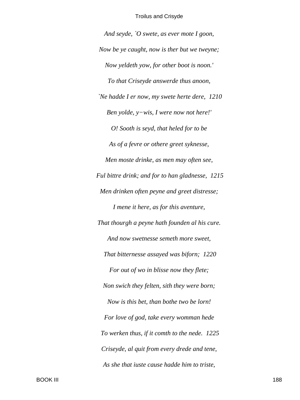*And seyde, `O swete, as ever mote I goon, Now be ye caught, now is ther but we tweyne; Now yeldeth yow, for other boot is noon.' To that Criseyde answerde thus anoon, `Ne hadde I er now, my swete herte dere, 1210 Ben yolde, y−wis, I were now not here!' O! Sooth is seyd, that heled for to be As of a fevre or othere greet syknesse, Men moste drinke, as men may often see, Ful bittre drink; and for to han gladnesse, 1215 Men drinken often peyne and greet distresse; I mene it here, as for this aventure, That thourgh a peyne hath founden al his cure. And now swetnesse semeth more sweet, That bitternesse assayed was biforn; 1220 For out of wo in blisse now they flete; Non swich they felten, sith they were born; Now is this bet, than bothe two be lorn! For love of god, take every womman hede To werken thus, if it comth to the nede. 1225 Criseyde, al quit from every drede and tene, As she that iuste cause hadde him to triste,*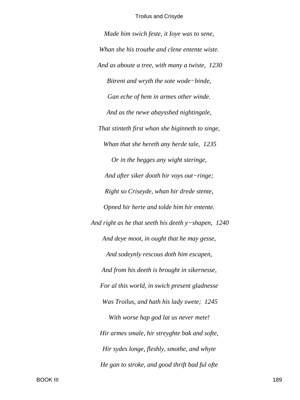*Made him swich feste, it Ioye was to sene, Whan she his trouthe and clene entente wiste. And as aboute a tree, with many a twiste, 1230 Bitrent and wryth the sote wode−binde, Gan eche of hem in armes other winde. And as the newe abaysshed nightingale, That stinteth first whan she biginneth to singe, Whan that she hereth any herde tale, 1235 Or in the hegges any wight steringe, And after siker dooth hir voys out−ringe; Right so Criseyde, whan hir drede stente, Opned hir herte and tolde him hir entente. And right as he that seeth his deeth y−shapen, 1240 And deye moot, in ought that he may gesse, And sodeynly rescous doth him escapen, And from his deeth is brought in sikernesse, For al this world, in swich present gladnesse Was Troilus, and hath his lady swete; 1245 With worse hap god lat us never mete! Hir armes smale, hir streyghte bak and softe, Hir sydes longe, fleshly, smothe, and whyte He gan to stroke, and good thrift bad ful ofte*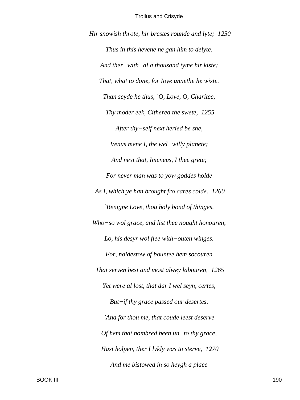Hir snowish throte, hir brestes rounde and lyte; 1250 Thus in this hevene he gan him to delyte, And ther-with-al a thousand tyme hir kiste; That, what to done, for loye unnethe he wiste. Than seyde he thus,  $\bigcirc$ , Love, O, Charitee, Thy moder eek, Citherea the swete, 1255 After thy-self next heried be she, Venus mene I, the wel-willy planete; And next that, Imeneus, I thee grete; For never man was to yow goddes holde As I, which ye han brought fro cares colde. 1260 'Benigne Love, thou holy bond of thinges, Who-so wol grace, and list thee nought honouren, Lo, his desyr wol flee with-outen winges. For, noldestow of bountee hem socouren That serven best and most alwey labouren, 1265 Yet were al lost, that dar I wel seyn, certes, But-if thy grace passed our desertes. `And for thou me, that coude leest deserve Of hem that nombred been  $un$ -to thy grace, Hast holpen, ther I lykly was to sterve, 1270 And me bistowed in so heygh a place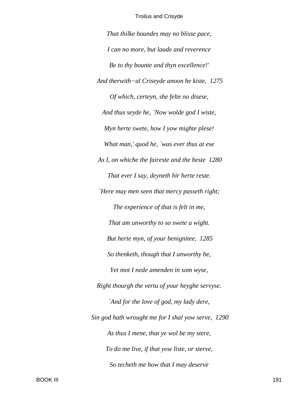That thilke boundes may no blisse pace, I can no more, but laude and reverence Be to thy bounte and thyn excellence!' And therwith-al Criseyde anoon he kiste, 1275 Of which, certeyn, she felte no disese, And thus seyde he, `Now wolde god I wiste, Myn herte swete, how I yow mighte plese! What man,' quod he, `was ever thus at ese As I, on whiche the faireste and the beste 1280 That ever I say, deyneth hir herte reste. `Here may men seen that mercy passeth right; The experience of that is felt in me, That am unworthy to so swete a wight. But herte myn, of your benignitee, 1285 So thenketh, though that I unworthy be, Yet mot I nede amenden in som wyse, Right thourgh the vertu of your heyghe servyse. `And for the love of god, my lady dere, Sin god hath wrought me for I shal yow serve, 1290 As thus I mene, that ye wol be my stere, To do me live, if that yow liste, or sterve, So techeth me how that I may deserve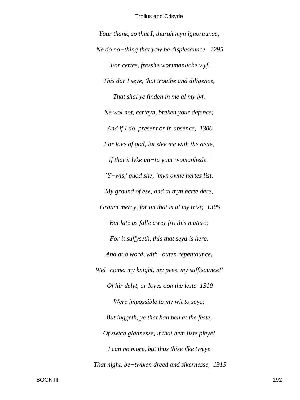Your thank, so that I, thurgh myn ignoraunce, Ne do no-thing that yow be displesaunce. 1295 `For certes, fresshe wommanliche wyf, This dar I seye, that trouthe and diligence, That shal ye finden in me al my lyf, Ne wol not, certeyn, breken your defence; And if I do, present or in absence, 1300 For love of god, lat slee me with the dede, If that it lyke un-to your womanhede.'  $Y-wis'$ , and she, `myn owne hertes list, My ground of ese, and al myn herte dere, Graunt mercy, for on that is al my trist; 1305 But late us falle awey fro this matere; For it suffyseth, this that seyd is here. And at o word, with-outen repentaunce, Wel-come, my knight, my pees, my suffisaunce!' Of hir delyt, or Ioyes oon the leste 1310 Were impossible to my wit to seye; But iuggeth, ye that han ben at the feste, Of swich gladnesse, if that hem liste pleye! I can no more, but thus thise ilke tweye That night, be-twixen dreed and sikernesse, 1315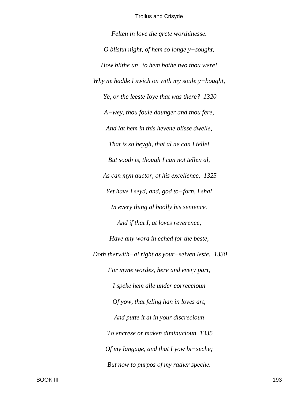*Felten in love the grete worthinesse. O blisful night, of hem so longe y−sought, How blithe un−to hem bothe two thou were! Why ne hadde I swich on with my soule y−bought, Ye, or the leeste Ioye that was there? 1320 A−wey, thou foule daunger and thou fere, And lat hem in this hevene blisse dwelle, That is so heygh, that al ne can I telle! But sooth is, though I can not tellen al, As can myn auctor, of his excellence, 1325 Yet have I seyd, and, god to−forn, I shal In every thing al hoolly his sentence. And if that I, at loves reverence, Have any word in eched for the beste, Doth therwith−al right as your−selven leste. 1330 For myne wordes, here and every part, I speke hem alle under correccioun Of yow, that feling han in loves art, And putte it al in your discrecioun To encrese or maken diminucioun 1335 Of my langage, and that I yow bi−seche; But now to purpos of my rather speche.*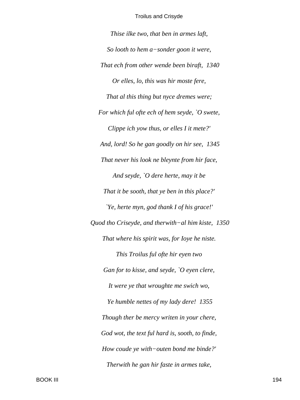*Thise ilke two, that ben in armes laft, So looth to hem a−sonder goon it were, That ech from other wende been biraft, 1340 Or elles, lo, this was hir moste fere, That al this thing but nyce dremes were; For which ful ofte ech of hem seyde, `O swete, Clippe ich yow thus, or elles I it mete?' And, lord! So he gan goodly on hir see, 1345 That never his look ne bleynte from hir face, And seyde, `O dere herte, may it be That it be sooth, that ye ben in this place?' `Ye, herte myn, god thank I of his grace!' Quod tho Criseyde, and therwith−al him kiste, 1350 That where his spirit was, for Ioye he niste. This Troilus ful ofte hir eyen two Gan for to kisse, and seyde, `O eyen clere, It were ye that wroughte me swich wo, Ye humble nettes of my lady dere! 1355 Though ther be mercy writen in your chere, God wot, the text ful hard is, sooth, to finde, How coude ye with−outen bond me binde?' Therwith he gan hir faste in armes take,*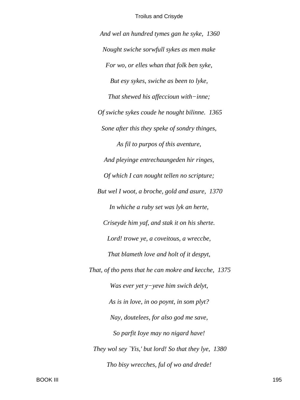And wel an hundred tymes gan he syke, 1360 Nought swiche sorwfull sykes as men make For wo, or elles whan that folk ben syke, But esy sykes, swiche as been to lyke, That shewed his affeccioun with-inne; Of swiche sykes coude he nought bilinne. 1365 Sone after this they speke of sondry thinges, As fil to purpos of this aventure, And pleyinge entrechaungeden hir ringes, Of which I can nought tellen no scripture; But wel I woot, a broche, gold and asure, 1370 In whiche a ruby set was lyk an herte, Criseyde him yaf, and stak it on his sherte. Lord! trowe ye, a coveitous, a wreccbe, That blameth love and holt of it despyt, That, of tho pens that he can mokre and kecche, 1375 Was ever yet  $y$ -yeve him swich delyt, As is in love, in oo poynt, in som plyt? Nay, doutelees, for also god me save, So parfit loye may no nigard have! They wol sey 'Yis,' but lord! So that they lye, 1380 Tho bisy wrecches, ful of wo and drede!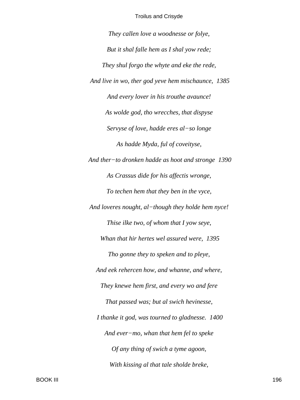They callen love a woodnesse or folye, But it shal falle hem as I shal yow rede; They shul forgo the whyte and eke the rede, And live in wo, ther god yeve hem mischaunce, 1385 And every lover in his trouthe avaunce! As wolde god, tho wrecches, that dispyse Servyse of love, hadde eres al-so longe As hadde Myda, ful of coveityse, And ther-to dronken hadde as hoot and stronge 1390 As Crassus dide for his affectis wronge, To techen hem that they ben in the vyce, And loveres nought, al-though they holde hem nyce! Thise ilke two, of whom that I yow seye, Whan that hir hertes wel assured were, 1395 Tho gonne they to speken and to pleye, And eek rehercen how, and whanne, and where, They knewe hem first, and every wo and fere That passed was; but al swich hevinesse, I thanke it god, was tourned to gladnesse. 1400 And ever-mo, whan that hem fel to speke Of any thing of swich a tyme agoon, With kissing al that tale sholde breke,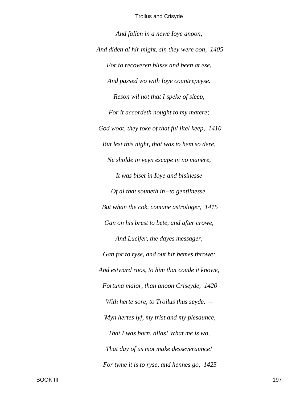And fallen in a newe loye anoon, And diden al hir might, sin they were oon, 1405 For to recoveren blisse and been at ese, And passed wo with loye countrepeyse. Reson wil not that I speke of sleep, For it accordeth nought to my matere; God woot, they toke of that ful litel keep, 1410 But lest this night, that was to hem so dere, Ne sholde in veyn escape in no manere, It was biset in Ioye and bisinesse Of al that souneth in-to gentilnesse. But whan the cok, comune astrologer, 1415 Gan on his brest to bete, and after crowe, And Lucifer, the dayes messager, Gan for to ryse, and out hir bemes throwe; And estward roos, to him that coude it knowe, Fortuna maior, than anoon Criseyde, 1420 With herte sore, to Troilus thus seyde:  $-$ `Myn hertes lyf, my trist and my plesaunce, That I was born, allas! What me is wo, That day of us mot make desseveraunce! For tyme it is to ryse, and hennes go, 1425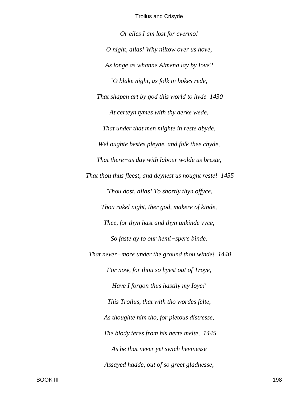*Or elles I am lost for evermo! O night, allas! Why niltow over us hove, As longe as whanne Almena lay by Iove? `O blake night, as folk in bokes rede, That shapen art by god this world to hyde 1430 At certeyn tymes with thy derke wede, That under that men mighte in reste abyde, Wel oughte bestes pleyne, and folk thee chyde, That there−as day with labour wolde us breste, That thou thus fleest, and deynest us nought reste! 1435 `Thou dost, allas! To shortly thyn offyce, Thou rakel night, ther god, makere of kinde, Thee, for thyn hast and thyn unkinde vyce, So faste ay to our hemi−spere binde. That never−more under the ground thou winde! 1440 For now, for thou so hyest out of Troye, Have I forgon thus hastily my Ioye!' This Troilus, that with tho wordes felte, As thoughte him tho, for pietous distresse, The blody teres from his herte melte, 1445 As he that never yet swich hevinesse Assayed hadde, out of so greet gladnesse,*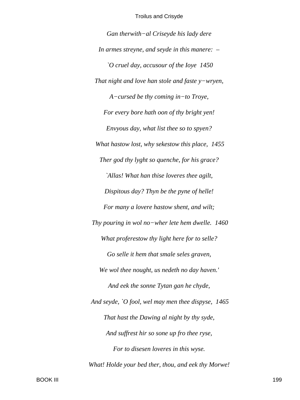Gan therwith-al Criseyde his lady dere In armes streyne, and seyde in this manere:  $-$ O cruel day, accusour of the Ioye 1450 That night and love han stole and faste  $y$ -wryen,  $A$ -cursed be thy coming in-to Troye, For every bore hath oon of thy bright yen! Envyous day, what list thee so to spyen? What hastow lost, why sekestow this place, 1455 Ther god thy lyght so quenche, for his grace? `Allas! What han thise loveres thee agilt, Dispitous day? Thyn be the pyne of helle! For many a lovere hastow shent, and wilt; Thy pouring in wol no-wher lete hem dwelle.  $1460$ What proferestow thy light here for to selle? Go selle it hem that smale seles graven, We wol thee nought, us nedeth no day haven.' And eek the sonne Tytan gan he chyde, And seyde, `O fool, wel may men thee dispyse, 1465 That hast the Dawing al night by thy syde, And suffrest hir so sone up fro thee ryse, For to disesen loveres in this wyse. What! Holde your bed ther, thou, and eek thy Morwe!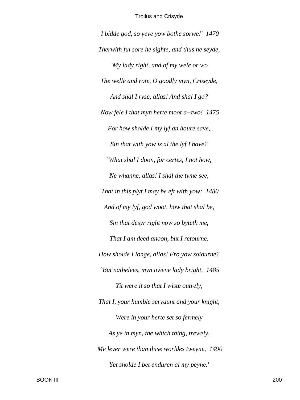I bidde god, so yeve yow bothe sorwe!' 1470 Therwith ful sore he sighte, and thus he seyde, `My lady right, and of my wele or wo The welle and rote, O goodly myn, Criseyde, And shal I ryse, allas! And shal I go? Now fele I that myn herte moot  $a$ -two! 1475 For how sholde I my lyf an houre save, Sin that with yow is al the lyf I have? `What shal I doon, for certes, I not how, Ne whanne, allas! I shal the tyme see, That in this plyt I may be eft with yow;  $1480$ And of my lyf, god woot, how that shal be, Sin that desyr right now so byteth me, That I am deed anoon, but I retourne. How sholde I longe, allas! Fro yow soiourne? `But nathelees, myn owene lady bright, 1485 Yit were it so that I wiste outrely, That I, your humble servaunt and your knight, Were in your herte set so fermely As ye in myn, the which thing, trewely, Me lever were than thise worldes tweyne, 1490 Yet sholde I bet enduren al my peyne.'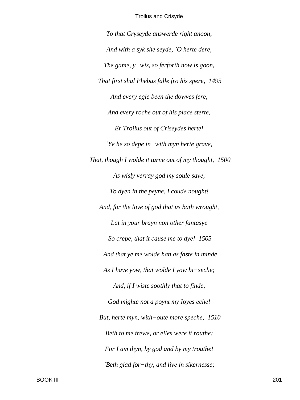To that Cryseyde answerde right anoon, And with a syk she seyde, `O herte dere, The game,  $y$ -wis, so ferforth now is soon,That first shal Phebus falle fro his spere, 1495 And every egle been the dowyes fere, And every roche out of his place sterte, Er Troilus out of Criseydes herte! *Ye he so depe in-with myn herte grave,* That, though I wolde it turne out of my thought, 1500 As wisly verray god my soule save, To dyen in the peyne, I coude nought! And, for the love of god that us bath wrought, Lat in your brayn non other fantasye So crepe, that it cause me to dye! 1505 `And that ye me wolde han as faste in minde As I have yow, that wolde I yow bi-seche; And, if I wiste soothly that to finde, God mighte not a poynt my loyes eche! But, herte myn, with-oute more speche, 1510 Beth to me trewe, or elles were it routhe; For I am thyn, by god and by my trouthe! `Beth glad for-thy, and live in sikernesse;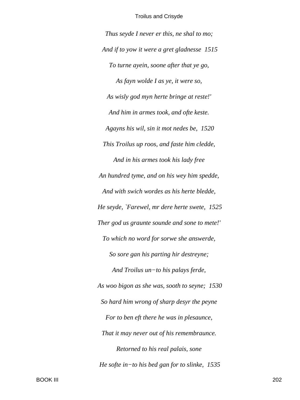*Thus seyde I never er this, ne shal to mo; And if to yow it were a gret gladnesse 1515 To turne ayein, soone after that ye go, As fayn wolde I as ye, it were so, As wisly god myn herte bringe at reste!' And him in armes took, and ofte keste. Agayns his wil, sin it mot nedes be, 1520 This Troilus up roos, and faste him cledde, And in his armes took his lady free An hundred tyme, and on his wey him spedde, And with swich wordes as his herte bledde, He seyde, `Farewel, mr dere herte swete, 1525 Ther god us graunte sounde and sone to mete!' To which no word for sorwe she answerde, So sore gan his parting hir destreyne; And Troilus un−to his palays ferde, As woo bigon as she was, sooth to seyne; 1530 So hard him wrong of sharp desyr the peyne For to ben eft there he was in plesaunce, That it may never out of his remembraunce. Retorned to his real palais, sone He softe in−to his bed gan for to slinke, 1535*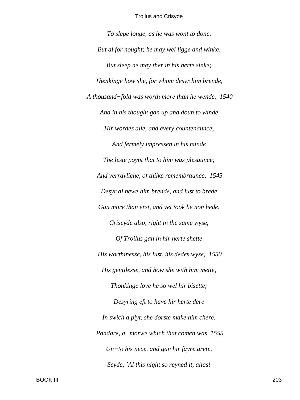*To slepe longe, as he was wont to done, But al for nought; he may wel ligge and winke, But sleep ne may ther in his herte sinke; Thenkinge how she, for whom desyr him brende, A thousand−fold was worth more than he wende. 1540 And in his thought gan up and doun to winde Hir wordes alle, and every countenaunce, And fermely impressen in his minde The leste poynt that to him was plesaunce; And verrayliche, of thilke remembraunce, 1545 Desyr al newe him brende, and lust to brede Gan more than erst, and yet took he non hede. Criseyde also, right in the same wyse, Of Troilus gan in hir herte shette His worthinesse, his lust, his dedes wyse, 1550 His gentilesse, and how she with him mette, Thonkinge love he so wel hir bisette; Desyring eft to have hir herte dere In swich a plyt, she dorste make him chere. Pandare, a−morwe which that comen was 1555 Un−to his nece, and gan hir fayre grete, Seyde, `Al this night so reyned it, allas!*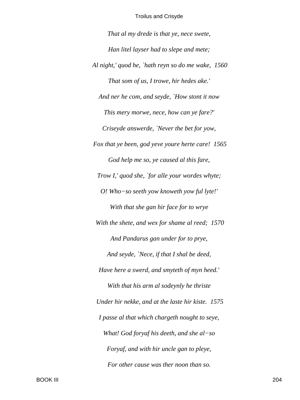*That al my drede is that ye, nece swete, Han litel layser had to slepe and mete; Al night,' quod he, `hath reyn so do me wake, 1560 That som of us, I trowe, hir hedes ake.' And ner he com, and seyde, `How stont it now This mery morwe, nece, how can ye fare?' Criseyde answerde, `Never the bet for yow, Fox that ye been, god yeve youre herte care! 1565 God help me so, ye caused al this fare, Trow I,' quod she, `for alle your wordes whyte; O! Who−so seeth yow knoweth yow ful lyte!' With that she gan hir face for to wrye With the shete, and wex for shame al reed; 1570 And Pandarus gan under for to prye, And seyde, `Nece, if that I shal be deed, Have here a swerd, and smyteth of myn heed.' With that his arm al sodeynly he thriste Under hir nekke, and at the laste hir kiste. 1575 I passe al that which chargeth nought to seye, What! God foryaf his deeth, and she al−so Foryaf, and with hir uncle gan to pleye, For other cause was ther noon than so.*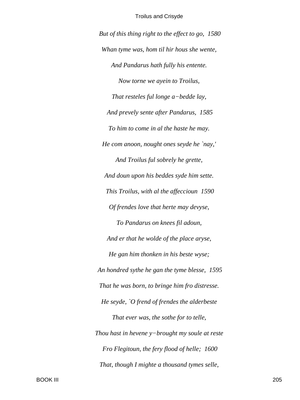But of this thing right to the effect to go, 1580 Whan tyme was, hom til hir hous she wente, And Pandarus hath fully his entente. Now torne we ayein to Troilus, That resteles ful longe a-bedde lay, And prevely sente after Pandarus, 1585 To him to come in al the haste he may. He com anoon, nought ones seyde he `nay,' And Troilus ful sobrely he grette, And doun upon his beddes syde him sette. This Troilus, with al the affeccioun 1590 Of frendes love that herte may devyse, To Pandarus on knees fil adoun, And er that he wolde of the place aryse, He gan him thonken in his beste wyse; An hondred sythe he gan the tyme blesse, 1595 That he was born, to bringe him fro distresse. He seyde, `O frend of frendes the alderbeste That ever was, the sothe for to telle, Thou hast in hevene  $y$ -brought my soule at reste Fro Flegitoun, the fery flood of helle; 1600 That, though I mighte a thousand tymes selle,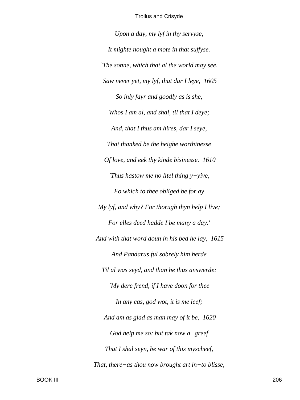*Upon a day, my lyf in thy servyse, It mighte nought a mote in that suffyse. `The sonne, which that al the world may see, Saw never yet, my lyf, that dar I leye, 1605 So inly fayr and goodly as is she, Whos I am al, and shal, til that I deye; And, that I thus am hires, dar I seye, That thanked be the heighe worthinesse Of love, and eek thy kinde bisinesse. 1610 `Thus hastow me no litel thing y−yive, Fo which to thee obliged be for ay My lyf, and why? For thorugh thyn help I live; For elles deed hadde I be many a day.' And with that word doun in his bed he lay, 1615 And Pandarus ful sobrely him herde Til al was seyd, and than he thus answerde: `My dere frend, if I have doon for thee In any cas, god wot, it is me leef; And am as glad as man may of it be, 1620 God help me so; but tak now a−greef That I shal seyn, be war of this myscheef, That, there−as thou now brought art in−to blisse,*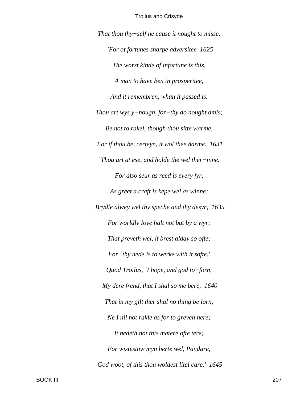*That thou thy−self ne cause it nought to misse. `For of fortunes sharpe adversitee 1625 The worst kinde of infortune is this, A man to have ben in prosperitee, And it remembren, whan it passed is. Thou art wys y−nough, for−thy do nought amis; Be not to rakel, though thou sitte warme, For if thou be, certeyn, it wol thee harme. 1631 `Thou art at ese, and holde the wel ther−inne. For also seur as reed is every fyr, As greet a craft is kepe wel as winne; Brydle alwey wel thy speche and thy desyr, 1635 For worldly Ioye halt not but by a wyr; That preveth wel, it brest alday so ofte; For−thy nede is to werke with it softe.' Quod Troilus, `I hope, and god to−forn, My dere frend, that I shal so me bere, 1640 That in my gilt ther shal no thing be lorn, Ne I nil not rakle as for to greven here; It nedeth not this matere ofte tere; For wistestow myn herte wel, Pandare, God woot, of this thou woldest litel care.' 1645*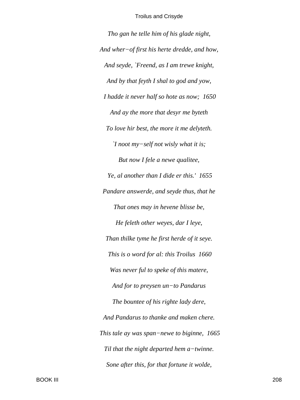Tho gan he telle him of his glade night, And wher-of first his herte dredde, and how, And seyde, `Freend, as I am trewe knight, And by that feyth I shal to god and yow, I hadde it never half so hote as now; 1650 And ay the more that desyr me byteth To love hir best, the more it me delyteth.  $\Upsilon$  noot my-self not wisly what it is; But now I fele a newe qualitee, Ye, al another than I dide er this.' 1655 Pandare answerde, and seyde thus, that he That ones may in hevene blisse be, He feleth other weyes, dar I leye, Than thilke tyme he first herde of it seye. This is o word for al: this Troilus 1660 Was never ful to speke of this matere, And for to preysen un-to Pandarus The bountee of his righte lady dere, And Pandarus to thanke and maken chere. This tale ay was span–newe to biginne, 1665 Til that the night departed hem  $a$ -twinne. Sone after this, for that fortune it wolde,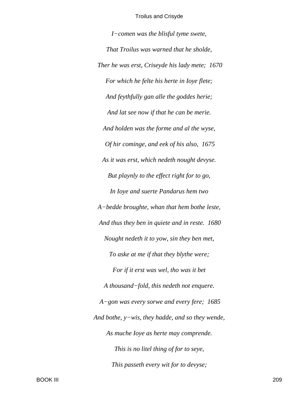*I−comen was the blisful tyme swete, That Troilus was warned that he sholde, Ther he was erst, Criseyde his lady mete; 1670 For which he felte his herte in Ioye flete; And feythfully gan alle the goddes herie; And lat see now if that he can be merie. And holden was the forme and al the wyse, Of hir cominge, and eek of his also, 1675 As it was erst, which nedeth nought devyse. But playnly to the effect right for to go, In Ioye and suerte Pandarus hem two A−bedde broughte, whan that hem bothe leste, And thus they ben in quiete and in reste. 1680 Nought nedeth it to yow, sin they ben met, To aske at me if that they blythe were; For if it erst was wel, tho was it bet A thousand−fold, this nedeth not enquere. A−gon was every sorwe and every fere; 1685 And bothe, y−wis, they hadde, and so they wende, As muche Ioye as herte may comprende. This is no litel thing of for to seye, This passeth every wit for to devyse;*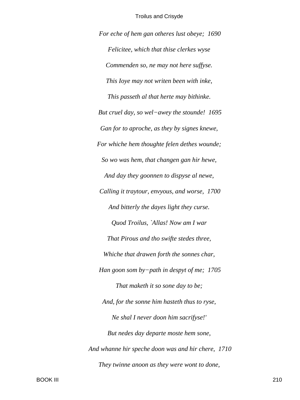*For eche of hem gan otheres lust obeye; 1690 Felicitee, which that thise clerkes wyse Commenden so, ne may not here suffyse. This Ioye may not writen been with inke, This passeth al that herte may bithinke. But cruel day, so wel−awey the stounde! 1695 Gan for to aproche, as they by signes knewe, For whiche hem thoughte felen dethes wounde; So wo was hem, that changen gan hir hewe, And day they goonnen to dispyse al newe, Calling it traytour, envyous, and worse, 1700 And bitterly the dayes light they curse. Quod Troilus, `Allas! Now am I war That Pirous and tho swifte stedes three, Whiche that drawen forth the sonnes char, Han goon som by−path in despyt of me; 1705 That maketh it so sone day to be; And, for the sonne him hasteth thus to ryse, Ne shal I never doon him sacrifyse!' But nedes day departe moste hem sone, And whanne hir speche doon was and hir chere, 1710 They twinne anoon as they were wont to done,*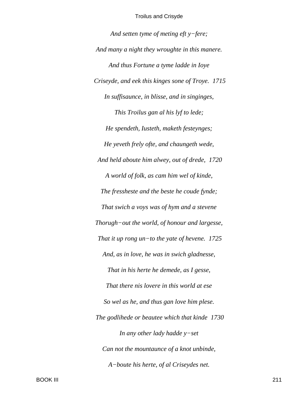*And setten tyme of meting eft y−fere; And many a night they wroughte in this manere. And thus Fortune a tyme ladde in Ioye Criseyde, and eek this kinges sone of Troye. 1715 In suffisaunce, in blisse, and in singinges, This Troilus gan al his lyf to lede; He spendeth, Iusteth, maketh festeynges; He yeveth frely ofte, and chaungeth wede, And held aboute him alwey, out of drede, 1720 A world of folk, as cam him wel of kinde, The fressheste and the beste he coude fynde; That swich a voys was of hym and a stevene Thorugh−out the world, of honour and largesse, That it up rong un−to the yate of hevene. 1725 And, as in love, he was in swich gladnesse, That in his herte he demede, as I gesse, That there nis lovere in this world at ese So wel as he, and thus gan love him plese. The godlihede or beautee which that kinde 1730 In any other lady hadde y−set Can not the mountaunce of a knot unbinde, A−boute his herte, of al Criseydes net.*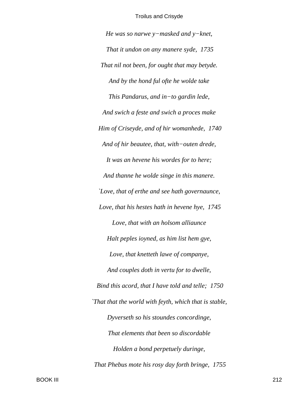He was so narwe  $y$ -masked and  $y$ -knet, That it undon on any manere syde, 1735 That nil not been, for ought that may betyde. And by the hond ful ofte he wolde take This Pandarus, and in-to gardin lede, And swich a feste and swich a proces make Him of Criseyde, and of hir womanhede, 1740 And of hir beautee, that, with-outen drede, It was an hevene his wordes for to here; And thanne he wolde singe in this manere. `Love, that of erthe and see hath governaunce, Love, that his hestes hath in hevene hye, 1745 Love, that with an holsom alliaunce Halt peples ioyned, as him list hem gye, Love, that knetteth lawe of companye, And couples doth in vertu for to dwelle, Bind this acord, that I have told and telle; 1750 `That that the world with feyth, which that is stable, Dyverseth so his stoundes concordinge, That elements that been so discordable Holden a bond perpetuely duringe, That Phebus mote his rosy day forth bringe, 1755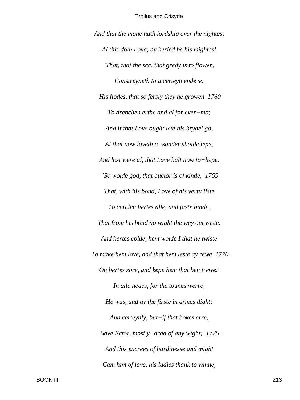*And that the mone hath lordship over the nightes, Al this doth Love; ay heried be his mightes! `That, that the see, that gredy is to flowen, Constreyneth to a certeyn ende so His flodes, that so fersly they ne growen 1760 To drenchen erthe and al for ever−mo; And if that Love ought lete his brydel go, Al that now loveth a−sonder sholde lepe, And lost were al, that Love halt now to−hepe. `So wolde god, that auctor is of kinde, 1765 That, with his bond, Love of his vertu liste To cerclen hertes alle, and faste binde, That from his bond no wight the wey out wiste. And hertes colde, hem wolde I that he twiste To make hem love, and that hem leste ay rewe 1770 On hertes sore, and kepe hem that ben trewe.' In alle nedes, for the tounes werre, He was, and ay the firste in armes dight; And certeynly, but−if that bokes erre, Save Ector, most y−drad of any wight; 1775 And this encrees of hardinesse and might Cam him of love, his ladies thank to winne,*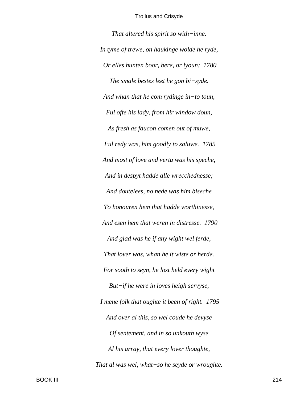*That altered his spirit so with−inne. In tyme of trewe, on haukinge wolde he ryde, Or elles hunten boor, bere, or lyoun; 1780 The smale bestes leet he gon bi−syde. And whan that he com rydinge in−to toun, Ful ofte his lady, from hir window doun, As fresh as faucon comen out of muwe, Ful redy was, him goodly to saluwe. 1785 And most of love and vertu was his speche, And in despyt hadde alle wrecchednesse; And doutelees, no nede was him biseche To honouren hem that hadde worthinesse, And esen hem that weren in distresse. 1790 And glad was he if any wight wel ferde, That lover was, whan he it wiste or herde. For sooth to seyn, he lost held every wight But−if he were in loves heigh servyse, I mene folk that oughte it been of right. 1795 And over al this, so wel coude he devyse Of sentement, and in so unkouth wyse Al his array, that every lover thoughte, That al was wel, what−so he seyde or wroughte.*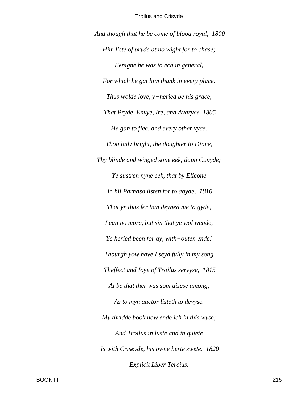*And though that he be come of blood royal, 1800 Him liste of pryde at no wight for to chase; Benigne he was to ech in general, For which he gat him thank in every place. Thus wolde love, y−heried be his grace, That Pryde, Envye, Ire, and Avaryce 1805 He gan to flee, and every other vyce. Thou lady bright, the doughter to Dione, Thy blinde and winged sone eek, daun Cupyde; Ye sustren nyne eek, that by Elicone In hil Parnaso listen for to abyde, 1810 That ye thus fer han deyned me to gyde, I can no more, but sin that ye wol wende, Ye heried been for ay, with−outen ende! Thourgh yow have I seyd fully in my song Theffect and Ioye of Troilus servyse, 1815 Al be that ther was som disese among, As to myn auctor listeth to devyse. My thridde book now ende ich in this wyse; And Troilus in luste and in quiete Is with Criseyde, his owne herte swete. 1820 Explicit Liber Tercius.*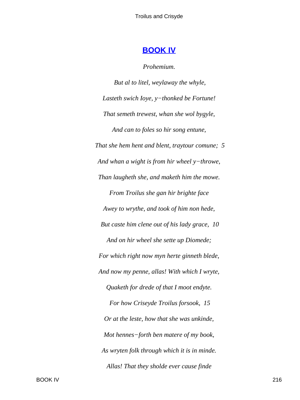# **[BOOK IV](#page-380-0)**

*Prohemium.*

*But al to litel, weylaway the whyle, Lasteth swich Ioye, y−thonked be Fortune! That semeth trewest, whan she wol bygyle, And can to foles so hir song entune, That she hem hent and blent, traytour comune; 5 And whan a wight is from hir wheel y−throwe, Than laugheth she, and maketh him the mowe. From Troilus she gan hir brighte face Awey to wrythe, and took of him non hede, But caste him clene out of his lady grace, 10 And on hir wheel she sette up Diomede; For which right now myn herte ginneth blede, And now my penne, allas! With which I wryte, Quaketh for drede of that I moot endyte. For how Criseyde Troilus forsook, 15 Or at the leste, how that she was unkinde, Mot hennes−forth ben matere of my book, As wryten folk through which it is in minde. Allas! That they sholde ever cause finde*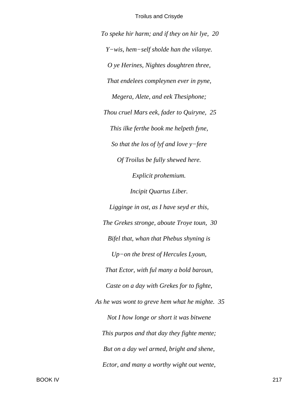*To speke hir harm; and if they on hir lye, 20 Y−wis, hem−self sholde han the vilanye. O ye Herines, Nightes doughtren three, That endelees compleynen ever in pyne, Megera, Alete, and eek Thesiphone; Thou cruel Mars eek, fader to Quiryne, 25 This ilke ferthe book me helpeth fyne, So that the los of lyf and love y−fere Of Troilus be fully shewed here. Explicit prohemium. Incipit Quartus Liber. Ligginge in ost, as I have seyd er this, The Grekes stronge, aboute Troye toun, 30 Bifel that, whan that Phebus shyning is Up−on the brest of Hercules Lyoun, That Ector, with ful many a bold baroun, Caste on a day with Grekes for to fighte, As he was wont to greve hem what he mighte. 35 Not I how longe or short it was bitwene This purpos and that day they fighte mente; But on a day wel armed, bright and shene, Ector, and many a worthy wight out wente,*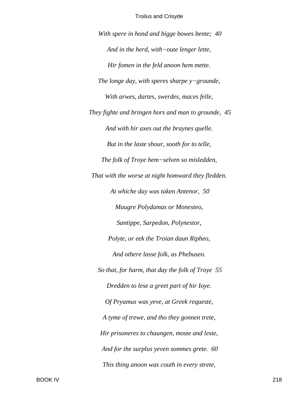*With spere in hond and bigge bowes bente; 40 And in the herd, with−oute lenger lette, Hir fomen in the feld anoon hem mette. The longe day, with speres sharpe y−grounde, With arwes, dartes, swerdes, maces felle, They fighte and bringen hors and man to grounde, 45 And with hir axes out the braynes quelle. But in the laste shour, sooth for to telle, The folk of Troye hem−selven so misledden, That with the worse at night homward they fledden. At whiche day was taken Antenor, 50 Maugre Polydamas or Monesteo, Santippe, Sarpedon, Polynestor, Polyte, or eek the Troian daun Ripheo, And othere lasse folk, as Phebuseo. So that, for harm, that day the folk of Troye 55 Dredden to lese a greet part of hir Ioye. Of Pryamus was yeve, at Greek requeste, A tyme of trewe, and tho they gonnen trete, Hir prisoneres to chaungen, moste and leste, And for the surplus yeven sommes grete. 60 This thing anoon was couth in every strete,*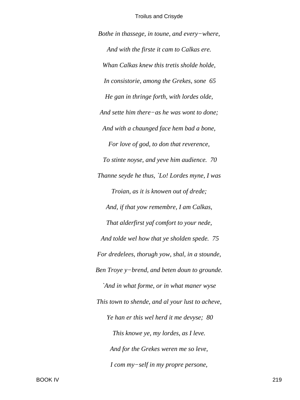Bothe in thassege, in toune, and every-where, And with the firste it cam to Calkas ere. Whan Calkas knew this tretis sholde holde, In consistorie, among the Grekes, sone 65 He gan in thringe forth, with lordes olde, And sette him there–as he was wont to done; And with a chaunged face hem bad a bone, For love of god, to don that reverence, To stinte noyse, and yeve him audience. 70 Thanne seyde he thus, 'Lo! Lordes myne, I was Troian, as it is knowen out of drede; And, if that yow remembre, I am Calkas, That alderfirst vaf comfort to your nede, And tolde wel how that ye sholden spede. 75 For dredelees, thorugh yow, shal, in a stounde, Ben Troye y-brend, and beten doun to grounde. `And in what forme, or in what maner wyse This town to shende, and al your lust to acheve, Ye han er this wel herd it me devyse; 80 This knowe ye, my lordes, as I leve. And for the Grekes weren me so leve, I com my-self in my propre persone,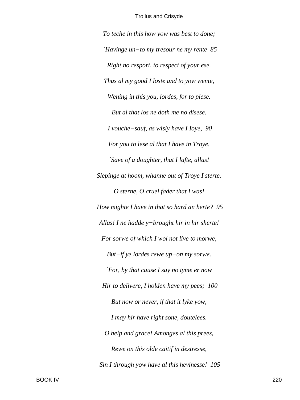To teche in this how yow was best to done; 'Havinge un-to my tresour ne my rente  $85$ Right no resport, to respect of your ese. Thus al my good I loste and to yow wente, Wening in this you, lordes, for to plese. But al that los ne doth me no disese. I vouche-sauf, as wisly have I Ioye, 90 For you to lese al that I have in Troye, `Save of a doughter, that I lafte, allas! Slepinge at hoom, whanne out of Troye I sterte. O sterne, O cruel fader that I was! How mighte I have in that so hard an herte? 95 Allas! I ne hadde  $y$ -brought hir in hir sherte! For sorwe of which I wol not live to morwe, But-if ye lordes rewe up-on my sorwe. *`For, by that cause I say no tyme er now* Hir to delivere, I holden have my pees; 100 But now or never, if that it lyke yow, I may hir have right sone, doutelees. O help and grace! Amonges al this prees, Rewe on this olde caitif in destresse, Sin I through yow have al this hevinesse! 105

**BOOK IV**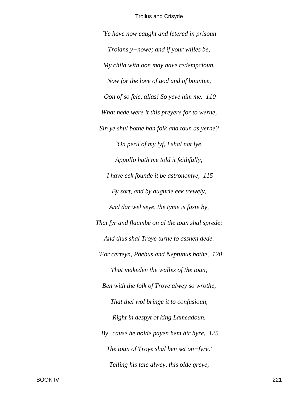*`Ye have now caught and fetered in prisoun Troians y−nowe; and if your willes be, My child with oon may have redempcioun. Now for the love of god and of bountee, Oon of so fele, allas! So yeve him me. 110 What nede were it this preyere for to werne, Sin ye shul bothe han folk and toun as yerne? `On peril of my lyf, I shal nat lye, Appollo hath me told it feithfully; I have eek founde it be astronomye, 115 By sort, and by augurie eek trewely, And dar wel seye, the tyme is faste by, That fyr and flaumbe on al the toun shal sprede; And thus shal Troye turne to asshen dede. `For certeyn, Phebus and Neptunus bothe, 120 That makeden the walles of the toun, Ben with the folk of Troye alwey so wrothe, That thei wol bringe it to confusioun, Right in despyt of king Lameadoun. By−cause he nolde payen hem hir hyre, 125 The toun of Troye shal ben set on−fyre.' Telling his tale alwey, this olde greye,*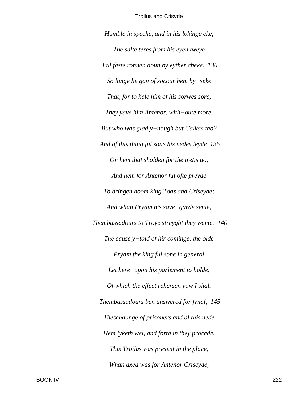Humble in speche, and in his lokinge eke, The salte teres from his eyen tweye Ful faste ronnen doun by eyther cheke. 130 So longe he gan of socour hem  $by$ -seke That, for to hele him of his sorwes sore, They yave him Antenor, with-oute more. But who was glad y-nough but Calkas tho? And of this thing ful sone his nedes leyde 135 On hem that sholden for the tretis go, And hem for Antenor ful ofte preyde To bringen hoom king Toas and Criseyde; And whan Pryam his save-garde sente, Thembassadours to Troye streyght they wente. 140 The cause  $y$ -told of hir cominge, the olde Pryam the king ful sone in general Let here-upon his parlement to holde, Of which the effect rehersen yow I shal. Thembassadours ben answered for fynal, 145 Theschaunge of prisoners and al this nede Hem lyketh wel, and forth in they procede. This Troilus was present in the place, Whan axed was for Antenor Criseyde,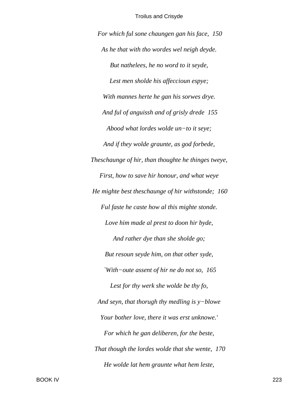*For which ful sone chaungen gan his face, 150 As he that with tho wordes wel neigh deyde. But nathelees, he no word to it seyde, Lest men sholde his affeccioun espye; With mannes herte he gan his sorwes drye. And ful of anguissh and of grisly drede 155 Abood what lordes wolde un−to it seye; And if they wolde graunte, as god forbede, Theschaunge of hir, than thoughte he thinges tweye, First, how to save hir honour, and what weye He mighte best theschaunge of hir withstonde; 160 Ful faste he caste how al this mighte stonde. Love him made al prest to doon hir byde, And rather dye than she sholde go; But resoun seyde him, on that other syde, `With−oute assent of hir ne do not so, 165 Lest for thy werk she wolde be thy fo, And seyn, that thorugh thy medling is y−blowe Your bother love, there it was erst unknowe.' For which he gan deliberen, for the beste, That though the lordes wolde that she wente, 170 He wolde lat hem graunte what hem leste,*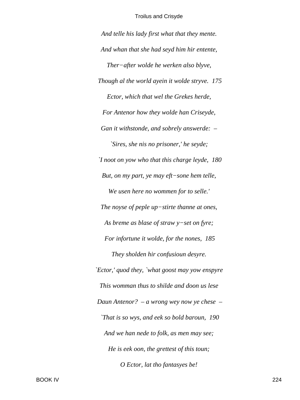*And telle his lady first what that they mente. And whan that she had seyd him hir entente, Ther−after wolde he werken also blyve, Though al the world ayein it wolde stryve. 175 Ector, which that wel the Grekes herde, For Antenor how they wolde han Criseyde, Gan it withstonde, and sobrely answerde: – `Sires, she nis no prisoner,' he seyde; `I noot on yow who that this charge leyde, 180 But, on my part, ye may eft−sone hem telle, We usen here no wommen for to selle.' The noyse of peple up−stirte thanne at ones, As breme as blase of straw y−set on fyre; For infortune it wolde, for the nones, 185 They sholden hir confusioun desyre. `Ector,' quod they, `what goost may yow enspyre This womman thus to shilde and doon us lese Daun Antenor? – a wrong wey now ye chese – `That is so wys, and eek so bold baroun, 190 And we han nede to folk, as men may see; He is eek oon, the grettest of this toun; O Ector, lat tho fantasyes be!*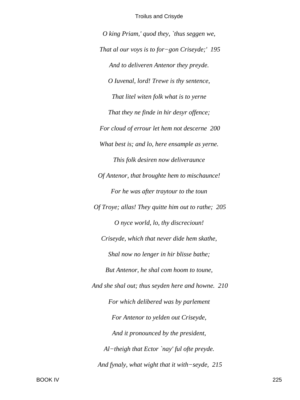*O king Priam,' quod they, `thus seggen we, That al our voys is to for−gon Criseyde;' 195 And to deliveren Antenor they preyde. O Iuvenal, lord! Trewe is thy sentence, That litel witen folk what is to yerne That they ne finde in hir desyr offence; For cloud of errour let hem not descerne 200 What best is; and lo, here ensample as yerne. This folk desiren now deliveraunce Of Antenor, that broughte hem to mischaunce! For he was after traytour to the toun Of Troye; allas! They quitte him out to rathe; 205 O nyce world, lo, thy discrecioun! Criseyde, which that never dide hem skathe, Shal now no lenger in hir blisse bathe; But Antenor, he shal com hoom to toune, And she shal out; thus seyden here and howne. 210 For which delibered was by parlement For Antenor to yelden out Criseyde, And it pronounced by the president, Al−theigh that Ector `nay' ful ofte preyde. And fynaly, what wight that it with−seyde, 215*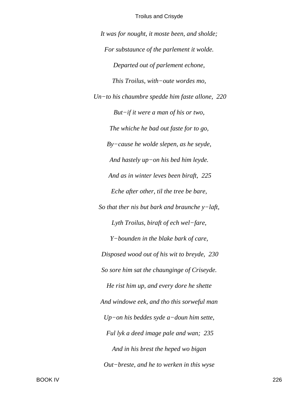It was for nought, it moste been, and sholde; For substaunce of the parlement it wolde. Departed out of parlement echone, This Troilus, with-oute wordes mo, Un-to his chaumbre spedde him faste allone,  $220$ But $-i$ f it were a man of his or two, The whiche he bad out faste for to go,  $By-cause$  he wolde slepen, as he seyde, And hastely  $up-on$  his bed him leyde. And as in winter leves been biraft, 225 Eche after other, til the tree be bare, So that ther nis but bark and braunche  $y$ -laft, Lyth Troilus, biraft of ech wel-fare, Y-bounden in the blake bark of care, Disposed wood out of his wit to breyde, 230 So sore him sat the chaunginge of Criseyde. He rist him up, and every dore he shette And windowe eek, and tho this sorweful man  $Up-on$  his beddes syde a-doun him sette, Ful lyk a deed image pale and wan; 235 And in his brest the heped wo bigan Out-breste, and he to werken in this wyse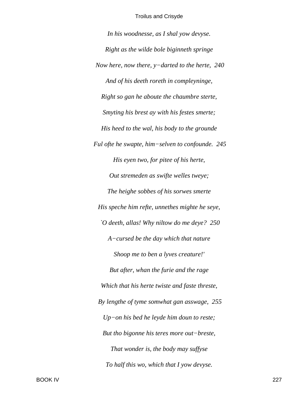*In his woodnesse, as I shal yow devyse. Right as the wilde bole biginneth springe Now here, now there, y−darted to the herte, 240 And of his deeth roreth in compleyninge, Right so gan he aboute the chaumbre sterte, Smyting his brest ay with his festes smerte; His heed to the wal, his body to the grounde Ful ofte he swapte, him−selven to confounde. 245 His eyen two, for pitee of his herte, Out stremeden as swifte welles tweye; The heighe sobbes of his sorwes smerte His speche him refte, unnethes mighte he seye, `O deeth, allas! Why niltow do me deye? 250 A−cursed be the day which that nature Shoop me to ben a lyves creature!' But after, whan the furie and the rage Which that his herte twiste and faste threste, By lengthe of tyme somwhat gan asswage, 255 Up−on his bed he leyde him doun to reste; But tho bigonne his teres more out−breste, That wonder is, the body may suffyse To half this wo, which that I yow devyse.*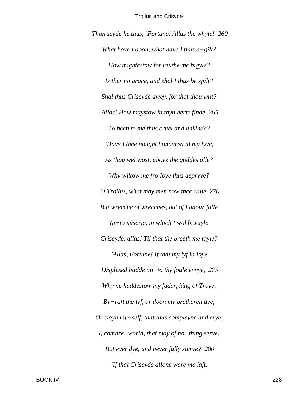Than seyde he thus, `Fortune! Allas the whyle! 260 What have I doon, what have I thus  $a$ -gilt? How mightestow for reuthe me bigyle? Is ther no grace, and shal I thus be spilt? Shal thus Criseyde awey, for that thou wilt? Allas! How maystow in thyn herte finde 265 To been to me thus cruel and unkinde? `Have I thee nought honoured al my lyve, As thou wel wost, above the goddes alle? Why wiltow me fro Ioye thus depryve? O Troilus, what may men now thee calle 270 But wrecche of wrecches, out of honour falle  $In-to$  miserie, in which I wol biwayle Criseyde, allas! Til that the breeth me fayle? `Allas, Fortune! If that my lyf in Ioye Displesed hadde un-to thy foule envye,  $275$ Why ne haddestow my fader, king of Troye,  $By-raft$  the lyf, or doon my bretheren dye, Or slayn my-self, that thus compleyne and crye, I, combre-world, that may of no-thing serve, But ever dye, and never fully sterve? 280 `If that Criseyde allone were me laft,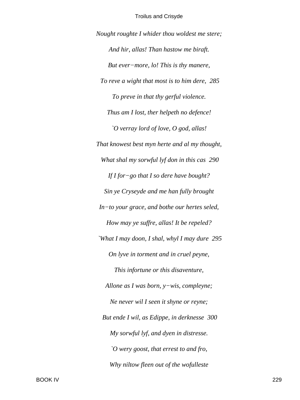Nought roughte I whider thou woldest me stere; And hir, allas! Than hastow me biraft. But ever-more, lo! This is thy manere, To reve a wight that most is to him dere, 285 To preve in that thy gerful violence. Thus am I lost, ther helpeth no defence! O verray lord of love, O god, allas! That knowest best myn herte and al my thought, What shal my sorwful lyf don in this cas 290 If I for-go that I so dere have bought? Sin ye Cryseyde and me han fully brought In-to your grace, and bothe our hertes seled, How may ye suffre, allas! It be repeled? `What I may doon, I shal, whyl I may dure 295 On lyve in torment and in cruel peyne, This infortune or this disaventure, Allone as I was born,  $y$ -wis, compleyne; Ne never wil I seen it shyne or reyne; But ende I wil, as Edippe, in derknesse 300 My sorwful lyf, and dyen in distresse.  $\degree$ O wery goost, that errest to and fro, Why niltow fleen out of the wofulleste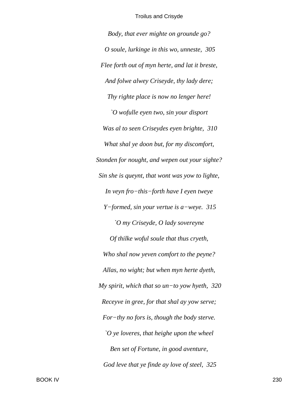*Body, that ever mighte on grounde go? O soule, lurkinge in this wo, unneste, 305 Flee forth out of myn herte, and lat it breste, And folwe alwey Criseyde, thy lady dere; Thy righte place is now no lenger here! `O wofulle eyen two, sin your disport Was al to seen Criseydes eyen brighte, 310 What shal ye doon but, for my discomfort, Stonden for nought, and wepen out your sighte? Sin she is queynt, that wont was yow to lighte, In veyn fro−this−forth have I eyen tweye Y−formed, sin your vertue is a−weye. 315 `O my Criseyde, O lady sovereyne Of thilke woful soule that thus cryeth, Who shal now yeven comfort to the peyne? Allas, no wight; but when myn herte dyeth, My spirit, which that so un−to yow hyeth, 320 Receyve in gree, for that shal ay yow serve; For−thy no fors is, though the body sterve. `O ye loveres, that heighe upon the wheel Ben set of Fortune, in good aventure, God leve that ye finde ay love of steel, 325*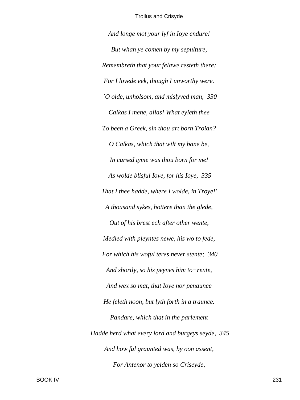*And longe mot your lyf in Ioye endure! But whan ye comen by my sepulture, Remembreth that your felawe resteth there; For I lovede eek, though I unworthy were. `O olde, unholsom, and mislyved man, 330 Calkas I mene, allas! What eyleth thee To been a Greek, sin thou art born Troian? O Calkas, which that wilt my bane be, In cursed tyme was thou born for me! As wolde blisful Iove, for his Ioye, 335 That I thee hadde, where I wolde, in Troye!' A thousand sykes, hottere than the glede, Out of his brest ech after other wente, Medled with pleyntes newe, his wo to fede, For which his woful teres never stente; 340 And shortly, so his peynes him to−rente, And wex so mat, that Ioye nor penaunce He feleth noon, but lyth forth in a traunce. Pandare, which that in the parlement Hadde herd what every lord and burgeys seyde, 345 And how ful graunted was, by oon assent, For Antenor to yelden so Criseyde,*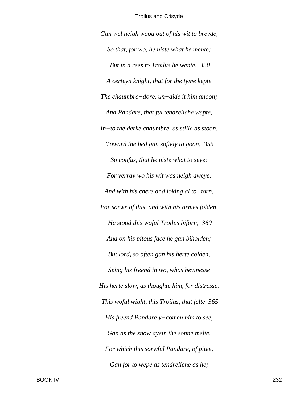*Gan wel neigh wood out of his wit to breyde, So that, for wo, he niste what he mente; But in a rees to Troilus he wente. 350 A certeyn knight, that for the tyme kepte The chaumbre−dore, un−dide it him anoon; And Pandare, that ful tendreliche wepte, In−to the derke chaumbre, as stille as stoon, Toward the bed gan softely to goon, 355 So confus, that he niste what to seye; For verray wo his wit was neigh aweye. And with his chere and loking al to−torn, For sorwe of this, and with his armes folden, He stood this woful Troilus biforn, 360 And on his pitous face he gan biholden; But lord, so often gan his herte colden, Seing his freend in wo, whos hevinesse His herte slow, as thoughte him, for distresse. This woful wight, this Troilus, that felte 365 His freend Pandare y−comen him to see, Gan as the snow ayein the sonne melte, For which this sorwful Pandare, of pitee, Gan for to wepe as tendreliche as he;*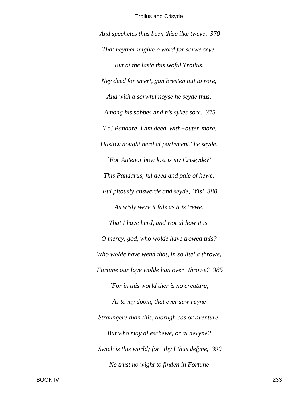*And specheles thus been thise ilke tweye, 370 That neyther mighte o word for sorwe seye. But at the laste this woful Troilus, Ney deed for smert, gan bresten out to rore, And with a sorwful noyse he seyde thus, Among his sobbes and his sykes sore, 375 `Lo! Pandare, I am deed, with−outen more. Hastow nought herd at parlement,' he seyde, `For Antenor how lost is my Criseyde?' This Pandarus, ful deed and pale of hewe, Ful pitously answerde and seyde, `Yis! 380 As wisly were it fals as it is trewe, That I have herd, and wot al how it is. O mercy, god, who wolde have trowed this? Who wolde have wend that, in so litel a throwe, Fortune our Ioye wolde han over−throwe? 385 `For in this world ther is no creature, As to my doom, that ever saw ruyne Straungere than this, thorugh cas or aventure. But who may al eschewe, or al devyne? Swich is this world; for−thy I thus defyne, 390 Ne trust no wight to finden in Fortune*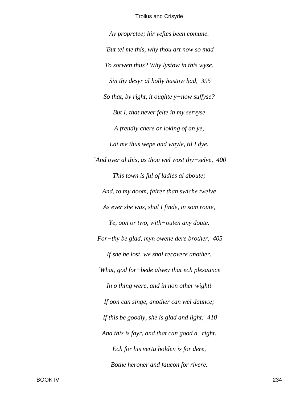*Ay propretee; hir yeftes been comune. `But tel me this, why thou art now so mad To sorwen thus? Why lystow in this wyse, Sin thy desyr al holly hastow had, 395 So that, by right, it oughte y−now suffyse? But I, that never felte in my servyse A frendly chere or loking of an ye, Lat me thus wepe and wayle, til I dye. `And over al this, as thou wel wost thy−selve, 400 This town is ful of ladies al aboute; And, to my doom, fairer than swiche twelve As ever she was, shal I finde, in som route, Ye, oon or two, with−outen any doute. For−thy be glad, myn owene dere brother, 405 If she be lost, we shal recovere another. `What, god for−bede alwey that ech plesaunce In o thing were, and in non other wight! If oon can singe, another can wel daunce; If this be goodly, she is glad and light; 410 And this is fayr, and that can good a−right. Ech for his vertu holden is for dere, Bothe heroner and faucon for rivere.*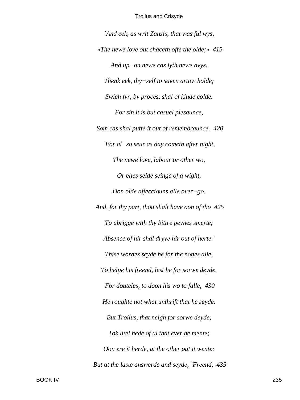*`And eek, as writ Zanzis, that was ful wys, «The newe love out chaceth ofte the olde;» 415 And up−on newe cas lyth newe avys. Thenk eek, thy−self to saven artow holde; Swich fyr, by proces, shal of kinde colde. For sin it is but casuel plesaunce, Som cas shal putte it out of remembraunce. 420 `For al−so seur as day cometh after night, The newe love, labour or other wo, Or elles selde seinge of a wight, Don olde affecciouns alle over−go. And, for thy part, thou shalt have oon of tho 425 To abrigge with thy bittre peynes smerte; Absence of hir shal dryve hir out of herte.' Thise wordes seyde he for the nones alle, To helpe his freend, lest he for sorwe deyde. For douteles, to doon his wo to falle, 430 He roughte not what unthrift that he seyde. But Troilus, that neigh for sorwe deyde, Tok litel hede of al that ever he mente; Oon ere it herde, at the other out it wente: But at the laste answerde and seyde, `Freend, 435*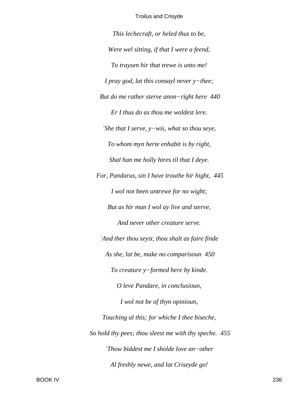*This lechecraft, or heled thus to be, Were wel sitting, if that I were a feend, To traysen hir that trewe is unto me! I pray god, lat this consayl never y−thee; But do me rather sterve anon−right here 440 Er I thus do as thou me woldest lere. `She that I serve, y−wis, what so thou seye, To whom myn herte enhabit is by right, Shal han me holly hires til that I deye. For, Pandarus, sin I have trouthe hir hight, 445 I wol not been untrewe for no wight; But as hir man I wol ay live and sterve, And never other creature serve. `And ther thou seyst, thou shalt as faire finde As she, lat be, make no comparisoun 450 To creature y−formed here by kinde. O leve Pandare, in conclusioun, I wol not be of thyn opinioun, Touching al this; for whiche I thee biseche, So hold thy pees; thou sleest me with thy speche. 455 `Thow biddest me I sholde love an−other Al freshly newe, and lat Criseyde go!*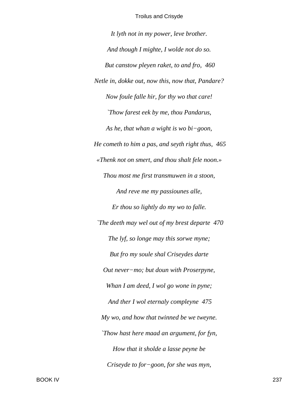*It lyth not in my power, leve brother. And though I mighte, I wolde not do so. But canstow pleyen raket, to and fro, 460 Netle in, dokke out, now this, now that, Pandare? Now foule falle hir, for thy wo that care! `Thow farest eek by me, thou Pandarus, As he, that whan a wight is wo bi−goon, He cometh to him a pas, and seyth right thus, 465 «Thenk not on smert, and thou shalt fele noon.» Thou most me first transmuwen in a stoon, And reve me my passiounes alle, Er thou so lightly do my wo to falle. `The deeth may wel out of my brest departe 470 The lyf, so longe may this sorwe myne; But fro my soule shal Criseydes darte Out never−mo; but doun with Proserpyne, Whan I am deed, I wol go wone in pyne; And ther I wol eternaly compleyne 475 My wo, and how that twinned be we tweyne. `Thow hast here maad an argument, for fyn, How that it sholde a lasse peyne be Criseyde to for−goon, for she was myn,*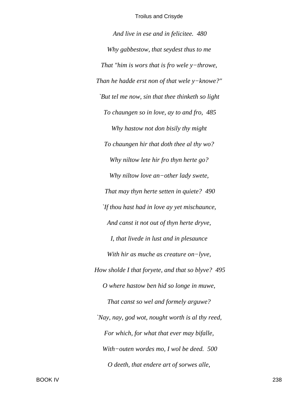*And live in ese and in felicitee. 480 Why gabbestow, that seydest thus to me That "him is wors that is fro wele y−throwe, Than he hadde erst non of that wele y−knowe?" `But tel me now, sin that thee thinketh so light To chaungen so in love, ay to and fro, 485 Why hastow not don bisily thy might To chaungen hir that doth thee al thy wo? Why niltow lete hir fro thyn herte go? Why niltow love an−other lady swete, That may thyn herte setten in quiete? 490 `If thou hast had in love ay yet mischaunce, And canst it not out of thyn herte dryve, I, that livede in lust and in plesaunce With hir as muche as creature on−lyve, How sholde I that foryete, and that so blyve? 495 O where hastow ben hid so longe in muwe, That canst so wel and formely arguwe? `Nay, nay, god wot, nought worth is al thy reed, For which, for what that ever may bifalle, With−outen wordes mo, I wol be deed. 500 O deeth, that endere art of sorwes alle,*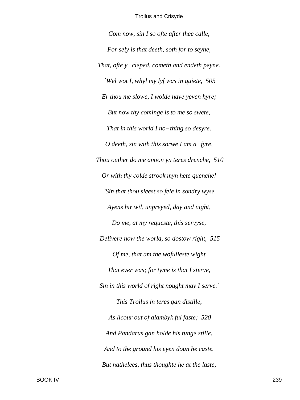*Com now, sin I so ofte after thee calle, For sely is that deeth, soth for to seyne, That, ofte y−cleped, cometh and endeth peyne. `Wel wot I, whyl my lyf was in quiete, 505 Er thou me slowe, I wolde have yeven hyre; But now thy cominge is to me so swete, That in this world I no−thing so desyre. O deeth, sin with this sorwe I am a−fyre, Thou outher do me anoon yn teres drenche, 510 Or with thy colde strook myn hete quenche! `Sin that thou sleest so fele in sondry wyse Ayens hir wil, unpreyed, day and night, Do me, at my requeste, this servyse, Delivere now the world, so dostow right, 515 Of me, that am the wofulleste wight That ever was; for tyme is that I sterve, Sin in this world of right nought may I serve.' This Troilus in teres gan distille, As licour out of alambyk ful faste; 520 And Pandarus gan holde his tunge stille, And to the ground his eyen doun he caste. But nathelees, thus thoughte he at the laste,*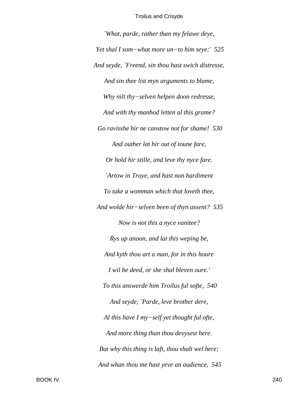*`What, parde, rather than my felawe deye, Yet shal I som−what more un−to him seye:' 525 And seyde, `Freend, sin thou hast swich distresse, And sin thee list myn arguments to blame, Why nilt thy−selven helpen doon redresse, And with thy manhod letten al this grame? Go ravisshe hir ne canstow not for shame! 530 And outher lat hir out of toune fare, Or hold hir stille, and leve thy nyce fare. `Artow in Troye, and hast non hardiment To take a womman which that loveth thee, And wolde hir−selven been of thyn assent? 535 Now is not this a nyce vanitee? Rys up anoon, and lat this weping be, And kyth thou art a man, for in this houre I wil be deed, or she shal bleven oure.' To this answerde him Troilus ful softe, 540 And seyde, `Parde, leve brother dere, Al this have I my−self yet thought ful ofte, And more thing than thou devysest here. But why this thing is laft, thou shalt wel here; And whan thou me hast yeve an audience, 545*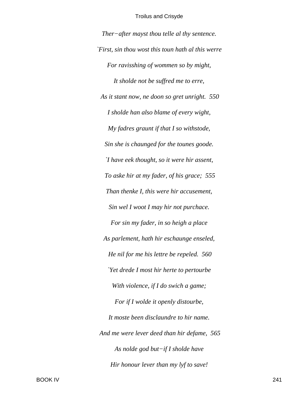*Ther−after mayst thou telle al thy sentence. `First, sin thou wost this toun hath al this werre For ravisshing of wommen so by might, It sholde not be suffred me to erre, As it stant now, ne doon so gret unright. 550 I sholde han also blame of every wight, My fadres graunt if that I so withstode, Sin she is chaunged for the tounes goode. `I have eek thought, so it were hir assent, To aske hir at my fader, of his grace; 555 Than thenke I, this were hir accusement, Sin wel I woot I may hir not purchace. For sin my fader, in so heigh a place As parlement, hath hir eschaunge enseled, He nil for me his lettre be repeled. 560 `Yet drede I most hir herte to pertourbe With violence, if I do swich a game; For if I wolde it openly distourbe, It moste been disclaundre to hir name. And me were lever deed than hir defame, 565 As nolde god but−if I sholde have Hir honour lever than my lyf to save!*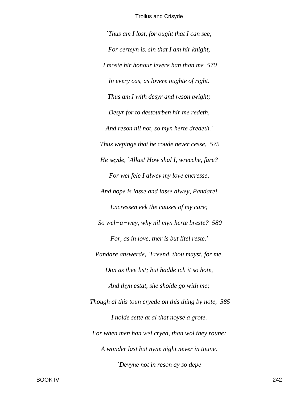*`Thus am I lost, for ought that I can see; For certeyn is, sin that I am hir knight, I moste hir honour levere han than me 570 In every cas, as lovere oughte of right. Thus am I with desyr and reson twight; Desyr for to destourben hir me redeth, And reson nil not, so myn herte dredeth.' Thus wepinge that he coude never cesse, 575 He seyde, `Allas! How shal I, wrecche, fare? For wel fele I alwey my love encresse, And hope is lasse and lasse alwey, Pandare! Encressen eek the causes of my care; So wel−a−wey, why nil myn herte breste? 580 For, as in love, ther is but litel reste.' Pandare answerde, `Freend, thou mayst, for me, Don as thee list; but hadde ich it so hote, And thyn estat, she sholde go with me; Though al this toun cryede on this thing by note, 585 I nolde sette at al that noyse a grote. For when men han wel cryed, than wol they roune; A wonder last but nyne night never in toune. `Devyne not in reson ay so depe*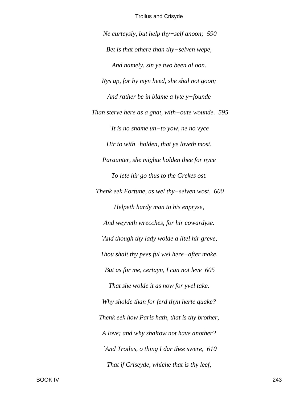*Ne curteysly, but help thy−self anoon; 590 Bet is that othere than thy−selven wepe, And namely, sin ye two been al oon. Rys up, for by myn heed, she shal not goon; And rather be in blame a lyte y−founde Than sterve here as a gnat, with−oute wounde. 595 `It is no shame un−to yow, ne no vyce Hir to with−holden, that ye loveth most. Paraunter, she mighte holden thee for nyce To lete hir go thus to the Grekes ost. Thenk eek Fortune, as wel thy−selven wost, 600 Helpeth hardy man to his enpryse, And weyveth wrecches, for hir cowardyse. `And though thy lady wolde a litel hir greve, Thou shalt thy pees ful wel here−after make, But as for me, certayn, I can not leve 605 That she wolde it as now for yvel take. Why sholde than for ferd thyn herte quake? Thenk eek how Paris hath, that is thy brother, A love; and why shaltow not have another? `And Troilus, o thing I dar thee swere, 610 That if Criseyde, whiche that is thy leef,*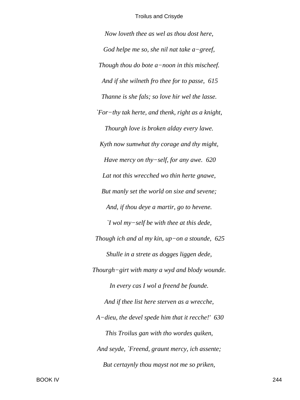*Now loveth thee as wel as thou dost here, God helpe me so, she nil nat take a−greef, Though thou do bote a−noon in this mischeef. And if she wilneth fro thee for to passe, 615 Thanne is she fals; so love hir wel the lasse. `For−thy tak herte, and thenk, right as a knight, Thourgh love is broken alday every lawe. Kyth now sumwhat thy corage and thy might, Have mercy on thy−self, for any awe. 620 Lat not this wrecched wo thin herte gnawe, But manly set the world on sixe and sevene; And, if thou deye a martir, go to hevene. `I wol my−self be with thee at this dede, Though ich and al my kin, up−on a stounde, 625 Shulle in a strete as dogges liggen dede, Thourgh−girt with many a wyd and blody wounde. In every cas I wol a freend be founde. And if thee list here sterven as a wrecche, A−dieu, the devel spede him that it recche!' 630 This Troilus gan with tho wordes quiken, And seyde, `Freend, graunt mercy, ich assente; But certaynly thou mayst not me so priken,*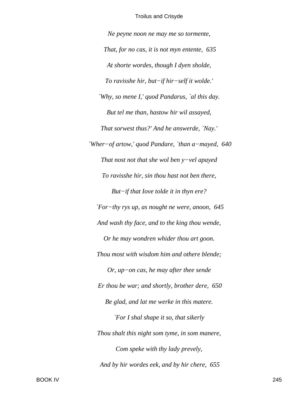*Ne peyne noon ne may me so tormente, That, for no cas, it is not myn entente, 635 At shorte wordes, though I dyen sholde, To ravisshe hir, but−if hir−self it wolde.' `Why, so mene I,' quod Pandarus, `al this day. But tel me than, hastow hir wil assayed, That sorwest thus?' And he answerde, `Nay.' `Wher−of artow,' quod Pandare, `than a−mayed, 640 That nost not that she wol ben y−vel apayed To ravisshe hir, sin thou hast not ben there, But−if that Iove tolde it in thyn ere? `For−thy rys up, as nought ne were, anoon, 645 And wash thy face, and to the king thou wende, Or he may wondren whider thou art goon. Thou most with wisdom him and othere blende; Or, up−on cas, he may after thee sende Er thou be war; and shortly, brother dere, 650 Be glad, and lat me werke in this matere. `For I shal shape it so, that sikerly Thou shalt this night som tyme, in som manere, Com speke with thy lady prevely, And by hir wordes eek, and by hir chere, 655*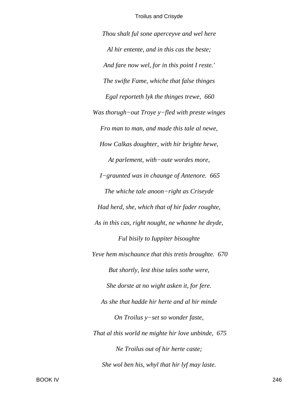*Thou shalt ful sone aperceyve and wel here Al hir entente, and in this cas the beste; And fare now wel, for in this point I reste.' The swifte Fame, whiche that false thinges Egal reporteth lyk the thinges trewe, 660 Was thorugh−out Troye y−fled with preste winges Fro man to man, and made this tale al newe, How Calkas doughter, with hir brighte hewe, At parlement, with−oute wordes more, I−graunted was in chaunge of Antenore. 665 The whiche tale anoon−right as Criseyde Had herd, she, which that of hir fader roughte, As in this cas, right nought, ne whanne he deyde, Ful bisily to Iuppiter bisoughte Yeve hem mischaunce that this tretis broughte. 670 But shortly, lest thise tales sothe were, She dorste at no wight asken it, for fere. As she that hadde hir herte and al hir minde On Troilus y−set so wonder faste, That al this world ne mighte hir love unbinde, 675 Ne Troilus out of hir herte caste; She wol ben his, whyl that hir lyf may laste.*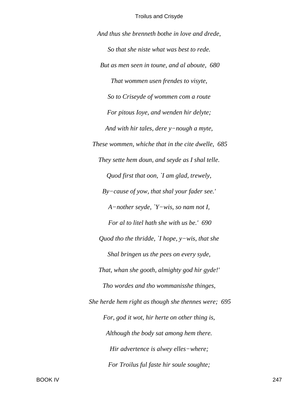*And thus she brenneth bothe in love and drede, So that she niste what was best to rede. But as men seen in toune, and al aboute, 680 That wommen usen frendes to visyte, So to Criseyde of wommen com a route For pitous Ioye, and wenden hir delyte; And with hir tales, dere y−nough a myte, These wommen, whiche that in the cite dwelle, 685 They sette hem doun, and seyde as I shal telle. Quod first that oon, `I am glad, trewely, By−cause of yow, that shal your fader see.' A−nother seyde, `Y−wis, so nam not I, For al to litel hath she with us be.' 690 Quod tho the thridde, `I hope, y−wis, that she Shal bringen us the pees on every syde, That, whan she gooth, almighty god hir gyde!' Tho wordes and tho wommanisshe thinges, She herde hem right as though she thennes were; 695 For, god it wot, hir herte on other thing is, Although the body sat among hem there. Hir advertence is alwey elles−where; For Troilus ful faste hir soule soughte;*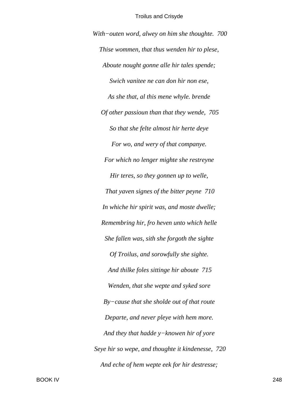With-outen word, alwey on him she thoughte. 700 Thise wommen, that thus wenden hir to plese, Aboute nought gonne alle hir tales spende; Swich vanitee ne can don hir non ese, As she that, al this mene whyle. brende Of other passioun than that they wende, 705 So that she felte almost hir herte deve For wo, and wery of that companye. For which no lenger mighte she restreyne Hir teres, so they gonnen up to welle, That yaven signes of the bitter peyne 710 In whiche hir spirit was, and moste dwelle; Remembring hir, fro heven unto which helle She fallen was, sith she forgoth the sighte Of Troilus, and sorowfully she sighte. And thilke foles sittinge hir aboute 715 Wenden, that she wepte and syked sore  $By-cause$  that she sholde out of that route Departe, and never pleye with hem more. And they that hadde  $y$ -knowen hir of yore Seye hir so wepe, and thoughte it kindenesse, 720 And eche of hem wepte eek for hir destresse;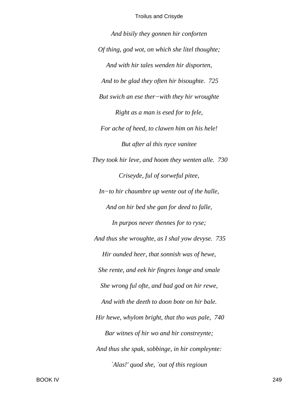*And bisily they gonnen hir conforten Of thing, god wot, on which she litel thoughte; And with hir tales wenden hir disporten, And to be glad they often hir bisoughte. 725 But swich an ese ther−with they hir wroughte Right as a man is esed for to fele, For ache of heed, to clawen him on his hele! But after al this nyce vanitee They took hir leve, and hoom they wenten alle. 730 Criseyde, ful of sorweful pitee, In−to hir chaumbre up wente out of the halle, And on hir bed she gan for deed to falle, In purpos never thennes for to ryse; And thus she wroughte, as I shal yow devyse. 735 Hir ounded heer, that sonnish was of hewe, She rente, and eek hir fingres longe and smale She wrong ful ofte, and bad god on hir rewe, And with the deeth to doon bote on hir bale. Hir hewe, whylom bright, that tho was pale, 740 Bar witnes of hir wo and hir constreynte; And thus she spak, sobbinge, in hir compleynte: `Alas!' quod she, `out of this regioun*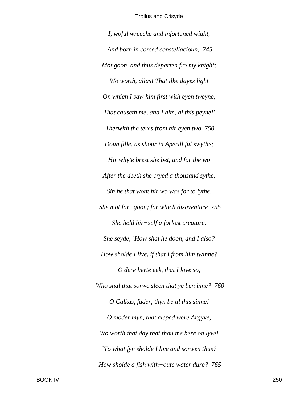I, woful wrecche and infortuned wight, And born in corsed constellacioun, 745 Mot goon, and thus departen fro my knight; Wo worth, allas! That ilke dayes light On which I saw him first with eyen tweyne, That causeth me, and I him, al this peyne!' Therwith the teres from hir eyen two 750 Doun fille, as shour in Aperill ful swythe; Hir whyte brest she bet, and for the wo After the deeth she cryed a thousand sythe, Sin he that wont hir wo was for to lythe, She mot for-goon; for which disaventure  $755$ She held hir-self a forlost creature. She seyde, `How shal he doon, and I also? How sholde I live, if that I from him twinne? O dere herte eek, that I love so, Who shal that sorwe sleen that ye ben inne? 760 O Calkas, fader, thyn be al this sinne! O moder myn, that cleped were Argyve, Wo worth that day that thou me bere on lyve! *To what fyn sholde I live and sorwen thus?* How sholde a fish with-oute water dure? 765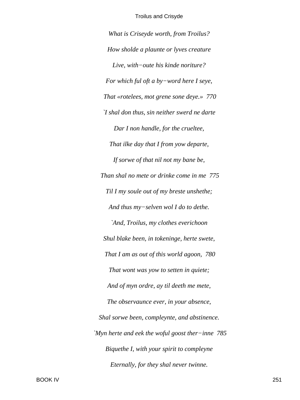What is Criseyde worth, from Troilus? How sholde a plaunte or lyves creature Live, with-oute his kinde noriture? For which ful oft a by-word here I seye, That «rotelees, mot grene sone deye.» 770 I shal don thus, sin neither swerd ne darte Dar I non handle, for the crueltee, That ilke day that I from yow departe, If sorwe of that nil not my bane be, Than shal no mete or drinke come in me 775 Til I my soule out of my breste unshethe; And thus my-selven wol I do to dethe. `And, Troilus, my clothes everichoon Shul blake been, in tokeninge, herte swete, That I am as out of this world agoon, 780 That wont was yow to setten in quiete; And of myn ordre, ay til deeth me mete, The observaunce ever, in your absence, Shal sorwe been, compleynte, and abstinence. `Myn herte and eek the woful goost ther-inne 785 Biquethe I, with your spirit to compleyne Eternally, for they shal never twinne.

**BOOK IV**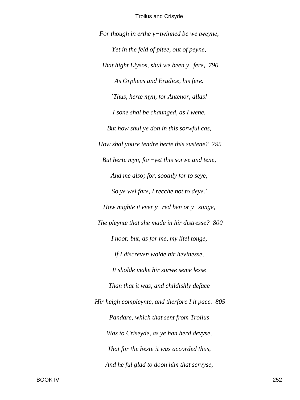For though in erthe  $y$ -twinned be we tweyne, Yet in the feld of pitee, out of peyne, That hight Elysos, shul we been y-fere, 790 As Orpheus and Erudice, his fere. 'Thus, herte myn, for Antenor, allas! I sone shal be chaunged, as I wene. But how shul ye don in this sorwful cas, How shal youre tendre herte this sustene? 795 But herte myn, for-yet this sorwe and tene, And me also; for, soothly for to seye, So ye wel fare, I recche not to deye.' How mighte it ever  $y$ -red ben or  $y$ -songe, The pleynte that she made in hir distresse? 800 I noot; but, as for me, my litel tonge, If I discreven wolde hir hevinesse, It sholde make hir sorwe seme lesse Than that it was, and childishly deface Hir heigh compleynte, and therfore I it pace. 805 Pandare, which that sent from Troilus Was to Criseyde, as ye han herd devyse, That for the beste it was accorded thus, And he ful glad to doon him that servyse,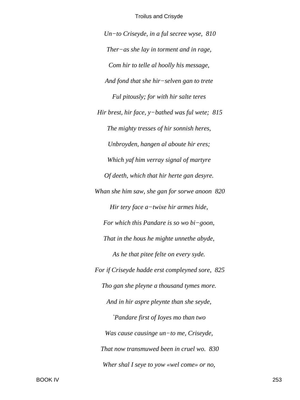*Un−to Criseyde, in a ful secree wyse, 810 Ther−as she lay in torment and in rage, Com hir to telle al hoolly his message, And fond that she hir−selven gan to trete Ful pitously; for with hir salte teres Hir brest, hir face, y−bathed was ful wete; 815 The mighty tresses of hir sonnish heres, Unbroyden, hangen al aboute hir eres; Which yaf him verray signal of martyre Of deeth, which that hir herte gan desyre. Whan she him saw, she gan for sorwe anoon 820 Hir tery face a−twixe hir armes hide, For which this Pandare is so wo bi−goon, That in the hous he mighte unnethe abyde, As he that pitee felte on every syde. For if Criseyde hadde erst compleyned sore, 825 Tho gan she pleyne a thousand tymes more. And in hir aspre pleynte than she seyde, `Pandare first of Ioyes mo than two Was cause causinge un−to me, Criseyde, That now transmuwed been in cruel wo. 830 Wher shal I seye to yow «wel come» or no,*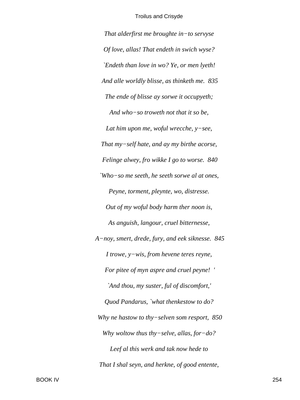That alderfirst me broughte in-to servyse Of love, allas! That endeth in swich wyse? 'Endeth than love in wo? Ye, or men lyeth! And alle worldly blisse, as thinketh me. 835 The ende of blisse ay sorwe it occupyeth; And who-so troweth not that it so be, Lat him upon me, woful wrecche,  $y$ -see, That my-self hate, and ay my birthe acorse, Felinge alwey, fro wikke I go to worse. 840 `Who-so me seeth, he seeth sorwe al at ones, Peyne, torment, pleynte, wo, distresse. Out of my woful body harm ther noon is, As anguish, langour, cruel bitternesse, A-noy, smert, drede, fury, and eek siknesse. 845 I trowe,  $y$ -wis, from hevene teres reyne, For pitee of myn aspre and cruel peyne! ' `And thou, my suster, ful of discomfort,' Quod Pandarus, `what thenkestow to do? Why ne hastow to thy-selven som resport,  $850$ Why woltow thus thy-selve, allas, for-do? Leef al this werk and tak now hede to That I shal seyn, and herkne, of good entente,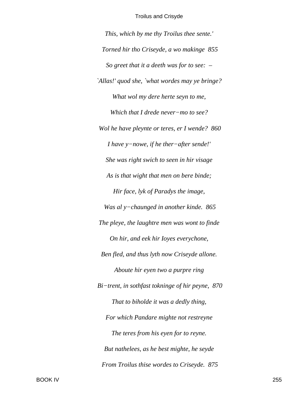*This, which by me thy Troilus thee sente.' Torned hir tho Criseyde, a wo makinge 855 So greet that it a deeth was for to see: – `Allas!' quod she, `what wordes may ye bringe? What wol my dere herte seyn to me, Which that I drede never−mo to see? Wol he have pleynte or teres, er I wende? 860 I have y−nowe, if he ther−after sende!' She was right swich to seen in hir visage As is that wight that men on bere binde; Hir face, lyk of Paradys the image, Was al y−chaunged in another kinde. 865 The pleye, the laughtre men was wont to finde On hir, and eek hir Ioyes everychone, Ben fled, and thus lyth now Criseyde allone. Aboute hir eyen two a purpre ring Bi−trent, in sothfast tokninge of hir peyne, 870 That to biholde it was a dedly thing, For which Pandare mighte not restreyne The teres from his eyen for to reyne. But nathelees, as he best mighte, he seyde From Troilus thise wordes to Criseyde. 875*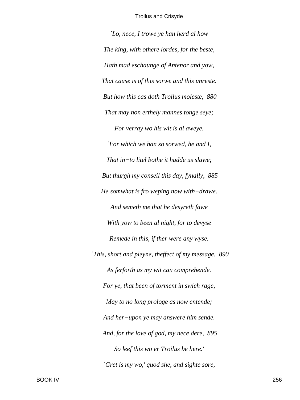`Lo, nece, I trowe ye han herd al how The king, with othere lordes, for the beste, Hath mad eschaunge of Antenor and yow, That cause is of this sorwe and this unreste. But how this cas doth Troilus moleste, 880 That may non erthely mannes tonge seye; For verray wo his wit is al aweye. `For which we han so sorwed, he and I, That in-to litel bothe it hadde us slawe; But thurgh my conseil this day, fynally, 885 He somwhat is fro weping now with-drawe. And semeth me that he desyreth fawe With yow to been al night, for to devyse Remede in this, if ther were any wyse. This, short and pleyne, theffect of my message, 890 As ferforth as my wit can comprehende. For ye, that been of torment in swich rage, May to no long prologe as now entende; And her-upon ye may answere him sende. And, for the love of god, my nece dere, 895 So leef this wo er Troilus be here.' `Gret is my wo,' quod she, and sighte sore,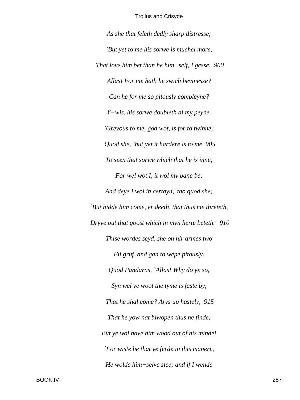*As she that feleth dedly sharp distresse; `But yet to me his sorwe is muchel more, That love him bet than he him−self, I gesse. 900 Allas! For me hath he swich hevinesse? Can he for me so pitously compleyne? Y−wis, his sorwe doubleth al my peyne. `Grevous to me, god wot, is for to twinne,' Quod she, `but yet it hardere is to me 905 To seen that sorwe which that he is inne; For wel wot I, it wol my bane be; And deye I wol in certayn,' tho quod she; `But bidde him come, er deeth, that thus me threteth, Dryve out that goost which in myn herte beteth.' 910 Thise wordes seyd, she on hir armes two Fil gruf, and gan to wepe pitously. Quod Pandarus, `Allas! Why do ye so, Syn wel ye woot the tyme is faste by, That he shal come? Arys up hastely, 915 That he yow nat biwopen thus ne finde, But ye wol have him wood out of his minde! `For wiste he that ye ferde in this manere, He wolde him−selve slee; and if I wende*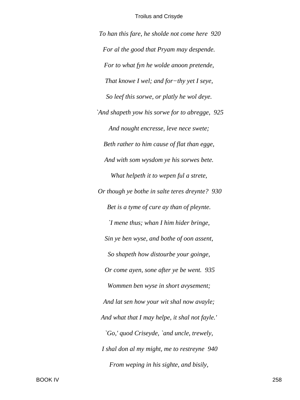*To han this fare, he sholde not come here 920 For al the good that Pryam may despende. For to what fyn he wolde anoon pretende, That knowe I wel; and for−thy yet I seye, So leef this sorwe, or platly he wol deye. `And shapeth yow his sorwe for to abregge, 925 And nought encresse, leve nece swete; Beth rather to him cause of flat than egge, And with som wysdom ye his sorwes bete. What helpeth it to wepen ful a strete, Or though ye bothe in salte teres dreynte? 930 Bet is a tyme of cure ay than of pleynte. `I mene thus; whan I him hider bringe, Sin ye ben wyse, and bothe of oon assent, So shapeth how distourbe your goinge, Or come ayen, sone after ye be went. 935 Wommen ben wyse in short avysement; And lat sen how your wit shal now avayle; And what that I may helpe, it shal not fayle.' `Go,' quod Criseyde, `and uncle, trewely, I shal don al my might, me to restreyne 940 From weping in his sighte, and bisily,*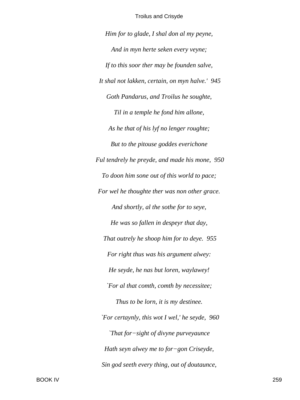*Him for to glade, I shal don al my peyne, And in myn herte seken every veyne; If to this soor ther may be founden salve, It shal not lakken, certain, on myn halve.' 945 Goth Pandarus, and Troilus he soughte, Til in a temple he fond him allone, As he that of his lyf no lenger roughte; But to the pitouse goddes everichone Ful tendrely he preyde, and made his mone, 950 To doon him sone out of this world to pace; For wel he thoughte ther was non other grace. And shortly, al the sothe for to seye, He was so fallen in despeyr that day, That outrely he shoop him for to deye. 955 For right thus was his argument alwey: He seyde, he nas but loren, waylawey! `For al that comth, comth by necessitee; Thus to be lorn, it is my destinee. `For certaynly, this wot I wel,' he seyde, 960 `That for−sight of divyne purveyaunce Hath seyn alwey me to for−gon Criseyde, Sin god seeth every thing, out of doutaunce,*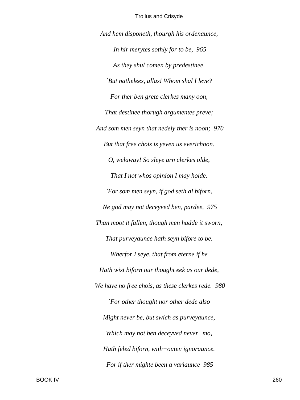And hem disponeth, thourgh his ordenaunce, In hir merytes sothly for to be, 965 As they shul comen by predestinee. `But nathelees, allas! Whom shal I leve? For ther ben grete clerkes many oon, That destinee thorugh argumentes preve; And som men seyn that nedely ther is noon; 970 But that free chois is yeven us everichoon. O, welaway! So sleye arn clerkes olde, That I not whos opinion I may holde. `For som men seyn, if god seth al biforn, Ne god may not deceyved ben, pardee, 975 Than moot it fallen, though men hadde it sworn, That purveyaunce hath seyn bifore to be. Wherfor I seye, that from eterne if he Hath wist biforn our thought eek as our dede, We have no free chois, as these clerkes rede. 980 `For other thought nor other dede also Might never be, but swich as purveyaunce, Which may not ben deceyved never-mo, Hath feled biforn, with-outen ignoraunce. For if ther mighte been a variaunce 985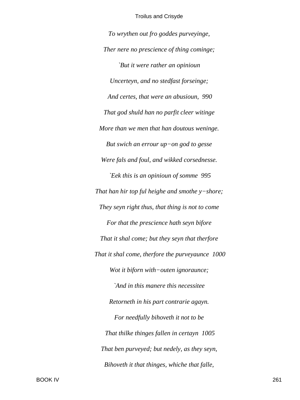To wrythen out fro goddes purveyinge, Ther nere no prescience of thing cominge; `But it were rather an opinioun Uncerteyn, and no stedfast forseinge; And certes, that were an abusioun, 990 That god shuld han no parfit cleer witinge More than we men that han doutous weninge. But swich an errour  $up-on$  god to gesse Were fals and foul, and wikked corsednesse. `Eek this is an opinioun of somme 995 That han hir top ful heighe and smothe  $y$ -shore; They seyn right thus, that thing is not to come For that the prescience hath seyn bifore That it shal come; but they seyn that therfore That it shal come, therfore the purveyaunce 1000 Wot it biforn with-outen ignoraunce; `And in this manere this necessitee Retorneth in his part contrarie agayn. For needfully bihoveth it not to be That thilke thinges fallen in certayn 1005 That ben purveyed; but nedely, as they seyn, Bihoveth it that thinges, whiche that falle,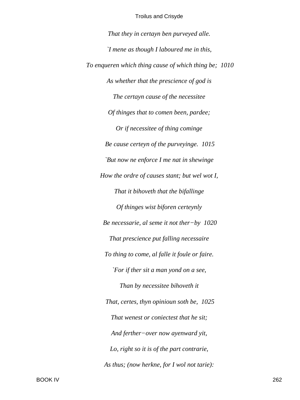That they in certayn ben purveyed alle. 'I mene as though I laboured me in this, To enqueren which thing cause of which thing be; 1010 As whether that the prescience of god is The certayn cause of the necessitee Of thinges that to comen been, pardee; Or if necessitee of thing cominge Be cause certeyn of the purveyinge. 1015 `But now ne enforce I me nat in shewinge How the ordre of causes stant; but wel wot I, That it bihoveth that the bifallinge Of thinges wist biforen certeynly Be necessarie, al seme it not ther $-by$  1020 That prescience put falling necessaire To thing to come, al falle it foule or faire. `For if ther sit a man yond on a see, Than by necessitee bihoveth it That, certes, thyn opinioun soth be, 1025 That wenest or coniectest that he sit; And ferther-over now ayenward yit, Lo, right so it is of the part contrarie, As thus; (now herkne, for I wol not tarie):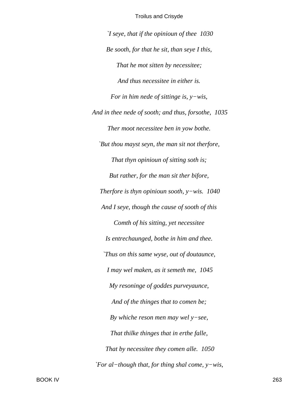*`I seye, that if the opinioun of thee 1030 Be sooth, for that he sit, than seye I this, That he mot sitten by necessitee; And thus necessitee in either is. For in him nede of sittinge is, y−wis, And in thee nede of sooth; and thus, forsothe, 1035 Ther moot necessitee ben in yow bothe. `But thou mayst seyn, the man sit not therfore, That thyn opinioun of sitting soth is; But rather, for the man sit ther bifore, Therfore is thyn opinioun sooth, y−wis. 1040 And I seye, though the cause of sooth of this Comth of his sitting, yet necessitee Is entrechaunged, bothe in him and thee. `Thus on this same wyse, out of doutaunce, I may wel maken, as it semeth me, 1045 My resoninge of goddes purveyaunce, And of the thinges that to comen be; By whiche reson men may wel y−see, That thilke thinges that in erthe falle, That by necessitee they comen alle. 1050 `For al−though that, for thing shal come, y−wis,*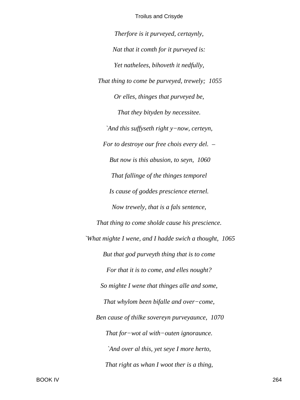Therfore is it purveyed, certaynly, Nat that it comth for it purveyed is: Yet nathelees, bihoveth it nedfully, That thing to come be purveyed, trewely; 1055 Or elles, thinges that purveyed be, That they bityden by necessitee. `And this suffyseth right y-now, certeyn, For to destroye our free chois every del.  $-$ But now is this abusion, to seyn, 1060 That fallinge of the thinges temporel Is cause of goddes prescience eternel. Now trewely, that is a fals sentence, That thing to come sholde cause his prescience. `What mighte I wene, and I hadde swich a thought, 1065 But that god purveyth thing that is to come For that it is to come, and elles nought? So mighte I wene that thinges alle and some, That whylom been bifalle and over-come, Ben cause of thilke sovereyn purveyaunce, 1070 That for-wot al with-outen ignoraunce. `And over al this, yet seye I more herto, That right as whan I woot ther is a thing,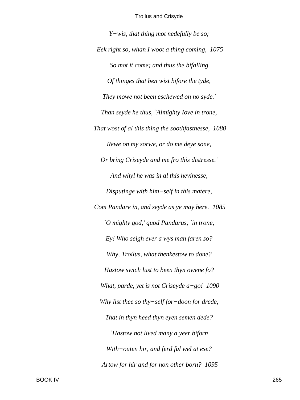$Y$ -wis, that thing mot nedefully be so; Eek right so, whan I woot a thing coming, 1075 So mot it come; and thus the bifalling Of thinges that ben wist bifore the tyde, They mowe not been eschewed on no syde.' Than seyde he thus, `Almighty Iove in trone, That wost of al this thing the soothfastnesse, 1080 Rewe on my sorwe, or do me deye sone, Or bring Criseyde and me fro this distresse.' And whyl he was in al this hevinesse, Disputinge with him-self in this matere, Com Pandare in, and seyde as ye may here. 1085 `O mighty god,' quod Pandarus, `in trone, Ey! Who seigh ever a wys man faren so? Why, Troilus, what thenkestow to done? Hastow swich lust to been thyn owene fo? What, parde, yet is not Criseyde  $a-go!$  1090 Why list thee so thy-self for-doon for drede, That in thyn heed thyn eyen semen dede? 'Hastow not lived many a yeer biforn With-outen hir, and ferd ful wel at ese? Artow for hir and for non other born? 1095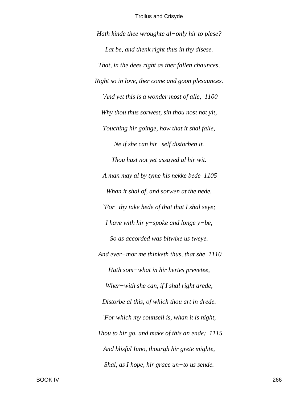*Hath kinde thee wroughte al−only hir to plese? Lat be, and thenk right thus in thy disese. That, in the dees right as ther fallen chaunces, Right so in love, ther come and goon plesaunces. `And yet this is a wonder most of alle, 1100 Why thou thus sorwest, sin thou nost not yit, Touching hir goinge, how that it shal falle, Ne if she can hir−self distorben it. Thou hast not yet assayed al hir wit. A man may al by tyme his nekke bede 1105 Whan it shal of, and sorwen at the nede. `For−thy take hede of that that I shal seye; I have with hir y−spoke and longe y−be, So as accorded was bitwixe us tweye. And ever−mor me thinketh thus, that she 1110 Hath som−what in hir hertes prevetee, Wher−with she can, if I shal right arede, Distorbe al this, of which thou art in drede. `For which my counseil is, whan it is night, Thou to hir go, and make of this an ende; 1115 And blisful Iuno, thourgh hir grete mighte, Shal, as I hope, hir grace un−to us sende.*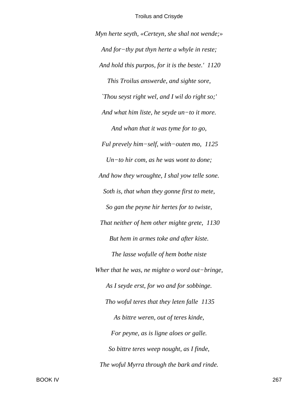Myn herte seyth, «Certeyn, she shal not wende;» And for-thy put thyn herte a whyle in reste; And hold this purpos, for it is the beste.' 1120 This Troilus answerde, and sighte sore, 'Thou seyst right wel, and I wil do right so;' And what him liste, he seyde un-to it more. And whan that it was tyme for to go, Ful prevely him-self, with-outen mo,  $1125$  $Un-to$  hir com, as he was wont to done; And how they wroughte, I shal yow telle sone. Soth is, that whan they gonne first to mete, So gan the peyne hir hertes for to twiste, That neither of hem other mighte grete, 1130 But hem in armes toke and after kiste. The lasse wofulle of hem bothe niste Wher that he was, ne mighte o word out-bringe, As I seyde erst, for wo and for sobbinge. Tho woful teres that they leten falle 1135 As bittre weren, out of teres kinde, For peyne, as is ligne aloes or galle. So bittre teres weep nought, as I finde, The woful Myrra through the bark and rinde.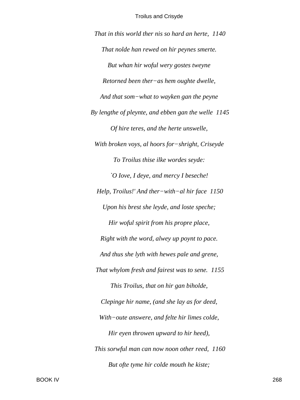*That in this world ther nis so hard an herte, 1140 That nolde han rewed on hir peynes smerte. But whan hir woful wery gostes tweyne Retorned been ther−as hem oughte dwelle, And that som−what to wayken gan the peyne By lengthe of pleynte, and ebben gan the welle 1145 Of hire teres, and the herte unswelle, With broken voys, al hoors for−shright, Criseyde To Troilus thise ilke wordes seyde: `O Iove, I deye, and mercy I beseche! Help, Troilus!' And ther−with−al hir face 1150 Upon his brest she leyde, and loste speche; Hir woful spirit from his propre place, Right with the word, alwey up poynt to pace. And thus she lyth with hewes pale and grene, That whylom fresh and fairest was to sene. 1155 This Troilus, that on hir gan biholde, Clepinge hir name, (and she lay as for deed, With−oute answere, and felte hir limes colde, Hir eyen throwen upward to hir heed), This sorwful man can now noon other reed, 1160 But ofte tyme hir colde mouth he kiste;*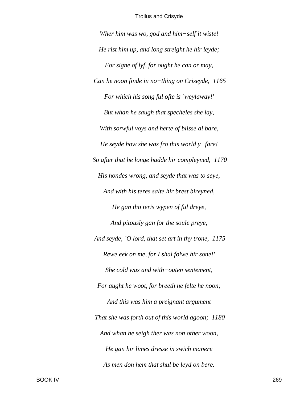*Wher him was wo, god and him−self it wiste! He rist him up, and long streight he hir leyde; For signe of lyf, for ought he can or may, Can he noon finde in no−thing on Criseyde, 1165 For which his song ful ofte is `weylaway!' But whan he saugh that specheles she lay, With sorwful voys and herte of blisse al bare, He seyde how she was fro this world y−fare! So after that he longe hadde hir compleyned, 1170 His hondes wrong, and seyde that was to seye, And with his teres salte hir brest bireyned, He gan tho teris wypen of ful dreye, And pitously gan for the soule preye, And seyde, `O lord, that set art in thy trone, 1175 Rewe eek on me, for I shal folwe hir sone!' She cold was and with−outen sentement, For aught he woot, for breeth ne felte he noon; And this was him a preignant argument That she was forth out of this world agoon; 1180 And whan he seigh ther was non other woon, He gan hir limes dresse in swich manere As men don hem that shul be leyd on bere.*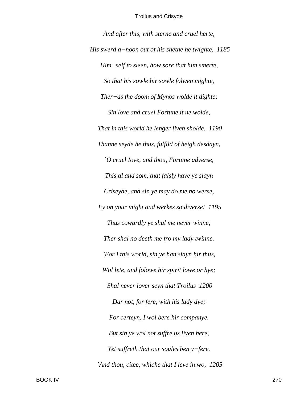And after this, with sterne and cruel herte, His swerd a-noon out of his shethe he twighte,  $1185$ Him-self to sleen, how sore that him smerte, So that his sowle hir sowle folwen mighte, Ther-as the doom of Mynos wolde it dighte; Sin love and cruel Fortune it ne wolde, That in this world he lenger liven sholde. 1190 Thanne seyde he thus, fulfild of heigh desdayn, O cruel Iove, and thou, Fortune adverse, This al and som, that falsly have ye slayn Criseyde, and sin ye may do me no werse, Fy on your might and werkes so diverse! 1195 Thus cowardly ye shul me never winne; Ther shal no deeth me fro my lady twinne. `For I this world, sin ye han slayn hir thus, Wol lete, and folowe hir spirit lowe or hye; Shal never lover seyn that Troilus 1200 Dar not, for fere, with his lady dye; For certeyn, I wol bere hir companye. But sin ye wol not suffre us liven here, Yet suffreth that our soules ben  $y$ -fere. `And thou, citee, whiche that I leve in wo, 1205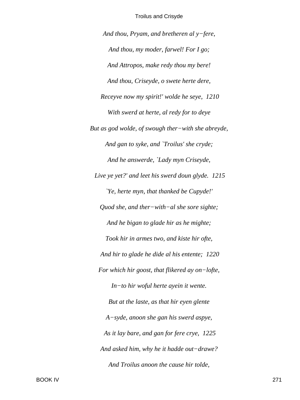*And thou, Pryam, and bretheren al y−fere, And thou, my moder, farwel! For I go; And Attropos, make redy thou my bere! And thou, Criseyde, o swete herte dere, Receyve now my spirit!' wolde he seye, 1210 With swerd at herte, al redy for to deye But as god wolde, of swough ther−with she abreyde, And gan to syke, and `Troilus' she cryde; And he answerde, `Lady myn Criseyde, Live ye yet?' and leet his swerd doun glyde. 1215 `Ye, herte myn, that thanked be Cupyde!' Quod she, and ther−with−al she sore sighte; And he bigan to glade hir as he mighte; Took hir in armes two, and kiste hir ofte, And hir to glade he dide al his entente; 1220 For which hir goost, that flikered ay on−lofte, In−to hir woful herte ayein it wente. But at the laste, as that hir eyen glente A−syde, anoon she gan his swerd aspye, As it lay bare, and gan for fere crye, 1225 And asked him, why he it hadde out−drawe? And Troilus anoon the cause hir tolde,*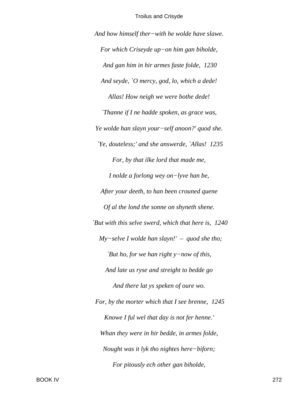And how himself ther-with he wolde have slawe. For which Criseyde up-on him gan biholde, And gan him in hir armes faste folde, 1230 And seyde, `O mercy, god, lo, which a dede! Allas! How neigh we were bothe dede! `Thanne if I ne hadde spoken, as grace was, Ye wolde han slayn your-self anoon?' quod she. 'Ye, douteless;' and she answerde, 'Allas! 1235 For, by that ilke lord that made me, I nolde a forlong wey on-lyve han be, After your deeth, to han been crouned quene Of al the lond the sonne on shyneth shene. `But with this selve swerd, which that here is, 1240  $My-selve$  I wolde han slayn!' – quod she tho; 'But ho, for we han right  $y$ -now of this, And late us ryse and streight to bedde go And there lat ys speken of oure wo. For, by the morter which that I see brenne, 1245 Knowe I ful wel that day is not fer henne.' Whan they were in hir bedde, in armes folde, Nought was it lyk tho nightes here-biforn; For pitously ech other gan biholde,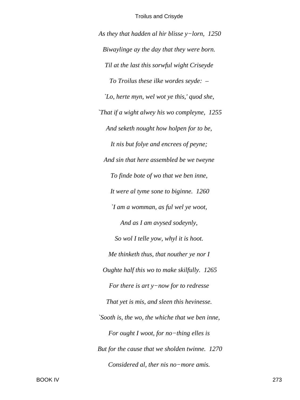*As they that hadden al hir blisse y−lorn, 1250 Biwaylinge ay the day that they were born. Til at the last this sorwful wight Criseyde To Troilus these ilke wordes seyde: – `Lo, herte myn, wel wot ye this,' quod she, `That if a wight alwey his wo compleyne, 1255 And seketh nought how holpen for to be, It nis but folye and encrees of peyne; And sin that here assembled be we tweyne To finde bote of wo that we ben inne, It were al tyme sone to biginne. 1260 `I am a womman, as ful wel ye woot, And as I am avysed sodeynly, So wol I telle yow, whyl it is hoot. Me thinketh thus, that nouther ye nor I Oughte half this wo to make skilfully. 1265 For there is art y−now for to redresse That yet is mis, and sleen this hevinesse. `Sooth is, the wo, the whiche that we ben inne, For ought I woot, for no−thing elles is But for the cause that we sholden twinne. 1270 Considered al, ther nis no−more amis.*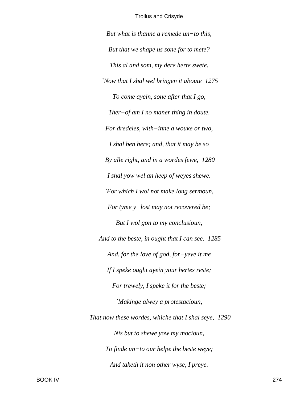*But what is thanne a remede un−to this, But that we shape us sone for to mete? This al and som, my dere herte swete. `Now that I shal wel bringen it aboute 1275 To come ayein, sone after that I go, Ther−of am I no maner thing in doute. For dredeles, with−inne a wouke or two, I shal ben here; and, that it may be so By alle right, and in a wordes fewe, 1280 I shal yow wel an heep of weyes shewe. `For which I wol not make long sermoun, For tyme y−lost may not recovered be; But I wol gon to my conclusioun, And to the beste, in ought that I can see. 1285 And, for the love of god, for−yeve it me If I speke ought ayein your hertes reste; For trewely, I speke it for the beste; `Makinge alwey a protestacioun, That now these wordes, whiche that I shal seye, 1290 Nis but to shewe yow my mocioun, To finde un−to our helpe the beste weye; And taketh it non other wyse, I preye.*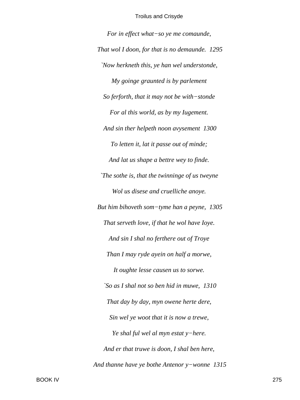For in effect what-so ye me comaunde, That wol I doon, for that is no demaunde. 1295 'Now herkneth this, ye han wel understonde, My goinge graunted is by parlement So ferforth, that it may not be with-stonde For al this world, as by my Iugement. And sin ther helpeth noon avysement 1300 To letten it, lat it passe out of minde; And lat us shape a bettre wey to finde. The sothe is, that the twinninge of us tweyne Wol us disese and cruelliche anoye. But him bihoveth som-tyme han a peyne, 1305 That serveth love, if that he wol have loye. And sin I shal no ferthere out of Troye Than I may ryde ayein on half a morwe, It oughte lesse causen us to sorwe. `So as I shal not so ben hid in muwe, 1310 That day by day, myn owene herte dere, Sin wel ye woot that it is now a trewe, Ye shal ful wel al myn estat y-here. And er that truwe is doon, I shal ben here, And thanne have ye bothe Antenor  $y$ -wonne 1315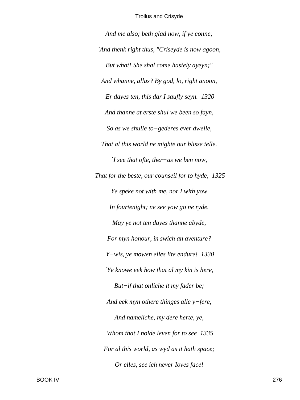*And me also; beth glad now, if ye conne; `And thenk right thus, "Criseyde is now agoon, But what! She shal come hastely ayeyn;" And whanne, allas? By god, lo, right anoon, Er dayes ten, this dar I saufly seyn. 1320 And thanne at erste shul we been so fayn, So as we shulle to−gederes ever dwelle, That al this world ne mighte our blisse telle. `I see that ofte, ther−as we ben now, That for the beste, our counseil for to hyde, 1325 Ye speke not with me, nor I with yow In fourtenight; ne see yow go ne ryde. May ye not ten dayes thanne abyde, For myn honour, in swich an aventure? Y−wis, ye mowen elles lite endure! 1330 `Ye knowe eek how that al my kin is here, But−if that onliche it my fader be; And eek myn othere thinges alle y−fere, And nameliche, my dere herte, ye, Whom that I nolde leven for to see 1335 For al this world, as wyd as it hath space; Or elles, see ich never Ioves face!*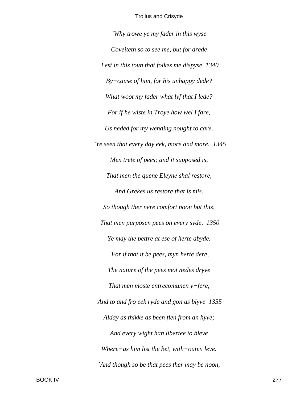*`Why trowe ye my fader in this wyse Coveiteth so to see me, but for drede Lest in this toun that folkes me dispyse 1340 By−cause of him, for his unhappy dede? What woot my fader what lyf that I lede? For if he wiste in Troye how wel I fare, Us neded for my wending nought to care. `Ye seen that every day eek, more and more, 1345 Men trete of pees; and it supposed is, That men the quene Eleyne shal restore, And Grekes us restore that is mis. So though ther nere comfort noon but this, That men purposen pees on every syde, 1350 Ye may the bettre at ese of herte abyde. `For if that it be pees, myn herte dere, The nature of the pees mot nedes dryve That men moste entrecomunen y−fere, And to and fro eek ryde and gon as blyve 1355 Alday as thikke as been flen from an hyve; And every wight han libertee to bleve Where−as him list the bet, with−outen leve. `And though so be that pees ther may be noon,*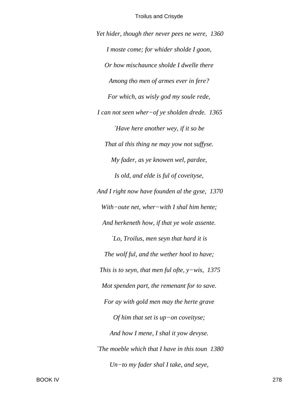*Yet hider, though ther never pees ne were, 1360 I moste come; for whider sholde I goon, Or how mischaunce sholde I dwelle there Among tho men of armes ever in fere? For which, as wisly god my soule rede, I can not seen wher−of ye sholden drede. 1365 `Have here another wey, if it so be That al this thing ne may yow not suffyse. My fader, as ye knowen wel, pardee, Is old, and elde is ful of coveityse, And I right now have founden al the gyse, 1370 With−oute net, wher−with I shal him hente; And herkeneth how, if that ye wole assente. `Lo, Troilus, men seyn that hard it is The wolf ful, and the wether hool to have; This is to seyn, that men ful ofte, y−wis, 1375 Mot spenden part, the remenant for to save. For ay with gold men may the herte grave Of him that set is up−on coveityse; And how I mene, I shal it yow devyse. `The moeble which that I have in this toun 1380 Un−to my fader shal I take, and seye,*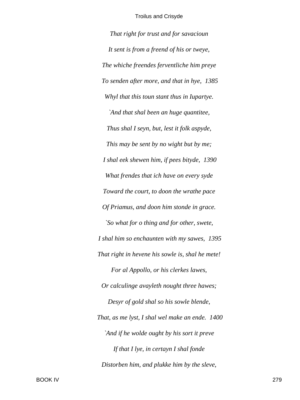*That right for trust and for savacioun It sent is from a freend of his or tweye, The whiche freendes ferventliche him preye To senden after more, and that in hye, 1385 Whyl that this toun stant thus in Iupartye. `And that shal been an huge quantitee, Thus shal I seyn, but, lest it folk aspyde, This may be sent by no wight but by me; I shal eek shewen him, if pees bityde, 1390 What frendes that ich have on every syde Toward the court, to doon the wrathe pace Of Priamus, and doon him stonde in grace. `So what for o thing and for other, swete, I shal him so enchaunten with my sawes, 1395 That right in hevene his sowle is, shal he mete! For al Appollo, or his clerkes lawes, Or calculinge avayleth nought three hawes; Desyr of gold shal so his sowle blende, That, as me lyst, I shal wel make an ende. 1400 `And if he wolde ought by his sort it preve If that I lye, in certayn I shal fonde Distorben him, and plukke him by the sleve,*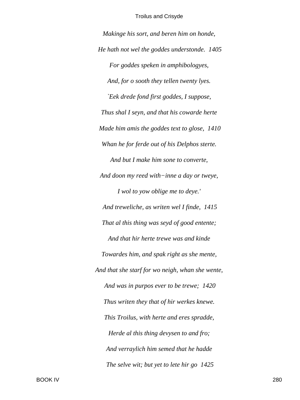*Makinge his sort, and beren him on honde, He hath not wel the goddes understonde. 1405 For goddes speken in amphibologyes, And, for o sooth they tellen twenty lyes. `Eek drede fond first goddes, I suppose, Thus shal I seyn, and that his cowarde herte Made him amis the goddes text to glose, 1410 Whan he for ferde out of his Delphos sterte. And but I make him sone to converte, And doon my reed with−inne a day or tweye, I wol to yow oblige me to deye.' And treweliche, as writen wel I finde, 1415 That al this thing was seyd of good entente; And that hir herte trewe was and kinde Towardes him, and spak right as she mente, And that she starf for wo neigh, whan she wente, And was in purpos ever to be trewe; 1420 Thus writen they that of hir werkes knewe. This Troilus, with herte and eres spradde, Herde al this thing devysen to and fro; And verraylich him semed that he hadde The selve wit; but yet to lete hir go 1425*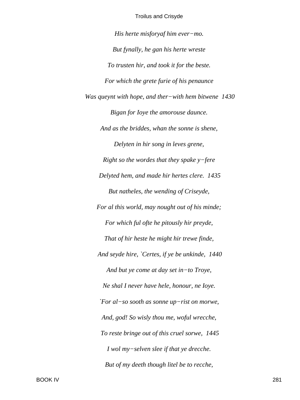His herte misfory af him ever-mo. But fynally, he gan his herte wreste To trusten hir, and took it for the beste. For which the grete furie of his penaunce Was queynt with hope, and ther-with hem bitwene 1430 Bigan for loye the amorouse daunce. And as the briddes, whan the sonne is shene, Delyten in hir song in leves grene, Right so the wordes that they spake  $y$ -fere Delyted hem, and made hir hertes clere. 1435 But natheles, the wending of Criseyde, For al this world, may nought out of his minde; For which ful ofte he pitously hir preyde, That of hir heste he might hir trewe finde, And seyde hire, `Certes, if ye be unkinde, 1440 And but ye come at day set in-to Troye, Ne shal I never have hele, honour, ne Ioye. `For al-so sooth as sonne up-rist on morwe, And, god! So wisly thou me, woful wrecche, To reste bringe out of this cruel sorwe, 1445 I wol my-selven slee if that ye drecche. But of my deeth though litel be to recche,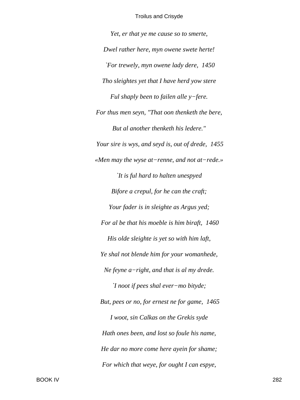*Yet, er that ye me cause so to smerte, Dwel rather here, myn owene swete herte! `For trewely, myn owene lady dere, 1450 Tho sleightes yet that I have herd yow stere Ful shaply been to failen alle y−fere. For thus men seyn, "That oon thenketh the bere, But al another thenketh his ledere." Your sire is wys, and seyd is, out of drede, 1455 «Men may the wyse at−renne, and not at−rede.» `It is ful hard to halten unespyed Bifore a crepul, for he can the craft; Your fader is in sleighte as Argus yed; For al be that his moeble is him biraft, 1460 His olde sleighte is yet so with him laft, Ye shal not blende him for your womanhede, Ne feyne a−right, and that is al my drede. `I noot if pees shal ever−mo bityde; But, pees or no, for ernest ne for game, 1465 I woot, sin Calkas on the Grekis syde Hath ones been, and lost so foule his name, He dar no more come here ayein for shame; For which that weye, for ought I can espye,*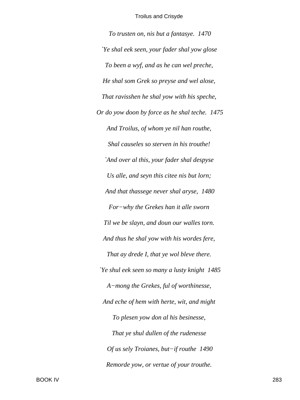*To trusten on, nis but a fantasye. 1470 `Ye shal eek seen, your fader shal yow glose To been a wyf, and as he can wel preche, He shal som Grek so preyse and wel alose, That ravisshen he shal yow with his speche, Or do yow doon by force as he shal teche. 1475 And Troilus, of whom ye nil han routhe, Shal causeles so sterven in his trouthe! `And over al this, your fader shal despyse Us alle, and seyn this citee nis but lorn; And that thassege never shal aryse, 1480 For−why the Grekes han it alle sworn Til we be slayn, and doun our walles torn. And thus he shal yow with his wordes fere, That ay drede I, that ye wol bleve there. `Ye shul eek seen so many a lusty knight 1485 A−mong the Grekes, ful of worthinesse, And eche of hem with herte, wit, and might To plesen yow don al his besinesse, That ye shul dullen of the rudenesse Of us sely Troianes, but−if routhe 1490 Remorde yow, or vertue of your trouthe.*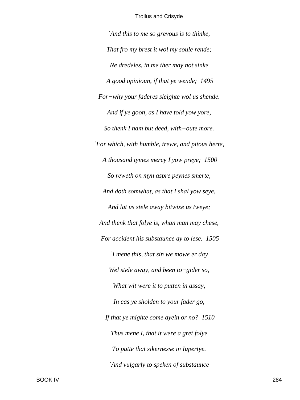*`And this to me so grevous is to thinke, That fro my brest it wol my soule rende; Ne dredeles, in me ther may not sinke A good opinioun, if that ye wende; 1495 For−why your faderes sleighte wol us shende. And if ye goon, as I have told yow yore, So thenk I nam but deed, with−oute more. `For which, with humble, trewe, and pitous herte, A thousand tymes mercy I yow preye; 1500 So reweth on myn aspre peynes smerte, And doth somwhat, as that I shal yow seye, And lat us stele away bitwixe us tweye; And thenk that folye is, whan man may chese, For accident his substaunce ay to lese. 1505 `I mene this, that sin we mowe er day Wel stele away, and been to−gider so, What wit were it to putten in assay, In cas ye sholden to your fader go, If that ye mighte come ayein or no? 1510 Thus mene I, that it were a gret folye To putte that sikernesse in Iupertye. `And vulgarly to speken of substaunce*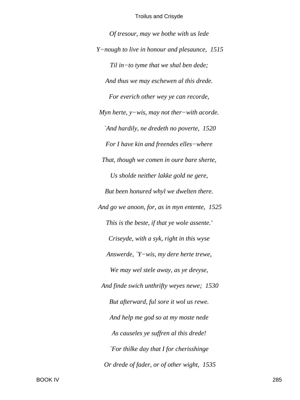*Of tresour, may we bothe with us lede Y−nough to live in honour and plesaunce, 1515 Til in−to tyme that we shal ben dede; And thus we may eschewen al this drede. For everich other wey ye can recorde, Myn herte, y−wis, may not ther−with acorde. `And hardily, ne dredeth no poverte, 1520 For I have kin and freendes elles−where That, though we comen in oure bare sherte, Us sholde neither lakke gold ne gere, But been honured whyl we dwelten there. And go we anoon, for, as in myn entente, 1525 This is the beste, if that ye wole assente.' Criseyde, with a syk, right in this wyse Answerde, `Y−wis, my dere herte trewe, We may wel stele away, as ye devyse, And finde swich unthrifty weyes newe; 1530 But afterward, ful sore it wol us rewe. And help me god so at my moste nede As causeles ye suffren al this drede! `For thilke day that I for cherisshinge Or drede of fader, or of other wight, 1535*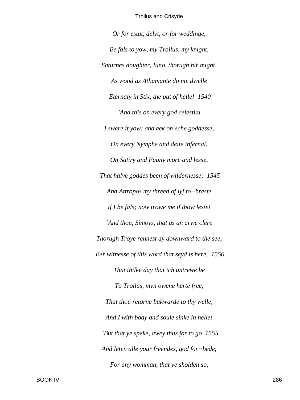*Or for estat, delyt, or for weddinge, Be fals to yow, my Troilus, my knight, Saturnes doughter, Iuno, thorugh hir might, As wood as Athamante do me dwelle Eternaly in Stix, the put of helle! 1540 `And this on every god celestial I swere it yow; and eek on eche goddesse, On every Nymphe and deite infernal, On Satiry and Fauny more and lesse, That halve goddes been of wildernesse; 1545 And Attropos my threed of lyf to−breste If I be fals; now trowe me if thow leste! `And thou, Simoys, that as an arwe clere Thorugh Troye rennest ay downward to the see, Ber witnesse of this word that seyd is here, 1550 That thilke day that ich untrewe be To Troilus, myn owene herte free, That thou retorne bakwarde to thy welle, And I with body and soule sinke in helle! `But that ye speke, awey thus for to go 1555 And leten alle your freendes, god for−bede, For any womman, that ye sholden so,*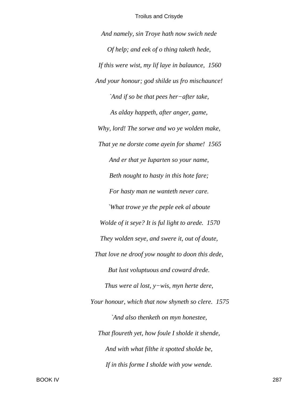*And namely, sin Troye hath now swich nede Of help; and eek of o thing taketh hede, If this were wist, my lif laye in balaunce, 1560 And your honour; god shilde us fro mischaunce! `And if so be that pees her−after take, As alday happeth, after anger, game, Why, lord! The sorwe and wo ye wolden make, That ye ne dorste come ayein for shame! 1565 And er that ye Iuparten so your name, Beth nought to hasty in this hote fare; For hasty man ne wanteth never care. `What trowe ye the peple eek al aboute Wolde of it seye? It is ful light to arede. 1570 They wolden seye, and swere it, out of doute, That love ne droof yow nought to doon this dede, But lust voluptuous and coward drede. Thus were al lost, y−wis, myn herte dere, Your honour, which that now shyneth so clere. 1575 `And also thenketh on myn honestee, That floureth yet, how foule I sholde it shende, And with what filthe it spotted sholde be, If in this forme I sholde with yow wende.*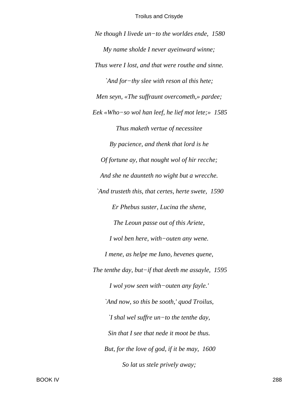Ne though I livede un-to the worldes ende,  $1580$ My name sholde I never ayeinward winne; Thus were I lost, and that were routhe and sinne. `And for-thy slee with reson al this hete; Men seyn, «The suffraunt overcometh,» pardee; Eek «Who-so wol han leef, he lief mot lete; »  $1585$ Thus maketh vertue of necessitee By pacience, and thenk that lord is he Of fortune ay, that nought wol of hir recche; And she ne daunteth no wight but a wrecche. `And trusteth this, that certes, herte swete, 1590 Er Phebus suster, Lucina the shene, The Leoun passe out of this Ariete, I wol ben here, with-outen any wene. I mene, as helpe me Iuno, hevenes quene, The tenthe day, but-if that deeth me assayle,  $1595$ I wol yow seen with-outen any fayle.' `And now, so this be sooth,' quod Troilus,  $\big|$  shal wel suffre un-to the tenthe day, Sin that I see that nede it moot be thus. But, for the love of god, if it be may, 1600 So lat us stele prively away;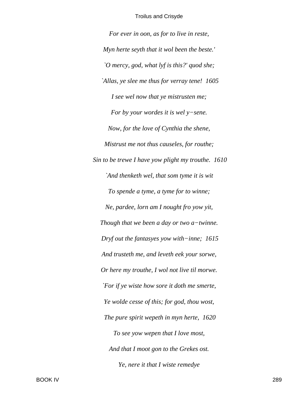*For ever in oon, as for to live in reste, Myn herte seyth that it wol been the beste.' `O mercy, god, what lyf is this?' quod she; `Allas, ye slee me thus for verray tene! 1605 I see wel now that ye mistrusten me; For by your wordes it is wel y−sene. Now, for the love of Cynthia the shene, Mistrust me not thus causeles, for routhe; Sin to be trewe I have yow plight my trouthe. 1610 `And thenketh wel, that som tyme it is wit To spende a tyme, a tyme for to winne; Ne, pardee, lorn am I nought fro yow yit, Though that we been a day or two a−twinne. Dryf out the fantasyes yow with−inne; 1615 And trusteth me, and leveth eek your sorwe, Or here my trouthe, I wol not live til morwe. `For if ye wiste how sore it doth me smerte, Ye wolde cesse of this; for god, thou wost, The pure spirit wepeth in myn herte, 1620 To see yow wepen that I love most, And that I moot gon to the Grekes ost. Ye, nere it that I wiste remedye*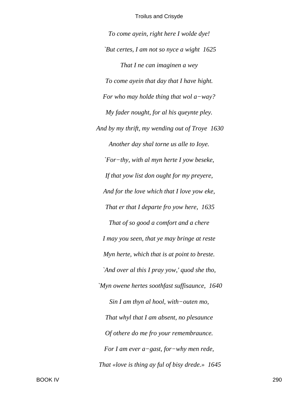*To come ayein, right here I wolde dye! `But certes, I am not so nyce a wight 1625 That I ne can imaginen a wey To come ayein that day that I have hight. For who may holde thing that wol a−way? My fader nought, for al his queynte pley. And by my thrift, my wending out of Troye 1630 Another day shal torne us alle to Ioye. `For−thy, with al myn herte I yow beseke, If that yow list don ought for my preyere, And for the love which that I love yow eke, That er that I departe fro yow here, 1635 That of so good a comfort and a chere I may you seen, that ye may bringe at reste Myn herte, which that is at point to breste. `And over al this I pray yow,' quod she tho, `Myn owene hertes soothfast suffisaunce, 1640 Sin I am thyn al hool, with−outen mo, That whyl that I am absent, no plesaunce Of othere do me fro your remembraunce. For I am ever a−gast, for−why men rede, That «love is thing ay ful of bisy drede.» 1645*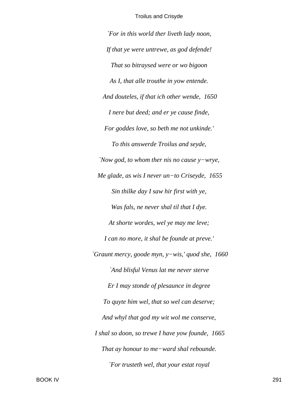*`For in this world ther liveth lady noon, If that ye were untrewe, as god defende! That so bitraysed were or wo bigoon As I, that alle trouthe in yow entende. And douteles, if that ich other wende, 1650 I nere but deed; and er ye cause finde, For goddes love, so beth me not unkinde.' To this answerde Troilus and seyde, `Now god, to whom ther nis no cause y−wrye, Me glade, as wis I never un−to Criseyde, 1655 Sin thilke day I saw hir first with ye, Was fals, ne never shal til that I dye. At shorte wordes, wel ye may me leve; I can no more, it shal be founde at preve.' `Graunt mercy, goode myn, y−wis,' quod she, 1660 `And blisful Venus lat me never sterve Er I may stonde of plesaunce in degree To quyte him wel, that so wel can deserve; And whyl that god my wit wol me conserve, I shal so doon, so trewe I have yow founde, 1665 That ay honour to me−ward shal rebounde. `For trusteth wel, that your estat royal*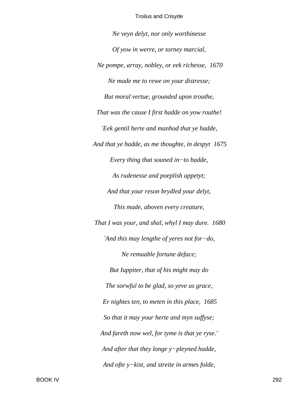Ne veyn delyt, nor only worthinesse Of yow in werre, or torney marcial, Ne pompe, array, nobley, or eek richesse, 1670 Ne made me to rewe on your distresse; But moral vertue, grounded upon trouthe, That was the cause I first hadde on yow routhe! `Eek gentil herte and manhod that ye hadde, And that ye hadde, as me thoughte, in despyt 1675 Every thing that souned in-to badde, As rudenesse and poeplish appetyt; And that your reson brydled your delyt, This made, aboven every creature, That I was your, and shal, whyl I may dure. 1680 `And this may lengthe of yeres not for-do, Ne remuable fortune deface; But Iuppiter, that of his might may do The sorwful to be glad, so yeve us grace, Er nightes ten, to meten in this place, 1685 So that it may your herte and myn suffyse; And fareth now wel, for tyme is that ye ryse.' And after that they longe y-pleyned hadde, And ofte  $y$ -kist, and streite in armes folde,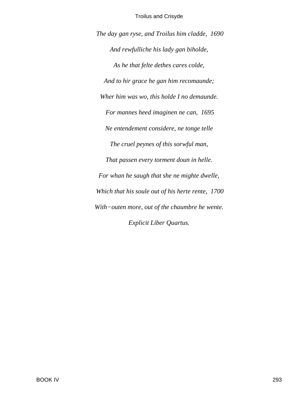*The day gan ryse, and Troilus him cladde, 1690 And rewfulliche his lady gan biholde, As he that felte dethes cares colde, And to hir grace he gan him recomaunde; Wher him was wo, this holde I no demaunde. For mannes heed imaginen ne can, 1695 Ne entendement considere, ne tonge telle The cruel peynes of this sorwful man, That passen every torment doun in helle. For whan he saugh that she ne mighte dwelle, Which that his soule out of his herte rente, 1700 With−outen more, out of the chaumbre he wente. Explicit Liber Quartus.*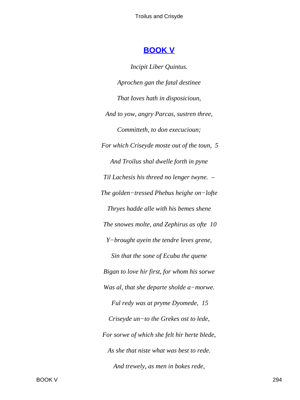# **BOOK V**

**Incipit Liber Quintus.** Aprochen gan the fatal destinee That Ioves hath in disposicioun, And to yow, angry Parcas, sustren three, Committeth, to don execucioun; For which Criseyde moste out of the toun, 5 And Troilus shal dwelle forth in pyne Til Lachesis his threed no lenger twyne. -The golden-tressed Phebus heighe on-lofte Thryes hadde alle with his bemes shene The snowes molte, and Zephirus as ofte 10 Y-brought ayein the tendre leves grene, Sin that the sone of Ecuba the quene Bigan to love hir first, for whom his sorwe Was al, that she departe sholde a-morwe. Ful redy was at pryme Dyomede, 15 Criseyde un-to the Grekes ost to lede, For sorwe of which she felt hir herte blede, As she that niste what was best to rede. And trewely, as men in bokes rede,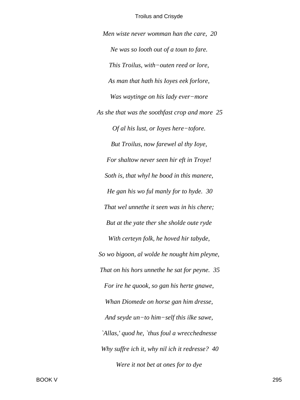*Men wiste never womman han the care, 20 Ne was so looth out of a toun to fare. This Troilus, with−outen reed or lore, As man that hath his Ioyes eek forlore, Was waytinge on his lady ever−more As she that was the soothfast crop and more 25 Of al his lust, or Ioyes here−tofore. But Troilus, now farewel al thy Ioye, For shaltow never seen hir eft in Troye! Soth is, that whyl he bood in this manere, He gan his wo ful manly for to hyde. 30 That wel unnethe it seen was in his chere; But at the yate ther she sholde oute ryde With certeyn folk, he hoved hir tabyde, So wo bigoon, al wolde he nought him pleyne, That on his hors unnethe he sat for peyne. 35 For ire he quook, so gan his herte gnawe, Whan Diomede on horse gan him dresse, And seyde un−to him−self this ilke sawe, `Allas,' quod he, `thus foul a wrecchednesse Why suffre ich it, why nil ich it redresse? 40 Were it not bet at ones for to dye*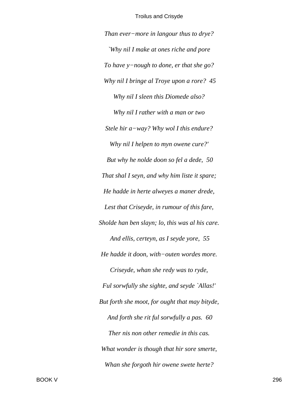*Than ever−more in langour thus to drye? `Why nil I make at ones riche and pore To have y−nough to done, er that she go? Why nil I bringe al Troye upon a rore? 45 Why nil I sleen this Diomede also? Why nil I rather with a man or two Stele hir a−way? Why wol I this endure? Why nil I helpen to myn owene cure?' But why he nolde doon so fel a dede, 50 That shal I seyn, and why him liste it spare; He hadde in herte alweyes a maner drede, Lest that Criseyde, in rumour of this fare, Sholde han ben slayn; lo, this was al his care. And ellis, certeyn, as I seyde yore, 55 He hadde it doon, with−outen wordes more. Criseyde, whan she redy was to ryde, Ful sorwfully she sighte, and seyde `Allas!' But forth she moot, for ought that may bityde, And forth she rit ful sorwfully a pas. 60 Ther nis non other remedie in this cas. What wonder is though that hir sore smerte, Whan she forgoth hir owene swete herte?*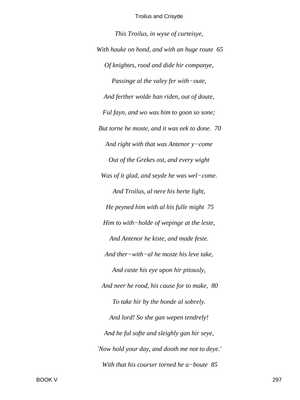This Troilus, in wyse of curteisye, With hauke on hond, and with an huge route 65 Of knightes, rood and dide hir companye, Passinge al the valey fer with-oute, And ferther wolde han riden, out of doute, Ful fayn, and wo was him to goon so sone; But torne he moste, and it was eek to done. 70 And right with that was Antenor  $y$ -come Out of the Grekes ost, and every wight Was of it glad, and seyde he was wel-come. And Troilus, al nere his herte light, He peyned him with al his fulle might 75 Him to with-holde of wepinge at the leste, And Antenor he kiste, and made feste. And ther-with-al he moste his leve take, And caste his eye upon hir pitously, And neer he rood, his cause for to make, 80 To take hir by the honde al sobrely. And lord! So she gan wepen tendrely! And he ful softe and sleighly gan hir seye, 'Now hold your day, and dooth me not to deye.' With that his courser torned he a-boute  $85$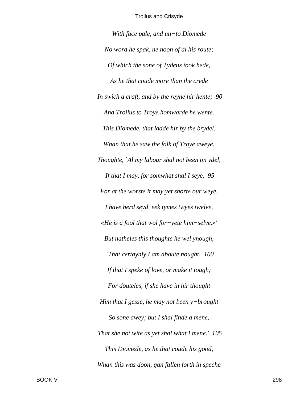*With face pale, and un−to Diomede No word he spak, ne noon of al his route; Of which the sone of Tydeus took hede, As he that coude more than the crede In swich a craft, and by the reyne hir hente; 90 And Troilus to Troye homwarde he wente. This Diomede, that ladde hir by the brydel, Whan that he saw the folk of Troye aweye, Thoughte, `Al my labour shal not been on ydel, If that I may, for somwhat shal I seye, 95 For at the worste it may yet shorte our weye. I have herd seyd, eek tymes twyes twelve, «He is a fool that wol for−yete him−selve.»' But natheles this thoughte he wel ynough, `That certaynly I am aboute nought, 100 If that I speke of love, or make it tough; For douteles, if she have in hir thought Him that I gesse, he may not been y−brought So sone awey; but I shal finde a mene, That she not wite as yet shal what I mene.' 105 This Diomede, as he that coude his good, Whan this was doon, gan fallen forth in speche*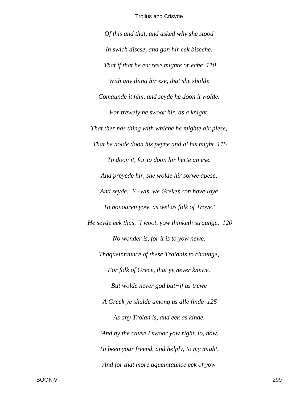Of this and that, and asked why she stood In swich disese, and gan hir eek biseche, That if that he encrese mighte or eche 110 With any thing hir ese, that she sholde Comaunde it him, and seyde he doon it wolde. For trewely he swoor hir, as a knight, That ther nas thing with whiche he mighte hir plese, That he nolde doon his peyne and al his might 115 To doon it, for to doon hir herte an ese. And preyede hir, she wolde hir sorwe apese, And seyde, 'Y-wis, we Grekes con have Ioye To honouren yow, as wel as folk of Troye.' He seyde eek thus, `I woot, yow thinketh straunge, 120 No wonder is, for it is to yow newe, Thaqueintaunce of these Troianis to chaunge, For folk of Grece, that ye never knewe. But wolde never god but $-i$ f as trewe A Greek ye shulde among us alle finde 125 As any Troian is, and eek as kinde. `And by the cause I swoor yow right, lo, now, To been your freend, and helply, to my might, And for that more aqueintaunce eek of yow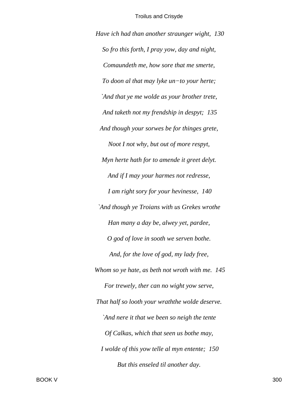*Have ich had than another straunger wight, 130 So fro this forth, I pray yow, day and night, Comaundeth me, how sore that me smerte, To doon al that may lyke un−to your herte; `And that ye me wolde as your brother trete, And taketh not my frendship in despyt; 135 And though your sorwes be for thinges grete, Noot I not why, but out of more respyt, Myn herte hath for to amende it greet delyt. And if I may your harmes not redresse, I am right sory for your hevinesse, 140 `And though ye Troians with us Grekes wrothe Han many a day be, alwey yet, pardee, O god of love in sooth we serven bothe. And, for the love of god, my lady free, Whom so ye hate, as beth not wroth with me. 145 For trewely, ther can no wight yow serve, That half so looth your wraththe wolde deserve. `And nere it that we been so neigh the tente Of Calkas, which that seen us bothe may, I wolde of this yow telle al myn entente; 150 But this enseled til another day.*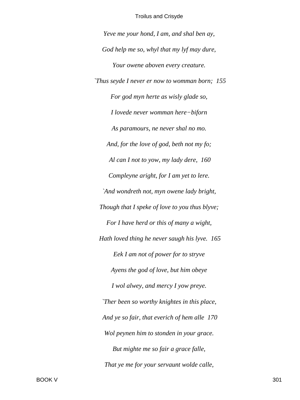Yeve me your hond, I am, and shal ben ay, God help me so, whyl that my lyf may dure, Your owene aboven every creature. Thus seyde I never er now to womman born; 155 For god myn herte as wisly glade so, I lovede never womman here-biforn As paramours, ne never shal no mo. And, for the love of god, beth not my fo; Al can I not to yow, my lady dere, 160 Compleyne aright, for I am yet to lere. `And wondreth not, myn owene lady bright, Though that I speke of love to you thus blyve; For I have herd or this of many a wight, Hath loved thing he never saugh his lyve. 165 Eek I am not of power for to stryve Ayens the god of love, but him obeye I wol alwey, and mercy I yow preye. Ther been so worthy knightes in this place, And ye so fair, that everich of hem alle 170 Wol peynen him to stonden in your grace. But mighte me so fair a grace falle, That ye me for your servaunt wolde calle,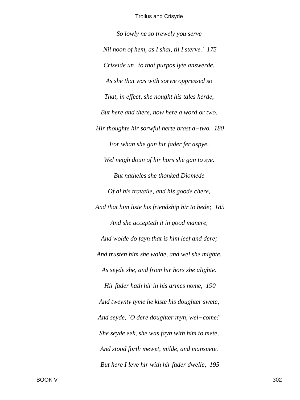So lowly ne so trewely you serve Nil noon of hem, as I shal, til I sterve.' 175 Criseide un-to that purpos lyte answerde, As she that was with sorwe oppressed so That, in effect, she nought his tales herde, But here and there, now here a word or two. Hir thoughte hir sorwful herte brast  $a$ -two. 180 For whan she gan hir fader fer aspye, Wel neigh doun of hir hors she gan to sye. But natheles she thonked Diomede Of al his travaile, and his goode chere, And that him liste his friendship hir to bede; 185 And she accepteth it in good manere, And wolde do fayn that is him leef and dere; And trusten him she wolde, and wel she mighte, As seyde she, and from hir hors she alighte. Hir fader hath hir in his armes nome, 190 And tweynty tyme he kiste his doughter swete, And seyde, `O dere doughter myn, wel-come!' She seyde eek, she was fayn with him to mete, And stood forth mewet, milde, and mansuete. But here I leve hir with hir fader dwelle, 195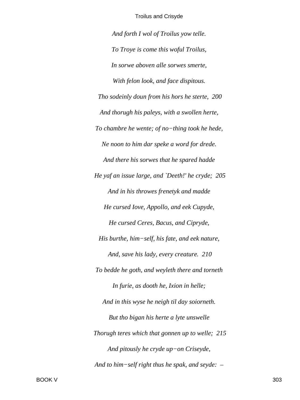*And forth I wol of Troilus yow telle. To Troye is come this woful Troilus, In sorwe aboven alle sorwes smerte, With felon look, and face dispitous. Tho sodeinly doun from his hors he sterte, 200 And thorugh his paleys, with a swollen herte, To chambre he wente; of no−thing took he hede, Ne noon to him dar speke a word for drede. And there his sorwes that he spared hadde He yaf an issue large, and `Deeth!' he cryde; 205 And in his throwes frenetyk and madde He cursed Iove, Appollo, and eek Cupyde, He cursed Ceres, Bacus, and Cipryde, His burthe, him−self, his fate, and eek nature, And, save his lady, every creature. 210 To bedde he goth, and weyleth there and torneth In furie, as dooth he, Ixion in helle; And in this wyse he neigh til day soiorneth. But tho bigan his herte a lyte unswelle Thorugh teres which that gonnen up to welle; 215 And pitously he cryde up−on Criseyde, And to him−self right thus he spak, and seyde: –*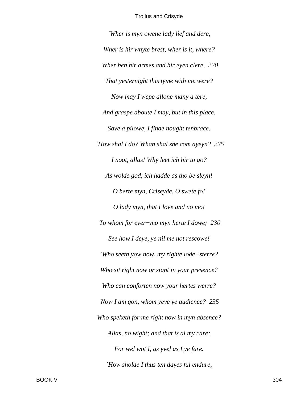'Wher is myn owene lady lief and dere, Wher is hir whyte brest, wher is it, where? Wher ben hir armes and hir eyen clere, 220 That yesternight this tyme with me were? Now may I wepe allone many a tere, And graspe aboute I may, but in this place, Save a pilowe, I finde nought tenbrace. `How shal I do? Whan shal she com ayeyn? 225 I noot, allas! Why leet ich hir to go? As wolde god, ich hadde as tho be sleyn! O herte myn, Criseyde, O swete fo! O lady myn, that I love and no mo! To whom for ever-mo myn herte I dowe; 230 See how I deye, ye nil me not rescowe! 'Who seeth yow now, my righte lode-sterre? Who sit right now or stant in your presence? Who can conforten now your hertes werre? Now I am gon, whom yeve ye audience? 235 Who speketh for me right now in myn absence? Allas, no wight; and that is al my care; For wel wot I, as yvel as I ye fare. `How sholde I thus ten dayes ful endure,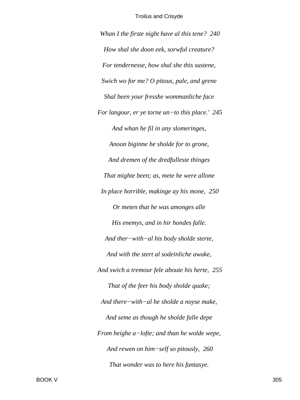*Whan I the firste night have al this tene? 240 How shal she doon eek, sorwful creature? For tendernesse, how shal she this sustene, Swich wo for me? O pitous, pale, and grene Shal been your fresshe wommanliche face For langour, er ye torne un−to this place.' 245 And whan he fil in any slomeringes, Anoon biginne he sholde for to grone, And dremen of the dredfulleste thinges That mighte been; as, mete he were allone In place horrible, makinge ay his mone, 250 Or meten that he was amonges alle His enemys, and in hir hondes falle. And ther−with−al his body sholde sterte, And with the stert al sodeinliche awake, And swich a tremour fele aboute his herte, 255 That of the feer his body sholde quake; And there−with−al he sholde a noyse make, And seme as though he sholde falle depe From heighe a−lofte; and than he wolde wepe, And rewen on him−self so pitously, 260 That wonder was to here his fantasye.*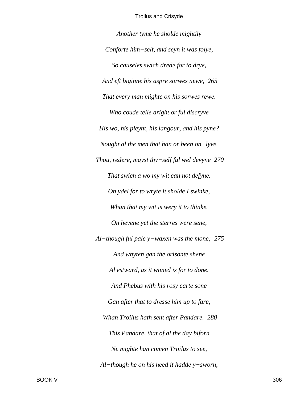*Another tyme he sholde mightily Conforte him−self, and seyn it was folye, So causeles swich drede for to drye, And eft biginne his aspre sorwes newe, 265 That every man mighte on his sorwes rewe. Who coude telle aright or ful discryve His wo, his pleynt, his langour, and his pyne? Nought al the men that han or been on−lyve. Thou, redere, mayst thy−self ful wel devyne 270 That swich a wo my wit can not defyne. On ydel for to wryte it sholde I swinke, Whan that my wit is wery it to thinke. On hevene yet the sterres were sene, Al−though ful pale y−waxen was the mone; 275 And whyten gan the orisonte shene Al estward, as it woned is for to done. And Phebus with his rosy carte sone Gan after that to dresse him up to fare, Whan Troilus hath sent after Pandare. 280 This Pandare, that of al the day biforn Ne mighte han comen Troilus to see, Al−though he on his heed it hadde y−sworn,*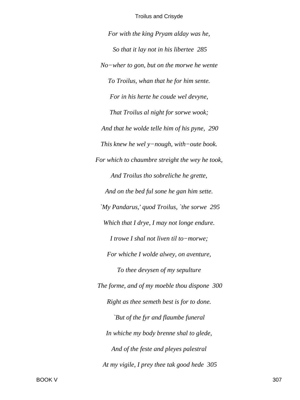*For with the king Pryam alday was he, So that it lay not in his libertee 285 No−wher to gon, but on the morwe he wente To Troilus, whan that he for him sente. For in his herte he coude wel devyne, That Troilus al night for sorwe wook; And that he wolde telle him of his pyne, 290 This knew he wel y−nough, with−oute book. For which to chaumbre streight the wey he took, And Troilus tho sobreliche he grette, And on the bed ful sone he gan him sette. `My Pandarus,' quod Troilus, `the sorwe 295 Which that I drye, I may not longe endure. I trowe I shal not liven til to−morwe; For whiche I wolde alwey, on aventure, To thee devysen of my sepulture The forme, and of my moeble thou dispone 300 Right as thee semeth best is for to done. `But of the fyr and flaumbe funeral In whiche my body brenne shal to glede, And of the feste and pleyes palestral At my vigile, I prey thee tak good hede 305*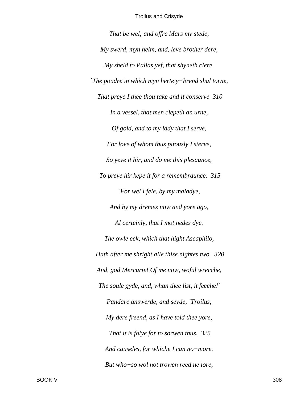*That be wel; and offre Mars my stede, My swerd, myn helm, and, leve brother dere, My sheld to Pallas yef, that shyneth clere. `The poudre in which myn herte y−brend shal torne, That preye I thee thou take and it conserve 310 In a vessel, that men clepeth an urne, Of gold, and to my lady that I serve, For love of whom thus pitously I sterve, So yeve it hir, and do me this plesaunce, To preye hir kepe it for a remembraunce. 315 `For wel I fele, by my maladye, And by my dremes now and yore ago, Al certeinly, that I mot nedes dye. The owle eek, which that hight Ascaphilo, Hath after me shright alle thise nightes two. 320 And, god Mercurie! Of me now, woful wrecche, The soule gyde, and, whan thee list, it fecche!' Pandare answerde, and seyde, `Troilus, My dere freend, as I have told thee yore, That it is folye for to sorwen thus, 325 And causeles, for whiche I can no−more. But who−so wol not trowen reed ne lore,*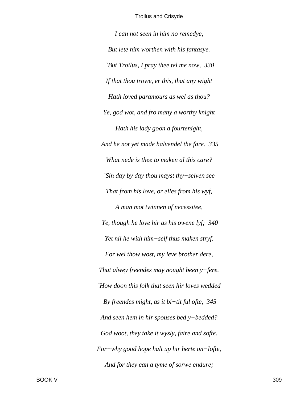*I can not seen in him no remedye, But lete him worthen with his fantasye. `But Troilus, I pray thee tel me now, 330 If that thou trowe, er this, that any wight Hath loved paramours as wel as thou? Ye, god wot, and fro many a worthy knight Hath his lady goon a fourtenight, And he not yet made halvendel the fare. 335 What nede is thee to maken al this care? `Sin day by day thou mayst thy−selven see That from his love, or elles from his wyf, A man mot twinnen of necessitee, Ye, though he love hir as his owene lyf; 340 Yet nil he with him−self thus maken stryf. For wel thow wost, my leve brother dere, That alwey freendes may nought been y−fere. `How doon this folk that seen hir loves wedded By freendes might, as it bi−tit ful ofte, 345 And seen hem in hir spouses bed y−bedded? God woot, they take it wysly, faire and softe. For−why good hope halt up hir herte on−lofte, And for they can a tyme of sorwe endure;*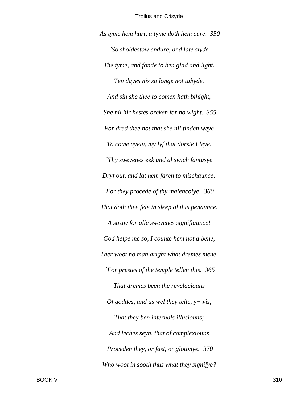*As tyme hem hurt, a tyme doth hem cure. 350 `So sholdestow endure, and late slyde The tyme, and fonde to ben glad and light. Ten dayes nis so longe not tabyde. And sin she thee to comen hath bihight, She nil hir hestes breken for no wight. 355 For dred thee not that she nil finden weye To come ayein, my lyf that dorste I leye. `Thy swevenes eek and al swich fantasye Dryf out, and lat hem faren to mischaunce; For they procede of thy malencolye, 360 That doth thee fele in sleep al this penaunce. A straw for alle swevenes signifiaunce! God helpe me so, I counte hem not a bene, Ther woot no man aright what dremes mene. `For prestes of the temple tellen this, 365 That dremes been the revelaciouns Of goddes, and as wel they telle, y−wis, That they ben infernals illusiouns; And leches seyn, that of complexiouns Proceden they, or fast, or glotonye. 370 Who woot in sooth thus what they signifye?*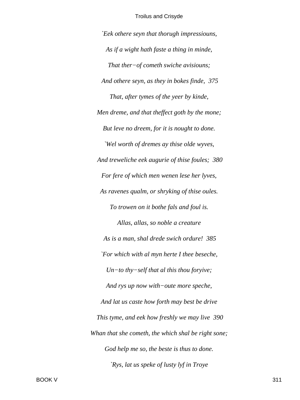*`Eek othere seyn that thorugh impressiouns, As if a wight hath faste a thing in minde, That ther−of cometh swiche avisiouns; And othere seyn, as they in bokes finde, 375 That, after tymes of the yeer by kinde, Men dreme, and that theffect goth by the mone; But leve no dreem, for it is nought to done. `Wel worth of dremes ay thise olde wyves, And treweliche eek augurie of thise foules; 380 For fere of which men wenen lese her lyves, As ravenes qualm, or shryking of thise oules. To trowen on it bothe fals and foul is. Allas, allas, so noble a creature As is a man, shal drede swich ordure! 385 `For which with al myn herte I thee beseche, Un−to thy−self that al this thou foryive; And rys up now with−oute more speche, And lat us caste how forth may best be drive This tyme, and eek how freshly we may live 390 Whan that she cometh, the which shal be right sone; God help me so, the beste is thus to done. `Rys, lat us speke of lusty lyf in Troye*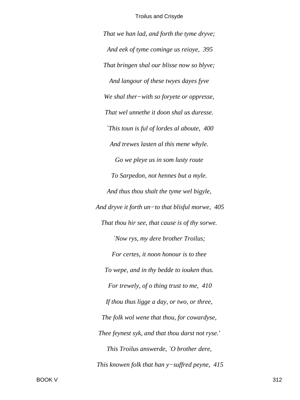*That we han lad, and forth the tyme dryve; And eek of tyme cominge us reioye, 395 That bringen shal our blisse now so blyve; And langour of these twyes dayes fyve We shal ther−with so foryete or oppresse, That wel unnethe it doon shal us duresse. `This toun is ful of lordes al aboute, 400 And trewes lasten al this mene whyle. Go we pleye us in som lusty route To Sarpedon, not hennes but a myle. And thus thou shalt the tyme wel bigyle, And dryve it forth un−to that blisful morwe, 405 That thou hir see, that cause is of thy sorwe. `Now rys, my dere brother Troilus; For certes, it noon honour is to thee To wepe, and in thy bedde to iouken thus. For trewely, of o thing trust to me, 410 If thou thus ligge a day, or two, or three, The folk wol wene that thou, for cowardyse, Thee feynest syk, and that thou darst not ryse.' This Troilus answerde, `O brother dere, This knowen folk that han y−suffred peyne, 415*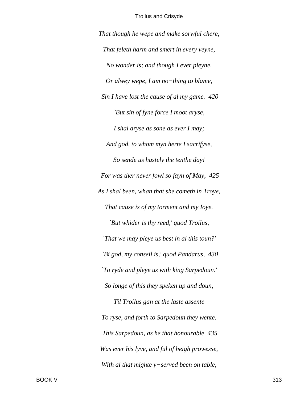*That though he wepe and make sorwful chere, That feleth harm and smert in every veyne, No wonder is; and though I ever pleyne, Or alwey wepe, I am no−thing to blame, Sin I have lost the cause of al my game. 420 `But sin of fyne force I moot aryse, I shal aryse as sone as ever I may; And god, to whom myn herte I sacrifyse, So sende us hastely the tenthe day! For was ther never fowl so fayn of May, 425 As I shal been, whan that she cometh in Troye, That cause is of my torment and my Ioye. `But whider is thy reed,' quod Troilus, `That we may pleye us best in al this toun?' `Bi god, my conseil is,' quod Pandarus, 430 `To ryde and pleye us with king Sarpedoun.' So longe of this they speken up and doun, Til Troilus gan at the laste assente To ryse, and forth to Sarpedoun they wente. This Sarpedoun, as he that honourable 435 Was ever his lyve, and ful of heigh prowesse, With al that mighte y−served been on table,*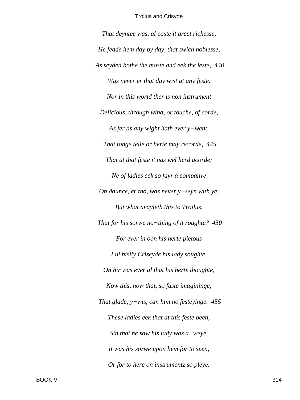That deyntee was, al coste it greet richesse, He fedde hem day by day, that swich noblesse, As seyden bothe the moste and eek the leste, 440 Was never er that day wist at any feste. Nor in this world ther is non instrument Delicious, through wind, or touche, of corde, As fer as any wight hath ever  $y$ -went, That tonge telle or herte may recorde, 445 That at that feste it nas wel herd acorde; Ne of ladies eek so fayr a companye On daunce, er tho, was never  $y$ -seyn with ye. But what avayleth this to Troilus, That for his sorwe no-thing of it roughte?  $450$ For ever in oon his herte pietous Ful bisily Criseyde his lady soughte. On hir was ever al that his herte thoughte, Now this, now that, so faste imagininge, That glade,  $y$ -wis, can him no festeyinge. 455These ladies eek that at this feste been, Sin that he saw his lady was  $a$ -weye, It was his sorwe upon hem for to seen, Or for to here on instrumentz so pleye.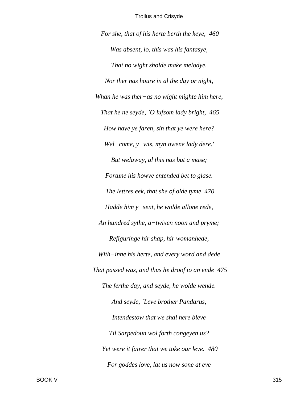For she, that of his herte berth the keye, 460 Was absent, lo, this was his fantasye, That no wight sholde make melodye. Nor ther nas houre in al the day or night, Whan he was ther-as no wight mighte him here, That he ne seyde, `O lufsom lady bright,  $465$ How have ye faren, sin that ye were here? Wel-come, y-wis, myn owene lady dere.' But welaway, al this nas but a mase; Fortune his howve entended bet to glase. The lettres eek, that she of olde tyme 470 Hadde him y-sent, he wolde allone rede, An hundred sythe, a-twixen noon and pryme; Refiguringe hir shap, hir womanhede, With-inne his herte, and every word and dede That passed was, and thus he droof to an ende 475 The ferthe day, and seyde, he wolde wende. And seyde, `Leve brother Pandarus, Intendestow that we shal here bleve Til Sarpedoun wol forth congeyen us? Yet were it fairer that we toke our leve. 480 For goddes love, lat us now sone at eve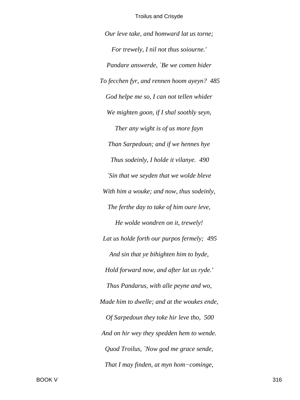*Our leve take, and homward lat us torne; For trewely, I nil not thus soiourne.' Pandare answerde, `Be we comen hider To fecchen fyr, and rennen hoom ayeyn? 485 God helpe me so, I can not tellen whider We mighten goon, if I shal soothly seyn, Ther any wight is of us more fayn Than Sarpedoun; and if we hennes hye Thus sodeinly, I holde it vilanye. 490 `Sin that we seyden that we wolde bleve With him a wouke; and now, thus sodeinly, The ferthe day to take of him oure leve, He wolde wondren on it, trewely! Lat us holde forth our purpos fermely; 495 And sin that ye bihighten him to byde, Hold forward now, and after lat us ryde.' Thus Pandarus, with alle peyne and wo, Made him to dwelle; and at the woukes ende, Of Sarpedoun they toke hir leve tho, 500 And on hir wey they spedden hem to wende. Quod Troilus, `Now god me grace sende, That I may finden, at myn hom−cominge,*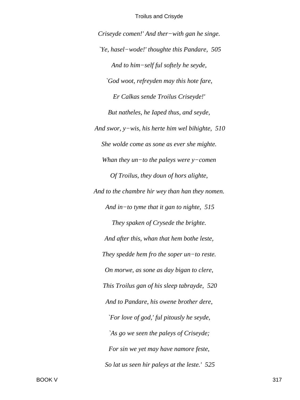*Criseyde comen!' And ther−with gan he singe. `Ye, hasel−wode!' thoughte this Pandare, 505 And to him−self ful softely he seyde, `God woot, refreyden may this hote fare, Er Calkas sende Troilus Criseyde!' But natheles, he Iaped thus, and seyde, And swor, y−wis, his herte him wel bihighte, 510 She wolde come as sone as ever she mighte. Whan they un−to the paleys were y−comen Of Troilus, they doun of hors alighte, And to the chambre hir wey than han they nomen. And in−to tyme that it gan to nighte, 515 They spaken of Crysede the brighte. And after this, whan that hem bothe leste, They spedde hem fro the soper un−to reste. On morwe, as sone as day bigan to clere, This Troilus gan of his sleep tabrayde, 520 And to Pandare, his owene brother dere, `For love of god,' ful pitously he seyde, `As go we seen the paleys of Criseyde; For sin we yet may have namore feste, So lat us seen hir paleys at the leste.' 525*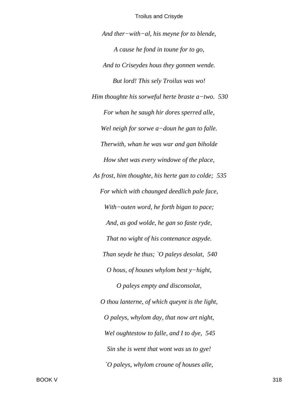*And ther−with−al, his meyne for to blende, A cause he fond in toune for to go, And to Criseydes hous they gonnen wende. But lord! This sely Troilus was wo! Him thoughte his sorweful herte braste a−two. 530 For whan he saugh hir dores sperred alle, Wel neigh for sorwe a−doun he gan to falle. Therwith, whan he was war and gan biholde How shet was every windowe of the place, As frost, him thoughte, his herte gan to colde; 535 For which with chaunged deedlich pale face, With−outen word, he forth bigan to pace; And, as god wolde, he gan so faste ryde, That no wight of his contenance aspyde. Than seyde he thus; `O paleys desolat, 540 O hous, of houses whylom best y−hight, O paleys empty and disconsolat, O thou lanterne, of which queynt is the light, O paleys, whylom day, that now art night, Wel oughtestow to falle, and I to dye, 545 Sin she is went that wont was us to gye! `O paleys, whylom croune of houses alle,*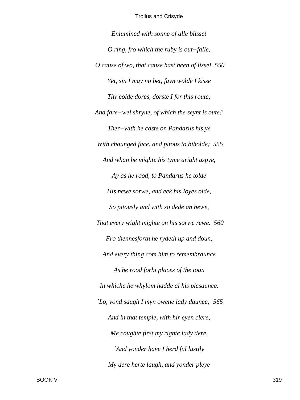*Enlumined with sonne of alle blisse! O ring, fro which the ruby is out−falle, O cause of wo, that cause hast been of lisse! 550 Yet, sin I may no bet, fayn wolde I kisse Thy colde dores, dorste I for this route; And fare−wel shryne, of which the seynt is oute!' Ther−with he caste on Pandarus his ye With chaunged face, and pitous to biholde; 555 And whan he mighte his tyme aright aspye, Ay as he rood, to Pandarus he tolde His newe sorwe, and eek his Ioyes olde, So pitously and with so dede an hewe, That every wight mighte on his sorwe rewe. 560 Fro thennesforth he rydeth up and doun, And every thing com him to remembraunce As he rood forbi places of the toun In whiche he whylom hadde al his plesaunce. `Lo, yond saugh I myn owene lady daunce; 565 And in that temple, with hir eyen clere, Me coughte first my righte lady dere. `And yonder have I herd ful lustily My dere herte laugh, and yonder pleye*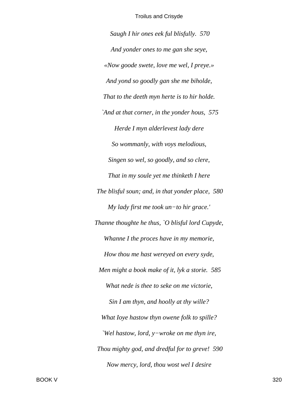*Saugh I hir ones eek ful blisfully. 570 And yonder ones to me gan she seye, «Now goode swete, love me wel, I preye.» And yond so goodly gan she me biholde, That to the deeth myn herte is to hir holde. `And at that corner, in the yonder hous, 575 Herde I myn alderlevest lady dere So wommanly, with voys melodious, Singen so wel, so goodly, and so clere, That in my soule yet me thinketh I here The blisful soun; and, in that yonder place, 580 My lady first me took un−to hir grace.' Thanne thoughte he thus, `O blisful lord Cupyde, Whanne I the proces have in my memorie, How thou me hast wereyed on every syde, Men might a book make of it, lyk a storie. 585 What nede is thee to seke on me victorie, Sin I am thyn, and hoolly at thy wille? What Ioye hastow thyn owene folk to spille? `Wel hastow, lord, y−wroke on me thyn ire, Thou mighty god, and dredful for to greve! 590 Now mercy, lord, thou wost wel I desire*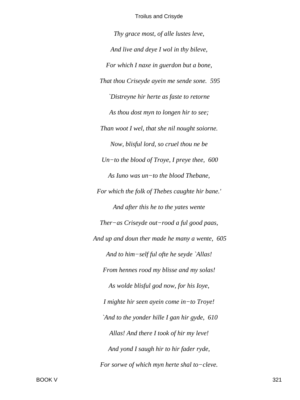Thy grace most, of alle lustes leve, And live and deye I wol in thy bileve, For which I naxe in guerdon but a bone, That thou Criseyde ayein me sende sone. 595 'Distreyne hir herte as faste to retorne As thou dost myn to longen hir to see; Than woot I wel, that she nil nought soiorne. Now, blisful lord, so cruel thou ne be Un-to the blood of Troye, I preye thee,  $600$ As Iuno was un-to the blood Thebane, For which the folk of Thebes caughte hir bane.' And after this he to the yates wente Ther-as Criseyde out-rood a ful good paas, And up and doun ther made he many a wente, 605 And to him-self ful ofte he seyde `Allas! From hennes rood my blisse and my solas! As wolde blisful god now, for his love, I mighte hir seen ayein come in-to Troye! `And to the yonder hille I gan hir gyde, 610 Allas! And there I took of hir my leve! And yond I saugh hir to hir fader ryde, For sorwe of which myn herte shal to-cleve.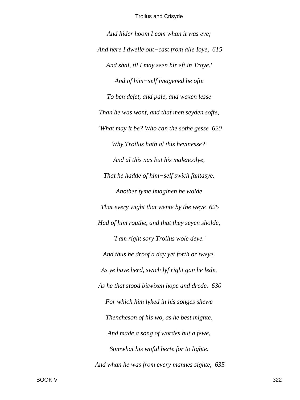And hider hoom I com whan it was eve; And here I dwelle out-cast from alle Ioye, 615 And shal, til I may seen hir eft in Troye.' And of him-self imagened he ofte To ben defet, and pale, and waxen lesse Than he was wont, and that men seyden softe, 'What may it be? Who can the sothe gesse 620 Why Troilus hath al this hevinesse?' And al this nas but his malencolye, That he hadde of him-self swich fantasye. Another tyme imaginen he wolde That every wight that wente by the weye 625 Had of him routhe, and that they seyen sholde, 'I am right sory Troilus wole deye.' And thus he droof a day yet forth or tweye. As ye have herd, swich lyf right gan he lede, As he that stood bitwixen hope and drede. 630 For which him lyked in his songes shewe Thencheson of his wo, as he best mighte, And made a song of wordes but a fewe, Somwhat his woful herte for to lighte. And whan he was from every mannes sighte, 635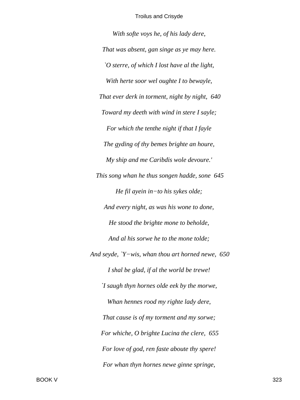*With softe voys he, of his lady dere, That was absent, gan singe as ye may here. `O sterre, of which I lost have al the light, With herte soor wel oughte I to bewayle, That ever derk in torment, night by night, 640 Toward my deeth with wind in stere I sayle; For which the tenthe night if that I fayle The gyding of thy bemes brighte an houre, My ship and me Caribdis wole devoure.' This song whan he thus songen hadde, sone 645 He fil ayein in−to his sykes olde; And every night, as was his wone to done, He stood the brighte mone to beholde, And al his sorwe he to the mone tolde; And seyde, `Y−wis, whan thou art horned newe, 650 I shal be glad, if al the world be trewe! `I saugh thyn hornes olde eek by the morwe, Whan hennes rood my righte lady dere, That cause is of my torment and my sorwe; For whiche, O brighte Lucina the clere, 655 For love of god, ren faste aboute thy spere! For whan thyn hornes newe ginne springe,*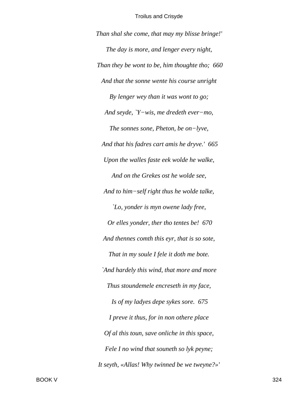Than shal she come, that may my blisse bringe!' The day is more, and lenger every night, Than they be wont to be, him thoughte tho; 660 And that the sonne wente his course unright By lenger wey than it was wont to go; And seyde, `Y-wis, me dredeth ever-mo, The sonnes sone, Pheton, be on-lyve, And that his fadres cart amis he dryve.' 665 Upon the walles faste eek wolde he walke, And on the Grekes ost he wolde see, And to him-self right thus he wolde talke, `Lo, yonder is myn owene lady free, Or elles yonder, ther tho tentes be! 670 And thennes comth this eyr, that is so sote, That in my soule I fele it doth me bote. `And hardely this wind, that more and more Thus stoundemele encreseth in my face, Is of my ladyes depe sykes sore. 675 I preve it thus, for in non othere place Of al this toun, save onliche in this space, Fele I no wind that souneth so lyk peyne; It seyth, «Allas! Why twinned be we tweyne?»'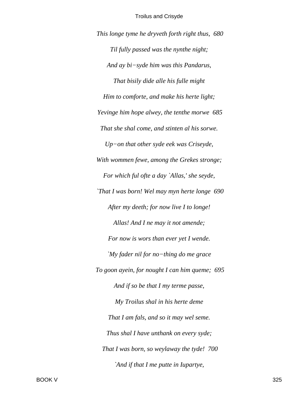This longe tyme he dryveth forth right thus, 680 Til fully passed was the nynthe night; And ay bi-syde him was this Pandarus, That bisily dide alle his fulle might Him to comforte, and make his herte light; Yevinge him hope alwey, the tenthe morwe 685 That she shal come, and stinten al his sorwe.  $Up-on$  that other syde eek was Criseyde, With wommen fewe, among the Grekes stronge; For which ful ofte a day `Allas,' she seyde, `That I was born! Wel may myn herte longe 690 After my deeth; for now live I to longe! Allas! And I ne may it not amende; For now is wors than ever yet I wende. `My fader nil for no-thing do me grace To goon ayein, for nought I can him queme; 695 And if so be that I my terme passe, My Troilus shal in his herte deme That I am fals, and so it may wel seme. Thus shal I have unthank on every syde; That I was born, so weylaway the tyde! 700 `And if that I me putte in Iupartye,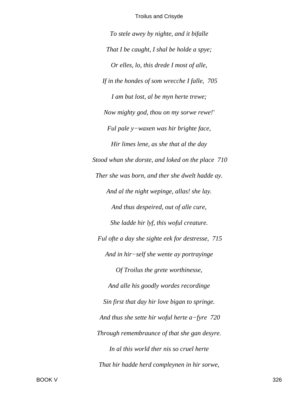*To stele awey by nighte, and it bifalle That I be caught, I shal be holde a spye; Or elles, lo, this drede I most of alle, If in the hondes of som wrecche I falle, 705 I am but lost, al be myn herte trewe; Now mighty god, thou on my sorwe rewe!' Ful pale y−waxen was hir brighte face, Hir limes lene, as she that al the day Stood whan she dorste, and loked on the place 710 Ther she was born, and ther she dwelt hadde ay. And al the night wepinge, allas! she lay. And thus despeired, out of alle cure, She ladde hir lyf, this woful creature. Ful ofte a day she sighte eek for destresse, 715 And in hir−self she wente ay portrayinge Of Troilus the grete worthinesse, And alle his goodly wordes recordinge Sin first that day hir love bigan to springe. And thus she sette hir woful herte a−fyre 720 Through remembraunce of that she gan desyre. In al this world ther nis so cruel herte That hir hadde herd compleynen in hir sorwe,*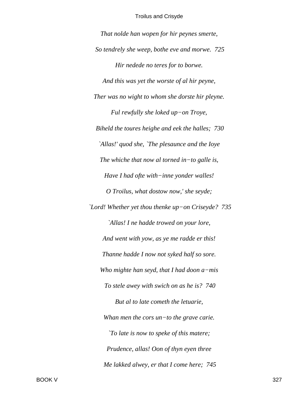*That nolde han wopen for hir peynes smerte, So tendrely she weep, bothe eve and morwe. 725 Hir nedede no teres for to borwe. And this was yet the worste of al hir peyne, Ther was no wight to whom she dorste hir pleyne. Ful rewfully she loked up−on Troye, Biheld the toures heighe and eek the halles; 730 `Allas!' quod she, `The plesaunce and the Ioye The whiche that now al torned in−to galle is, Have I had ofte with−inne yonder walles! O Troilus, what dostow now,' she seyde; `Lord! Whether yet thou thenke up−on Criseyde? 735 `Allas! I ne hadde trowed on your lore, And went with yow, as ye me radde er this! Thanne hadde I now not syked half so sore. Who mighte han seyd, that I had doon a−mis To stele awey with swich on as he is? 740 But al to late cometh the letuarie, Whan men the cors un−to the grave carie. `To late is now to speke of this matere; Prudence, allas! Oon of thyn eyen three Me lakked alwey, er that I come here; 745*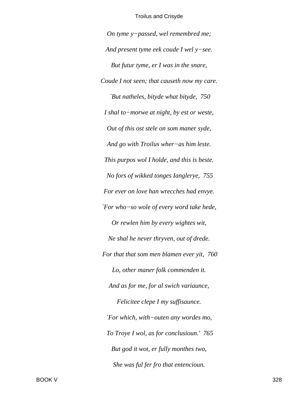On tyme y-passed, wel remembred me; And present tyme eek coude I wel  $y$ -see. But futur tyme, er I was in the snare, Coude I not seen; that causeth now my care. `But natheles, bityde what bityde, 750 I shal to-morwe at night, by est or weste, Out of this ost stele on som maner syde, And go with Troilus wher-as him leste. This purpos wol I holde, and this is beste. No fors of wikked tonges Ianglerye, 755 For ever on love han wrecches had envye. `For who-so wole of every word take hede, Or rewlen him by every wightes wit, Ne shal he never thryven, out of drede. For that that som men blamen ever yit, 760 Lo, other maner folk commenden it. And as for me, for al swich variannce, Felicitee clepe I my suffisaunce. `For which, with-outen any wordes mo, To Troye I wol, as for conclusioun.' 765 But god it wot, er fully monthes two, She was ful fer fro that entencioun.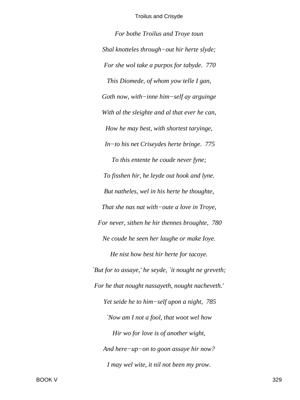*For bothe Troilus and Troye toun Shal knotteles through−out hir herte slyde; For she wol take a purpos for tabyde. 770 This Diomede, of whom yow telle I gan, Goth now, with−inne him−self ay arguinge With al the sleighte and al that ever he can, How he may best, with shortest taryinge, In−to his net Criseydes herte bringe. 775 To this entente he coude never fyne; To fisshen hir, he leyde out hook and lyne. But natheles, wel in his herte he thoughte, That she nas nat with−oute a love in Troye, For never, sithen he hir thennes broughte, 780 Ne coude he seen her laughe or make Ioye. He nist how best hir herte for tacoye. `But for to assaye,' he seyde, `it nought ne greveth; For he that nought nassayeth, nought nacheveth.' Yet seide he to him−self upon a night, 785 `Now am I not a fool, that woot wel how Hir wo for love is of another wight, And here−up−on to goon assaye hir now? I may wel wite, it nil not been my prow.*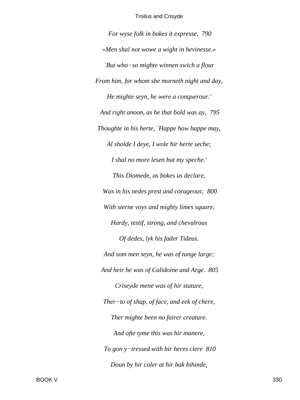For wyse folk in bokes it expresse, 790 «Men shal not wowe a wight in hevinesse.» `But who-so mighte winnen swich a flour From him, for whom she morneth night and day, He mighte seyn, he were a conquerour.' And right anoon, as he that bold was ay, 795 Thoughte in his herte, `Happe how happe may, Al sholde I deye, I wole hir herte seche; I shal no more lesen but my speche.' This Diomede, as bokes us declare, Was in his nedes prest and corageous; 800 With sterne voys and mighty limes square, Hardy, testif, strong, and chevalrous Of dedes, lyk his fader Tideus. And som men seyn, he was of tunge large; And heir he was of Calidoine and Arge. 805 Criseyde mene was of hir stature, Ther-to of shap, of face, and eek of chere, Ther mighte been no fairer creature. And ofte tyme this was hir manere, To gon  $y$ -tressed with hir heres clere 810 Doun by hir coler at hir bak bihinde,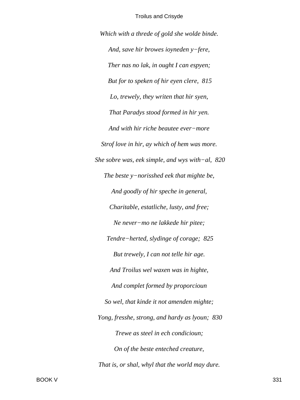Which with a threde of gold she wolde binde. And, save hir browes ioyneden y-fere, Ther nas no lak, in ought I can espyen; But for to speken of hir eyen clere, 815 Lo, trewely, they writen that hir syen, That Paradys stood formed in hir yen. And with hir riche beautee ever-more Strof love in hir, ay which of hem was more. She sobre was, eek simple, and wys with-al,  $820$ The beste  $y$ -norisshed eek that mighte be, And goodly of hir speche in general, Charitable, estatliche, lusty, and free; Ne never-mo ne lakkede hir pitee; Tendre-herted, slydinge of corage; 825 But trewely, I can not telle hir age. And Troilus wel waxen was in highte, And complet formed by proporcioun So wel, that kinde it not amenden mighte; Yong, fresshe, strong, and hardy as lyoun; 830 Trewe as steel in ech condicioun; On of the beste enteched creature, That is, or shal, whyl that the world may dure.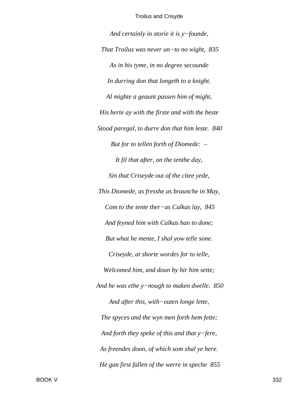And certainly in storie it is  $y$ -founde, That Troilus was never un-to no wight,  $835$ As in his tyme, in no degree secounde In durring don that longeth to a knight. Al mighte a geaunt passen him of might, His herte ay with the firste and with the beste Stood paregal, to durre don that him leste. 840 But for to tellen forth of Diomede: -It fil that after, on the tenthe day, Sin that Criseyde out of the citee yede, This Diomede, as fresshe as braunche in May, Com to the tente ther-as Calkas lay,  $845$ And feyned him with Calkas han to done; But what he mente, I shal yow telle sone. Criseyde, at shorte wordes for to telle, Welcomed him, and doun by hir him sette; And he was ethe  $y$ -nough to maken dwelle. 850 And after this, with-outen longe lette, The spyces and the wyn men forth hem fette; And forth they speke of this and that  $y$ -fere, As freendes doon, of which som shal ye here. He gan first fallen of the werre in speche 855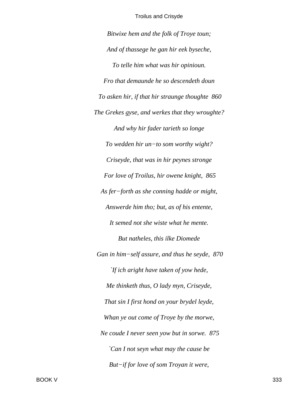*Bitwixe hem and the folk of Troye toun; And of thassege he gan hir eek byseche, To telle him what was hir opinioun. Fro that demaunde he so descendeth doun To asken hir, if that hir straunge thoughte 860 The Grekes gyse, and werkes that they wroughte? And why hir fader tarieth so longe To wedden hir un−to som worthy wight? Criseyde, that was in hir peynes stronge For love of Troilus, hir owene knight, 865 As fer−forth as she conning hadde or might, Answerde him tho; but, as of his entente, It semed not she wiste what he mente. But natheles, this ilke Diomede Gan in him−self assure, and thus he seyde, 870 `If ich aright have taken of yow hede, Me thinketh thus, O lady myn, Criseyde, That sin I first hond on your brydel leyde, Whan ye out come of Troye by the morwe, Ne coude I never seen yow but in sorwe. 875 `Can I not seyn what may the cause be But−if for love of som Troyan it were,*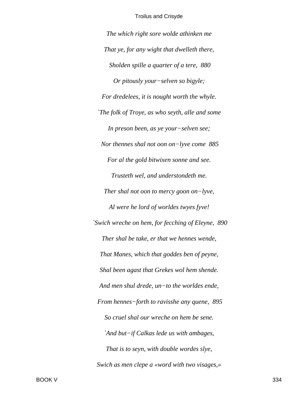*The which right sore wolde athinken me That ye, for any wight that dwelleth there, Sholden spille a quarter of a tere, 880 Or pitously your−selven so bigyle; For dredelees, it is nought worth the whyle. `The folk of Troye, as who seyth, alle and some In preson been, as ye your−selven see; Nor thennes shal not oon on−lyve come 885 For al the gold bitwixen sonne and see. Trusteth wel, and understondeth me. Ther shal not oon to mercy goon on−lyve, Al were he lord of worldes twyes fyve! `Swich wreche on hem, for fecching of Eleyne, 890 Ther shal be take, er that we hennes wende, That Manes, which that goddes ben of peyne, Shal been agast that Grekes wol hem shende. And men shul drede, un−to the worldes ende, From hennes−forth to ravisshe any quene, 895 So cruel shal our wreche on hem be sene. `And but−if Calkas lede us with ambages, That is to seyn, with double wordes slye, Swich as men clepe a «word with two visages,»*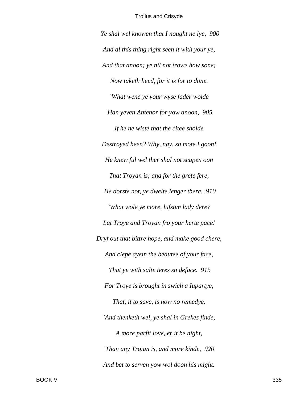*Ye shal wel knowen that I nought ne lye, 900 And al this thing right seen it with your ye, And that anoon; ye nil not trowe how sone; Now taketh heed, for it is for to done. `What wene ye your wyse fader wolde Han yeven Antenor for yow anoon, 905 If he ne wiste that the citee sholde Destroyed been? Why, nay, so mote I goon! He knew ful wel ther shal not scapen oon That Troyan is; and for the grete fere, He dorste not, ye dwelte lenger there. 910 `What wole ye more, lufsom lady dere? Lat Troye and Troyan fro your herte pace! Dryf out that bittre hope, and make good chere, And clepe ayein the beautee of your face, That ye with salte teres so deface. 915 For Troye is brought in swich a Iupartye, That, it to save, is now no remedye. `And thenketh wel, ye shal in Grekes finde, A more parfit love, er it be night, Than any Troian is, and more kinde, 920 And bet to serven yow wol doon his might.*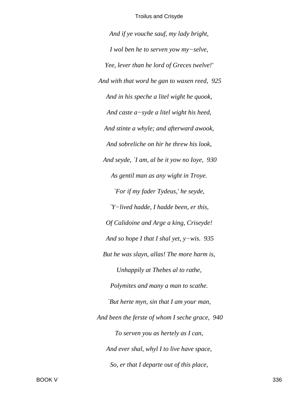*And if ye vouche sauf, my lady bright, I wol ben he to serven yow my−selve, Yee, lever than he lord of Greces twelve!' And with that word he gan to waxen reed, 925 And in his speche a litel wight he quook, And caste a−syde a litel wight his heed, And stinte a whyle; and afterward awook, And sobreliche on hir he threw his look, And seyde, `I am, al be it yow no Ioye, 930 As gentil man as any wight in Troye. `For if my fader Tydeus,' he seyde, `Y−lived hadde, I hadde been, er this, Of Calidoine and Arge a king, Criseyde! And so hope I that I shal yet, y−wis. 935 But he was slayn, allas! The more harm is, Unhappily at Thebes al to rathe, Polymites and many a man to scathe. `But herte myn, sin that I am your man, And been the ferste of whom I seche grace, 940 To serven you as hertely as I can, And ever shal, whyl I to live have space, So, er that I departe out of this place,*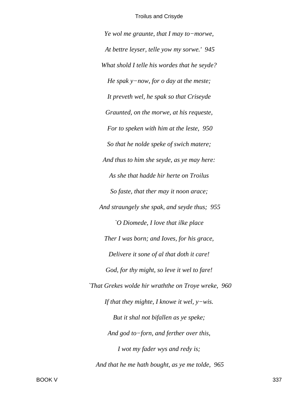*Ye wol me graunte, that I may to−morwe, At bettre leyser, telle yow my sorwe.' 945 What shold I telle his wordes that he seyde? He spak y−now, for o day at the meste; It preveth wel, he spak so that Criseyde Graunted, on the morwe, at his requeste, For to speken with him at the leste, 950 So that he nolde speke of swich matere; And thus to him she seyde, as ye may here: As she that hadde hir herte on Troilus So faste, that ther may it noon arace; And straungely she spak, and seyde thus; 955 `O Diomede, I love that ilke place Ther I was born; and Ioves, for his grace, Delivere it sone of al that doth it care! God, for thy might, so leve it wel to fare! `That Grekes wolde hir wraththe on Troye wreke, 960 If that they mighte, I knowe it wel, y−wis. But it shal not bifallen as ye speke; And god to−forn, and ferther over this, I wot my fader wys and redy is; And that he me hath bought, as ye me tolde, 965*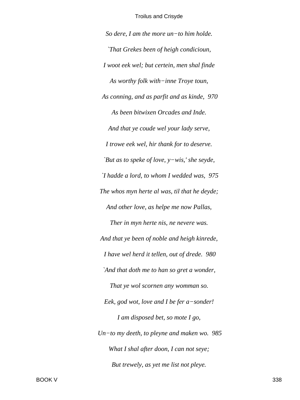*So dere, I am the more un−to him holde. `That Grekes been of heigh condicioun, I woot eek wel; but certein, men shal finde As worthy folk with−inne Troye toun, As conning, and as parfit and as kinde, 970 As been bitwixen Orcades and Inde. And that ye coude wel your lady serve, I trowe eek wel, hir thank for to deserve. `But as to speke of love, y−wis,' she seyde, `I hadde a lord, to whom I wedded was, 975 The whos myn herte al was, til that he deyde; And other love, as helpe me now Pallas, Ther in myn herte nis, ne nevere was. And that ye been of noble and heigh kinrede, I have wel herd it tellen, out of drede. 980 `And that doth me to han so gret a wonder, That ye wol scornen any womman so. Eek, god wot, love and I be fer a−sonder! I am disposed bet, so mote I go, Un−to my deeth, to pleyne and maken wo. 985 What I shal after doon, I can not seye; But trewely, as yet me list not pleye.*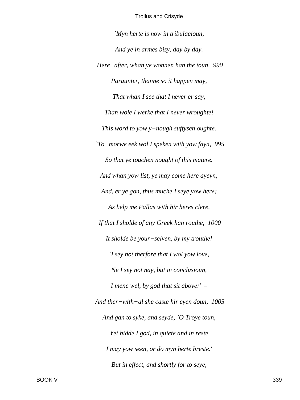*`Myn herte is now in tribulacioun, And ye in armes bisy, day by day. Here−after, whan ye wonnen han the toun, 990 Paraunter, thanne so it happen may, That whan I see that I never er say, Than wole I werke that I never wroughte! This word to yow y−nough suffysen oughte. `To−morwe eek wol I speken with yow fayn, 995 So that ye touchen nought of this matere. And whan yow list, ye may come here ayeyn; And, er ye gon, thus muche I seye yow here; As help me Pallas with hir heres clere, If that I sholde of any Greek han routhe, 1000 It sholde be your−selven, by my trouthe! `I sey not therfore that I wol yow love, Ne I sey not nay, but in conclusioun, I mene wel, by god that sit above:' – And ther−with−al she caste hir eyen doun, 1005 And gan to syke, and seyde, `O Troye toun, Yet bidde I god, in quiete and in reste I may yow seen, or do myn herte breste.' But in effect, and shortly for to seye,*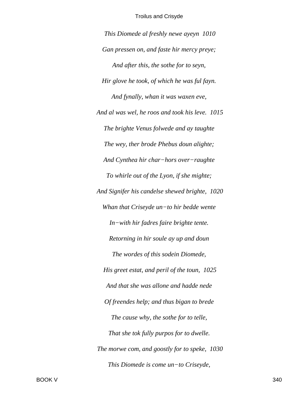*This Diomede al freshly newe ayeyn 1010 Gan pressen on, and faste hir mercy preye; And after this, the sothe for to seyn, Hir glove he took, of which he was ful fayn. And fynally, whan it was waxen eve, And al was wel, he roos and took his leve. 1015 The brighte Venus folwede and ay taughte The wey, ther brode Phebus doun alighte; And Cynthea hir char−hors over−raughte To whirle out of the Lyon, if she mighte; And Signifer his candelse shewed brighte, 1020 Whan that Criseyde un−to hir bedde wente In−with hir fadres faire brighte tente. Retorning in hir soule ay up and doun The wordes of this sodein Diomede, His greet estat, and peril of the toun, 1025 And that she was allone and hadde nede Of freendes help; and thus bigan to brede The cause why, the sothe for to telle, That she tok fully purpos for to dwelle. The morwe com, and goostly for to speke, 1030 This Diomede is come un−to Criseyde,*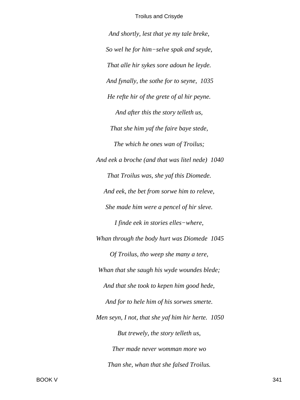*And shortly, lest that ye my tale breke, So wel he for him−selve spak and seyde, That alle hir sykes sore adoun he leyde. And fynally, the sothe for to seyne, 1035 He refte hir of the grete of al hir peyne. And after this the story telleth us, That she him yaf the faire baye stede, The which he ones wan of Troilus; And eek a broche (and that was litel nede) 1040 That Troilus was, she yaf this Diomede. And eek, the bet from sorwe him to releve, She made him were a pencel of hir sleve. I finde eek in stories elles−where, Whan through the body hurt was Diomede 1045 Of Troilus, tho weep she many a tere, Whan that she saugh his wyde woundes blede; And that she took to kepen him good hede, And for to hele him of his sorwes smerte. Men seyn, I not, that she yaf him hir herte. 1050 But trewely, the story telleth us, Ther made never womman more wo Than she, whan that she falsed Troilus.*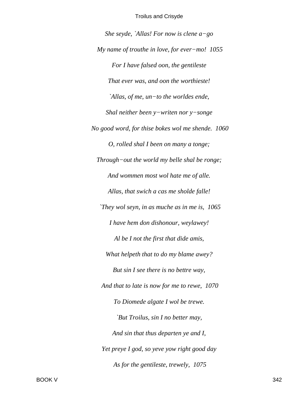*She seyde, `Allas! For now is clene a−go My name of trouthe in love, for ever−mo! 1055 For I have falsed oon, the gentileste That ever was, and oon the worthieste! `Allas, of me, un−to the worldes ende, Shal neither been y−writen nor y−songe No good word, for thise bokes wol me shende. 1060 O, rolled shal I been on many a tonge; Through−out the world my belle shal be ronge; And wommen most wol hate me of alle. Allas, that swich a cas me sholde falle! `They wol seyn, in as muche as in me is, 1065 I have hem don dishonour, weylawey! Al be I not the first that dide amis, What helpeth that to do my blame awey? But sin I see there is no bettre way, And that to late is now for me to rewe, 1070 To Diomede algate I wol be trewe. `But Troilus, sin I no better may, And sin that thus departen ye and I, Yet preye I god, so yeve yow right good day As for the gentileste, trewely, 1075*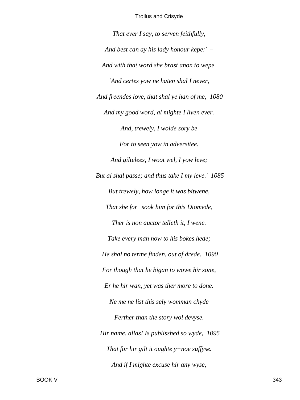*That ever I say, to serven feithfully, And best can ay his lady honour kepe:' – And with that word she brast anon to wepe. `And certes yow ne haten shal I never, And freendes love, that shal ye han of me, 1080 And my good word, al mighte I liven ever. And, trewely, I wolde sory be For to seen yow in adversitee. And giltelees, I woot wel, I yow leve; But al shal passe; and thus take I my leve.' 1085 But trewely, how longe it was bitwene, That she for−sook him for this Diomede, Ther is non auctor telleth it, I wene. Take every man now to his bokes hede; He shal no terme finden, out of drede. 1090 For though that he bigan to wowe hir sone, Er he hir wan, yet was ther more to done. Ne me ne list this sely womman chyde Ferther than the story wol devyse. Hir name, allas! Is publisshed so wyde, 1095 That for hir gilt it oughte y−noe suffyse. And if I mighte excuse hir any wyse,*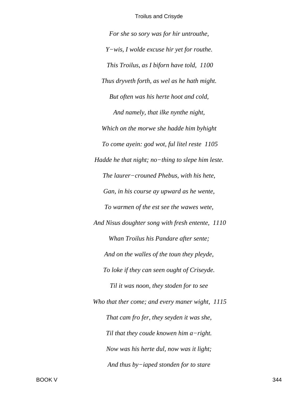For she so sory was for hir untrouthe, Y-wis, I wolde excuse hir yet for routhe. This Troilus, as I biforn have told, 1100 Thus dryveth forth, as wel as he hath might. But often was his herte hoot and cold, And namely, that ilke nynthe night, Which on the morwe she hadde him byhight To come ayein: god wot, ful litel reste 1105 Hadde he that night; no-thing to slepe him leste. The laurer-crouned Phebus, with his hete, Gan, in his course ay upward as he wente, To warmen of the est see the wawes wete, And Nisus doughter song with fresh entente, 1110 Whan Troilus his Pandare after sente; And on the walles of the toun they pleyde, To loke if they can seen ought of Criseyde. Til it was noon, they stoden for to see Who that ther come; and every maner wight, 1115 That cam fro fer, they seyden it was she, Til that they coude knowen him  $a$ -right. Now was his herte dul, now was it light; And thus by-iaped stonden for to stare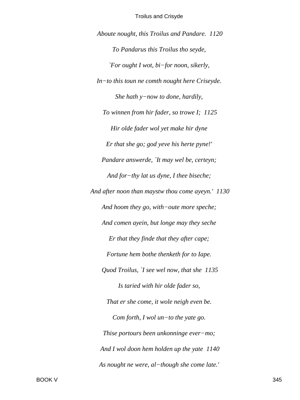Aboute nought, this Troilus and Pandare. 1120 To Pandarus this Troilus tho seyde, `For ought I wot, bi-for noon, sikerly,  $In-to$  this toun ne comth nought here Criseyde. She hath  $y$ -now to done, hardily, To winnen from hir fader, so trowe I; 1125 Hir olde fader wol yet make hir dyne Er that she go; god yeve his herte pyne!' Pandare answerde, `It may wel be, certeyn; And for-thy lat us dyne, I thee biseche; And after noon than maystw thou come ayeyn.' 1130 And hoom they go, with-oute more speche; And comen ayein, but longe may they seche Er that they finde that they after cape; Fortune hem bothe thenketh for to lape. Quod Troilus, `I see wel now, that she 1135 Is taried with hir olde fader so, That er she come, it wole neigh even be. Com forth, I wol un-to the yate go. Thise portours been unkonninge ever-mo; And I wol doon hem holden up the yate 1140 As nought ne were, al-though she come late.'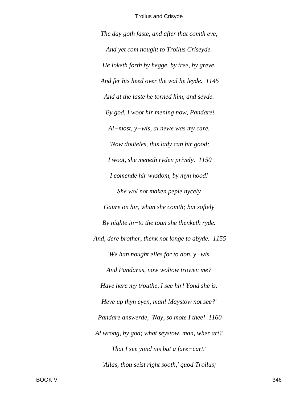*The day goth faste, and after that comth eve, And yet com nought to Troilus Criseyde. He loketh forth by hegge, by tree, by greve, And fer his heed over the wal he leyde. 1145 And at the laste he torned him, and seyde. `By god, I woot hir mening now, Pandare! Al−most, y−wis, al newe was my care. `Now douteles, this lady can hir good; I woot, she meneth ryden prively. 1150 I comende hir wysdom, by myn hood! She wol not maken peple nycely Gaure on hir, whan she comth; but softely By nighte in−to the toun she thenketh ryde. And, dere brother, thenk not longe to abyde. 1155 `We han nought elles for to don, y−wis. And Pandarus, now woltow trowen me? Have here my trouthe, I see hir! Yond she is. Heve up thyn eyen, man! Maystow not see?' Pandare answerde, `Nay, so mote I thee! 1160 Al wrong, by god; what seystow, man, wher art? That I see yond nis but a fare−cart.' `Allas, thou seist right sooth,' quod Troilus;*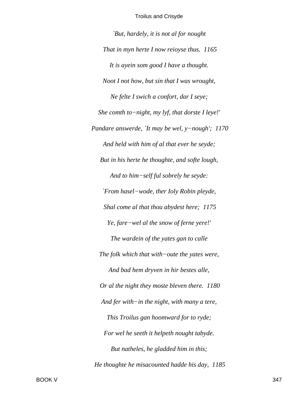`But, hardely, it is not al for nought That in myn herte I now reioyse thus. 1165 It is ayein som good I have a thought. Noot I not how, but sin that I was wrought, Ne felte I swich a confort, dar I seye; She comth to-night, my lyf, that dorste I leye!' Pandare answerde, `It may be wel,  $y$ -nough'; 1170 And held with him of al that ever he seyde; But in his herte he thoughte, and softe lough, And to him-self ful sobrely he seyde: `From hasel-wode, ther Ioly Robin pleyde, Shal come al that thou abydest here; 1175 Ye, fare-wel al the snow of ferne yere!' The wardein of the yates gan to calle The folk which that with-oute the yates were, And bad hem dryven in hir bestes alle, Or al the night they moste bleven there. 1180 And fer with-in the night, with many a tere, This Troilus gan hoomward for to ryde; For wel he seeth it helpeth nought tabyde. But natheles, he gladded him in this; He thoughte he misacounted hadde his day, 1185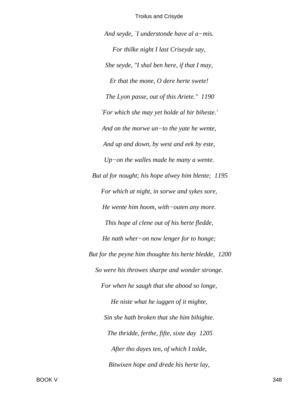And seyde, `I understonde have al  $a$ -mis. For thilke night I last Criseyde say, She seyde, "I shal ben here, if that I may, Er that the mone, O dere herte swete! The Lyon passe, out of this Ariete." 1190 'For which she may yet holde al hir biheste.' And on the morwe  $un$ -to the yate he wente, And up and down, by west and eek by este,  $Up-on$  the walles made he many a wente. But al for nought; his hope alwey him blente; 1195 For which at night, in sorwe and sykes sore, He wente him hoom, with-outen any more. This hope al clene out of his herte fledde, He nath wher-on now lenger for to honge; But for the peyne him thoughte his herte bledde, 1200 So were his throwes sharpe and wonder stronge. For when he saugh that she abood so longe, He niste what he iuggen of it mighte, Sin she hath broken that she him bihighte. The thridde, ferthe, fifte, sixte day 1205 After tho dayes ten, of which I tolde, Bitwixen hope and drede his herte lay,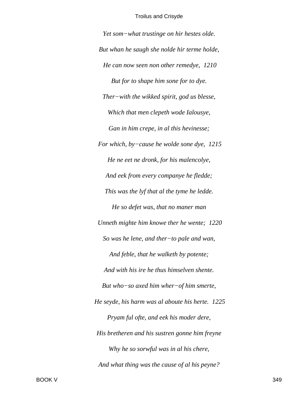Yet som-what trustinge on hir hestes olde. But whan he saugh she nolde hir terme holde, He can now seen non other remedye, 1210 But for to shape him sone for to dye. Ther–with the wikked spirit, god us blesse, Which that men clepeth wode Ialousye, Gan in him crepe, in al this hevinesse; For which, by-cause he wolde sone dye,  $1215$ He ne eet ne dronk, for his malencolye, And eek from every companye he fledde; This was the lyf that al the tyme he ledde. He so defet was, that no maner man Unneth mighte him knowe ther he wente; 1220 So was he lene, and ther-to pale and wan, And feble, that he walketh by potente; And with his ire he thus himselven shente. But who-so axed him wher-of him smerte, He seyde, his harm was al aboute his herte. 1225 Pryam ful ofte, and eek his moder dere, His bretheren and his sustren gonne him freyne Why he so sorwful was in al his chere, And what thing was the cause of al his peyne?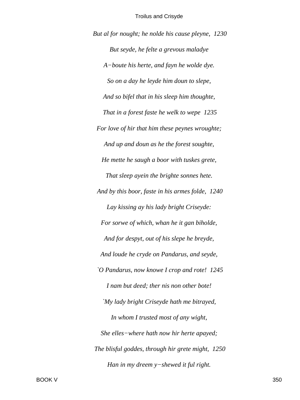*But al for nought; he nolde his cause pleyne, 1230 But seyde, he felte a grevous maladye A−boute his herte, and fayn he wolde dye. So on a day he leyde him doun to slepe, And so bifel that in his sleep him thoughte, That in a forest faste he welk to wepe 1235 For love of hir that him these peynes wroughte; And up and doun as he the forest soughte, He mette he saugh a boor with tuskes grete, That sleep ayein the brighte sonnes hete. And by this boor, faste in his armes folde, 1240 Lay kissing ay his lady bright Criseyde: For sorwe of which, whan he it gan biholde, And for despyt, out of his slepe he breyde, And loude he cryde on Pandarus, and seyde, `O Pandarus, now knowe I crop and rote! 1245 I nam but deed; ther nis non other bote! `My lady bright Criseyde hath me bitrayed, In whom I trusted most of any wight, She elles−where hath now hir herte apayed; The blisful goddes, through hir grete might, 1250 Han in my dreem y−shewed it ful right.*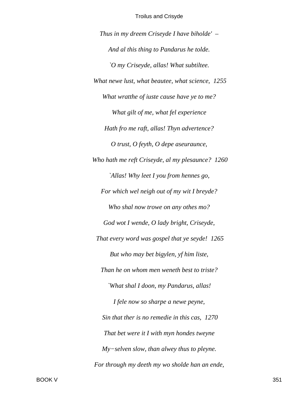Thus in my dreem Criseyde I have biholde'  $-$ And al this thing to Pandarus he tolde. `O my Criseyde, allas! What subtiltee. What newe lust, what beautee, what science, 1255 What wratthe of iuste cause have ye to me? What gilt of me, what fel experience Hath fro me raft, allas! Thyn advertence? O trust, O feyth, O depe aseuraunce, Who hath me reft Criseyde, al my plesaunce? 1260 `Allas! Why leet I you from hennes go, For which wel neigh out of my wit I breyde? Who shal now trowe on any othes mo? God wot I wende, O lady bright, Criseyde, That every word was gospel that ye seyde! 1265 But who may bet bigylen, yf him liste, Than he on whom men weneth best to triste? 'What shal I doon, my Pandarus, allas! I fele now so sharpe a newe peyne, Sin that ther is no remedie in this cas, 1270 That bet were it I with myn hondes tweyne  $My-selven$  slow, than alwey thus to pleyne. For through my deeth my wo sholde han an ende,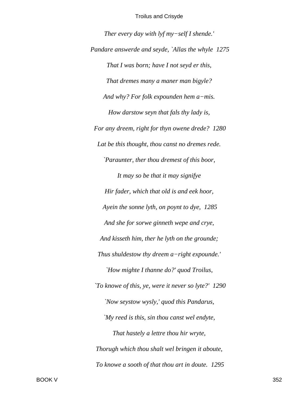*Ther every day with lyf my−self I shende.' Pandare answerde and seyde, `Allas the whyle 1275 That I was born; have I not seyd er this, That dremes many a maner man bigyle? And why? For folk expounden hem a−mis. How darstow seyn that fals thy lady is, For any dreem, right for thyn owene drede? 1280 Lat be this thought, thou canst no dremes rede. `Paraunter, ther thou dremest of this boor, It may so be that it may signifye Hir fader, which that old is and eek hoor, Ayein the sonne lyth, on poynt to dye, 1285 And she for sorwe ginneth wepe and crye, And kisseth him, ther he lyth on the grounde; Thus shuldestow thy dreem a−right expounde.' `How mighte I thanne do?' quod Troilus, `To knowe of this, ye, were it never so lyte?' 1290 `Now seystow wysly,' quod this Pandarus, `My reed is this, sin thou canst wel endyte, That hastely a lettre thou hir wryte, Thorugh which thou shalt wel bringen it aboute, To knowe a sooth of that thou art in doute. 1295*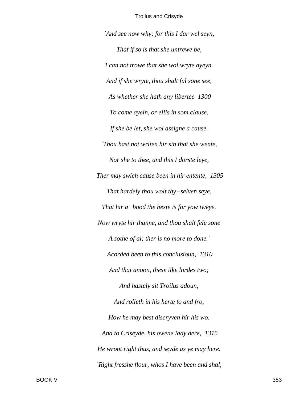*`And see now why; for this I dar wel seyn, That if so is that she untrewe be, I can not trowe that she wol wryte ayeyn. And if she wryte, thou shalt ful sone see, As whether she hath any libertee 1300 To come ayein, or ellis in som clause, If she be let, she wol assigne a cause. `Thou hast not writen hir sin that she wente, Nor she to thee, and this I dorste leye, Ther may swich cause been in hir entente, 1305 That hardely thou wolt thy−selven seye, That hir a−bood the beste is for yow tweye. Now wryte hir thanne, and thou shalt fele sone A sothe of al; ther is no more to done.' Acorded been to this conclusioun, 1310 And that anoon, these ilke lordes two; And hastely sit Troilus adoun, And rolleth in his herte to and fro, How he may best discryven hir his wo. And to Criseyde, his owene lady dere, 1315 He wroot right thus, and seyde as ye may here. `Right fresshe flour, whos I have been and shal,*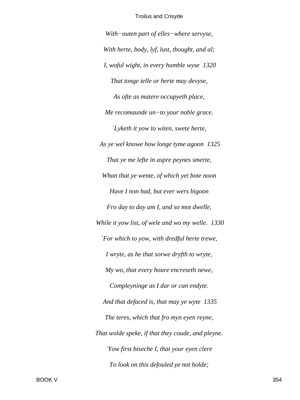With-outen part of elles-where servyse,

With herte, body, lyf, lust, thought, and al; I, woful wight, in every humble wyse 1320 That tonge telle or herte may devyse, As ofte as matere occupyeth place, Me recomaunde un-to your noble grace. `Lyketh it yow to witen, swete herte, As ye wel knowe how longe tyme agoon 1325 That ye me lefte in aspre peynes smerte, Whan that ye wente, of which yet bote noon Have I non had, but ever wers bigoon Fro day to day am I, and so mot dwelle, While it yow list, of wele and wo my welle. 1330 `For which to yow, with dredful herte trewe, I wryte, as he that sorwe dryfth to wryte, My wo, that every houre encreseth newe, Compleyninge as I dar or can endyte. And that defaced is, that may ye wyte 1335 The teres, which that fro myn eyen reyne, That wolde speke, if that they coude, and pleyne. *Yow first biseche I, that your eyen clere* To look on this defouled ye not holde;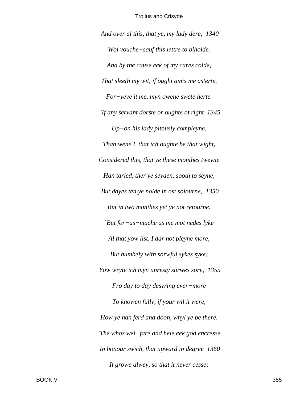And over al this, that ye, my lady dere, 1340 Wol vouche-sauf this lettre to biholde. And by the cause eek of my cares colde, That sleeth my wit, if ought amis me asterte, For-yeve it me, myn owene swete herte. If any servant dorste or oughte of right 1345  $Up-on$  his lady pitously compleyne, Than wene I, that ich oughte be that wight, Considered this, that ye these monthes tweyne Han taried, ther ye seyden, sooth to seyne, But dayes ten ye nolde in ost soiourne, 1350 But in two monthes yet ye not retourne. `But for-as-muche as me mot nedes lyke Al that yow list, I dar not pleyne more, But humbely with sorwful sykes syke; Yow wryte ich myn unresty sorwes sore, 1355 Fro day to day desyring ever-more To knowen fully, if your wil it were, How ye han ferd and doon, whyl ye be there. `The whos wel-fare and hele eek god encresse In honour swich, that upward in degree 1360 It growe alwey, so that it never cesse;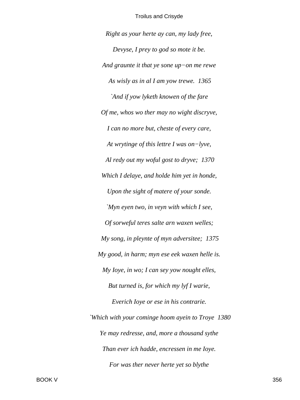Right as your herte ay can, my lady free, Devyse, I prey to god so mote it be. And graunte it that ye sone up-on me rewe As wisly as in al I am yow trewe. 1365 `And if yow lyketh knowen of the fare Of me, whos wo ther may no wight discryve, I can no more but, cheste of every care, At wrytinge of this lettre I was on-lyve, Al redy out my woful gost to dryve; 1370 Which I delaye, and holde him yet in honde, Upon the sight of matere of your sonde. `Myn eyen two, in veyn with which I see, Of sorweful teres salte arn waxen welles; My song, in pleynte of myn adversitee; 1375 My good, in harm; myn ese eek waxen helle is. My loye, in wo; I can sey yow nought elles, But turned is, for which my lyf I warie, Everich loye or ese in his contrarie. 'Which with your cominge hoom ayein to Troye 1380 Ye may redresse, and, more a thousand sythe Than ever ich hadde, encressen in me Ioye. For was ther never herte yet so blythe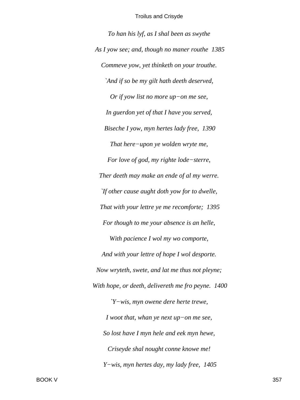*To han his lyf, as I shal been as swythe As I yow see; and, though no maner routhe 1385 Commeve yow, yet thinketh on your trouthe. `And if so be my gilt hath deeth deserved, Or if yow list no more up−on me see, In guerdon yet of that I have you served, Biseche I yow, myn hertes lady free, 1390 That here−upon ye wolden wryte me, For love of god, my righte lode−sterre, Ther deeth may make an ende of al my werre. `If other cause aught doth yow for to dwelle, That with your lettre ye me recomforte; 1395 For though to me your absence is an helle, With pacience I wol my wo comporte, And with your lettre of hope I wol desporte. Now wryteth, swete, and lat me thus not pleyne; With hope, or deeth, delivereth me fro peyne. 1400 `Y−wis, myn owene dere herte trewe, I woot that, whan ye next up−on me see, So lost have I myn hele and eek myn hewe, Criseyde shal nought conne knowe me! Y−wis, myn hertes day, my lady free, 1405*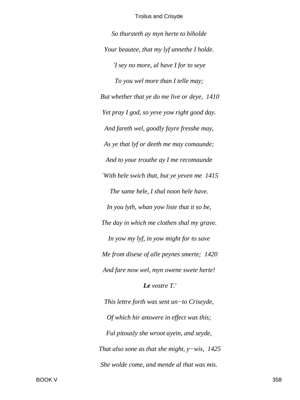*So thursteth ay myn herte to biholde Your beautee, that my lyf unnethe I holde. `I sey no more, al have I for to seye To you wel more than I telle may; But whether that ye do me live or deye, 1410 Yet pray I god, so yeve yow right good day. And fareth wel, goodly fayre fresshe may, As ye that lyf or deeth me may comaunde; And to your trouthe ay I me recomaunde `With hele swich that, but ye yeven me 1415 The same hele, I shal noon hele have. In you lyth, whan yow liste that it so be, The day in which me clothen shal my grave. In yow my lyf, in yow might for to save Me from disese of alle peynes smerte; 1420 And fare now wel, myn owene swete herte! Le vostre T.' This lettre forth was sent un−to Criseyde, Of which hir answere in effect was this; Ful pitously she wroot ayein, and seyde, That also sone as that she might, y−wis, 1425 She wolde come, and mende al that was mis.*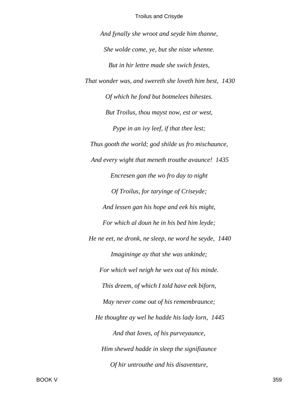*And fynally she wroot and seyde him thanne, She wolde come, ye, but she niste whenne. But in hir lettre made she swich festes, That wonder was, and swereth she loveth him best, 1430 Of which he fond but botmelees bihestes. But Troilus, thou mayst now, est or west, Pype in an ivy leef, if that thee lest; Thus gooth the world; god shilde us fro mischaunce, And every wight that meneth trouthe avaunce! 1435 Encresen gan the wo fro day to night Of Troilus, for taryinge of Criseyde; And lessen gan his hope and eek his might, For which al doun he in his bed him leyde; He ne eet, ne dronk, ne sleep, ne word he seyde, 1440 Imagininge ay that she was unkinde; For which wel neigh he wex out of his minde. This dreem, of which I told have eek biforn, May never come out of his remembraunce; He thoughte ay wel he hadde his lady lorn, 1445 And that Ioves, of his purveyaunce, Him shewed hadde in sleep the signifiaunce Of hir untrouthe and his disaventure,*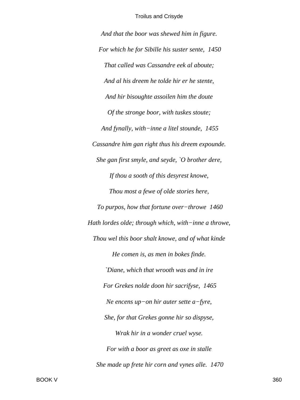And that the boor was shewed him in figure. For which he for Sibille his suster sente, 1450 That called was Cassandre eek al aboute; And al his dreem he tolde hir er he stente, And hir bisoughte assoilen him the doute Of the stronge boor, with tuskes stoute; And fynally, with-inne a litel stounde, 1455 Cassandre him gan right thus his dreem expounde. She gan first smyle, and seyde, `O brother dere, If thou a sooth of this desyrest knowe, Thou most a fewe of olde stories here, To purpos, how that fortune over-throwe 1460 Hath lordes olde; through which, with-inne a throwe, Thou wel this boor shalt knowe, and of what kinde He comen is, as men in bokes finde. `Diane, which that wrooth was and in ire For Grekes nolde doon hir sacrifyse, 1465 Ne encens up-on hir auter sette  $a$ -fyre, She, for that Grekes gonne hir so dispyse, Wrak hir in a wonder cruel wyse. For with a boor as greet as oxe in stalle She made up frete hir corn and vynes alle. 1470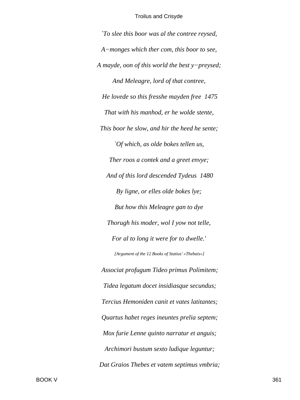*`To slee this boor was al the contree reysed, A−monges which ther com, this boor to see, A mayde, oon of this world the best y−preysed; And Meleagre, lord of that contree, He lovede so this fresshe mayden free 1475 That with his manhod, er he wolde stente, This boor he slow, and hir the heed he sente; `Of which, as olde bokes tellen us, Ther roos a contek and a greet envye; And of this lord descended Tydeus 1480 By ligne, or elles olde bokes lye; But how this Meleagre gan to dye Thorugh his moder, wol I yow not telle, For al to long it were for to dwelle.' [Argument of the 12 Books of Statius' «Thebais»] Associat profugum Tideo primus Polimitem; Tidea legatum docet insidiasque secundus; Tercius Hemoniden canit et vates latitantes; Quartus habet reges ineuntes prelia septem; Mox furie Lenne quinto narratur et anguis; Archimori bustum sexto ludique leguntur; Dat Graios Thebes et vatem septimus vmbria;*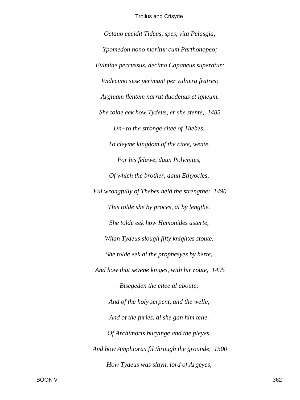*Octauo cecidit Tideus, spes, vita Pelasgia; Ypomedon nono moritur cum Parthonopeo; Fulmine percussus, decimo Capaneus superatur; Vndecimo sese perimunt per vulnera fratres; Argiuam flentem narrat duodenus et igneum. She tolde eek how Tydeus, er she stente, 1485 Un−to the stronge citee of Thebes, To cleyme kingdom of the citee, wente, For his felawe, daun Polymites, Of which the brother, daun Ethyocles, Ful wrongfully of Thebes held the strengthe; 1490 This tolde she by proces, al by lengthe. She tolde eek how Hemonides asterte, Whan Tydeus slough fifty knightes stoute. She tolde eek al the prophesyes by herte, And how that sevene kinges, with hir route, 1495 Bisegeden the citee al aboute; And of the holy serpent, and the welle, And of the furies, al she gan him telle. Of Archimoris buryinge and the pleyes, And how Amphiorax fil through the grounde, 1500 How Tydeus was slayn, lord of Argeyes,*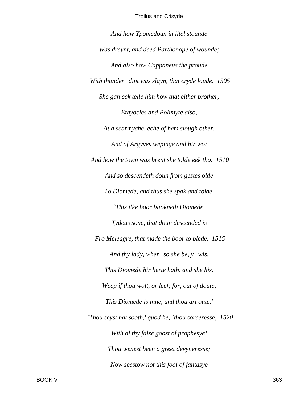*And how Ypomedoun in litel stounde Was dreynt, and deed Parthonope of wounde; And also how Cappaneus the proude With thonder−dint was slayn, that cryde loude. 1505 She gan eek telle him how that either brother, Ethyocles and Polimyte also, At a scarmyche, eche of hem slough other, And of Argyves wepinge and hir wo; And how the town was brent she tolde eek tho. 1510 And so descendeth doun from gestes olde To Diomede, and thus she spak and tolde. `This ilke boor bitokneth Diomede, Tydeus sone, that doun descended is Fro Meleagre, that made the boor to blede. 1515 And thy lady, wher−so she be, y−wis, This Diomede hir herte hath, and she his. Weep if thou wolt, or leef; for, out of doute, This Diomede is inne, and thou art oute.' `Thou seyst nat sooth,' quod he, `thou sorceresse, 1520 With al thy false goost of prophesye! Thou wenest been a greet devyneresse; Now seestow not this fool of fantasye*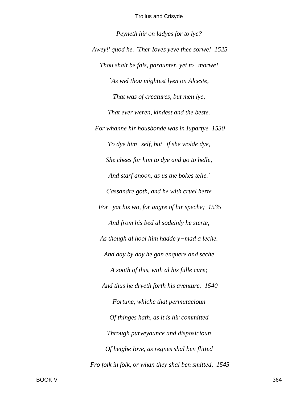*Peyneth hir on ladyes for to lye? Awey!' quod he. `Ther Ioves yeve thee sorwe! 1525 Thou shalt be fals, paraunter, yet to−morwe! `As wel thou mightest lyen on Alceste, That was of creatures, but men lye, That ever weren, kindest and the beste. For whanne hir housbonde was in Iupartye 1530 To dye him−self, but−if she wolde dye, She chees for him to dye and go to helle, And starf anoon, as us the bokes telle.' Cassandre goth, and he with cruel herte For−yat his wo, for angre of hir speche; 1535 And from his bed al sodeinly he sterte, As though al hool him hadde y−mad a leche. And day by day he gan enquere and seche A sooth of this, with al his fulle cure; And thus he dryeth forth his aventure. 1540 Fortune, whiche that permutacioun Of thinges hath, as it is hir committed Through purveyaunce and disposicioun Of heighe Iove, as regnes shal ben flitted Fro folk in folk, or whan they shal ben smitted, 1545*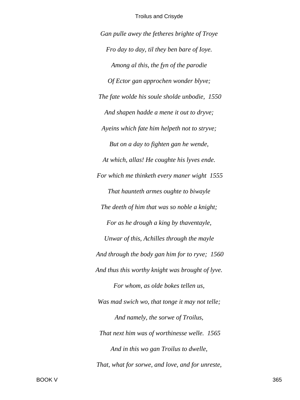*Gan pulle awey the fetheres brighte of Troye Fro day to day, til they ben bare of Ioye. Among al this, the fyn of the parodie Of Ector gan approchen wonder blyve; The fate wolde his soule sholde unbodie, 1550 And shapen hadde a mene it out to dryve; Ayeins which fate him helpeth not to stryve; But on a day to fighten gan he wende, At which, allas! He coughte his lyves ende. For which me thinketh every maner wight 1555 That haunteth armes oughte to biwayle The deeth of him that was so noble a knight; For as he drough a king by thaventayle, Unwar of this, Achilles through the mayle And through the body gan him for to ryve; 1560 And thus this worthy knight was brought of lyve. For whom, as olde bokes tellen us, Was mad swich wo, that tonge it may not telle; And namely, the sorwe of Troilus, That next him was of worthinesse welle. 1565 And in this wo gan Troilus to dwelle, That, what for sorwe, and love, and for unreste,*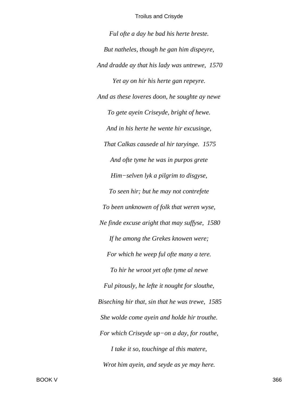*Ful ofte a day he bad his herte breste. But natheles, though he gan him dispeyre, And dradde ay that his lady was untrewe, 1570 Yet ay on hir his herte gan repeyre. And as these loveres doon, he soughte ay newe To gete ayein Criseyde, bright of hewe. And in his herte he wente hir excusinge, That Calkas causede al hir taryinge. 1575 And ofte tyme he was in purpos grete Him−selven lyk a pilgrim to disgyse, To seen hir; but he may not contrefete To been unknowen of folk that weren wyse, Ne finde excuse aright that may suffyse, 1580 If he among the Grekes knowen were; For which he weep ful ofte many a tere. To hir he wroot yet ofte tyme al newe Ful pitously, he lefte it nought for slouthe, Biseching hir that, sin that he was trewe, 1585 She wolde come ayein and holde hir trouthe. For which Criseyde up−on a day, for routhe, I take it so, touchinge al this matere, Wrot him ayein, and seyde as ye may here.*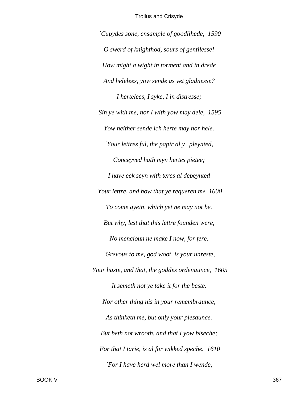*`Cupydes sone, ensample of goodlihede, 1590 O swerd of knighthod, sours of gentilesse! How might a wight in torment and in drede And helelees, yow sende as yet gladnesse? I hertelees, I syke, I in distresse; Sin ye with me, nor I with yow may dele, 1595 Yow neither sende ich herte may nor hele. `Your lettres ful, the papir al y−pleynted, Conceyved hath myn hertes pietee; I have eek seyn with teres al depeynted Your lettre, and how that ye requeren me 1600 To come ayein, which yet ne may not be. But why, lest that this lettre founden were, No mencioun ne make I now, for fere. `Grevous to me, god woot, is your unreste, Your haste, and that, the goddes ordenaunce, 1605 It semeth not ye take it for the beste. Nor other thing nis in your remembraunce, As thinketh me, but only your plesaunce. But beth not wrooth, and that I yow biseche; For that I tarie, is al for wikked speche. 1610 `For I have herd wel more than I wende,*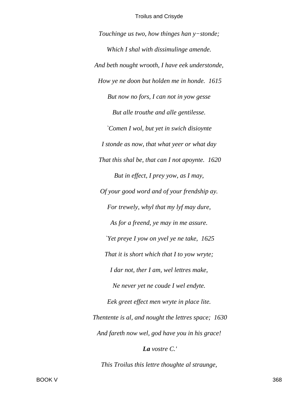Touchinge us two, how thinges han y-stonde; Which I shal with dissimulinge amende. And beth nought wrooth, I have eek understonde, How ye ne doon but holden me in honde. 1615 But now no fors, I can not in yow gesse But alle trouthe and alle gentilesse. `Comen I wol, but yet in swich disioynte I stonde as now, that what yeer or what day That this shal be, that can I not apoynte. 1620 But in effect, I prey yow, as I may, Of your good word and of your frendship ay. For trewely, whyl that my lyf may dure, As for a freend, ye may in me assure. Yet preye I yow on yvel ye ne take, 1625 That it is short which that I to yow wryte; I dar not, ther I am, wel lettres make, Ne never yet ne coude I wel endyte. Eek greet effect men wryte in place lite. Thentente is al, and nought the lettres space; 1630 And fareth now wel, god have you in his grace!

La vostre C.'

This Troilus this lettre thoughte al straunge,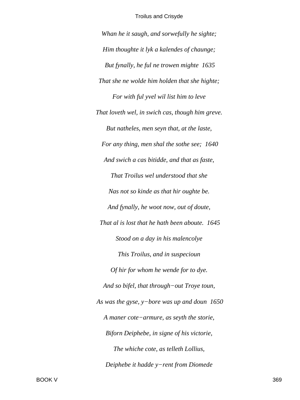*Whan he it saugh, and sorwefully he sighte; Him thoughte it lyk a kalendes of chaunge; But fynally, he ful ne trowen mighte 1635 That she ne wolde him holden that she highte; For with ful yvel wil list him to leve That loveth wel, in swich cas, though him greve. But natheles, men seyn that, at the laste, For any thing, men shal the sothe see; 1640 And swich a cas bitidde, and that as faste, That Troilus wel understood that she Nas not so kinde as that hir oughte be. And fynally, he woot now, out of doute, That al is lost that he hath been aboute. 1645 Stood on a day in his malencolye This Troilus, and in suspecioun Of hir for whom he wende for to dye. And so bifel, that through−out Troye toun, As was the gyse, y−bore was up and doun 1650 A maner cote−armure, as seyth the storie, Biforn Deiphebe, in signe of his victorie, The whiche cote, as telleth Lollius, Deiphebe it hadde y−rent from Diomede*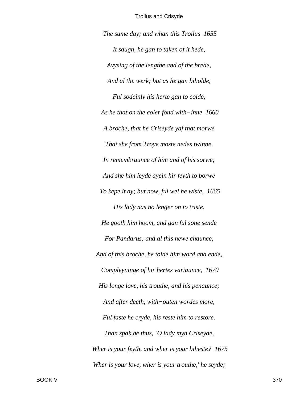*The same day; and whan this Troilus 1655 It saugh, he gan to taken of it hede, Avysing of the lengthe and of the brede, And al the werk; but as he gan biholde, Ful sodeinly his herte gan to colde, As he that on the coler fond with−inne 1660 A broche, that he Criseyde yaf that morwe That she from Troye moste nedes twinne, In remembraunce of him and of his sorwe; And she him leyde ayein hir feyth to borwe To kepe it ay; but now, ful wel he wiste, 1665 His lady nas no lenger on to triste. He gooth him hoom, and gan ful sone sende For Pandarus; and al this newe chaunce, And of this broche, he tolde him word and ende, Compleyninge of hir hertes variaunce, 1670 His longe love, his trouthe, and his penaunce; And after deeth, with−outen wordes more, Ful faste he cryde, his reste him to restore. Than spak he thus, `O lady myn Criseyde, Wher is your feyth, and wher is your biheste? 1675 Wher is your love, wher is your trouthe,' he seyde;*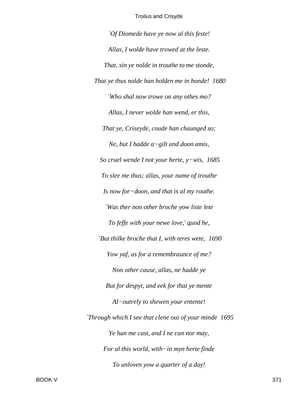*`Of Diomede have ye now al this feste! Allas, I wolde have trowed at the leste. That, sin ye nolde in trouthe to me stonde, That ye thus nolde han holden me in honde! 1680 `Who shal now trowe on any othes mo? Allas, I never wolde han wend, er this, That ye, Criseyde, coude han chaunged so; Ne, but I hadde a−gilt and doon amis, So cruel wende I not your herte, y−wis, 1685 To slee me thus; allas, your name of trouthe Is now for−doon, and that is al my routhe. `Was ther non other broche yow liste lete To feffe with your newe love,' quod he, `But thilke broche that I, with teres wete, 1690 Yow yaf, as for a remembraunce of me? Non other cause, allas, ne hadde ye But for despyt, and eek for that ye mente Al−outrely to shewen your entente! `Through which I see that clene out of your minde 1695 Ye han me cast, and I ne can nor may, For al this world, with−in myn herte finde To unloven yow a quarter of a day!*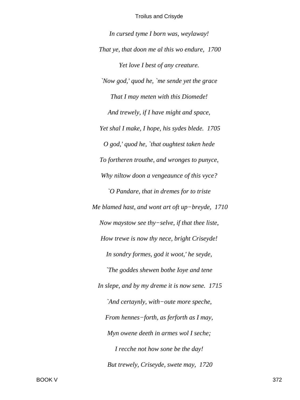In cursed tyme I born was, weylaway! That ye, that doon me al this wo endure, 1700 Yet love I best of any creature. 'Now god,' quod he, 'me sende yet the grace' That I may meten with this Diomede! And trewely, if I have might and space, Yet shal I make, I hope, his sydes blede. 1705  $O$  god,' quod he, `that oughtest taken hede To fortheren trouthe, and wronges to punyce, Why niltow doon a vengeaunce of this vyce? `O Pandare, that in dremes for to triste Me blamed hast, and wont art oft up-breyde, 1710 Now maystow see thy-selve, if that thee liste, How trewe is now thy nece, bright Criseyde! In sondry formes, god it woot,' he seyde, The goddes shewen bothe loye and tene In slepe, and by my dreme it is now sene. 1715 `And certaynly, with-oute more speche, From hennes-forth, as ferforth as I may, Myn owene deeth in armes wol I seche; I recche not how sone be the day! But trewely, Criseyde, swete may, 1720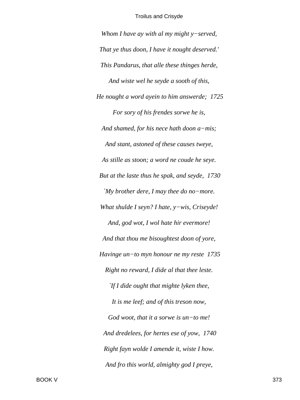*Whom I have ay with al my might y−served, That ye thus doon, I have it nought deserved.' This Pandarus, that alle these thinges herde, And wiste wel he seyde a sooth of this, He nought a word ayein to him answerde; 1725 For sory of his frendes sorwe he is, And shamed, for his nece hath doon a−mis; And stant, astoned of these causes tweye, As stille as stoon; a word ne coude he seye. But at the laste thus he spak, and seyde, 1730 `My brother dere, I may thee do no−more. What shulde I seyn? I hate, y−wis, Criseyde! And, god wot, I wol hate hir evermore! And that thou me bisoughtest doon of yore, Havinge un−to myn honour ne my reste 1735 Right no reward, I dide al that thee leste. `If I dide ought that mighte lyken thee, It is me leef; and of this treson now, God woot, that it a sorwe is un−to me! And dredelees, for hertes ese of yow, 1740 Right fayn wolde I amende it, wiste I how. And fro this world, almighty god I preye,*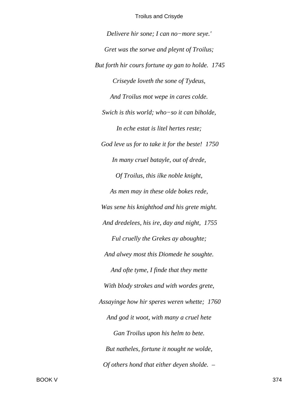*Delivere hir sone; I can no−more seye.' Gret was the sorwe and pleynt of Troilus; But forth hir cours fortune ay gan to holde. 1745 Criseyde loveth the sone of Tydeus, And Troilus mot wepe in cares colde. Swich is this world; who−so it can biholde, In eche estat is litel hertes reste; God leve us for to take it for the beste! 1750 In many cruel batayle, out of drede, Of Troilus, this ilke noble knight, As men may in these olde bokes rede, Was sene his knighthod and his grete might. And dredelees, his ire, day and night, 1755 Ful cruelly the Grekes ay aboughte; And alwey most this Diomede he soughte. And ofte tyme, I finde that they mette With blody strokes and with wordes grete, Assayinge how hir speres weren whette; 1760 And god it woot, with many a cruel hete Gan Troilus upon his helm to bete. But natheles, fortune it nought ne wolde, Of others hond that either deyen sholde. –*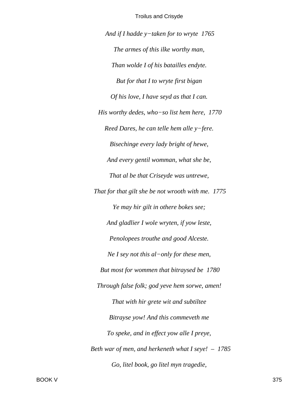*And if I hadde y−taken for to wryte 1765 The armes of this ilke worthy man, Than wolde I of his batailles endyte. But for that I to wryte first bigan Of his love, I have seyd as that I can. His worthy dedes, who−so list hem here, 1770 Reed Dares, he can telle hem alle y−fere. Bisechinge every lady bright of hewe, And every gentil womman, what she be, That al be that Criseyde was untrewe, That for that gilt she be not wrooth with me. 1775 Ye may hir gilt in othere bokes see; And gladlier I wole wryten, if yow leste, Penolopees trouthe and good Alceste. Ne I sey not this al−only for these men, But most for wommen that bitraysed be 1780 Through false folk; god yeve hem sorwe, amen! That with hir grete wit and subtiltee Bitrayse yow! And this commeveth me To speke, and in effect yow alle I preye, Beth war of men, and herkeneth what I seye! – 1785 Go, litel book, go litel myn tragedie,*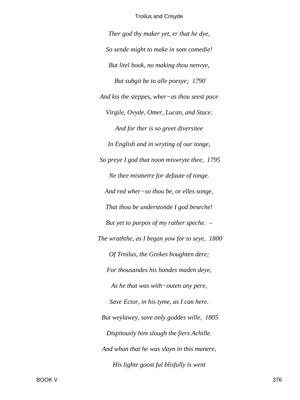*Ther god thy maker yet, er that he dye, So sende might to make in som comedie! But litel book, no making thou nenvye, But subgit be to alle poesye; 1790 And kis the steppes, wher−as thou seest pace Virgile, Ovyde, Omer, Lucan, and Stace. And for ther is so greet diversitee In English and in wryting of our tonge, So preye I god that noon miswryte thee, 1795 Ne thee mismetre for defaute of tonge. And red wher−so thou be, or elles songe, That thou be understonde I god beseche! But yet to purpos of my rather speche. – The wraththe, as I began yow for to seye, 1800 Of Troilus, the Grekes boughten dere; For thousandes his hondes maden deye, As he that was with−outen any pere, Save Ector, in his tyme, as I can here. But weylawey, save only goddes wille, 1805 Dispitously him slough the fiers Achille. And whan that he was slayn in this manere, His lighte goost ful blisfully is went*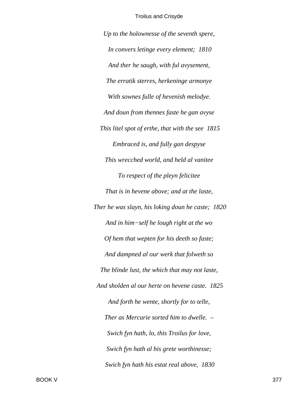*Up to the holownesse of the seventh spere, In convers letinge every element; 1810 And ther he saugh, with ful avysement, The erratik sterres, herkeninge armonye With sownes fulle of hevenish melodye. And doun from thennes faste he gan avyse This litel spot of erthe, that with the see 1815 Embraced is, and fully gan despyse This wrecched world, and held al vanitee To respect of the pleyn felicitee That is in hevene above; and at the laste, Ther he was slayn, his loking doun he caste; 1820 And in him−self he lough right at the wo Of hem that wepten for his deeth so faste; And dampned al our werk that folweth so The blinde lust, the which that may not laste, And sholden al our herte on hevene caste. 1825 And forth he wente, shortly for to telle, Ther as Mercurie sorted him to dwelle. – Swich fyn hath, lo, this Troilus for love, Swich fyn hath al his grete worthinesse; Swich fyn hath his estat real above, 1830*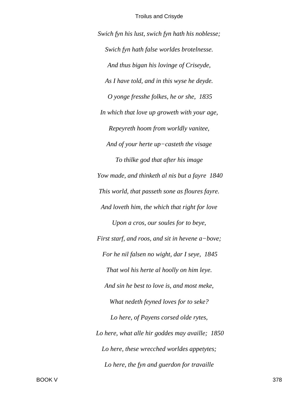Swich fyn his lust, swich fyn hath his noblesse; Swich fyn hath false worldes brotelnesse. And thus bigan his lovinge of Criseyde, As I have told, and in this wyse he deyde. O yonge fresshe folkes, he or she, 1835 In which that love up groweth with your age, Repeyreth hoom from worldly vanitee, And of your herte  $up-casteth$  the visage To thilke god that after his image Yow made, and thinketh al nis but a fayre 1840 This world, that passeth sone as floures fayre. And loveth him, the which that right for love Upon a cros, our soules for to beye, First starf, and roos, and sit in hevene a-bove; For he nil falsen no wight, dar I seye, 1845 That wol his herte al hoolly on him leye. And sin he best to love is, and most meke, What nedeth feyned loves for to seke? Lo here, of Payens corsed olde rytes, Lo here, what alle hir goddes may availle; 1850 Lo here, these wrecched worldes appetytes; Lo here, the fyn and guerdon for travaille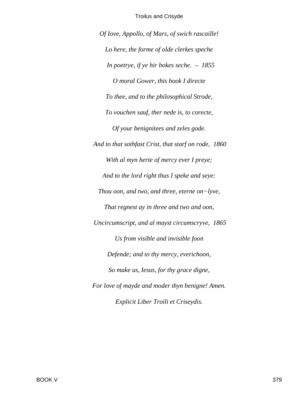Of Iove, Appollo, of Mars, of swich rascaille! Lo here, the forme of olde clerkes speche In poetrye, if ye hir bokes seche.  $-1855$ O moral Gower, this book I directe To thee, and to the philosophical Strode, To vouchen sauf, ther nede is, to corecte, Of your benignitees and zeles gode. And to that sothfast Crist, that starf on rode, 1860 With al myn herte of mercy ever I preye; And to the lord right thus I speke and seye: Thou oon, and two, and three, eterne on-lyve, That regnest ay in three and two and oon, Uncircumscript, and al mayst circumscryve, 1865 Us from visible and invisible foon Defende; and to thy mercy, everichoon, So make us, Iesus, for thy grace digne, For love of mayde and moder thyn benigne! Amen. Explicit Liber Troili et Criseydis.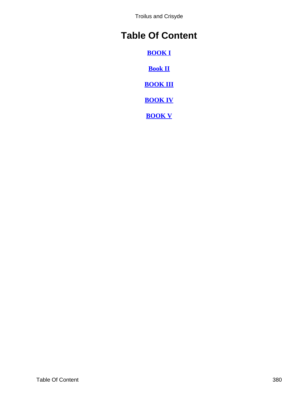# **Table Of Content**

**[BOOK I](#page-2-0)**

**[Book II](#page-52-0)**

**[BOOK III](#page-133-0)**

**[BOOK IV](#page-216-0)**

**[BOOK V](#page-294-0)**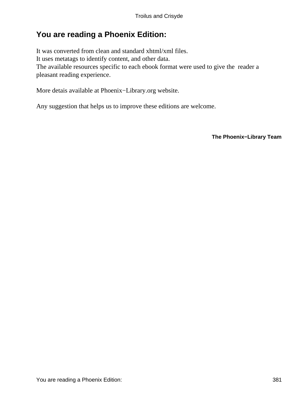## **You are reading a Phoenix Edition:**

It was converted from clean and standard xhtml/xml files. It uses metatags to identify content, and other data. The available resources specific to each ebook format were used to give the reader a pleasant reading experience.

More detais available at Phoenix−Library.org website.

Any suggestion that helps us to improve these editions are welcome.

**The Phoenix−Library Team**